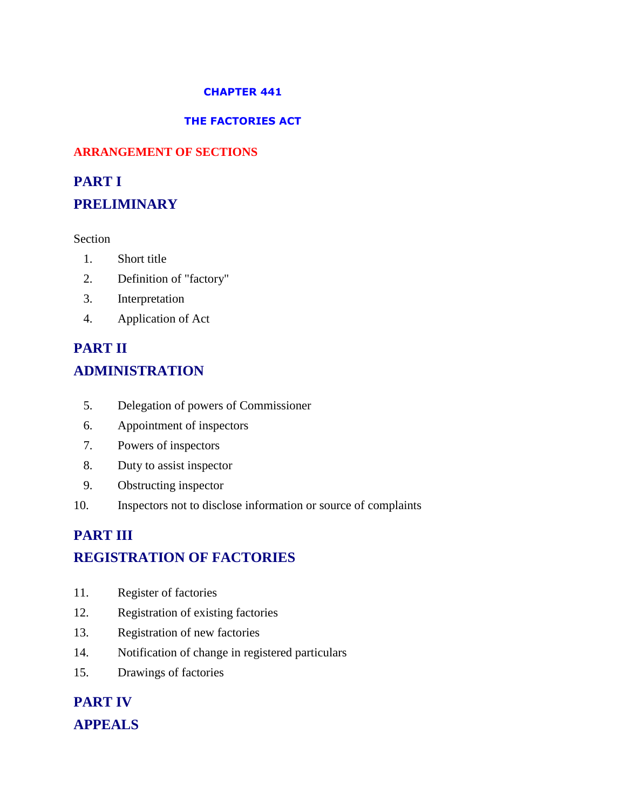#### **CHAPTER 441**

#### **THE FACTORIES ACT**

#### **ARRANGEMENT OF SECTIONS**

# **PART I PRELIMINARY**

#### Section

- 1. Short title
- 2. Definition of "factory"
- 3. Interpretation
- 4. Application of Act

# **PART II ADMINISTRATION**

- 5. Delegation of powers of Commissioner
- 6. Appointment of inspectors
- 7. Powers of inspectors
- 8. Duty to assist inspector
- 9. Obstructing inspector
- 10. Inspectors not to disclose information or source of complaints

# **PART III REGISTRATION OF FACTORIES**

- 11. Register of factories
- 12. Registration of existing factories
- 13. Registration of new factories
- 14. Notification of change in registered particulars
- 15. Drawings of factories

# **PART IV APPEALS**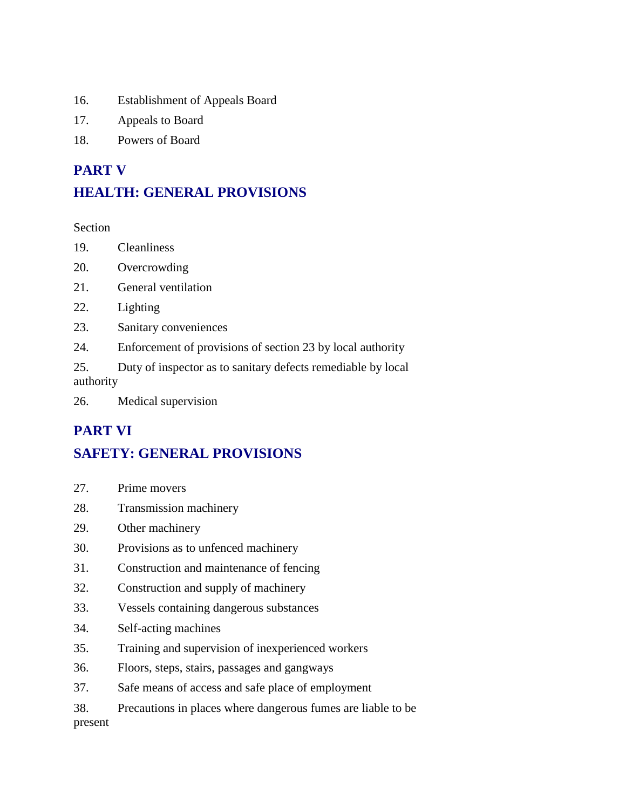- 16. Establishment of Appeals Board
- 17. Appeals to Board
- 18. Powers of Board

## **PART V**

# **HEALTH: GENERAL PROVISIONS**

Section

- 19. Cleanliness
- 20. Overcrowding
- 21. General ventilation
- 22. Lighting
- 23. Sanitary conveniences
- 24. Enforcement of provisions of section 23 by local authority

25. Duty of inspector as to sanitary defects remediable by local authority

26. Medical supervision

## **PART VI**

# **SAFETY: GENERAL PROVISIONS**

- 27. Prime movers
- 28. Transmission machinery
- 29. Other machinery
- 30. Provisions as to unfenced machinery
- 31. Construction and maintenance of fencing
- 32. Construction and supply of machinery
- 33. Vessels containing dangerous substances
- 34. Self-acting machines
- 35. Training and supervision of inexperienced workers
- 36. Floors, steps, stairs, passages and gangways
- 37. Safe means of access and safe place of employment
- 38. Precautions in places where dangerous fumes are liable to be

present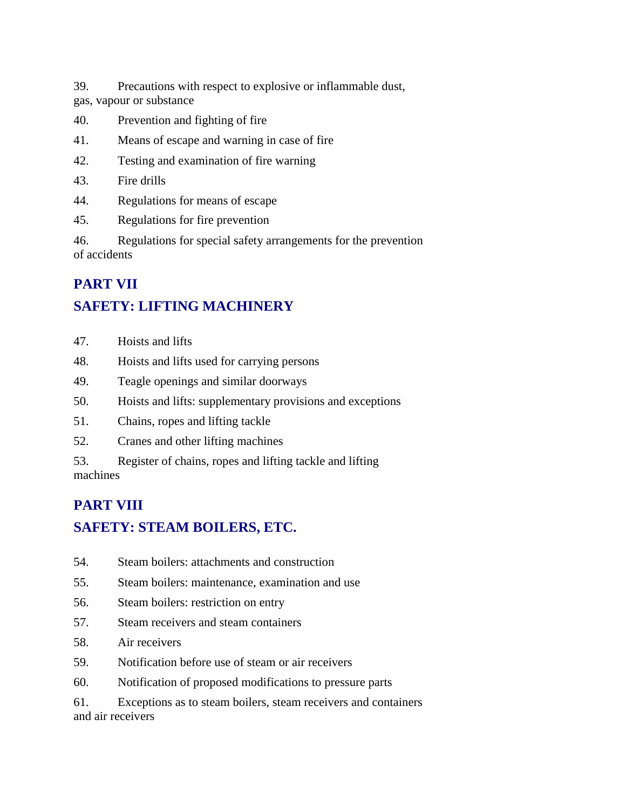39. Precautions with respect to explosive or inflammable dust, gas, vapour or substance

- 40. Prevention and fighting of fire
- 41. Means of escape and warning in case of fire
- 42. Testing and examination of fire warning
- 43. Fire drills
- 44. Regulations for means of escape
- 45. Regulations for fire prevention

46. Regulations for special safety arrangements for the prevention of accidents

## **PART VII**

# **SAFETY: LIFTING MACHINERY**

- 47. Hoists and lifts
- 48. Hoists and lifts used for carrying persons
- 49. Teagle openings and similar doorways
- 50. Hoists and lifts: supplementary provisions and exceptions
- 51. Chains, ropes and lifting tackle
- 52. Cranes and other lifting machines

53. Register of chains, ropes and lifting tackle and lifting machines

# **PART VIII**

# **SAFETY: STEAM BOILERS, ETC.**

- 54. Steam boilers: attachments and construction
- 55. Steam boilers: maintenance, examination and use
- 56. Steam boilers: restriction on entry
- 57. Steam receivers and steam containers
- 58. Air receivers
- 59. Notification before use of steam or air receivers
- 60. Notification of proposed modifications to pressure parts

61. Exceptions as to steam boilers, steam receivers and containers and air receivers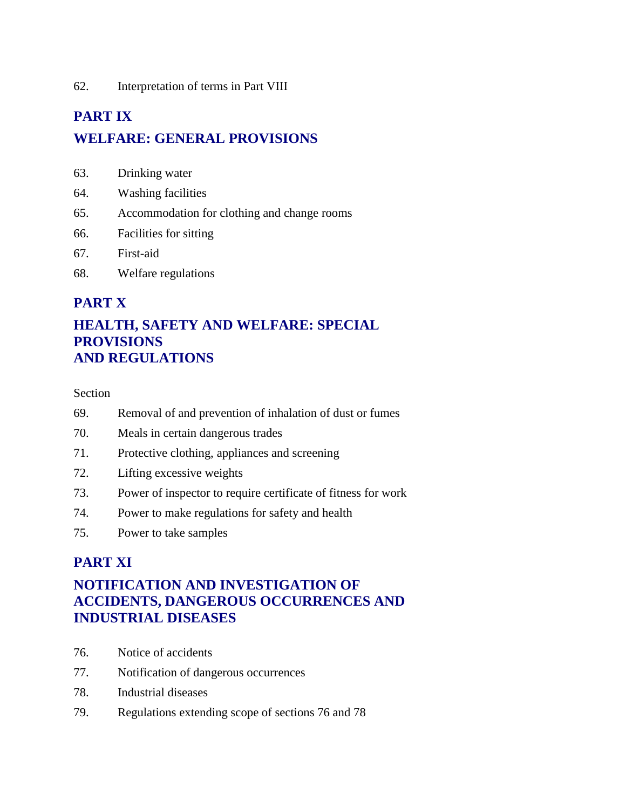62. Interpretation of terms in Part VIII

# **PART IX WELFARE: GENERAL PROVISIONS**

- 63. Drinking water
- 64. Washing facilities
- 65. Accommodation for clothing and change rooms
- 66. Facilities for sitting
- 67. First-aid
- 68. Welfare regulations

#### **PART X**

#### **HEALTH, SAFETY AND WELFARE: SPECIAL PROVISIONS AND REGULATIONS**

#### Section

- 69. Removal of and prevention of inhalation of dust or fumes
- 70. Meals in certain dangerous trades
- 71. Protective clothing, appliances and screening
- 72. Lifting excessive weights
- 73. Power of inspector to require certificate of fitness for work
- 74. Power to make regulations for safety and health
- 75. Power to take samples

#### **PART XI**

#### **NOTIFICATION AND INVESTIGATION OF ACCIDENTS, DANGEROUS OCCURRENCES AND INDUSTRIAL DISEASES**

- 76. Notice of accidents
- 77. Notification of dangerous occurrences
- 78. Industrial diseases
- 79. Regulations extending scope of sections 76 and 78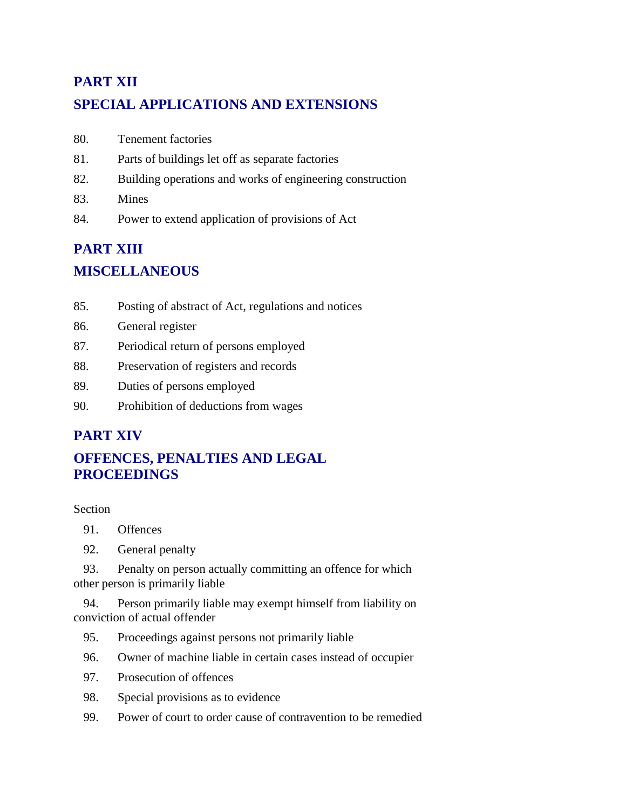# **PART XII SPECIAL APPLICATIONS AND EXTENSIONS**

- 80. Tenement factories
- 81. Parts of buildings let off as separate factories
- 82. Building operations and works of engineering construction
- 83. Mines
- 84. Power to extend application of provisions of Act

# **PART XIII MISCELLANEOUS**

- 85. Posting of abstract of Act, regulations and notices
- 86. General register
- 87. Periodical return of persons employed
- 88. Preservation of registers and records
- 89. Duties of persons employed
- 90. Prohibition of deductions from wages

## **PART XIV**

## **OFFENCES, PENALTIES AND LEGAL PROCEEDINGS**

#### Section

- 91. Offences
- 92. General penalty

 93. Penalty on person actually committing an offence for which other person is primarily liable

 94. Person primarily liable may exempt himself from liability on conviction of actual offender

- 95. Proceedings against persons not primarily liable
- 96. Owner of machine liable in certain cases instead of occupier
- 97. Prosecution of offences
- 98. Special provisions as to evidence
- 99. Power of court to order cause of contravention to be remedied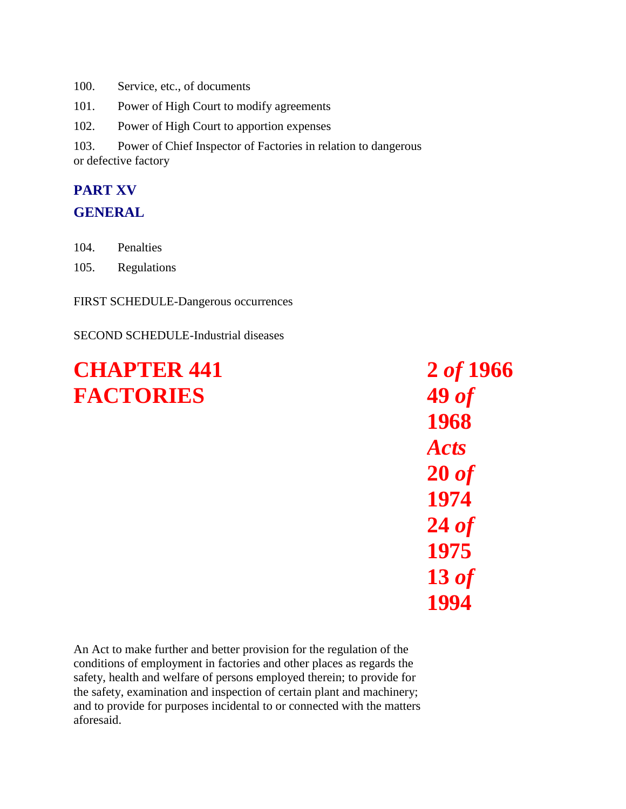100. Service, etc., of documents

101. Power of High Court to modify agreements

102. Power of High Court to apportion expenses

103. Power of Chief Inspector of Factories in relation to dangerous or defective factory

# **PART XV**

#### **GENERAL**

- 104. Penalties
- 105. Regulations

FIRST SCHEDULE-Dangerous occurrences

#### SECOND SCHEDULE-Industrial diseases

# **CHAPTER 441 FACTORIES**

An Act to make further and better provision for the regulation of the conditions of employment in factories and other places as regards the safety, health and welfare of persons employed therein; to provide for the safety, examination and inspection of certain plant and machinery; and to provide for purposes incidental to or connected with the matters aforesaid.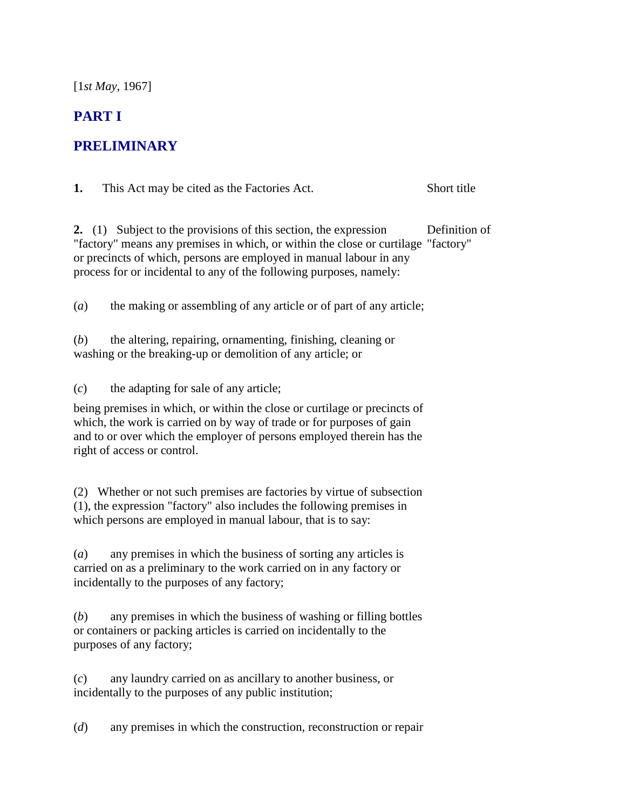[1*st May*, 1967]

## **PART I**

#### **PRELIMINARY**

**1.** This Act may be cited as the Factories Act. Short title

**2.** (1) Subject to the provisions of this section, the expression "factory" means any premises in which, or within the close or curtilage "factory" or precincts of which, persons are employed in manual labour in any process for or incidental to any of the following purposes, namely: Definition of

(*a*) the making or assembling of any article or of part of any article;

(*b*) the altering, repairing, ornamenting, finishing, cleaning or washing or the breaking-up or demolition of any article; or

(*c*) the adapting for sale of any article;

being premises in which, or within the close or curtilage or precincts of which, the work is carried on by way of trade or for purposes of gain and to or over which the employer of persons employed therein has the right of access or control.

(2) Whether or not such premises are factories by virtue of subsection (1), the expression "factory" also includes the following premises in which persons are employed in manual labour, that is to say:

(*a*) any premises in which the business of sorting any articles is carried on as a preliminary to the work carried on in any factory or incidentally to the purposes of any factory;

(*b*) any premises in which the business of washing or filling bottles or containers or packing articles is carried on incidentally to the purposes of any factory;

(*c*) any laundry carried on as ancillary to another business, or incidentally to the purposes of any public institution;

(*d*) any premises in which the construction, reconstruction or repair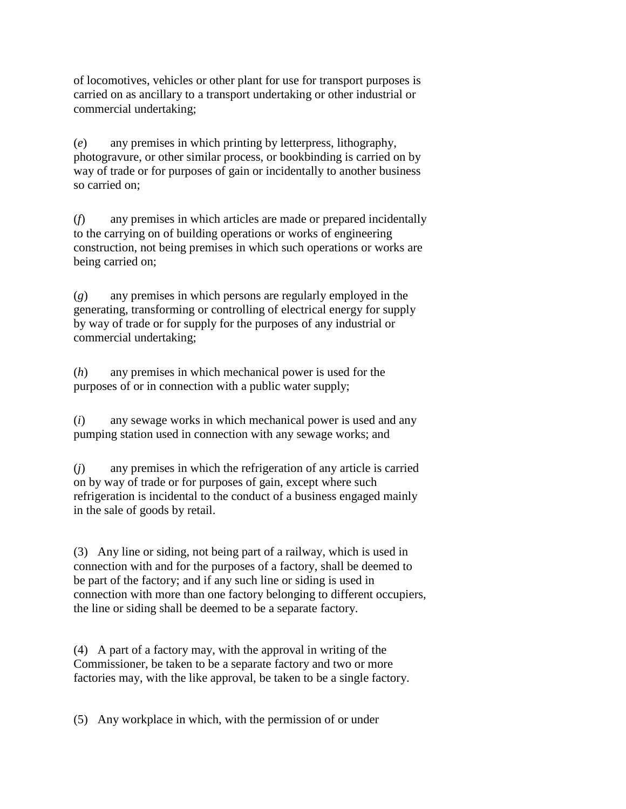of locomotives, vehicles or other plant for use for transport purposes is carried on as ancillary to a transport undertaking or other industrial or commercial undertaking;

(*e*) any premises in which printing by letterpress, lithography, photogravure, or other similar process, or bookbinding is carried on by way of trade or for purposes of gain or incidentally to another business so carried on;

(*f*) any premises in which articles are made or prepared incidentally to the carrying on of building operations or works of engineering construction, not being premises in which such operations or works are being carried on;

(*g*) any premises in which persons are regularly employed in the generating, transforming or controlling of electrical energy for supply by way of trade or for supply for the purposes of any industrial or commercial undertaking;

(*h*) any premises in which mechanical power is used for the purposes of or in connection with a public water supply;

(*i*) any sewage works in which mechanical power is used and any pumping station used in connection with any sewage works; and

(*j*) any premises in which the refrigeration of any article is carried on by way of trade or for purposes of gain, except where such refrigeration is incidental to the conduct of a business engaged mainly in the sale of goods by retail.

(3) Any line or siding, not being part of a railway, which is used in connection with and for the purposes of a factory, shall be deemed to be part of the factory; and if any such line or siding is used in connection with more than one factory belonging to different occupiers, the line or siding shall be deemed to be a separate factory.

(4) A part of a factory may, with the approval in writing of the Commissioner, be taken to be a separate factory and two or more factories may, with the like approval, be taken to be a single factory.

(5) Any workplace in which, with the permission of or under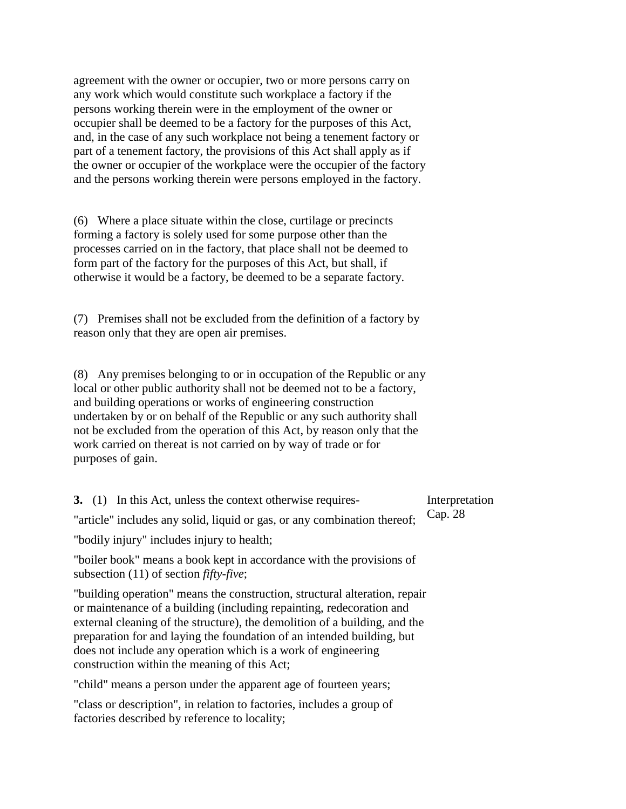agreement with the owner or occupier, two or more persons carry on any work which would constitute such workplace a factory if the persons working therein were in the employment of the owner or occupier shall be deemed to be a factory for the purposes of this Act, and, in the case of any such workplace not being a tenement factory or part of a tenement factory, the provisions of this Act shall apply as if the owner or occupier of the workplace were the occupier of the factory and the persons working therein were persons employed in the factory.

(6) Where a place situate within the close, curtilage or precincts forming a factory is solely used for some purpose other than the processes carried on in the factory, that place shall not be deemed to form part of the factory for the purposes of this Act, but shall, if otherwise it would be a factory, be deemed to be a separate factory.

(7) Premises shall not be excluded from the definition of a factory by reason only that they are open air premises.

(8) Any premises belonging to or in occupation of the Republic or any local or other public authority shall not be deemed not to be a factory, and building operations or works of engineering construction undertaken by or on behalf of the Republic or any such authority shall not be excluded from the operation of this Act, by reason only that the work carried on thereat is not carried on by way of trade or for purposes of gain.

**3.** (1) In this Act, unless the context otherwise requires- "article" includes any solid, liquid or gas, or any combination thereof; Cap. 28

"bodily injury" includes injury to health;

"boiler book" means a book kept in accordance with the provisions of subsection (11) of section *fifty-five*;

"building operation" means the construction, structural alteration, repair or maintenance of a building (including repainting, redecoration and external cleaning of the structure), the demolition of a building, and the preparation for and laying the foundation of an intended building, but does not include any operation which is a work of engineering construction within the meaning of this Act;

"child" means a person under the apparent age of fourteen years;

"class or description", in relation to factories, includes a group of factories described by reference to locality;

Interpretation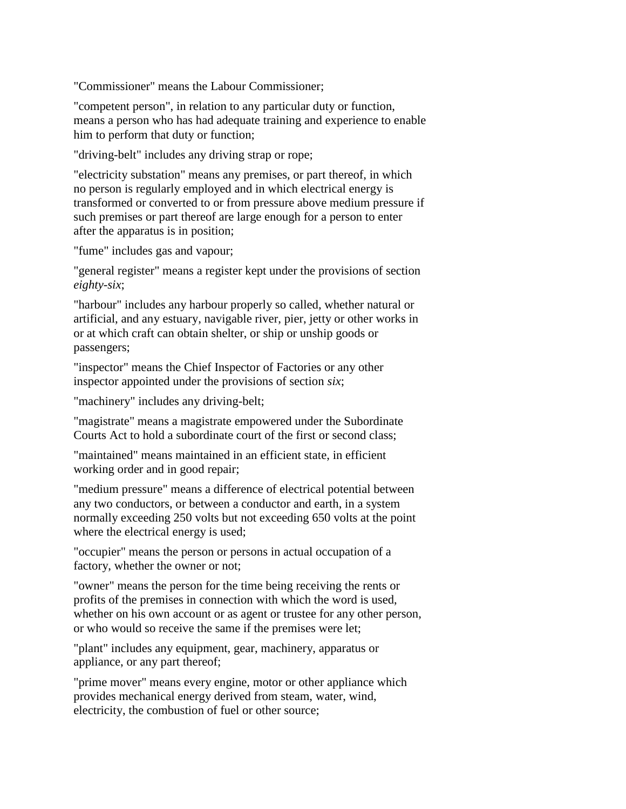"Commissioner" means the Labour Commissioner;

"competent person", in relation to any particular duty or function, means a person who has had adequate training and experience to enable him to perform that duty or function;

"driving-belt" includes any driving strap or rope;

"electricity substation" means any premises, or part thereof, in which no person is regularly employed and in which electrical energy is transformed or converted to or from pressure above medium pressure if such premises or part thereof are large enough for a person to enter after the apparatus is in position;

"fume" includes gas and vapour;

"general register" means a register kept under the provisions of section *eighty-six*;

"harbour" includes any harbour properly so called, whether natural or artificial, and any estuary, navigable river, pier, jetty or other works in or at which craft can obtain shelter, or ship or unship goods or passengers;

"inspector" means the Chief Inspector of Factories or any other inspector appointed under the provisions of section *six*;

"machinery" includes any driving-belt;

"magistrate" means a magistrate empowered under the Subordinate Courts Act to hold a subordinate court of the first or second class;

"maintained" means maintained in an efficient state, in efficient working order and in good repair;

"medium pressure" means a difference of electrical potential between any two conductors, or between a conductor and earth, in a system normally exceeding 250 volts but not exceeding 650 volts at the point where the electrical energy is used;

"occupier" means the person or persons in actual occupation of a factory, whether the owner or not;

"owner" means the person for the time being receiving the rents or profits of the premises in connection with which the word is used, whether on his own account or as agent or trustee for any other person, or who would so receive the same if the premises were let;

"plant" includes any equipment, gear, machinery, apparatus or appliance, or any part thereof;

"prime mover" means every engine, motor or other appliance which provides mechanical energy derived from steam, water, wind, electricity, the combustion of fuel or other source;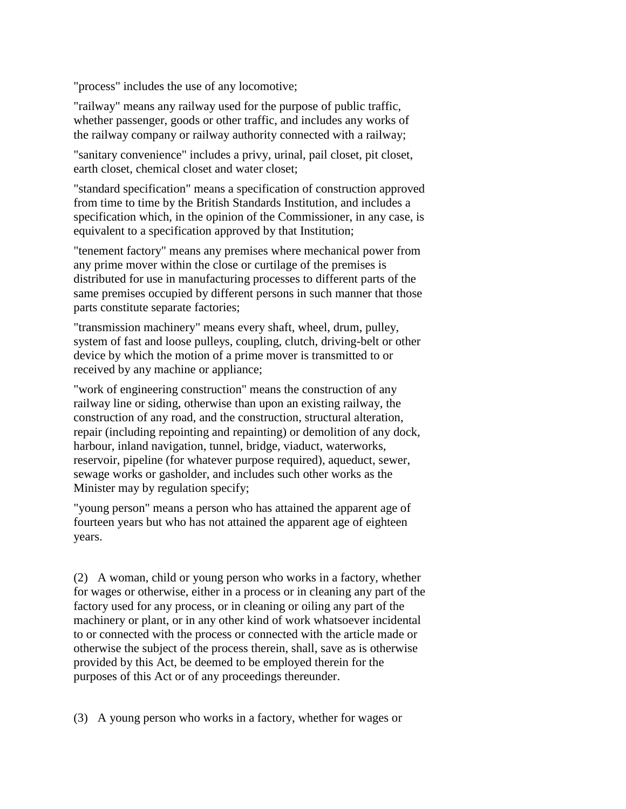"process" includes the use of any locomotive;

"railway" means any railway used for the purpose of public traffic, whether passenger, goods or other traffic, and includes any works of the railway company or railway authority connected with a railway;

"sanitary convenience" includes a privy, urinal, pail closet, pit closet, earth closet, chemical closet and water closet;

"standard specification" means a specification of construction approved from time to time by the British Standards Institution, and includes a specification which, in the opinion of the Commissioner, in any case, is equivalent to a specification approved by that Institution;

"tenement factory" means any premises where mechanical power from any prime mover within the close or curtilage of the premises is distributed for use in manufacturing processes to different parts of the same premises occupied by different persons in such manner that those parts constitute separate factories;

"transmission machinery" means every shaft, wheel, drum, pulley, system of fast and loose pulleys, coupling, clutch, driving-belt or other device by which the motion of a prime mover is transmitted to or received by any machine or appliance;

"work of engineering construction" means the construction of any railway line or siding, otherwise than upon an existing railway, the construction of any road, and the construction, structural alteration, repair (including repointing and repainting) or demolition of any dock, harbour, inland navigation, tunnel, bridge, viaduct, waterworks, reservoir, pipeline (for whatever purpose required), aqueduct, sewer, sewage works or gasholder, and includes such other works as the Minister may by regulation specify;

"young person" means a person who has attained the apparent age of fourteen years but who has not attained the apparent age of eighteen years.

(2) A woman, child or young person who works in a factory, whether for wages or otherwise, either in a process or in cleaning any part of the factory used for any process, or in cleaning or oiling any part of the machinery or plant, or in any other kind of work whatsoever incidental to or connected with the process or connected with the article made or otherwise the subject of the process therein, shall, save as is otherwise provided by this Act, be deemed to be employed therein for the purposes of this Act or of any proceedings thereunder.

(3) A young person who works in a factory, whether for wages or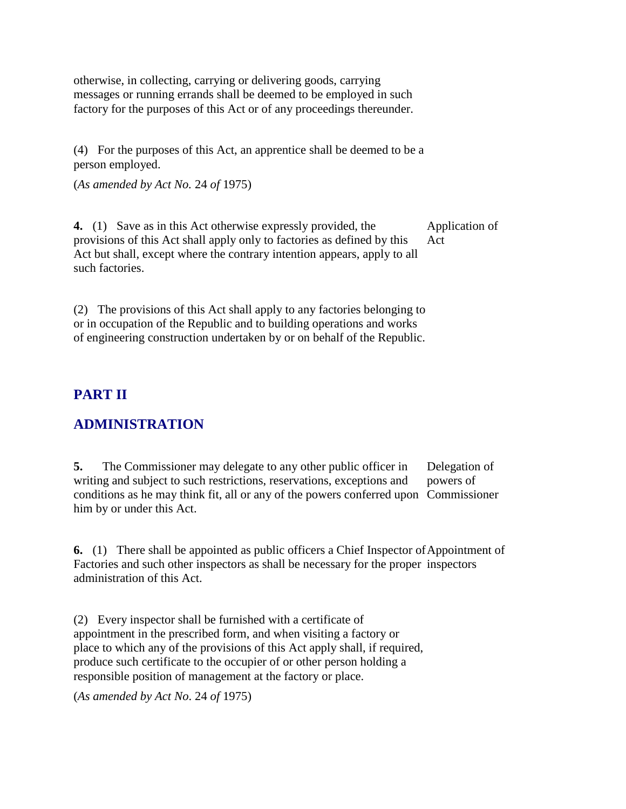otherwise, in collecting, carrying or delivering goods, carrying messages or running errands shall be deemed to be employed in such factory for the purposes of this Act or of any proceedings thereunder.

(4) For the purposes of this Act, an apprentice shall be deemed to be a person employed.

(*As amended by Act No.* 24 *of* 1975)

**4.** (1) Save as in this Act otherwise expressly provided, the provisions of this Act shall apply only to factories as defined by this Act but shall, except where the contrary intention appears, apply to all such factories. Application of Act

(2) The provisions of this Act shall apply to any factories belonging to or in occupation of the Republic and to building operations and works of engineering construction undertaken by or on behalf of the Republic.

## **PART II**

#### **ADMINISTRATION**

**5.** The Commissioner may delegate to any other public officer in writing and subject to such restrictions, reservations, exceptions and conditions as he may think fit, all or any of the powers conferred upon Commissioner him by or under this Act. Delegation of powers of

**6.** (1) There shall be appointed as public officers a Chief Inspector of Appointment of Factories and such other inspectors as shall be necessary for the proper inspectors administration of this Act.

(2) Every inspector shall be furnished with a certificate of appointment in the prescribed form, and when visiting a factory or place to which any of the provisions of this Act apply shall, if required, produce such certificate to the occupier of or other person holding a responsible position of management at the factory or place.

(*As amended by Act No*. 24 *of* 1975)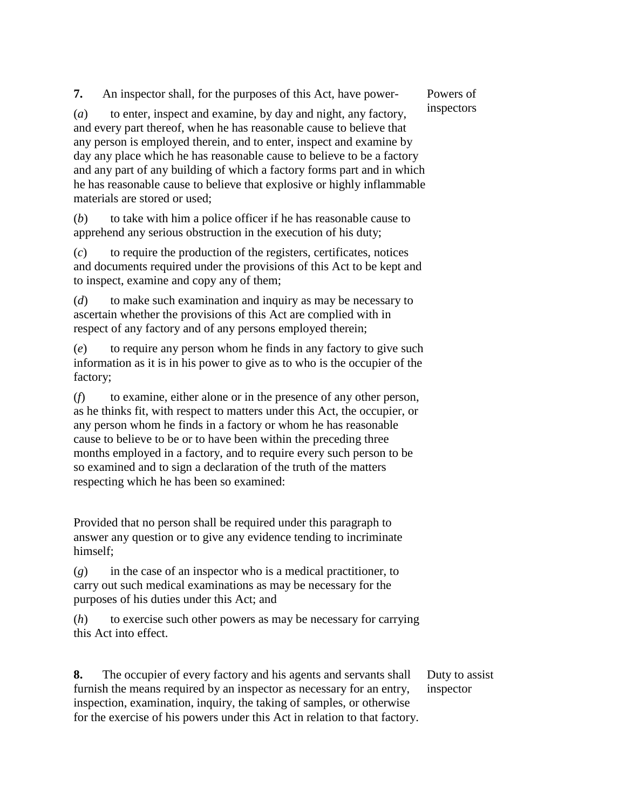**7.** An inspector shall, for the purposes of this Act, have power-

Powers of inspectors

(*a*) to enter, inspect and examine, by day and night, any factory, and every part thereof, when he has reasonable cause to believe that any person is employed therein, and to enter, inspect and examine by day any place which he has reasonable cause to believe to be a factory and any part of any building of which a factory forms part and in which he has reasonable cause to believe that explosive or highly inflammable materials are stored or used;

(*b*) to take with him a police officer if he has reasonable cause to apprehend any serious obstruction in the execution of his duty;

(*c*) to require the production of the registers, certificates, notices and documents required under the provisions of this Act to be kept and to inspect, examine and copy any of them;

(*d*) to make such examination and inquiry as may be necessary to ascertain whether the provisions of this Act are complied with in respect of any factory and of any persons employed therein;

(*e*) to require any person whom he finds in any factory to give such information as it is in his power to give as to who is the occupier of the factory;

(*f*) to examine, either alone or in the presence of any other person, as he thinks fit, with respect to matters under this Act, the occupier, or any person whom he finds in a factory or whom he has reasonable cause to believe to be or to have been within the preceding three months employed in a factory, and to require every such person to be so examined and to sign a declaration of the truth of the matters respecting which he has been so examined:

Provided that no person shall be required under this paragraph to answer any question or to give any evidence tending to incriminate himself;

(*g*) in the case of an inspector who is a medical practitioner, to carry out such medical examinations as may be necessary for the purposes of his duties under this Act; and

(*h*) to exercise such other powers as may be necessary for carrying this Act into effect.

**8.** The occupier of every factory and his agents and servants shall furnish the means required by an inspector as necessary for an entry, inspection, examination, inquiry, the taking of samples, or otherwise for the exercise of his powers under this Act in relation to that factory.

Duty to assist inspector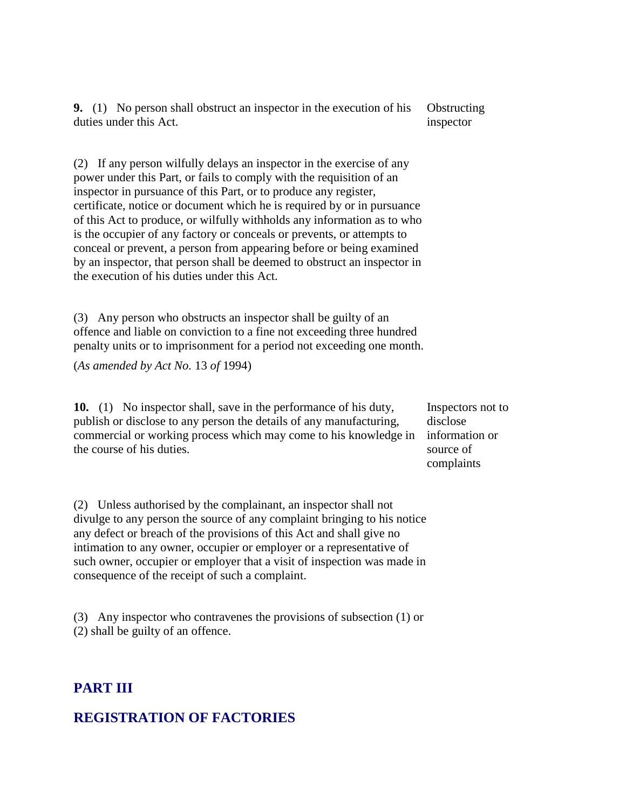**9.** (1) No person shall obstruct an inspector in the execution of his duties under this Act. **Obstructing** inspector

(2) If any person wilfully delays an inspector in the exercise of any power under this Part, or fails to comply with the requisition of an inspector in pursuance of this Part, or to produce any register, certificate, notice or document which he is required by or in pursuance of this Act to produce, or wilfully withholds any information as to who is the occupier of any factory or conceals or prevents, or attempts to conceal or prevent, a person from appearing before or being examined by an inspector, that person shall be deemed to obstruct an inspector in the execution of his duties under this Act.

(3) Any person who obstructs an inspector shall be guilty of an offence and liable on conviction to a fine not exceeding three hundred penalty units or to imprisonment for a period not exceeding one month.

(*As amended by Act No.* 13 *of* 1994)

**10.** (1) No inspector shall, save in the performance of his duty, publish or disclose to any person the details of any manufacturing, commercial or working process which may come to his knowledge in the course of his duties.

Inspectors not to disclose information or source of complaints

(2) Unless authorised by the complainant, an inspector shall not divulge to any person the source of any complaint bringing to his notice any defect or breach of the provisions of this Act and shall give no intimation to any owner, occupier or employer or a representative of such owner, occupier or employer that a visit of inspection was made in consequence of the receipt of such a complaint.

(3) Any inspector who contravenes the provisions of subsection (1) or (2) shall be guilty of an offence.

#### **PART III**

#### **REGISTRATION OF FACTORIES**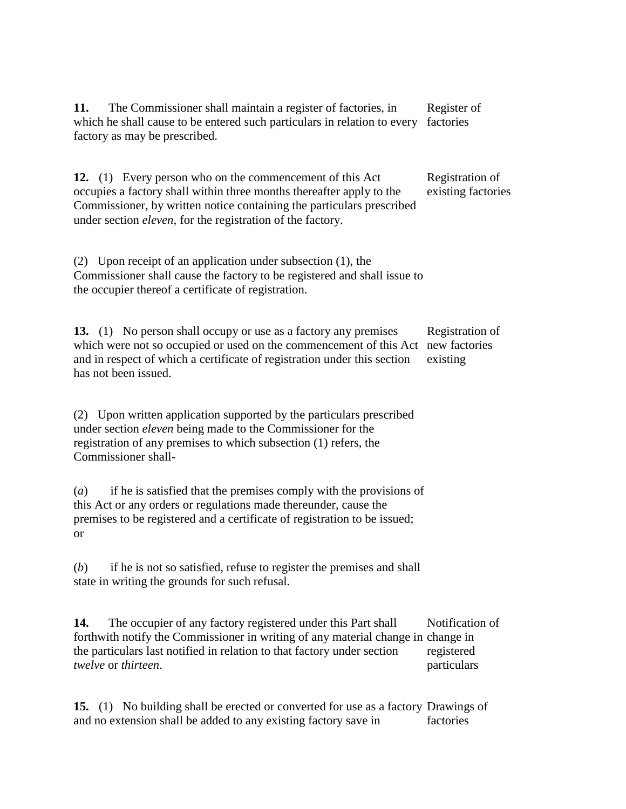**11.** The Commissioner shall maintain a register of factories, in which he shall cause to be entered such particulars in relation to every factories factory as may be prescribed. Register of

**12.** (1) Every person who on the commencement of this Act occupies a factory shall within three months thereafter apply to the Commissioner, by written notice containing the particulars prescribed under section *eleven*, for the registration of the factory. Registration of existing factories

(2) Upon receipt of an application under subsection (1), the Commissioner shall cause the factory to be registered and shall issue to the occupier thereof a certificate of registration.

**13.** (1) No person shall occupy or use as a factory any premises which were not so occupied or used on the commencement of this Act new factories and in respect of which a certificate of registration under this section has not been issued. Registration of existing

(2) Upon written application supported by the particulars prescribed under section *eleven* being made to the Commissioner for the registration of any premises to which subsection (1) refers, the Commissioner shall-

(*a*) if he is satisfied that the premises comply with the provisions of this Act or any orders or regulations made thereunder, cause the premises to be registered and a certificate of registration to be issued; or

(*b*) if he is not so satisfied, refuse to register the premises and shall state in writing the grounds for such refusal.

**14.** The occupier of any factory registered under this Part shall forthwith notify the Commissioner in writing of any material change in change in the particulars last notified in relation to that factory under section *twelve* or *thirteen*. Notification of registered particulars

**15.** (1) No building shall be erected or converted for use as a factory Drawings of and no extension shall be added to any existing factory save in factories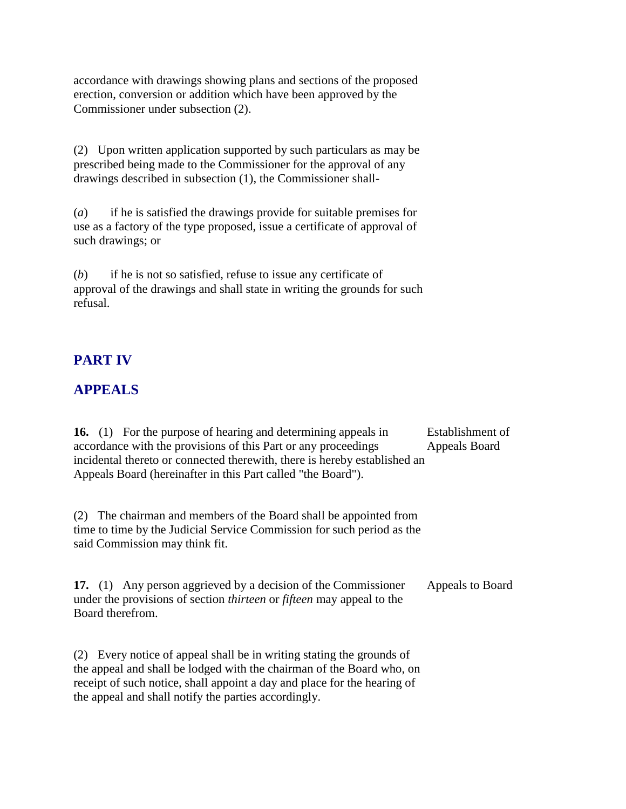accordance with drawings showing plans and sections of the proposed erection, conversion or addition which have been approved by the Commissioner under subsection (2).

(2) Upon written application supported by such particulars as may be prescribed being made to the Commissioner for the approval of any drawings described in subsection (1), the Commissioner shall-

(*a*) if he is satisfied the drawings provide for suitable premises for use as a factory of the type proposed, issue a certificate of approval of such drawings; or

(*b*) if he is not so satisfied, refuse to issue any certificate of approval of the drawings and shall state in writing the grounds for such refusal.

#### **PART IV**

#### **APPEALS**

**16.** (1) For the purpose of hearing and determining appeals in accordance with the provisions of this Part or any proceedings incidental thereto or connected therewith, there is hereby established an Appeals Board (hereinafter in this Part called "the Board"). Establishment of Appeals Board

(2) The chairman and members of the Board shall be appointed from time to time by the Judicial Service Commission for such period as the said Commission may think fit.

**17.** (1) Any person aggrieved by a decision of the Commissioner under the provisions of section *thirteen* or *fifteen* may appeal to the Board therefrom. Appeals to Board

(2) Every notice of appeal shall be in writing stating the grounds of the appeal and shall be lodged with the chairman of the Board who, on receipt of such notice, shall appoint a day and place for the hearing of the appeal and shall notify the parties accordingly.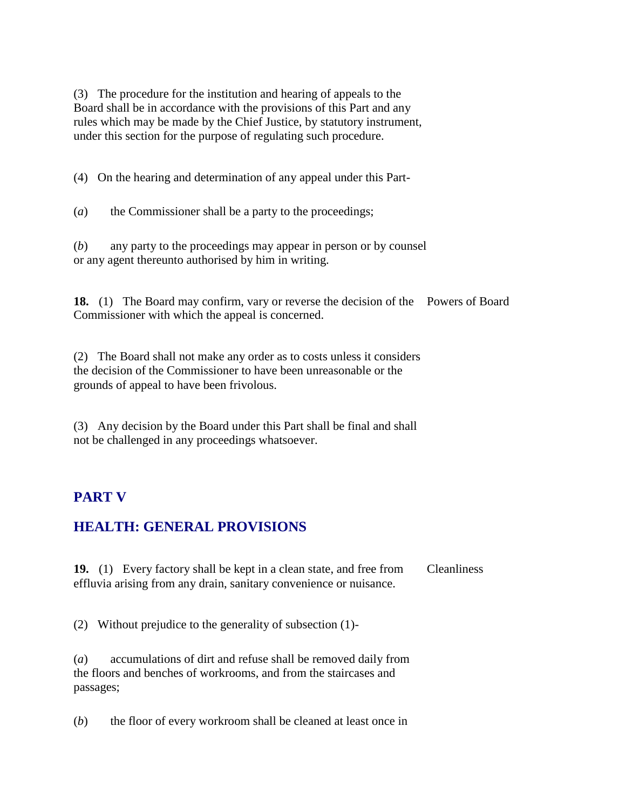(3) The procedure for the institution and hearing of appeals to the Board shall be in accordance with the provisions of this Part and any rules which may be made by the Chief Justice, by statutory instrument, under this section for the purpose of regulating such procedure.

(4) On the hearing and determination of any appeal under this Part-

(*a*) the Commissioner shall be a party to the proceedings;

(*b*) any party to the proceedings may appear in person or by counsel or any agent thereunto authorised by him in writing.

**18.** (1) The Board may confirm, vary or reverse the decision of the Powers of Board Commissioner with which the appeal is concerned.

(2) The Board shall not make any order as to costs unless it considers the decision of the Commissioner to have been unreasonable or the grounds of appeal to have been frivolous.

(3) Any decision by the Board under this Part shall be final and shall not be challenged in any proceedings whatsoever.

#### **PART V**

## **HEALTH: GENERAL PROVISIONS**

**19.** (1) Every factory shall be kept in a clean state, and free from effluvia arising from any drain, sanitary convenience or nuisance. **Cleanliness** 

(2) Without prejudice to the generality of subsection (1)-

(*a*) accumulations of dirt and refuse shall be removed daily from the floors and benches of workrooms, and from the staircases and passages;

(*b*) the floor of every workroom shall be cleaned at least once in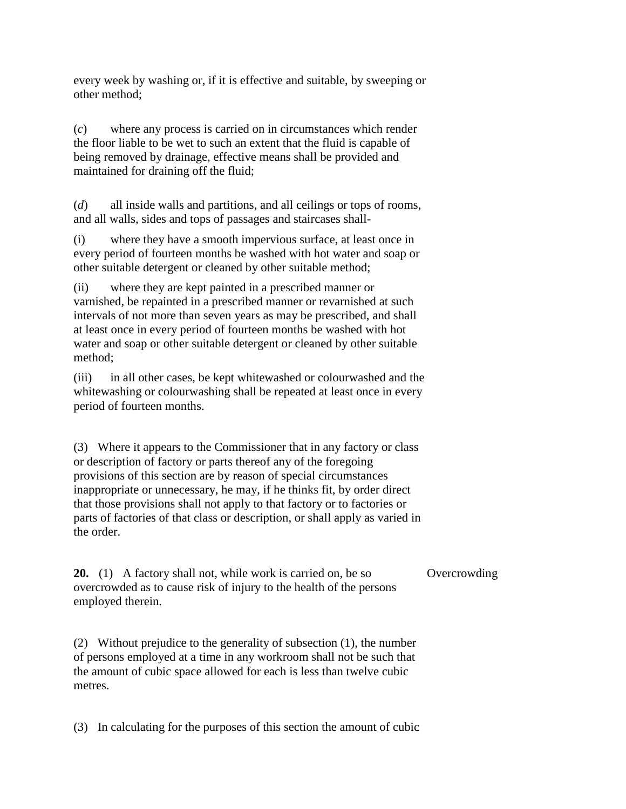every week by washing or, if it is effective and suitable, by sweeping or other method;

(*c*) where any process is carried on in circumstances which render the floor liable to be wet to such an extent that the fluid is capable of being removed by drainage, effective means shall be provided and maintained for draining off the fluid;

(*d*) all inside walls and partitions, and all ceilings or tops of rooms, and all walls, sides and tops of passages and staircases shall-

(i) where they have a smooth impervious surface, at least once in every period of fourteen months be washed with hot water and soap or other suitable detergent or cleaned by other suitable method;

(ii) where they are kept painted in a prescribed manner or varnished, be repainted in a prescribed manner or revarnished at such intervals of not more than seven years as may be prescribed, and shall at least once in every period of fourteen months be washed with hot water and soap or other suitable detergent or cleaned by other suitable method;

(iii) in all other cases, be kept whitewashed or colourwashed and the whitewashing or colourwashing shall be repeated at least once in every period of fourteen months.

(3) Where it appears to the Commissioner that in any factory or class or description of factory or parts thereof any of the foregoing provisions of this section are by reason of special circumstances inappropriate or unnecessary, he may, if he thinks fit, by order direct that those provisions shall not apply to that factory or to factories or parts of factories of that class or description, or shall apply as varied in the order.

**Overcrowding** 

employed therein. (2) Without prejudice to the generality of subsection (1), the number of persons employed at a time in any workroom shall not be such that

the amount of cubic space allowed for each is less than twelve cubic metres.

**20.** (1) A factory shall not, while work is carried on, be so overcrowded as to cause risk of injury to the health of the persons

(3) In calculating for the purposes of this section the amount of cubic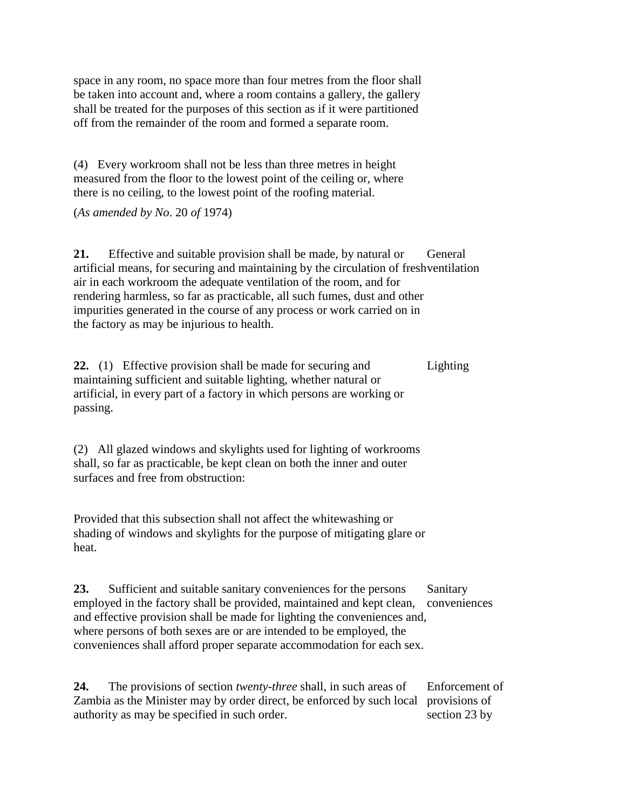space in any room, no space more than four metres from the floor shall be taken into account and, where a room contains a gallery, the gallery shall be treated for the purposes of this section as if it were partitioned off from the remainder of the room and formed a separate room.

(4) Every workroom shall not be less than three metres in height measured from the floor to the lowest point of the ceiling or, where there is no ceiling, to the lowest point of the roofing material.

(*As amended by No*. 20 *of* 1974)

**21.** Effective and suitable provision shall be made, by natural or artificial means, for securing and maintaining by the circulation of freshventilation air in each workroom the adequate ventilation of the room, and for rendering harmless, so far as practicable, all such fumes, dust and other impurities generated in the course of any process or work carried on in the factory as may be injurious to health. General

**22.** (1) Effective provision shall be made for securing and maintaining sufficient and suitable lighting, whether natural or artificial, in every part of a factory in which persons are working or passing. Lighting

(2) All glazed windows and skylights used for lighting of workrooms shall, so far as practicable, be kept clean on both the inner and outer surfaces and free from obstruction:

Provided that this subsection shall not affect the whitewashing or shading of windows and skylights for the purpose of mitigating glare or heat.

**23.** Sufficient and suitable sanitary conveniences for the persons employed in the factory shall be provided, maintained and kept clean, and effective provision shall be made for lighting the conveniences and, where persons of both sexes are or are intended to be employed, the conveniences shall afford proper separate accommodation for each sex. Sanitary conveniences

**24.** The provisions of section *twenty-three* shall, in such areas of Zambia as the Minister may by order direct, be enforced by such local provisions of authority as may be specified in such order. Enforcement of section 23 by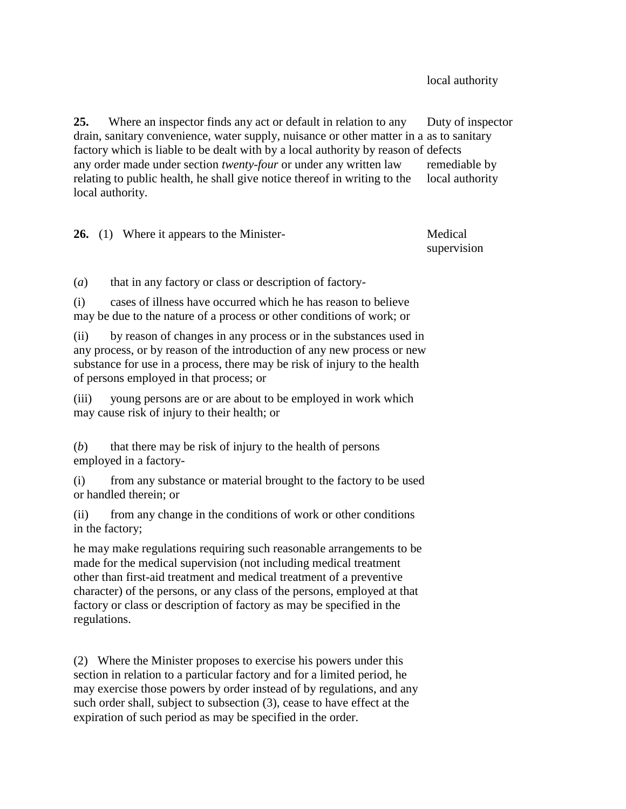local authority

**25.** Where an inspector finds any act or default in relation to any drain, sanitary convenience, water supply, nuisance or other matter in a as to sanitary factory which is liable to be dealt with by a local authority by reason of defects any order made under section *twenty-four* or under any written law relating to public health, he shall give notice thereof in writing to the local authority. Duty of inspector remediable by local authority

**26.** (1) Where it appears to the Minister- Medical supervision

(*a*) that in any factory or class or description of factory-

(i) cases of illness have occurred which he has reason to believe may be due to the nature of a process or other conditions of work; or

(ii) by reason of changes in any process or in the substances used in any process, or by reason of the introduction of any new process or new substance for use in a process, there may be risk of injury to the health of persons employed in that process; or

(iii) young persons are or are about to be employed in work which may cause risk of injury to their health; or

(*b*) that there may be risk of injury to the health of persons employed in a factory-

(i) from any substance or material brought to the factory to be used or handled therein; or

(ii) from any change in the conditions of work or other conditions in the factory;

he may make regulations requiring such reasonable arrangements to be made for the medical supervision (not including medical treatment other than first-aid treatment and medical treatment of a preventive character) of the persons, or any class of the persons, employed at that factory or class or description of factory as may be specified in the regulations.

(2) Where the Minister proposes to exercise his powers under this section in relation to a particular factory and for a limited period, he may exercise those powers by order instead of by regulations, and any such order shall, subject to subsection (3), cease to have effect at the expiration of such period as may be specified in the order.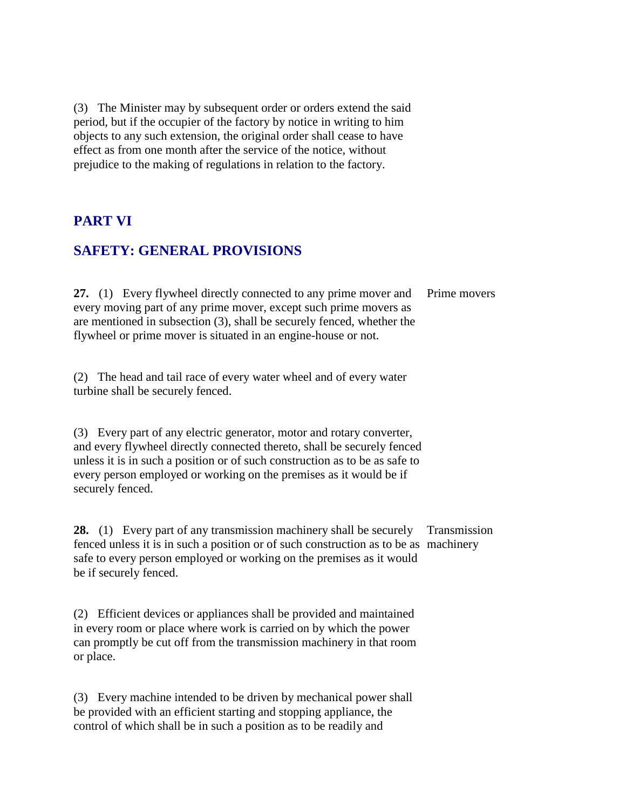(3) The Minister may by subsequent order or orders extend the said period, but if the occupier of the factory by notice in writing to him objects to any such extension, the original order shall cease to have effect as from one month after the service of the notice, without prejudice to the making of regulations in relation to the factory.

#### **PART VI**

#### **SAFETY: GENERAL PROVISIONS**

**27.** (1) Every flywheel directly connected to any prime mover and every moving part of any prime mover, except such prime movers as are mentioned in subsection (3), shall be securely fenced, whether the flywheel or prime mover is situated in an engine-house or not. Prime movers

(2) The head and tail race of every water wheel and of every water turbine shall be securely fenced.

(3) Every part of any electric generator, motor and rotary converter, and every flywheel directly connected thereto, shall be securely fenced unless it is in such a position or of such construction as to be as safe to every person employed or working on the premises as it would be if securely fenced.

**28.** (1) Every part of any transmission machinery shall be securely fenced unless it is in such a position or of such construction as to be as machinery safe to every person employed or working on the premises as it would be if securely fenced. Transmission

(2) Efficient devices or appliances shall be provided and maintained in every room or place where work is carried on by which the power can promptly be cut off from the transmission machinery in that room or place.

(3) Every machine intended to be driven by mechanical power shall be provided with an efficient starting and stopping appliance, the control of which shall be in such a position as to be readily and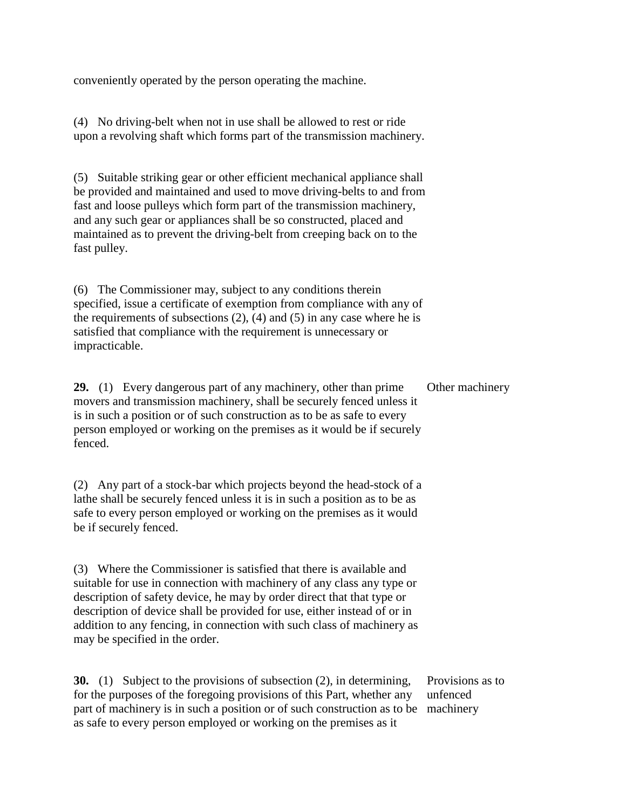conveniently operated by the person operating the machine.

(4) No driving-belt when not in use shall be allowed to rest or ride upon a revolving shaft which forms part of the transmission machinery.

(5) Suitable striking gear or other efficient mechanical appliance shall be provided and maintained and used to move driving-belts to and from fast and loose pulleys which form part of the transmission machinery, and any such gear or appliances shall be so constructed, placed and maintained as to prevent the driving-belt from creeping back on to the fast pulley.

(6) The Commissioner may, subject to any conditions therein specified, issue a certificate of exemption from compliance with any of the requirements of subsections  $(2)$ ,  $(4)$  and  $(5)$  in any case where he is satisfied that compliance with the requirement is unnecessary or impracticable.

**29.** (1) Every dangerous part of any machinery, other than prime movers and transmission machinery, shall be securely fenced unless it is in such a position or of such construction as to be as safe to every person employed or working on the premises as it would be if securely fenced. Other machinery

(2) Any part of a stock-bar which projects beyond the head-stock of a lathe shall be securely fenced unless it is in such a position as to be as safe to every person employed or working on the premises as it would be if securely fenced.

(3) Where the Commissioner is satisfied that there is available and suitable for use in connection with machinery of any class any type or description of safety device, he may by order direct that that type or description of device shall be provided for use, either instead of or in addition to any fencing, in connection with such class of machinery as may be specified in the order.

**30.** (1) Subject to the provisions of subsection (2), in determining, for the purposes of the foregoing provisions of this Part, whether any part of machinery is in such a position or of such construction as to be machineryas safe to every person employed or working on the premises as it Provisions as to unfenced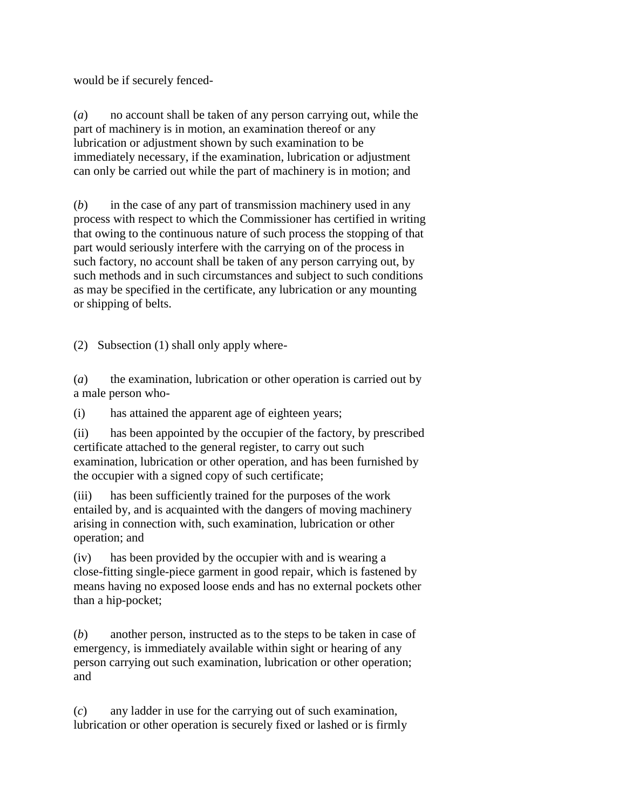would be if securely fenced-

(*a*) no account shall be taken of any person carrying out, while the part of machinery is in motion, an examination thereof or any lubrication or adjustment shown by such examination to be immediately necessary, if the examination, lubrication or adjustment can only be carried out while the part of machinery is in motion; and

(*b*) in the case of any part of transmission machinery used in any process with respect to which the Commissioner has certified in writing that owing to the continuous nature of such process the stopping of that part would seriously interfere with the carrying on of the process in such factory, no account shall be taken of any person carrying out, by such methods and in such circumstances and subject to such conditions as may be specified in the certificate, any lubrication or any mounting or shipping of belts.

(2) Subsection (1) shall only apply where-

(*a*) the examination, lubrication or other operation is carried out by a male person who-

(i) has attained the apparent age of eighteen years;

(ii) has been appointed by the occupier of the factory, by prescribed certificate attached to the general register, to carry out such examination, lubrication or other operation, and has been furnished by the occupier with a signed copy of such certificate;

(iii) has been sufficiently trained for the purposes of the work entailed by, and is acquainted with the dangers of moving machinery arising in connection with, such examination, lubrication or other operation; and

(iv) has been provided by the occupier with and is wearing a close-fitting single-piece garment in good repair, which is fastened by means having no exposed loose ends and has no external pockets other than a hip-pocket;

(*b*) another person, instructed as to the steps to be taken in case of emergency, is immediately available within sight or hearing of any person carrying out such examination, lubrication or other operation; and

(*c*) any ladder in use for the carrying out of such examination, lubrication or other operation is securely fixed or lashed or is firmly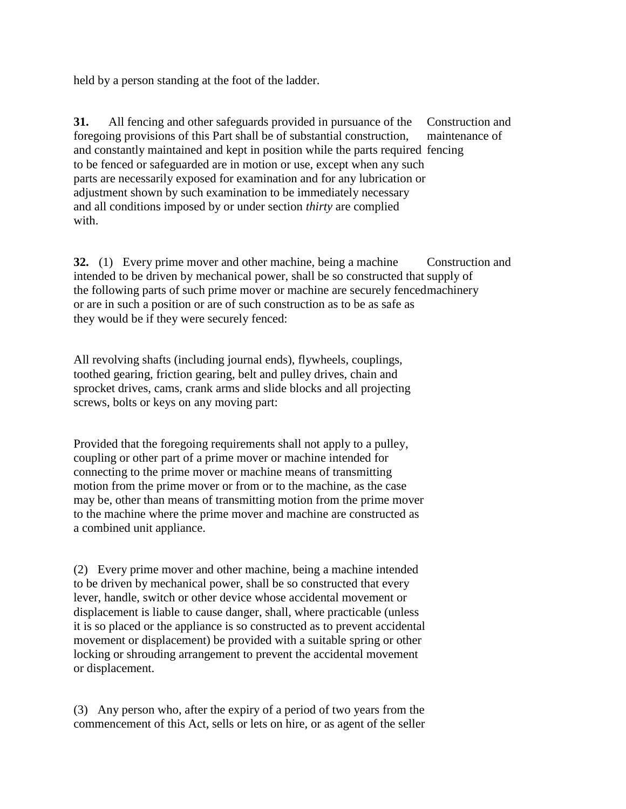held by a person standing at the foot of the ladder.

**31.** All fencing and other safeguards provided in pursuance of the foregoing provisions of this Part shall be of substantial construction, and constantly maintained and kept in position while the parts required fencing to be fenced or safeguarded are in motion or use, except when any such parts are necessarily exposed for examination and for any lubrication or adjustment shown by such examination to be immediately necessary and all conditions imposed by or under section *thirty* are complied with. Construction and maintenance of

**32.** (1) Every prime mover and other machine, being a machine intended to be driven by mechanical power, shall be so constructed that supply of the following parts of such prime mover or machine are securely fenced machinery or are in such a position or are of such construction as to be as safe as they would be if they were securely fenced: Construction and

All revolving shafts (including journal ends), flywheels, couplings, toothed gearing, friction gearing, belt and pulley drives, chain and sprocket drives, cams, crank arms and slide blocks and all projecting screws, bolts or keys on any moving part:

Provided that the foregoing requirements shall not apply to a pulley, coupling or other part of a prime mover or machine intended for connecting to the prime mover or machine means of transmitting motion from the prime mover or from or to the machine, as the case may be, other than means of transmitting motion from the prime mover to the machine where the prime mover and machine are constructed as a combined unit appliance.

(2) Every prime mover and other machine, being a machine intended to be driven by mechanical power, shall be so constructed that every lever, handle, switch or other device whose accidental movement or displacement is liable to cause danger, shall, where practicable (unless it is so placed or the appliance is so constructed as to prevent accidental movement or displacement) be provided with a suitable spring or other locking or shrouding arrangement to prevent the accidental movement or displacement.

(3) Any person who, after the expiry of a period of two years from the commencement of this Act, sells or lets on hire, or as agent of the seller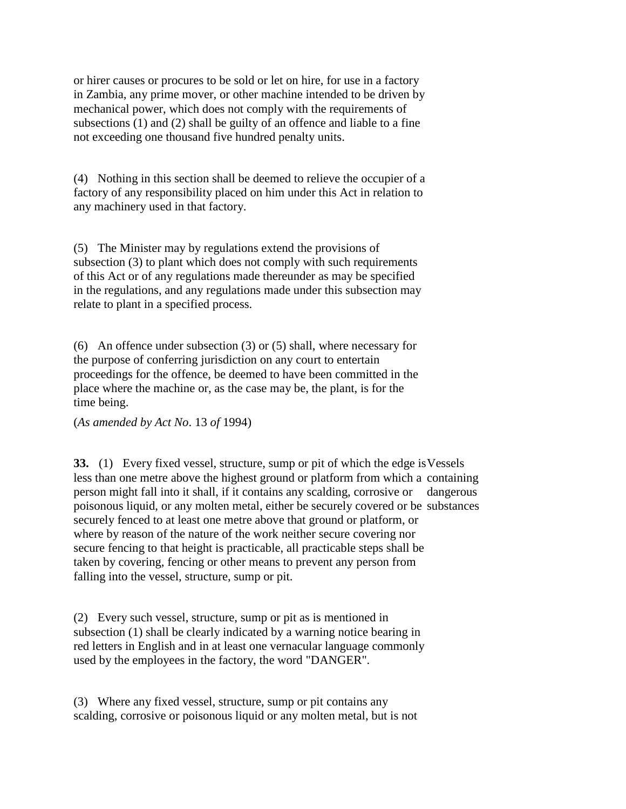or hirer causes or procures to be sold or let on hire, for use in a factory in Zambia, any prime mover, or other machine intended to be driven by mechanical power, which does not comply with the requirements of subsections (1) and (2) shall be guilty of an offence and liable to a fine not exceeding one thousand five hundred penalty units.

(4) Nothing in this section shall be deemed to relieve the occupier of a factory of any responsibility placed on him under this Act in relation to any machinery used in that factory.

(5) The Minister may by regulations extend the provisions of subsection (3) to plant which does not comply with such requirements of this Act or of any regulations made thereunder as may be specified in the regulations, and any regulations made under this subsection may relate to plant in a specified process.

(6) An offence under subsection (3) or (5) shall, where necessary for the purpose of conferring jurisdiction on any court to entertain proceedings for the offence, be deemed to have been committed in the place where the machine or, as the case may be, the plant, is for the time being.

(*As amended by Act No*. 13 *of* 1994)

**33.** (1) Every fixed vessel, structure, sump or pit of which the edge is Vessels less than one metre above the highest ground or platform from which a containing person might fall into it shall, if it contains any scalding, corrosive or dangerous poisonous liquid, or any molten metal, either be securely covered or be substances securely fenced to at least one metre above that ground or platform, or where by reason of the nature of the work neither secure covering nor secure fencing to that height is practicable, all practicable steps shall be taken by covering, fencing or other means to prevent any person from falling into the vessel, structure, sump or pit.

(2) Every such vessel, structure, sump or pit as is mentioned in subsection (1) shall be clearly indicated by a warning notice bearing in red letters in English and in at least one vernacular language commonly used by the employees in the factory, the word "DANGER".

(3) Where any fixed vessel, structure, sump or pit contains any scalding, corrosive or poisonous liquid or any molten metal, but is not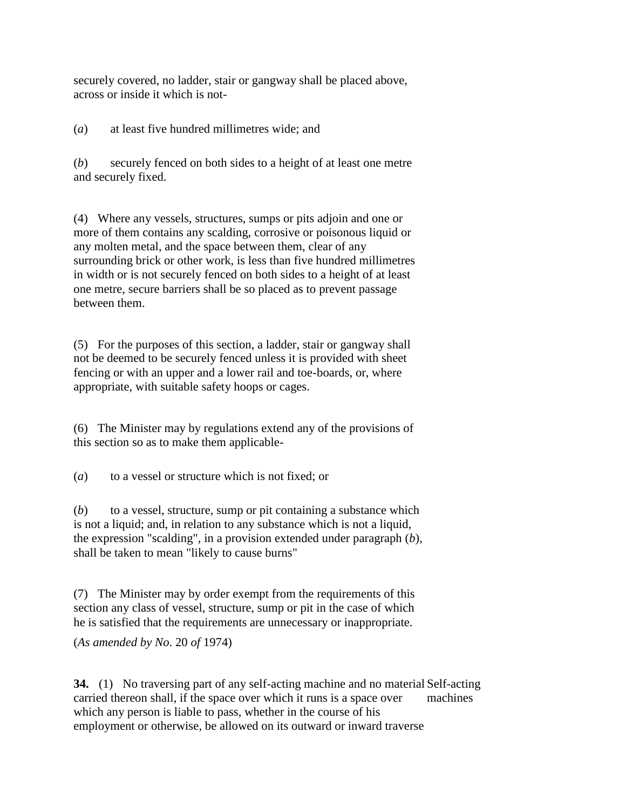securely covered, no ladder, stair or gangway shall be placed above, across or inside it which is not-

(*a*) at least five hundred millimetres wide; and

(*b*) securely fenced on both sides to a height of at least one metre and securely fixed.

(4) Where any vessels, structures, sumps or pits adjoin and one or more of them contains any scalding, corrosive or poisonous liquid or any molten metal, and the space between them, clear of any surrounding brick or other work, is less than five hundred millimetres in width or is not securely fenced on both sides to a height of at least one metre, secure barriers shall be so placed as to prevent passage between them.

(5) For the purposes of this section, a ladder, stair or gangway shall not be deemed to be securely fenced unless it is provided with sheet fencing or with an upper and a lower rail and toe-boards, or, where appropriate, with suitable safety hoops or cages.

(6) The Minister may by regulations extend any of the provisions of this section so as to make them applicable-

(*a*) to a vessel or structure which is not fixed; or

(*b*) to a vessel, structure, sump or pit containing a substance which is not a liquid; and, in relation to any substance which is not a liquid, the expression "scalding", in a provision extended under paragraph (*b*), shall be taken to mean "likely to cause burns"

(7) The Minister may by order exempt from the requirements of this section any class of vessel, structure, sump or pit in the case of which he is satisfied that the requirements are unnecessary or inappropriate.

(*As amended by No*. 20 *of* 1974)

**34.** (1) No traversing part of any self-acting machine and no material Self-acting carried thereon shall, if the space over which it runs is a space over which any person is liable to pass, whether in the course of his employment or otherwise, be allowed on its outward or inward traverse machines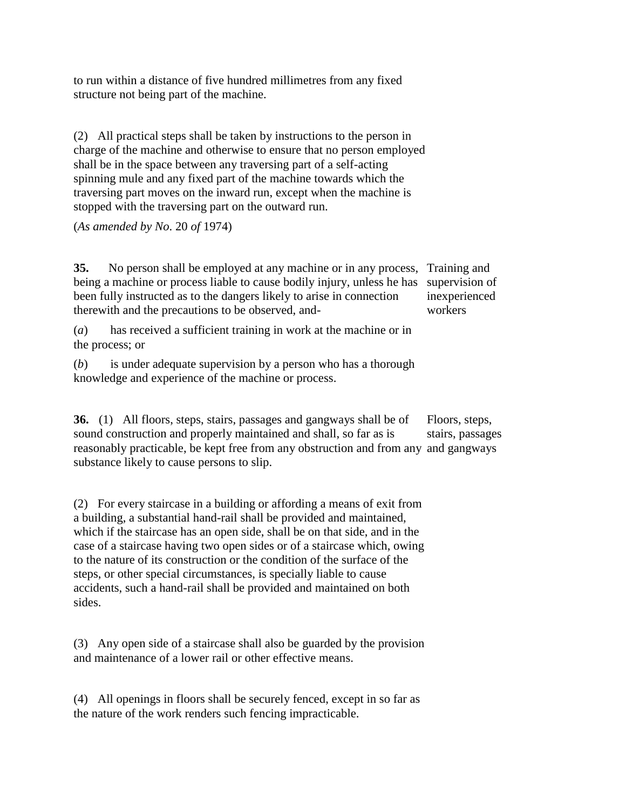to run within a distance of five hundred millimetres from any fixed structure not being part of the machine.

(2) All practical steps shall be taken by instructions to the person in charge of the machine and otherwise to ensure that no person employed shall be in the space between any traversing part of a self-acting spinning mule and any fixed part of the machine towards which the traversing part moves on the inward run, except when the machine is stopped with the traversing part on the outward run.

(*As amended by No*. 20 *of* 1974)

**35.** No person shall be employed at any machine or in any process, Training and being a machine or process liable to cause bodily injury, unless he has been fully instructed as to the dangers likely to arise in connection therewith and the precautions to be observed, and supervision of inexperienced workers

(*a*) has received a sufficient training in work at the machine or in the process; or

(*b*) is under adequate supervision by a person who has a thorough knowledge and experience of the machine or process.

**36.** (1) All floors, steps, stairs, passages and gangways shall be of sound construction and properly maintained and shall, so far as is reasonably practicable, be kept free from any obstruction and from any and gangways substance likely to cause persons to slip. Floors, steps, stairs, passages

(2) For every staircase in a building or affording a means of exit from a building, a substantial hand-rail shall be provided and maintained, which if the staircase has an open side, shall be on that side, and in the case of a staircase having two open sides or of a staircase which, owing to the nature of its construction or the condition of the surface of the steps, or other special circumstances, is specially liable to cause accidents, such a hand-rail shall be provided and maintained on both sides.

(3) Any open side of a staircase shall also be guarded by the provision and maintenance of a lower rail or other effective means.

(4) All openings in floors shall be securely fenced, except in so far as the nature of the work renders such fencing impracticable.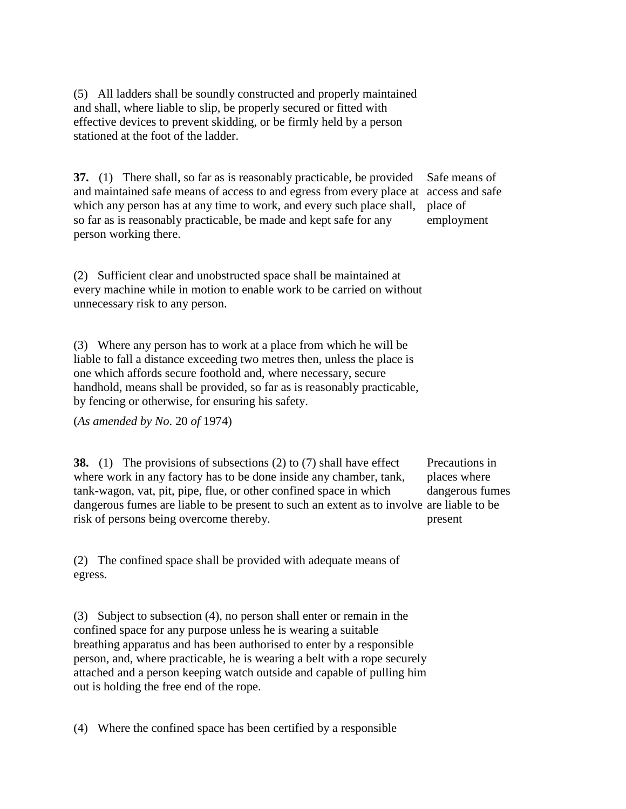(5) All ladders shall be soundly constructed and properly maintained and shall, where liable to slip, be properly secured or fitted with effective devices to prevent skidding, or be firmly held by a person stationed at the foot of the ladder.

**37.** (1) There shall, so far as is reasonably practicable, be provided and maintained safe means of access to and egress from every place at access and safe which any person has at any time to work, and every such place shall, so far as is reasonably practicable, be made and kept safe for any person working there. place of

Safe means of employment

(2) Sufficient clear and unobstructed space shall be maintained at every machine while in motion to enable work to be carried on without unnecessary risk to any person.

(3) Where any person has to work at a place from which he will be liable to fall a distance exceeding two metres then, unless the place is one which affords secure foothold and, where necessary, secure handhold, means shall be provided, so far as is reasonably practicable, by fencing or otherwise, for ensuring his safety.

(*As amended by No*. 20 *of* 1974)

**38.** (1) The provisions of subsections (2) to (7) shall have effect where work in any factory has to be done inside any chamber, tank, tank-wagon, vat, pit, pipe, flue, or other confined space in which dangerous fumes are liable to be present to such an extent as to involve are liable to be risk of persons being overcome thereby. Precautions in places where dangerous fumes present

(2) The confined space shall be provided with adequate means of egress.

(3) Subject to subsection (4), no person shall enter or remain in the confined space for any purpose unless he is wearing a suitable breathing apparatus and has been authorised to enter by a responsible person, and, where practicable, he is wearing a belt with a rope securely attached and a person keeping watch outside and capable of pulling him out is holding the free end of the rope.

(4) Where the confined space has been certified by a responsible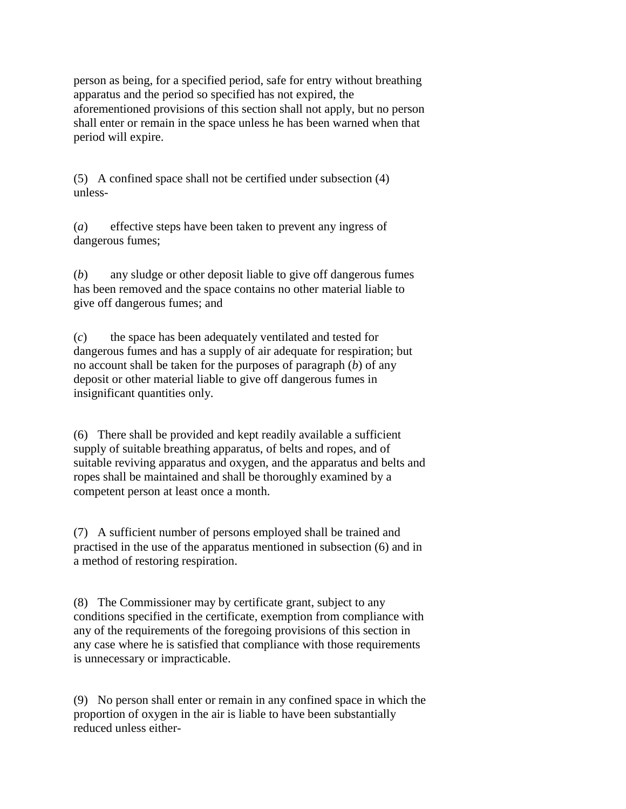person as being, for a specified period, safe for entry without breathing apparatus and the period so specified has not expired, the aforementioned provisions of this section shall not apply, but no person shall enter or remain in the space unless he has been warned when that period will expire.

(5) A confined space shall not be certified under subsection (4) unless-

(*a*) effective steps have been taken to prevent any ingress of dangerous fumes;

(*b*) any sludge or other deposit liable to give off dangerous fumes has been removed and the space contains no other material liable to give off dangerous fumes; and

(*c*) the space has been adequately ventilated and tested for dangerous fumes and has a supply of air adequate for respiration; but no account shall be taken for the purposes of paragraph (*b*) of any deposit or other material liable to give off dangerous fumes in insignificant quantities only.

(6) There shall be provided and kept readily available a sufficient supply of suitable breathing apparatus, of belts and ropes, and of suitable reviving apparatus and oxygen, and the apparatus and belts and ropes shall be maintained and shall be thoroughly examined by a competent person at least once a month.

(7) A sufficient number of persons employed shall be trained and practised in the use of the apparatus mentioned in subsection (6) and in a method of restoring respiration.

(8) The Commissioner may by certificate grant, subject to any conditions specified in the certificate, exemption from compliance with any of the requirements of the foregoing provisions of this section in any case where he is satisfied that compliance with those requirements is unnecessary or impracticable.

(9) No person shall enter or remain in any confined space in which the proportion of oxygen in the air is liable to have been substantially reduced unless either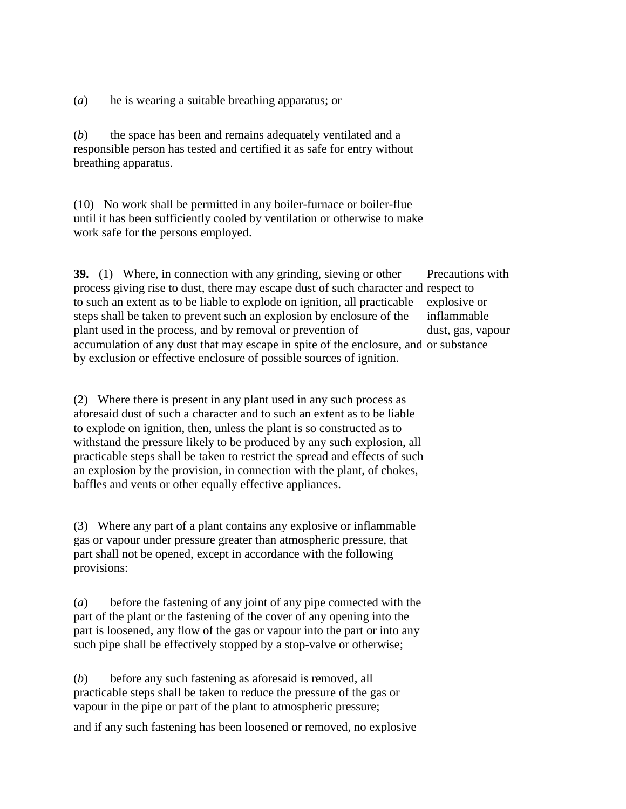(*a*) he is wearing a suitable breathing apparatus; or

(*b*) the space has been and remains adequately ventilated and a responsible person has tested and certified it as safe for entry without breathing apparatus.

(10) No work shall be permitted in any boiler-furnace or boiler-flue until it has been sufficiently cooled by ventilation or otherwise to make work safe for the persons employed.

**39.** (1) Where, in connection with any grinding, sieving or other process giving rise to dust, there may escape dust of such character and respect to to such an extent as to be liable to explode on ignition, all practicable steps shall be taken to prevent such an explosion by enclosure of the plant used in the process, and by removal or prevention of accumulation of any dust that may escape in spite of the enclosure, and or substance by exclusion or effective enclosure of possible sources of ignition. Precautions with explosive or inflammable dust, gas, vapour

(2) Where there is present in any plant used in any such process as aforesaid dust of such a character and to such an extent as to be liable to explode on ignition, then, unless the plant is so constructed as to withstand the pressure likely to be produced by any such explosion, all practicable steps shall be taken to restrict the spread and effects of such an explosion by the provision, in connection with the plant, of chokes, baffles and vents or other equally effective appliances.

(3) Where any part of a plant contains any explosive or inflammable gas or vapour under pressure greater than atmospheric pressure, that part shall not be opened, except in accordance with the following provisions:

(*a*) before the fastening of any joint of any pipe connected with the part of the plant or the fastening of the cover of any opening into the part is loosened, any flow of the gas or vapour into the part or into any such pipe shall be effectively stopped by a stop-valve or otherwise;

(*b*) before any such fastening as aforesaid is removed, all practicable steps shall be taken to reduce the pressure of the gas or vapour in the pipe or part of the plant to atmospheric pressure;

and if any such fastening has been loosened or removed, no explosive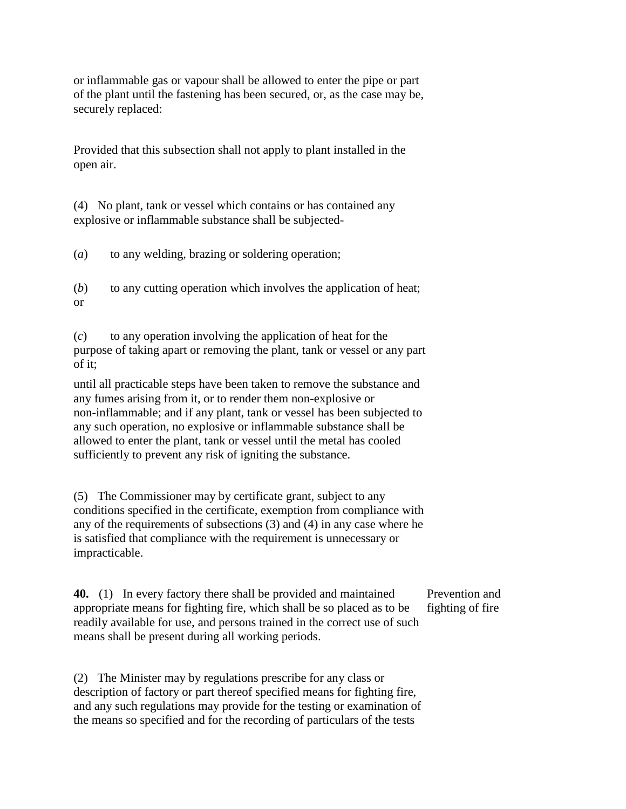or inflammable gas or vapour shall be allowed to enter the pipe or part of the plant until the fastening has been secured, or, as the case may be, securely replaced:

Provided that this subsection shall not apply to plant installed in the open air.

(4) No plant, tank or vessel which contains or has contained any explosive or inflammable substance shall be subjected-

(*a*) to any welding, brazing or soldering operation;

(*b*) to any cutting operation which involves the application of heat; or

(*c*) to any operation involving the application of heat for the purpose of taking apart or removing the plant, tank or vessel or any part of it;

until all practicable steps have been taken to remove the substance and any fumes arising from it, or to render them non-explosive or non-inflammable; and if any plant, tank or vessel has been subjected to any such operation, no explosive or inflammable substance shall be allowed to enter the plant, tank or vessel until the metal has cooled sufficiently to prevent any risk of igniting the substance.

(5) The Commissioner may by certificate grant, subject to any conditions specified in the certificate, exemption from compliance with any of the requirements of subsections (3) and (4) in any case where he is satisfied that compliance with the requirement is unnecessary or impracticable.

**40.** (1) In every factory there shall be provided and maintained appropriate means for fighting fire, which shall be so placed as to be readily available for use, and persons trained in the correct use of such means shall be present during all working periods. Prevention and fighting of fire

(2) The Minister may by regulations prescribe for any class or description of factory or part thereof specified means for fighting fire, and any such regulations may provide for the testing or examination of the means so specified and for the recording of particulars of the tests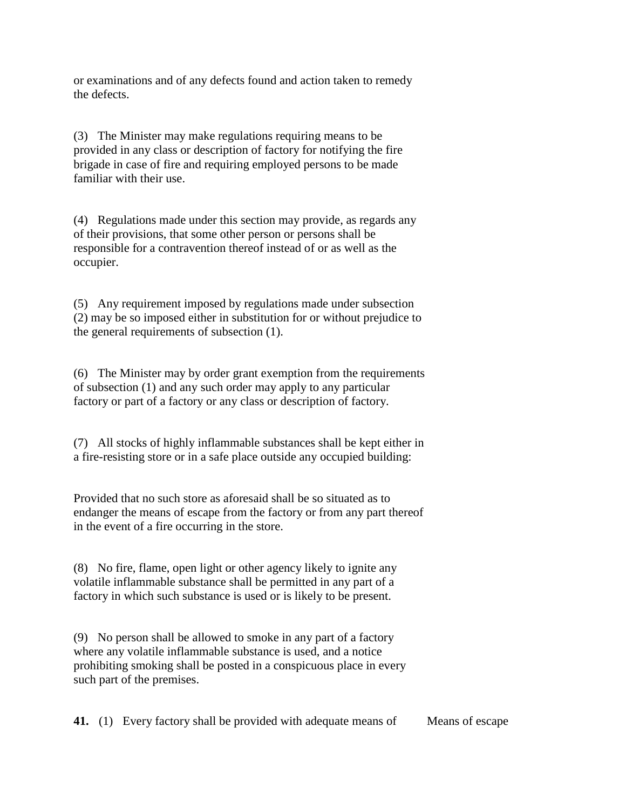or examinations and of any defects found and action taken to remedy the defects.

(3) The Minister may make regulations requiring means to be provided in any class or description of factory for notifying the fire brigade in case of fire and requiring employed persons to be made familiar with their use.

(4) Regulations made under this section may provide, as regards any of their provisions, that some other person or persons shall be responsible for a contravention thereof instead of or as well as the occupier.

(5) Any requirement imposed by regulations made under subsection (2) may be so imposed either in substitution for or without prejudice to the general requirements of subsection (1).

(6) The Minister may by order grant exemption from the requirements of subsection (1) and any such order may apply to any particular factory or part of a factory or any class or description of factory.

(7) All stocks of highly inflammable substances shall be kept either in a fire-resisting store or in a safe place outside any occupied building:

Provided that no such store as aforesaid shall be so situated as to endanger the means of escape from the factory or from any part thereof in the event of a fire occurring in the store.

(8) No fire, flame, open light or other agency likely to ignite any volatile inflammable substance shall be permitted in any part of a factory in which such substance is used or is likely to be present.

(9) No person shall be allowed to smoke in any part of a factory where any volatile inflammable substance is used, and a notice prohibiting smoking shall be posted in a conspicuous place in every such part of the premises.

**41.** (1) Every factory shall be provided with adequate means of Means of escape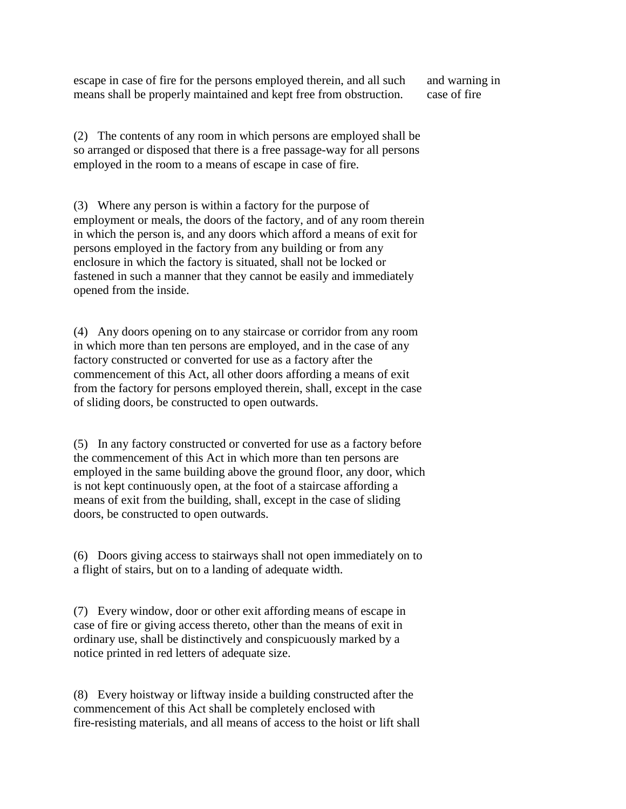escape in case of fire for the persons employed therein, and all such means shall be properly maintained and kept free from obstruction.

and warning in case of fire

(2) The contents of any room in which persons are employed shall be so arranged or disposed that there is a free passage-way for all persons employed in the room to a means of escape in case of fire.

(3) Where any person is within a factory for the purpose of employment or meals, the doors of the factory, and of any room therein in which the person is, and any doors which afford a means of exit for persons employed in the factory from any building or from any enclosure in which the factory is situated, shall not be locked or fastened in such a manner that they cannot be easily and immediately opened from the inside.

(4) Any doors opening on to any staircase or corridor from any room in which more than ten persons are employed, and in the case of any factory constructed or converted for use as a factory after the commencement of this Act, all other doors affording a means of exit from the factory for persons employed therein, shall, except in the case of sliding doors, be constructed to open outwards.

(5) In any factory constructed or converted for use as a factory before the commencement of this Act in which more than ten persons are employed in the same building above the ground floor, any door, which is not kept continuously open, at the foot of a staircase affording a means of exit from the building, shall, except in the case of sliding doors, be constructed to open outwards.

(6) Doors giving access to stairways shall not open immediately on to a flight of stairs, but on to a landing of adequate width.

(7) Every window, door or other exit affording means of escape in case of fire or giving access thereto, other than the means of exit in ordinary use, shall be distinctively and conspicuously marked by a notice printed in red letters of adequate size.

(8) Every hoistway or liftway inside a building constructed after the commencement of this Act shall be completely enclosed with fire-resisting materials, and all means of access to the hoist or lift shall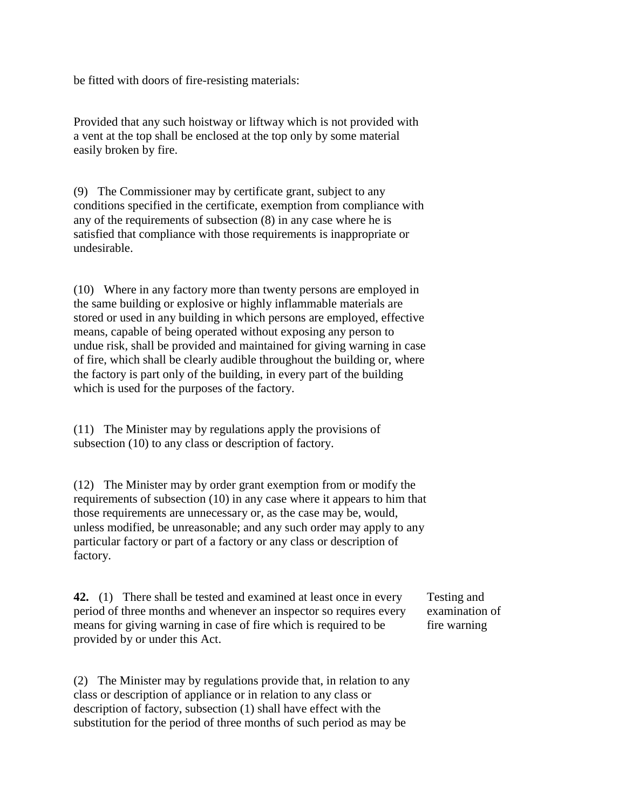be fitted with doors of fire-resisting materials:

Provided that any such hoistway or liftway which is not provided with a vent at the top shall be enclosed at the top only by some material easily broken by fire.

(9) The Commissioner may by certificate grant, subject to any conditions specified in the certificate, exemption from compliance with any of the requirements of subsection (8) in any case where he is satisfied that compliance with those requirements is inappropriate or undesirable.

(10) Where in any factory more than twenty persons are employed in the same building or explosive or highly inflammable materials are stored or used in any building in which persons are employed, effective means, capable of being operated without exposing any person to undue risk, shall be provided and maintained for giving warning in case of fire, which shall be clearly audible throughout the building or, where the factory is part only of the building, in every part of the building which is used for the purposes of the factory.

(11) The Minister may by regulations apply the provisions of subsection (10) to any class or description of factory.

(12) The Minister may by order grant exemption from or modify the requirements of subsection (10) in any case where it appears to him that those requirements are unnecessary or, as the case may be, would, unless modified, be unreasonable; and any such order may apply to any particular factory or part of a factory or any class or description of factory.

**42.** (1) There shall be tested and examined at least once in every period of three months and whenever an inspector so requires every means for giving warning in case of fire which is required to be provided by or under this Act.

Testing and examination of fire warning

(2) The Minister may by regulations provide that, in relation to any class or description of appliance or in relation to any class or description of factory, subsection (1) shall have effect with the substitution for the period of three months of such period as may be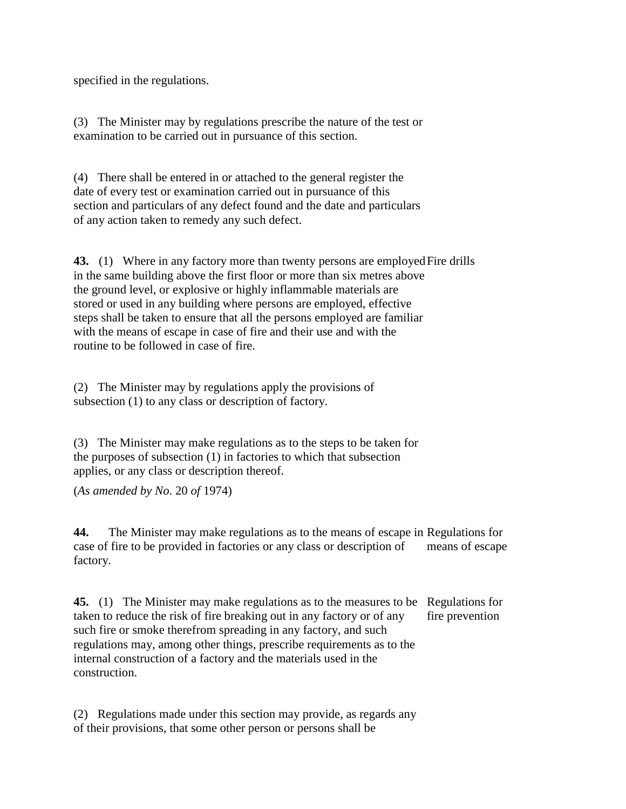specified in the regulations.

(3) The Minister may by regulations prescribe the nature of the test or examination to be carried out in pursuance of this section.

(4) There shall be entered in or attached to the general register the date of every test or examination carried out in pursuance of this section and particulars of any defect found and the date and particulars of any action taken to remedy any such defect.

**43.** (1) Where in any factory more than twenty persons are employed Fire drills in the same building above the first floor or more than six metres above the ground level, or explosive or highly inflammable materials are stored or used in any building where persons are employed, effective steps shall be taken to ensure that all the persons employed are familiar with the means of escape in case of fire and their use and with the routine to be followed in case of fire.

(2) The Minister may by regulations apply the provisions of subsection (1) to any class or description of factory.

(3) The Minister may make regulations as to the steps to be taken for the purposes of subsection (1) in factories to which that subsection applies, or any class or description thereof.

(*As amended by No*. 20 *of* 1974)

**44.** The Minister may make regulations as to the means of escape in Regulations for case of fire to be provided in factories or any class or description of factory. means of escape

**45.** (1) The Minister may make regulations as to the measures to be Regulations for taken to reduce the risk of fire breaking out in any factory or of any such fire or smoke therefrom spreading in any factory, and such regulations may, among other things, prescribe requirements as to the internal construction of a factory and the materials used in the construction. fire prevention

(2) Regulations made under this section may provide, as regards any of their provisions, that some other person or persons shall be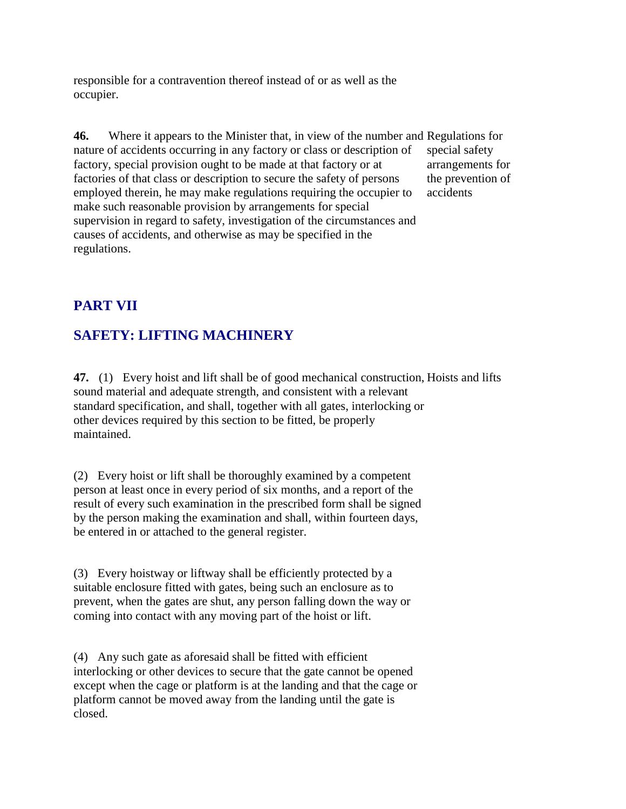responsible for a contravention thereof instead of or as well as the occupier.

**46.** Where it appears to the Minister that, in view of the number and Regulations for nature of accidents occurring in any factory or class or description of factory, special provision ought to be made at that factory or at factories of that class or description to secure the safety of persons employed therein, he may make regulations requiring the occupier to make such reasonable provision by arrangements for special supervision in regard to safety, investigation of the circumstances and causes of accidents, and otherwise as may be specified in the regulations. special safety arrangements for the prevention of accidents

# **PART VII**

# **SAFETY: LIFTING MACHINERY**

**47.** (1) Every hoist and lift shall be of good mechanical construction, Hoists and lifts sound material and adequate strength, and consistent with a relevant standard specification, and shall, together with all gates, interlocking or other devices required by this section to be fitted, be properly maintained.

(2) Every hoist or lift shall be thoroughly examined by a competent person at least once in every period of six months, and a report of the result of every such examination in the prescribed form shall be signed by the person making the examination and shall, within fourteen days, be entered in or attached to the general register.

(3) Every hoistway or liftway shall be efficiently protected by a suitable enclosure fitted with gates, being such an enclosure as to prevent, when the gates are shut, any person falling down the way or coming into contact with any moving part of the hoist or lift.

(4) Any such gate as aforesaid shall be fitted with efficient interlocking or other devices to secure that the gate cannot be opened except when the cage or platform is at the landing and that the cage or platform cannot be moved away from the landing until the gate is closed.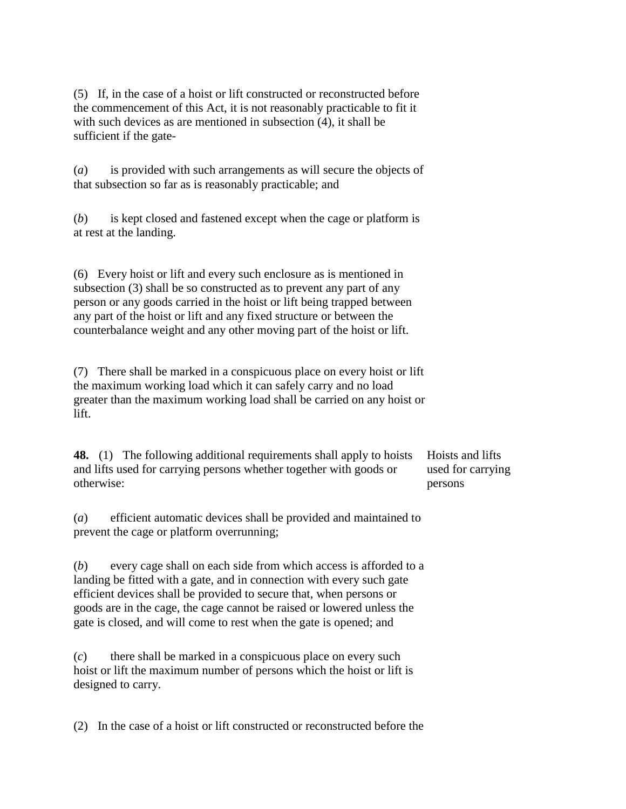(5) If, in the case of a hoist or lift constructed or reconstructed before the commencement of this Act, it is not reasonably practicable to fit it with such devices as are mentioned in subsection (4), it shall be sufficient if the gate-

(*a*) is provided with such arrangements as will secure the objects of that subsection so far as is reasonably practicable; and

(*b*) is kept closed and fastened except when the cage or platform is at rest at the landing.

(6) Every hoist or lift and every such enclosure as is mentioned in subsection (3) shall be so constructed as to prevent any part of any person or any goods carried in the hoist or lift being trapped between any part of the hoist or lift and any fixed structure or between the counterbalance weight and any other moving part of the hoist or lift.

(7) There shall be marked in a conspicuous place on every hoist or lift the maximum working load which it can safely carry and no load greater than the maximum working load shall be carried on any hoist or lift.

**48.** (1) The following additional requirements shall apply to hoists and lifts used for carrying persons whether together with goods or otherwise:

Hoists and lifts used for carrying persons

(*a*) efficient automatic devices shall be provided and maintained to prevent the cage or platform overrunning;

(*b*) every cage shall on each side from which access is afforded to a landing be fitted with a gate, and in connection with every such gate efficient devices shall be provided to secure that, when persons or goods are in the cage, the cage cannot be raised or lowered unless the gate is closed, and will come to rest when the gate is opened; and

(*c*) there shall be marked in a conspicuous place on every such hoist or lift the maximum number of persons which the hoist or lift is designed to carry.

(2) In the case of a hoist or lift constructed or reconstructed before the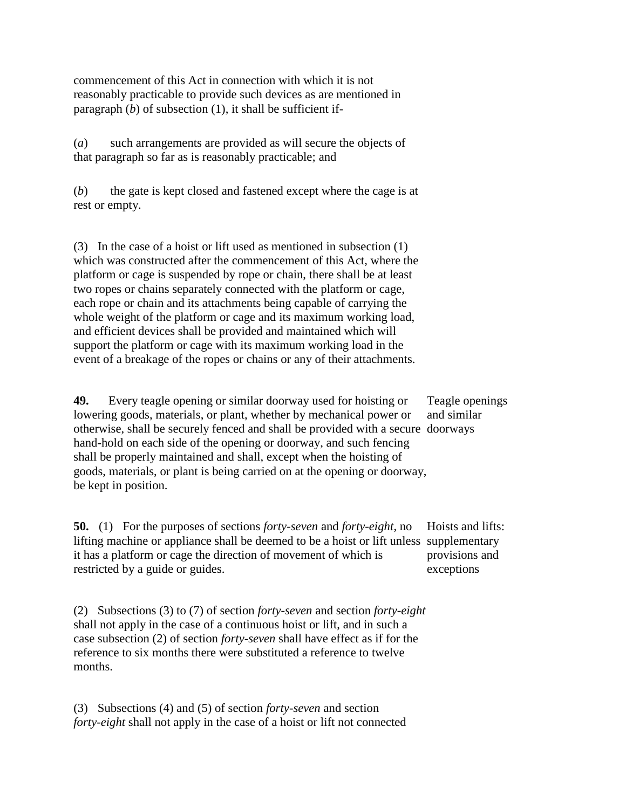commencement of this Act in connection with which it is not reasonably practicable to provide such devices as are mentioned in paragraph  $(b)$  of subsection  $(1)$ , it shall be sufficient if-

(*a*) such arrangements are provided as will secure the objects of that paragraph so far as is reasonably practicable; and

(*b*) the gate is kept closed and fastened except where the cage is at rest or empty.

(3) In the case of a hoist or lift used as mentioned in subsection (1) which was constructed after the commencement of this Act, where the platform or cage is suspended by rope or chain, there shall be at least two ropes or chains separately connected with the platform or cage, each rope or chain and its attachments being capable of carrying the whole weight of the platform or cage and its maximum working load, and efficient devices shall be provided and maintained which will support the platform or cage with its maximum working load in the event of a breakage of the ropes or chains or any of their attachments.

**49.** Every teagle opening or similar doorway used for hoisting or lowering goods, materials, or plant, whether by mechanical power or otherwise, shall be securely fenced and shall be provided with a secure doorways hand-hold on each side of the opening or doorway, and such fencing shall be properly maintained and shall, except when the hoisting of goods, materials, or plant is being carried on at the opening or doorway, be kept in position.

Teagle openings and similar

**50.** (1) For the purposes of sections *forty-seven* and *forty-eight*, no lifting machine or appliance shall be deemed to be a hoist or lift unless supplementary it has a platform or cage the direction of movement of which is restricted by a guide or guides. Hoists and lifts: provisions and exceptions

(2) Subsections (3) to (7) of section *forty-seven* and section *forty-eight* shall not apply in the case of a continuous hoist or lift, and in such a case subsection (2) of section *forty-seven* shall have effect as if for the reference to six months there were substituted a reference to twelve months.

(3) Subsections (4) and (5) of section *forty-seven* and section *forty-eight* shall not apply in the case of a hoist or lift not connected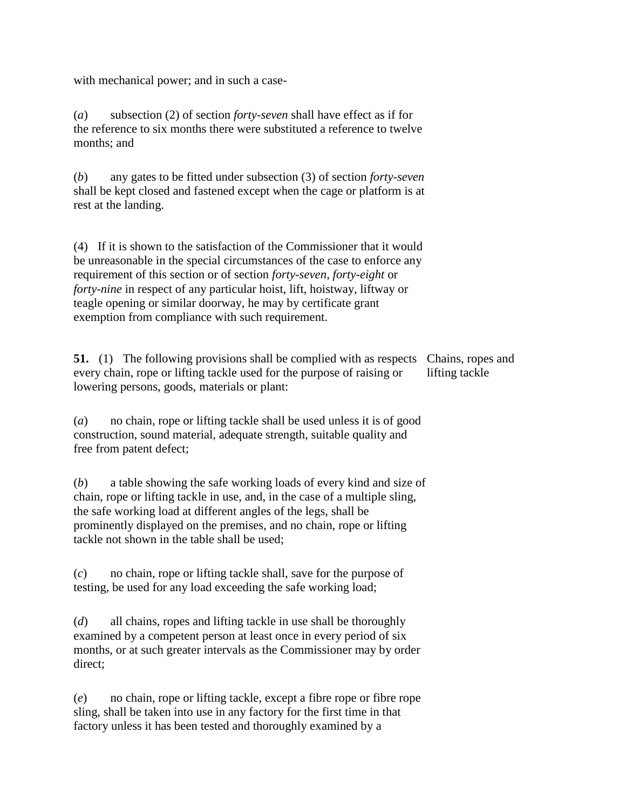with mechanical power; and in such a case-

(*a*) subsection (2) of section *forty-seven* shall have effect as if for the reference to six months there were substituted a reference to twelve months; and

(*b*) any gates to be fitted under subsection (3) of section *forty-seven* shall be kept closed and fastened except when the cage or platform is at rest at the landing.

(4) If it is shown to the satisfaction of the Commissioner that it would be unreasonable in the special circumstances of the case to enforce any requirement of this section or of section *forty-seven*, *forty-eight* or *forty-nine* in respect of any particular hoist, lift, hoistway, liftway or teagle opening or similar doorway, he may by certificate grant exemption from compliance with such requirement.

**51.** (1) The following provisions shall be complied with as respects Chains, ropes and every chain, rope or lifting tackle used for the purpose of raising or lowering persons, goods, materials or plant: lifting tackle

(*a*) no chain, rope or lifting tackle shall be used unless it is of good construction, sound material, adequate strength, suitable quality and free from patent defect;

(*b*) a table showing the safe working loads of every kind and size of chain, rope or lifting tackle in use, and, in the case of a multiple sling, the safe working load at different angles of the legs, shall be prominently displayed on the premises, and no chain, rope or lifting tackle not shown in the table shall be used;

(*c*) no chain, rope or lifting tackle shall, save for the purpose of testing, be used for any load exceeding the safe working load;

(*d*) all chains, ropes and lifting tackle in use shall be thoroughly examined by a competent person at least once in every period of six months, or at such greater intervals as the Commissioner may by order direct;

(*e*) no chain, rope or lifting tackle, except a fibre rope or fibre rope sling, shall be taken into use in any factory for the first time in that factory unless it has been tested and thoroughly examined by a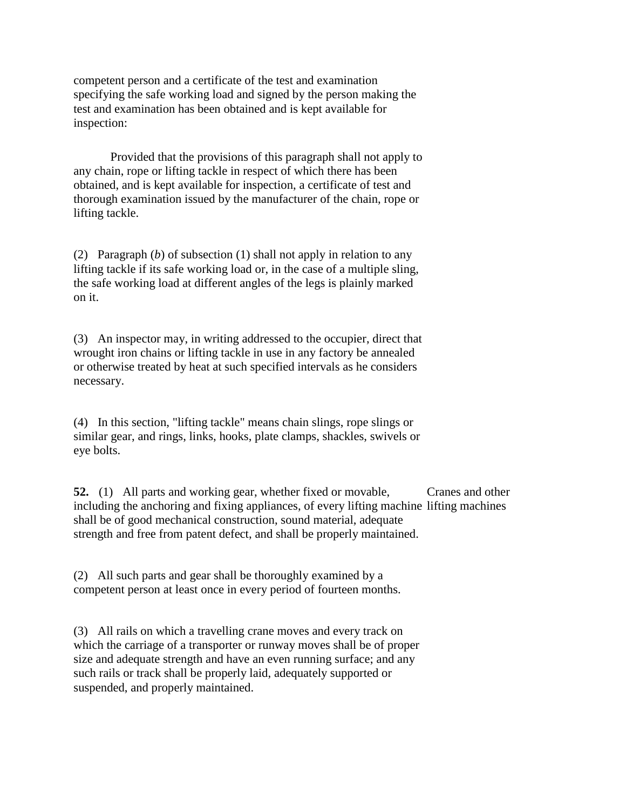competent person and a certificate of the test and examination specifying the safe working load and signed by the person making the test and examination has been obtained and is kept available for inspection:

Provided that the provisions of this paragraph shall not apply to any chain, rope or lifting tackle in respect of which there has been obtained, and is kept available for inspection, a certificate of test and thorough examination issued by the manufacturer of the chain, rope or lifting tackle.

(2) Paragraph (*b*) of subsection (1) shall not apply in relation to any lifting tackle if its safe working load or, in the case of a multiple sling, the safe working load at different angles of the legs is plainly marked on it.

(3) An inspector may, in writing addressed to the occupier, direct that wrought iron chains or lifting tackle in use in any factory be annealed or otherwise treated by heat at such specified intervals as he considers necessary.

(4) In this section, "lifting tackle" means chain slings, rope slings or similar gear, and rings, links, hooks, plate clamps, shackles, swivels or eye bolts.

**52.** (1) All parts and working gear, whether fixed or movable, including the anchoring and fixing appliances, of every lifting machine lifting machines shall be of good mechanical construction, sound material, adequate strength and free from patent defect, and shall be properly maintained. Cranes and other

(2) All such parts and gear shall be thoroughly examined by a competent person at least once in every period of fourteen months.

(3) All rails on which a travelling crane moves and every track on which the carriage of a transporter or runway moves shall be of proper size and adequate strength and have an even running surface; and any such rails or track shall be properly laid, adequately supported or suspended, and properly maintained.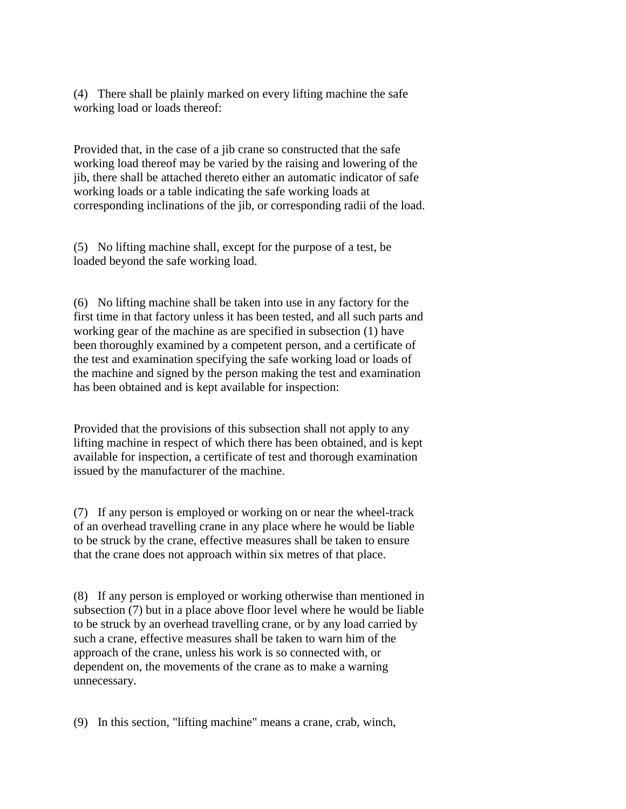(4) There shall be plainly marked on every lifting machine the safe working load or loads thereof:

Provided that, in the case of a jib crane so constructed that the safe working load thereof may be varied by the raising and lowering of the jib, there shall be attached thereto either an automatic indicator of safe working loads or a table indicating the safe working loads at corresponding inclinations of the jib, or corresponding radii of the load.

(5) No lifting machine shall, except for the purpose of a test, be loaded beyond the safe working load.

(6) No lifting machine shall be taken into use in any factory for the first time in that factory unless it has been tested, and all such parts and working gear of the machine as are specified in subsection (1) have been thoroughly examined by a competent person, and a certificate of the test and examination specifying the safe working load or loads of the machine and signed by the person making the test and examination has been obtained and is kept available for inspection:

Provided that the provisions of this subsection shall not apply to any lifting machine in respect of which there has been obtained, and is kept available for inspection, a certificate of test and thorough examination issued by the manufacturer of the machine.

(7) If any person is employed or working on or near the wheel-track of an overhead travelling crane in any place where he would be liable to be struck by the crane, effective measures shall be taken to ensure that the crane does not approach within six metres of that place.

(8) If any person is employed or working otherwise than mentioned in subsection (7) but in a place above floor level where he would be liable to be struck by an overhead travelling crane, or by any load carried by such a crane, effective measures shall be taken to warn him of the approach of the crane, unless his work is so connected with, or dependent on, the movements of the crane as to make a warning unnecessary.

(9) In this section, "lifting machine" means a crane, crab, winch,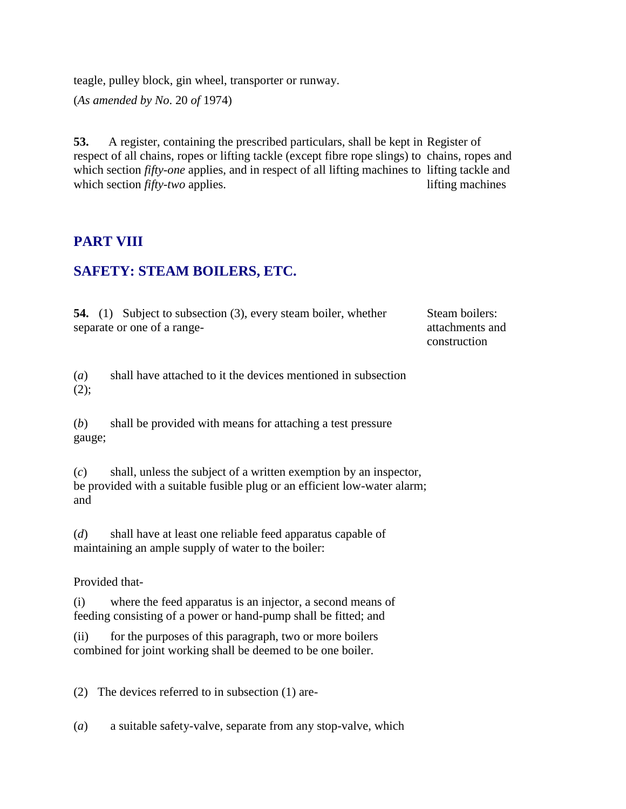teagle, pulley block, gin wheel, transporter or runway. (*As amended by No*. 20 *of* 1974)

**53.** A register, containing the prescribed particulars, shall be kept in Register of respect of all chains, ropes or lifting tackle (except fibre rope slings) to chains, ropes and which section *fifty-one* applies, and in respect of all lifting machines to lifting tackle and which section *fifty-two* applies. lifting machines

#### **PART VIII**

### **SAFETY: STEAM BOILERS, ETC.**

**54.** (1) Subject to subsection (3), every steam boiler, whether separate or one of a rangeSteam boilers: attachments and construction

(*a*) shall have attached to it the devices mentioned in subsection  $(2);$ 

(*b*) shall be provided with means for attaching a test pressure gauge;

(*c*) shall, unless the subject of a written exemption by an inspector, be provided with a suitable fusible plug or an efficient low-water alarm; and

(*d*) shall have at least one reliable feed apparatus capable of maintaining an ample supply of water to the boiler:

#### Provided that-

(i) where the feed apparatus is an injector, a second means of feeding consisting of a power or hand-pump shall be fitted; and

(ii) for the purposes of this paragraph, two or more boilers combined for joint working shall be deemed to be one boiler.

(2) The devices referred to in subsection (1) are-

(*a*) a suitable safety-valve, separate from any stop-valve, which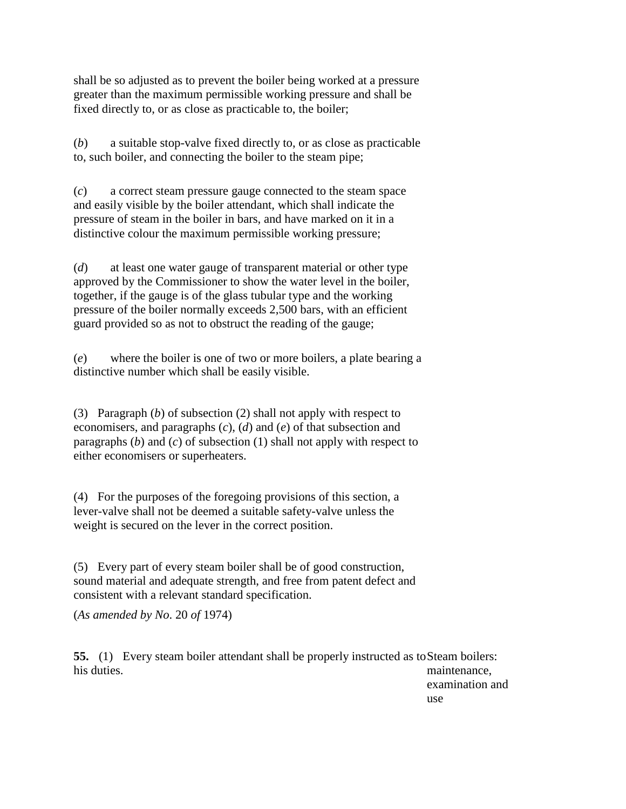shall be so adjusted as to prevent the boiler being worked at a pressure greater than the maximum permissible working pressure and shall be fixed directly to, or as close as practicable to, the boiler;

(*b*) a suitable stop-valve fixed directly to, or as close as practicable to, such boiler, and connecting the boiler to the steam pipe;

(*c*) a correct steam pressure gauge connected to the steam space and easily visible by the boiler attendant, which shall indicate the pressure of steam in the boiler in bars, and have marked on it in a distinctive colour the maximum permissible working pressure;

(*d*) at least one water gauge of transparent material or other type approved by the Commissioner to show the water level in the boiler, together, if the gauge is of the glass tubular type and the working pressure of the boiler normally exceeds 2,500 bars, with an efficient guard provided so as not to obstruct the reading of the gauge;

(*e*) where the boiler is one of two or more boilers, a plate bearing a distinctive number which shall be easily visible.

(3) Paragraph (*b*) of subsection (2) shall not apply with respect to economisers, and paragraphs (*c*), (*d*) and (*e*) of that subsection and paragraphs (*b*) and (*c*) of subsection (1) shall not apply with respect to either economisers or superheaters.

(4) For the purposes of the foregoing provisions of this section, a lever-valve shall not be deemed a suitable safety-valve unless the weight is secured on the lever in the correct position.

(5) Every part of every steam boiler shall be of good construction, sound material and adequate strength, and free from patent defect and consistent with a relevant standard specification.

(*As amended by No*. 20 *of* 1974)

**55.** (1) Every steam boiler attendant shall be properly instructed as to Steam boilers: his duties. maintenance,

examination and use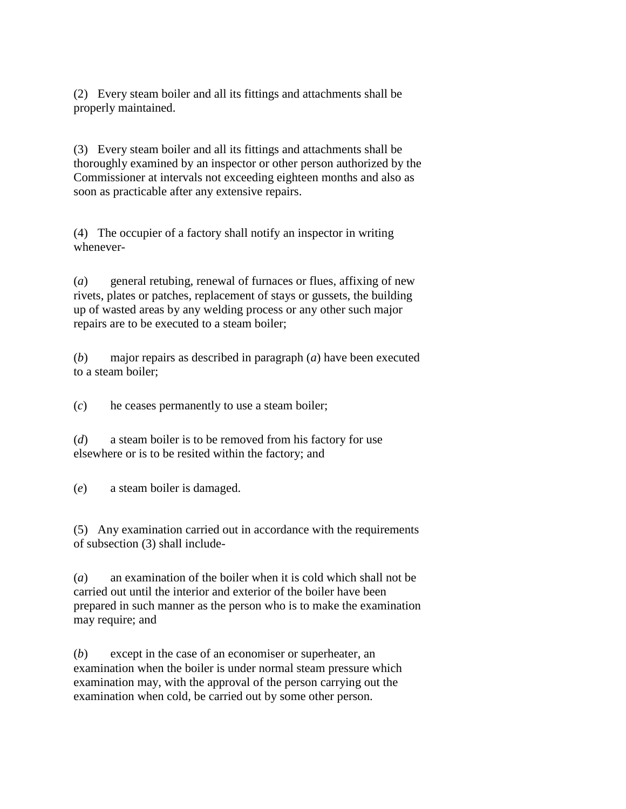(2) Every steam boiler and all its fittings and attachments shall be properly maintained.

(3) Every steam boiler and all its fittings and attachments shall be thoroughly examined by an inspector or other person authorized by the Commissioner at intervals not exceeding eighteen months and also as soon as practicable after any extensive repairs.

(4) The occupier of a factory shall notify an inspector in writing whenever-

(*a*) general retubing, renewal of furnaces or flues, affixing of new rivets, plates or patches, replacement of stays or gussets, the building up of wasted areas by any welding process or any other such major repairs are to be executed to a steam boiler;

(*b*) major repairs as described in paragraph (*a*) have been executed to a steam boiler;

(*c*) he ceases permanently to use a steam boiler;

(*d*) a steam boiler is to be removed from his factory for use elsewhere or is to be resited within the factory; and

(*e*) a steam boiler is damaged.

(5) Any examination carried out in accordance with the requirements of subsection (3) shall include-

(*a*) an examination of the boiler when it is cold which shall not be carried out until the interior and exterior of the boiler have been prepared in such manner as the person who is to make the examination may require; and

(*b*) except in the case of an economiser or superheater, an examination when the boiler is under normal steam pressure which examination may, with the approval of the person carrying out the examination when cold, be carried out by some other person.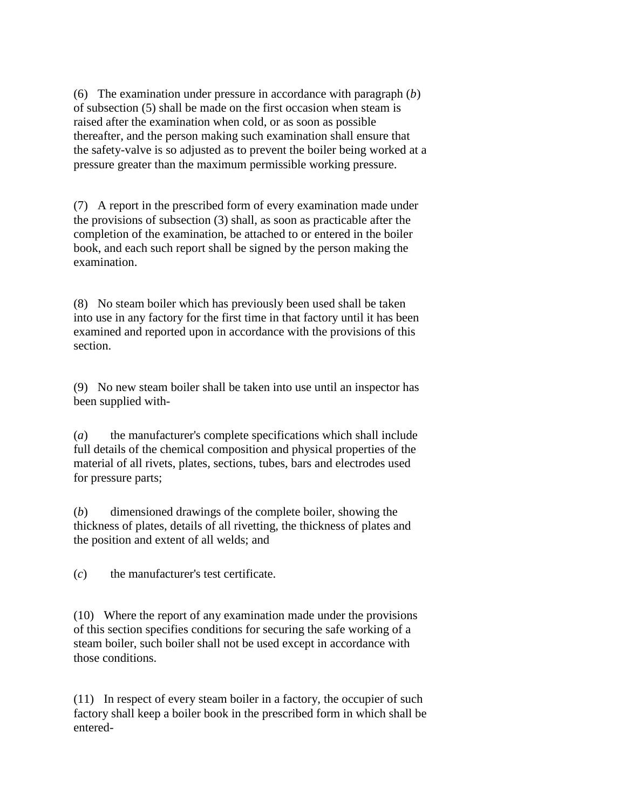(6) The examination under pressure in accordance with paragraph (*b*) of subsection (5) shall be made on the first occasion when steam is raised after the examination when cold, or as soon as possible thereafter, and the person making such examination shall ensure that the safety-valve is so adjusted as to prevent the boiler being worked at a pressure greater than the maximum permissible working pressure.

(7) A report in the prescribed form of every examination made under the provisions of subsection (3) shall, as soon as practicable after the completion of the examination, be attached to or entered in the boiler book, and each such report shall be signed by the person making the examination.

(8) No steam boiler which has previously been used shall be taken into use in any factory for the first time in that factory until it has been examined and reported upon in accordance with the provisions of this section.

(9) No new steam boiler shall be taken into use until an inspector has been supplied with-

(*a*) the manufacturer's complete specifications which shall include full details of the chemical composition and physical properties of the material of all rivets, plates, sections, tubes, bars and electrodes used for pressure parts;

(*b*) dimensioned drawings of the complete boiler, showing the thickness of plates, details of all rivetting, the thickness of plates and the position and extent of all welds; and

(*c*) the manufacturer's test certificate.

(10) Where the report of any examination made under the provisions of this section specifies conditions for securing the safe working of a steam boiler, such boiler shall not be used except in accordance with those conditions.

(11) In respect of every steam boiler in a factory, the occupier of such factory shall keep a boiler book in the prescribed form in which shall be entered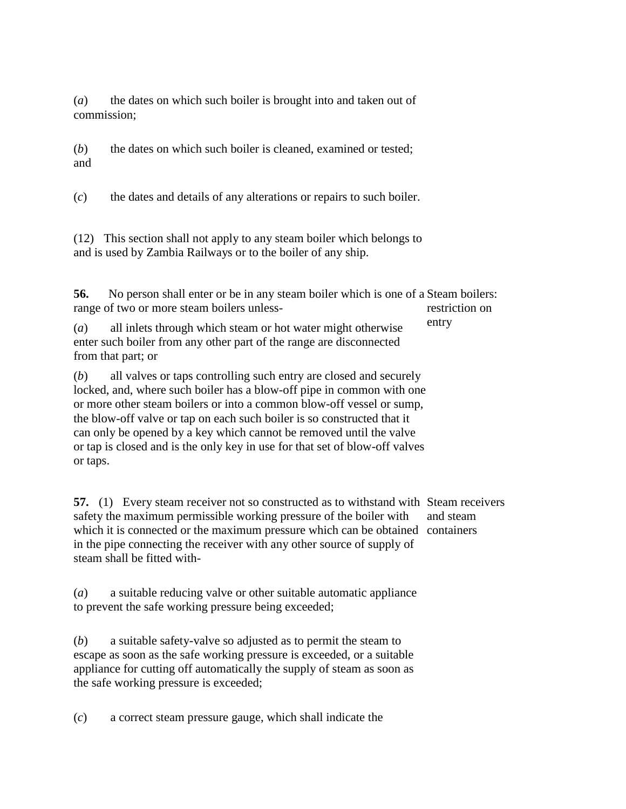(*a*) the dates on which such boiler is brought into and taken out of commission;

(*b*) the dates on which such boiler is cleaned, examined or tested; and

(*c*) the dates and details of any alterations or repairs to such boiler.

(12) This section shall not apply to any steam boiler which belongs to and is used by Zambia Railways or to the boiler of any ship.

**56.** No person shall enter or be in any steam boiler which is one of a Steam boilers: range of two or more steam boilers unless restriction on

(*a*) all inlets through which steam or hot water might otherwise enter such boiler from any other part of the range are disconnected from that part; or entry

(*b*) all valves or taps controlling such entry are closed and securely locked, and, where such boiler has a blow-off pipe in common with one or more other steam boilers or into a common blow-off vessel or sump, the blow-off valve or tap on each such boiler is so constructed that it can only be opened by a key which cannot be removed until the valve or tap is closed and is the only key in use for that set of blow-off valves or taps.

**57.** (1) Every steam receiver not so constructed as to withstand with Steam receivers safety the maximum permissible working pressure of the boiler with which it is connected or the maximum pressure which can be obtained containers in the pipe connecting the receiver with any other source of supply of steam shall be fitted withand steam

(*a*) a suitable reducing valve or other suitable automatic appliance to prevent the safe working pressure being exceeded;

(*b*) a suitable safety-valve so adjusted as to permit the steam to escape as soon as the safe working pressure is exceeded, or a suitable appliance for cutting off automatically the supply of steam as soon as the safe working pressure is exceeded;

(*c*) a correct steam pressure gauge, which shall indicate the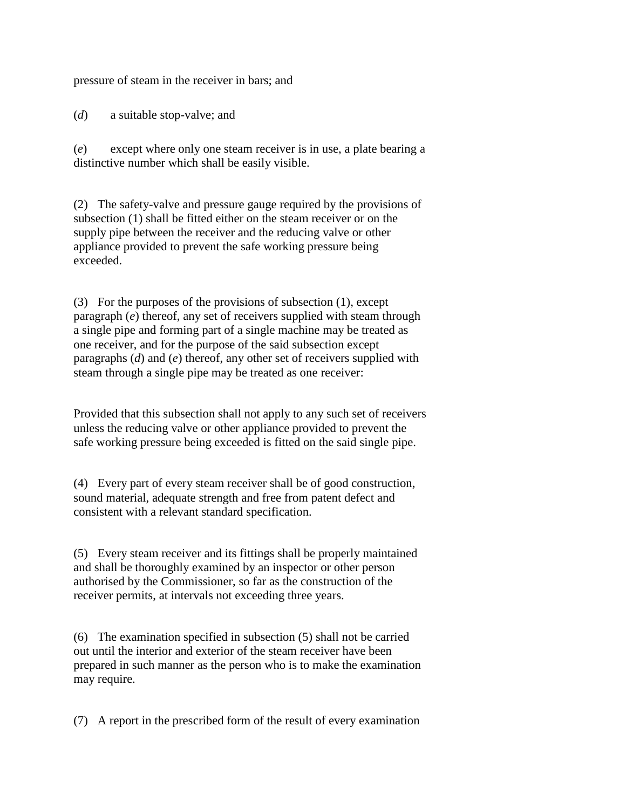pressure of steam in the receiver in bars; and

(*d*) a suitable stop-valve; and

(*e*) except where only one steam receiver is in use, a plate bearing a distinctive number which shall be easily visible.

(2) The safety-valve and pressure gauge required by the provisions of subsection (1) shall be fitted either on the steam receiver or on the supply pipe between the receiver and the reducing valve or other appliance provided to prevent the safe working pressure being exceeded.

(3) For the purposes of the provisions of subsection (1), except paragraph (*e*) thereof, any set of receivers supplied with steam through a single pipe and forming part of a single machine may be treated as one receiver, and for the purpose of the said subsection except paragraphs (*d*) and (*e*) thereof, any other set of receivers supplied with steam through a single pipe may be treated as one receiver:

Provided that this subsection shall not apply to any such set of receivers unless the reducing valve or other appliance provided to prevent the safe working pressure being exceeded is fitted on the said single pipe.

(4) Every part of every steam receiver shall be of good construction, sound material, adequate strength and free from patent defect and consistent with a relevant standard specification.

(5) Every steam receiver and its fittings shall be properly maintained and shall be thoroughly examined by an inspector or other person authorised by the Commissioner, so far as the construction of the receiver permits, at intervals not exceeding three years.

(6) The examination specified in subsection (5) shall not be carried out until the interior and exterior of the steam receiver have been prepared in such manner as the person who is to make the examination may require.

(7) A report in the prescribed form of the result of every examination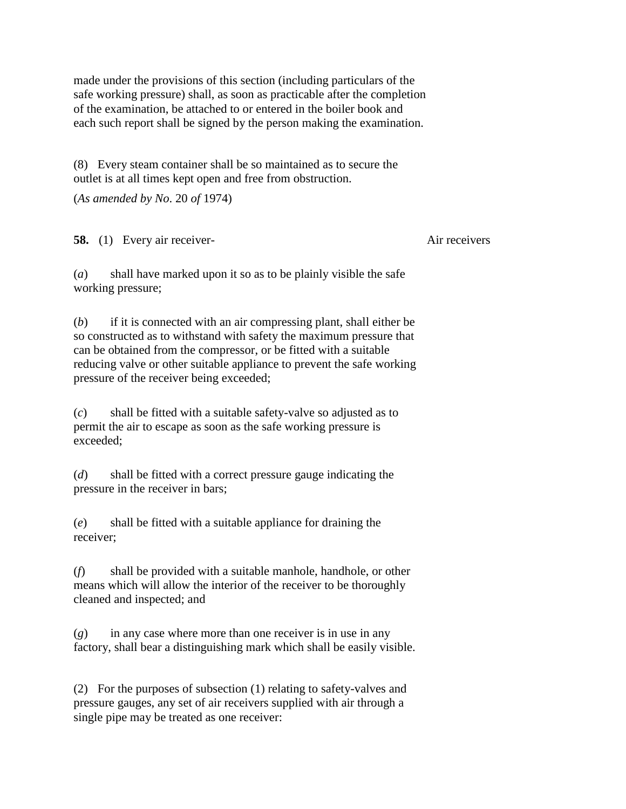made under the provisions of this section (including particulars of the safe working pressure) shall, as soon as practicable after the completion of the examination, be attached to or entered in the boiler book and each such report shall be signed by the person making the examination.

(8) Every steam container shall be so maintained as to secure the outlet is at all times kept open and free from obstruction.

(*As amended by No*. 20 *of* 1974)

**58.** (1) Every air receiver-<br>Air receivers

(*a*) shall have marked upon it so as to be plainly visible the safe working pressure;

(*b*) if it is connected with an air compressing plant, shall either be so constructed as to withstand with safety the maximum pressure that can be obtained from the compressor, or be fitted with a suitable reducing valve or other suitable appliance to prevent the safe working pressure of the receiver being exceeded;

(*c*) shall be fitted with a suitable safety-valve so adjusted as to permit the air to escape as soon as the safe working pressure is exceeded;

(*d*) shall be fitted with a correct pressure gauge indicating the pressure in the receiver in bars;

(*e*) shall be fitted with a suitable appliance for draining the receiver;

(*f*) shall be provided with a suitable manhole, handhole, or other means which will allow the interior of the receiver to be thoroughly cleaned and inspected; and

 $(g)$  in any case where more than one receiver is in use in any factory, shall bear a distinguishing mark which shall be easily visible.

(2) For the purposes of subsection (1) relating to safety-valves and pressure gauges, any set of air receivers supplied with air through a single pipe may be treated as one receiver: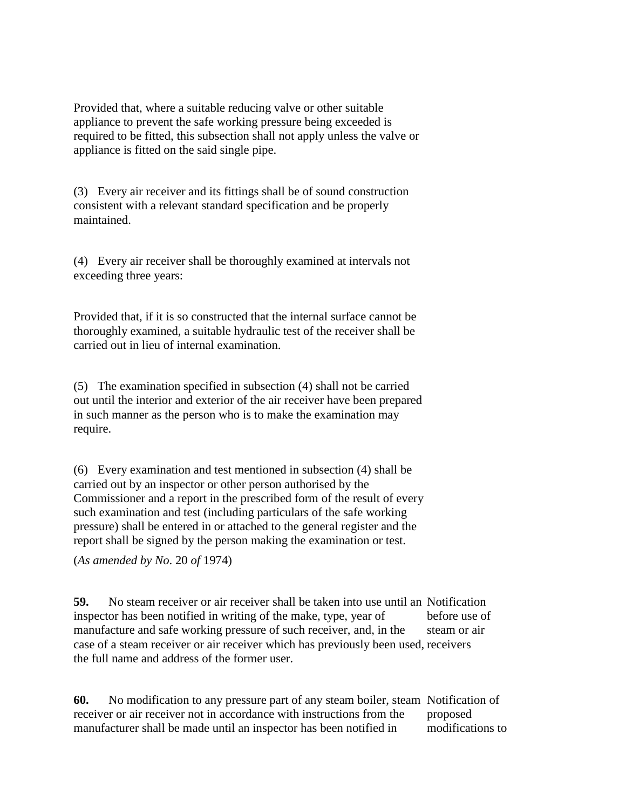Provided that, where a suitable reducing valve or other suitable appliance to prevent the safe working pressure being exceeded is required to be fitted, this subsection shall not apply unless the valve or appliance is fitted on the said single pipe.

(3) Every air receiver and its fittings shall be of sound construction consistent with a relevant standard specification and be properly maintained.

(4) Every air receiver shall be thoroughly examined at intervals not exceeding three years:

Provided that, if it is so constructed that the internal surface cannot be thoroughly examined, a suitable hydraulic test of the receiver shall be carried out in lieu of internal examination.

(5) The examination specified in subsection (4) shall not be carried out until the interior and exterior of the air receiver have been prepared in such manner as the person who is to make the examination may require.

(6) Every examination and test mentioned in subsection (4) shall be carried out by an inspector or other person authorised by the Commissioner and a report in the prescribed form of the result of every such examination and test (including particulars of the safe working pressure) shall be entered in or attached to the general register and the report shall be signed by the person making the examination or test.

(*As amended by No*. 20 *of* 1974)

**59.** No steam receiver or air receiver shall be taken into use until an Notification inspector has been notified in writing of the make, type, year of manufacture and safe working pressure of such receiver, and, in the case of a steam receiver or air receiver which has previously been used, receivers the full name and address of the former user. before use of steam or air

**60.** No modification to any pressure part of any steam boiler, steam Notification of receiver or air receiver not in accordance with instructions from the manufacturer shall be made until an inspector has been notified in proposed modifications to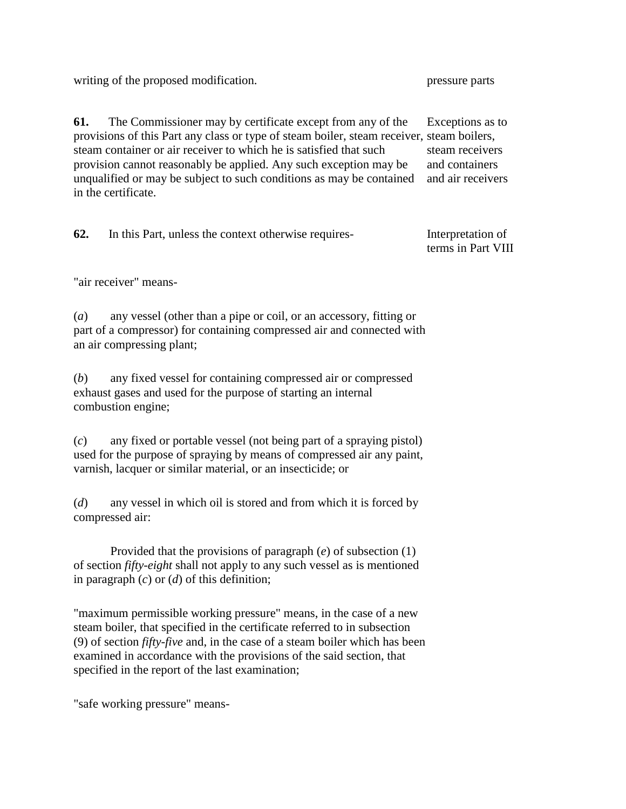writing of the proposed modification. pressure parts

**61.** The Commissioner may by certificate except from any of the provisions of this Part any class or type of steam boiler, steam receiver, steam boilers, steam container or air receiver to which he is satisfied that such provision cannot reasonably be applied. Any such exception may be unqualified or may be subject to such conditions as may be contained in the certificate. Exceptions as to steam receivers and containers and air receivers

**62.** In this Part, unless the context otherwise requires- Interpretation of

terms in Part VIII

"air receiver" means-

(*a*) any vessel (other than a pipe or coil, or an accessory, fitting or part of a compressor) for containing compressed air and connected with an air compressing plant;

(*b*) any fixed vessel for containing compressed air or compressed exhaust gases and used for the purpose of starting an internal combustion engine;

(*c*) any fixed or portable vessel (not being part of a spraying pistol) used for the purpose of spraying by means of compressed air any paint, varnish, lacquer or similar material, or an insecticide; or

(*d*) any vessel in which oil is stored and from which it is forced by compressed air:

Provided that the provisions of paragraph (*e*) of subsection (1) of section *fifty-eight* shall not apply to any such vessel as is mentioned in paragraph (*c*) or (*d*) of this definition;

"maximum permissible working pressure" means, in the case of a new steam boiler, that specified in the certificate referred to in subsection (9) of section *fifty-five* and, in the case of a steam boiler which has been examined in accordance with the provisions of the said section, that specified in the report of the last examination;

"safe working pressure" means-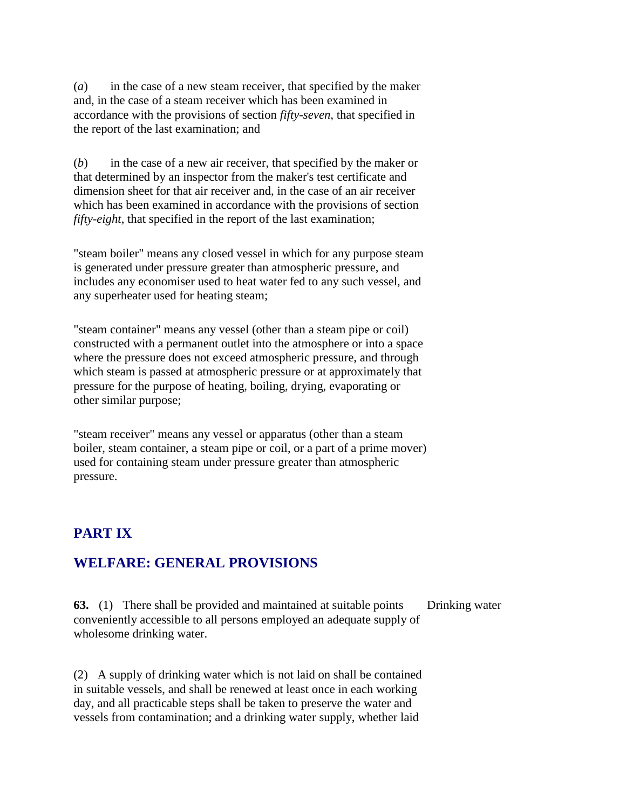(*a*) in the case of a new steam receiver, that specified by the maker and, in the case of a steam receiver which has been examined in accordance with the provisions of section *fifty-seven*, that specified in the report of the last examination; and

(*b*) in the case of a new air receiver, that specified by the maker or that determined by an inspector from the maker's test certificate and dimension sheet for that air receiver and, in the case of an air receiver which has been examined in accordance with the provisions of section *fifty-eight*, that specified in the report of the last examination;

"steam boiler" means any closed vessel in which for any purpose steam is generated under pressure greater than atmospheric pressure, and includes any economiser used to heat water fed to any such vessel, and any superheater used for heating steam;

"steam container" means any vessel (other than a steam pipe or coil) constructed with a permanent outlet into the atmosphere or into a space where the pressure does not exceed atmospheric pressure, and through which steam is passed at atmospheric pressure or at approximately that pressure for the purpose of heating, boiling, drying, evaporating or other similar purpose;

"steam receiver" means any vessel or apparatus (other than a steam boiler, steam container, a steam pipe or coil, or a part of a prime mover) used for containing steam under pressure greater than atmospheric pressure.

## **PART IX**

#### **WELFARE: GENERAL PROVISIONS**

**63.** (1) There shall be provided and maintained at suitable points conveniently accessible to all persons employed an adequate supply of wholesome drinking water. Drinking water

(2) A supply of drinking water which is not laid on shall be contained in suitable vessels, and shall be renewed at least once in each working day, and all practicable steps shall be taken to preserve the water and vessels from contamination; and a drinking water supply, whether laid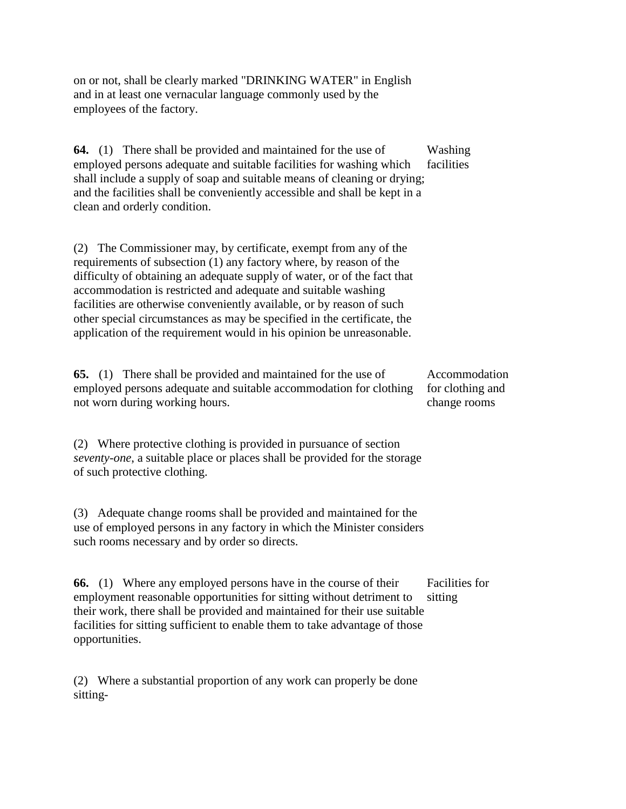on or not, shall be clearly marked "DRINKING WATER" in English and in at least one vernacular language commonly used by the employees of the factory.

**64.** (1) There shall be provided and maintained for the use of employed persons adequate and suitable facilities for washing which shall include a supply of soap and suitable means of cleaning or drying; and the facilities shall be conveniently accessible and shall be kept in a clean and orderly condition. Washing facilities

(2) The Commissioner may, by certificate, exempt from any of the requirements of subsection (1) any factory where, by reason of the difficulty of obtaining an adequate supply of water, or of the fact that accommodation is restricted and adequate and suitable washing facilities are otherwise conveniently available, or by reason of such other special circumstances as may be specified in the certificate, the application of the requirement would in his opinion be unreasonable.

**65.** (1) There shall be provided and maintained for the use of employed persons adequate and suitable accommodation for clothing not worn during working hours. Accommodation for clothing and change rooms

(2) Where protective clothing is provided in pursuance of section *seventy-one*, a suitable place or places shall be provided for the storage of such protective clothing.

(3) Adequate change rooms shall be provided and maintained for the use of employed persons in any factory in which the Minister considers such rooms necessary and by order so directs.

**66.** (1) Where any employed persons have in the course of their employment reasonable opportunities for sitting without detriment to their work, there shall be provided and maintained for their use suitable facilities for sitting sufficient to enable them to take advantage of those opportunities. Facilities for sitting

(2) Where a substantial proportion of any work can properly be done sitting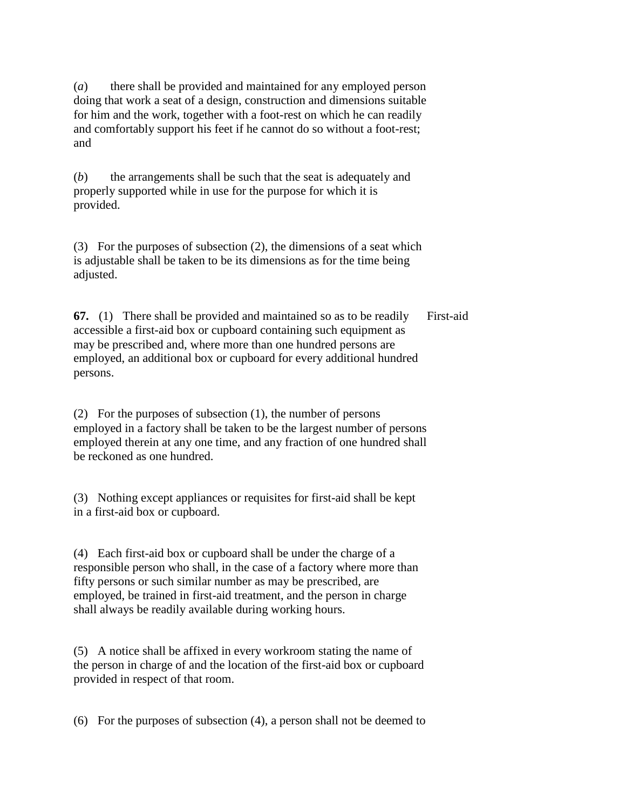(*a*) there shall be provided and maintained for any employed person doing that work a seat of a design, construction and dimensions suitable for him and the work, together with a foot-rest on which he can readily and comfortably support his feet if he cannot do so without a foot-rest; and

(*b*) the arrangements shall be such that the seat is adequately and properly supported while in use for the purpose for which it is provided.

(3) For the purposes of subsection (2), the dimensions of a seat which is adjustable shall be taken to be its dimensions as for the time being adjusted.

**67.** (1) There shall be provided and maintained so as to be readily accessible a first-aid box or cupboard containing such equipment as may be prescribed and, where more than one hundred persons are employed, an additional box or cupboard for every additional hundred persons. First-aid

(2) For the purposes of subsection (1), the number of persons employed in a factory shall be taken to be the largest number of persons employed therein at any one time, and any fraction of one hundred shall be reckoned as one hundred.

(3) Nothing except appliances or requisites for first-aid shall be kept in a first-aid box or cupboard.

(4) Each first-aid box or cupboard shall be under the charge of a responsible person who shall, in the case of a factory where more than fifty persons or such similar number as may be prescribed, are employed, be trained in first-aid treatment, and the person in charge shall always be readily available during working hours.

(5) A notice shall be affixed in every workroom stating the name of the person in charge of and the location of the first-aid box or cupboard provided in respect of that room.

(6) For the purposes of subsection (4), a person shall not be deemed to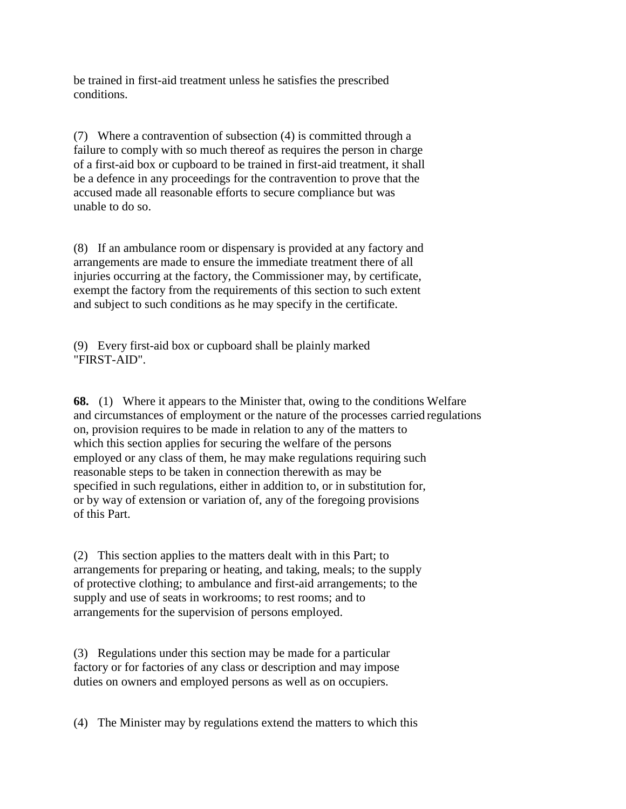be trained in first-aid treatment unless he satisfies the prescribed conditions.

(7) Where a contravention of subsection (4) is committed through a failure to comply with so much thereof as requires the person in charge of a first-aid box or cupboard to be trained in first-aid treatment, it shall be a defence in any proceedings for the contravention to prove that the accused made all reasonable efforts to secure compliance but was unable to do so.

(8) If an ambulance room or dispensary is provided at any factory and arrangements are made to ensure the immediate treatment there of all injuries occurring at the factory, the Commissioner may, by certificate, exempt the factory from the requirements of this section to such extent and subject to such conditions as he may specify in the certificate.

(9) Every first-aid box or cupboard shall be plainly marked "FIRST-AID".

**68.** (1) Where it appears to the Minister that, owing to the conditions Welfare and circumstances of employment or the nature of the processes carried regulations on, provision requires to be made in relation to any of the matters to which this section applies for securing the welfare of the persons employed or any class of them, he may make regulations requiring such reasonable steps to be taken in connection therewith as may be specified in such regulations, either in addition to, or in substitution for, or by way of extension or variation of, any of the foregoing provisions of this Part.

(2) This section applies to the matters dealt with in this Part; to arrangements for preparing or heating, and taking, meals; to the supply of protective clothing; to ambulance and first-aid arrangements; to the supply and use of seats in workrooms; to rest rooms; and to arrangements for the supervision of persons employed.

(3) Regulations under this section may be made for a particular factory or for factories of any class or description and may impose duties on owners and employed persons as well as on occupiers.

(4) The Minister may by regulations extend the matters to which this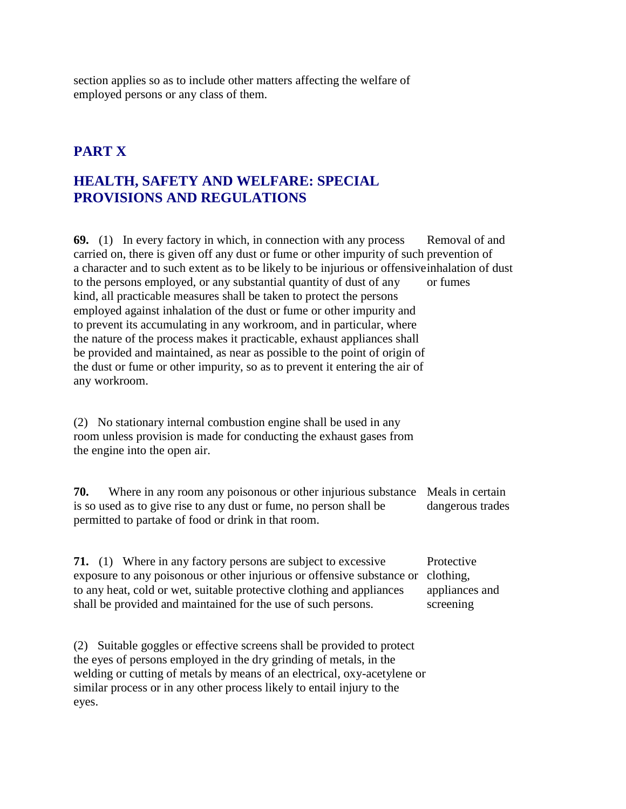section applies so as to include other matters affecting the welfare of employed persons or any class of them.

## **PART X**

### **HEALTH, SAFETY AND WELFARE: SPECIAL PROVISIONS AND REGULATIONS**

**69.** (1) In every factory in which, in connection with any process carried on, there is given off any dust or fume or other impurity of such prevention of a character and to such extent as to be likely to be injurious or offensive inhalation of dust to the persons employed, or any substantial quantity of dust of any kind, all practicable measures shall be taken to protect the persons employed against inhalation of the dust or fume or other impurity and to prevent its accumulating in any workroom, and in particular, where the nature of the process makes it practicable, exhaust appliances shall be provided and maintained, as near as possible to the point of origin of the dust or fume or other impurity, so as to prevent it entering the air of any workroom. Removal of and or fumes

(2) No stationary internal combustion engine shall be used in any room unless provision is made for conducting the exhaust gases from the engine into the open air.

**70.** Where in any room any poisonous or other injurious substance Meals in certain is so used as to give rise to any dust or fume, no person shall be permitted to partake of food or drink in that room. dangerous trades

**71.** (1) Where in any factory persons are subject to excessive exposure to any poisonous or other injurious or offensive substance or clothing, to any heat, cold or wet, suitable protective clothing and appliances shall be provided and maintained for the use of such persons. Protective appliances and screening

(2) Suitable goggles or effective screens shall be provided to protect the eyes of persons employed in the dry grinding of metals, in the welding or cutting of metals by means of an electrical, oxy-acetylene or similar process or in any other process likely to entail injury to the eyes.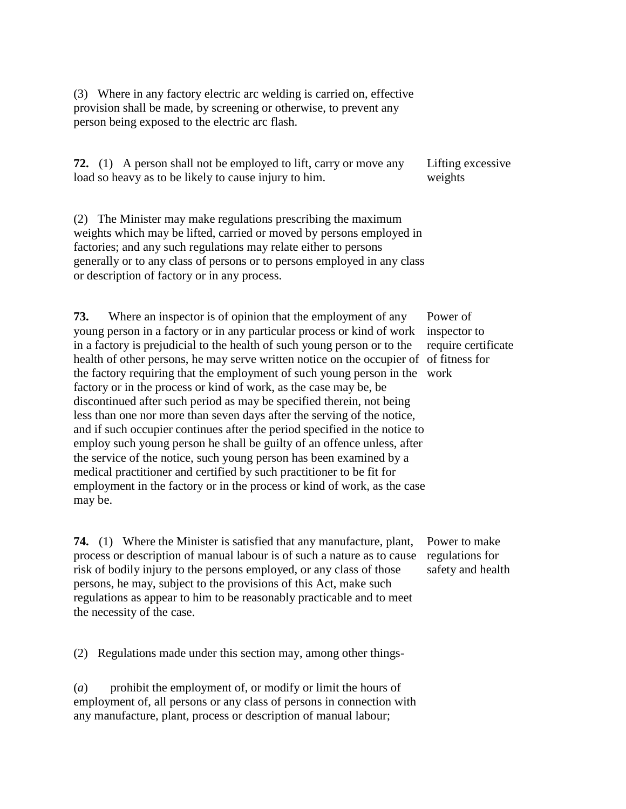(3) Where in any factory electric arc welding is carried on, effective provision shall be made, by screening or otherwise, to prevent any person being exposed to the electric arc flash.

**72.** (1) A person shall not be employed to lift, carry or move any load so heavy as to be likely to cause injury to him. Lifting excessive weights

(2) The Minister may make regulations prescribing the maximum weights which may be lifted, carried or moved by persons employed in factories; and any such regulations may relate either to persons generally or to any class of persons or to persons employed in any class or description of factory or in any process.

**73.** Where an inspector is of opinion that the employment of any young person in a factory or in any particular process or kind of work in a factory is prejudicial to the health of such young person or to the health of other persons, he may serve written notice on the occupier of of fitness for the factory requiring that the employment of such young person in the work factory or in the process or kind of work, as the case may be, be discontinued after such period as may be specified therein, not being less than one nor more than seven days after the serving of the notice, and if such occupier continues after the period specified in the notice to employ such young person he shall be guilty of an offence unless, after the service of the notice, such young person has been examined by a medical practitioner and certified by such practitioner to be fit for employment in the factory or in the process or kind of work, as the case may be.

**74.** (1) Where the Minister is satisfied that any manufacture, plant, process or description of manual labour is of such a nature as to cause risk of bodily injury to the persons employed, or any class of those persons, he may, subject to the provisions of this Act, make such regulations as appear to him to be reasonably practicable and to meet the necessity of the case.

Power of inspector to require certificate

Power to make regulations for safety and health

(2) Regulations made under this section may, among other things-

(*a*) prohibit the employment of, or modify or limit the hours of employment of, all persons or any class of persons in connection with any manufacture, plant, process or description of manual labour;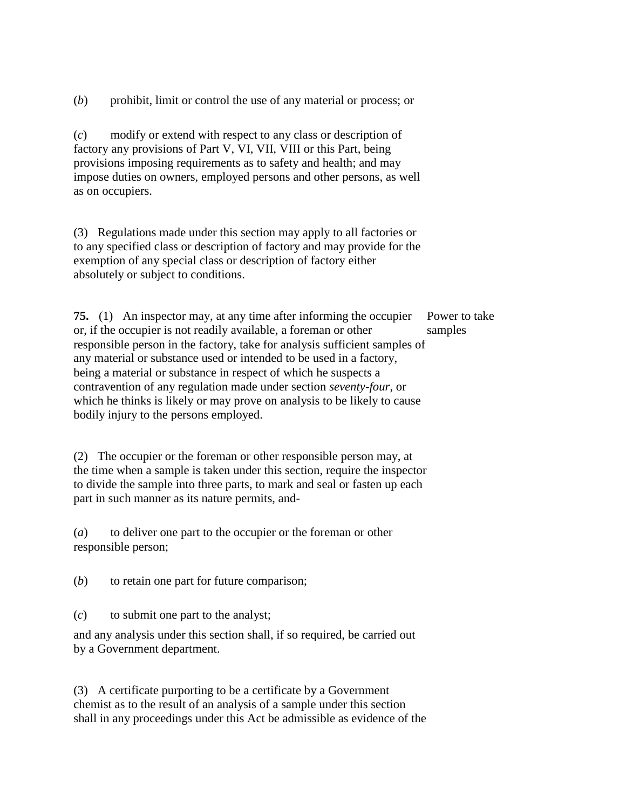(*b*) prohibit, limit or control the use of any material or process; or

(*c*) modify or extend with respect to any class or description of factory any provisions of Part V, VI, VII, VIII or this Part, being provisions imposing requirements as to safety and health; and may impose duties on owners, employed persons and other persons, as well as on occupiers.

(3) Regulations made under this section may apply to all factories or to any specified class or description of factory and may provide for the exemption of any special class or description of factory either absolutely or subject to conditions.

**75.** (1) An inspector may, at any time after informing the occupier or, if the occupier is not readily available, a foreman or other responsible person in the factory, take for analysis sufficient samples of any material or substance used or intended to be used in a factory, being a material or substance in respect of which he suspects a contravention of any regulation made under section *seventy-four*, or which he thinks is likely or may prove on analysis to be likely to cause bodily injury to the persons employed. Power to take samples

(2) The occupier or the foreman or other responsible person may, at the time when a sample is taken under this section, require the inspector to divide the sample into three parts, to mark and seal or fasten up each part in such manner as its nature permits, and-

(*a*) to deliver one part to the occupier or the foreman or other responsible person;

(*b*) to retain one part for future comparison;

(*c*) to submit one part to the analyst;

and any analysis under this section shall, if so required, be carried out by a Government department.

(3) A certificate purporting to be a certificate by a Government chemist as to the result of an analysis of a sample under this section shall in any proceedings under this Act be admissible as evidence of the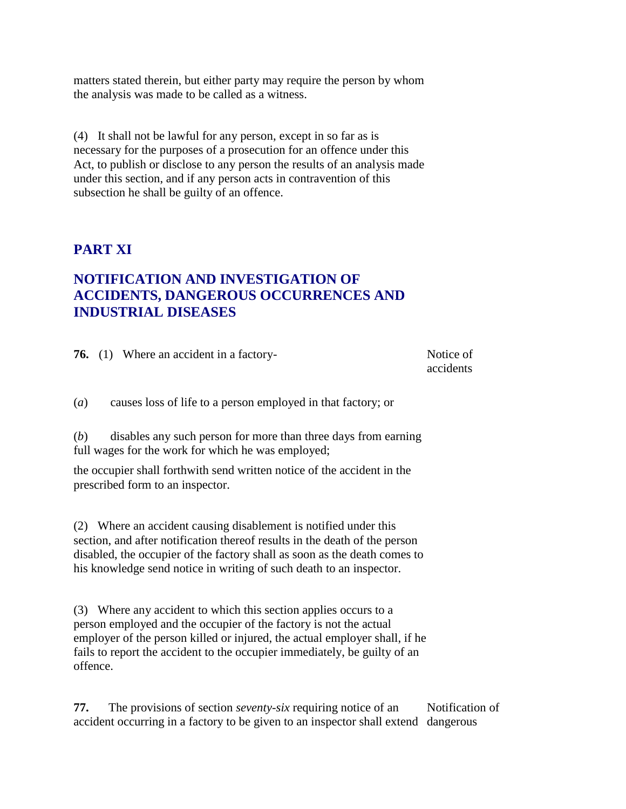matters stated therein, but either party may require the person by whom the analysis was made to be called as a witness.

(4) It shall not be lawful for any person, except in so far as is necessary for the purposes of a prosecution for an offence under this Act, to publish or disclose to any person the results of an analysis made under this section, and if any person acts in contravention of this subsection he shall be guilty of an offence.

#### **PART XI**

### **NOTIFICATION AND INVESTIGATION OF ACCIDENTS, DANGEROUS OCCURRENCES AND INDUSTRIAL DISEASES**

|     | <b>76.</b> (1) Where an accident in a factory-                                                                       | Notice of<br>accidents |
|-----|----------------------------------------------------------------------------------------------------------------------|------------------------|
| (a) | causes loss of life to a person employed in that factory; or                                                         |                        |
| (b) | disables any such person for more than three days from earning<br>full wages for the work for which he was employed; |                        |
|     | the occupier shall forthwith send written notice of the accident in the<br>prescribed form to an inspector.          |                        |
|     |                                                                                                                      |                        |

(2) Where an accident causing disablement is notified under this section, and after notification thereof results in the death of the person disabled, the occupier of the factory shall as soon as the death comes to his knowledge send notice in writing of such death to an inspector.

(3) Where any accident to which this section applies occurs to a person employed and the occupier of the factory is not the actual employer of the person killed or injured, the actual employer shall, if he fails to report the accident to the occupier immediately, be guilty of an offence.

**77.** The provisions of section *seventy-six* requiring notice of an accident occurring in a factory to be given to an inspector shall extend dangerous Notification of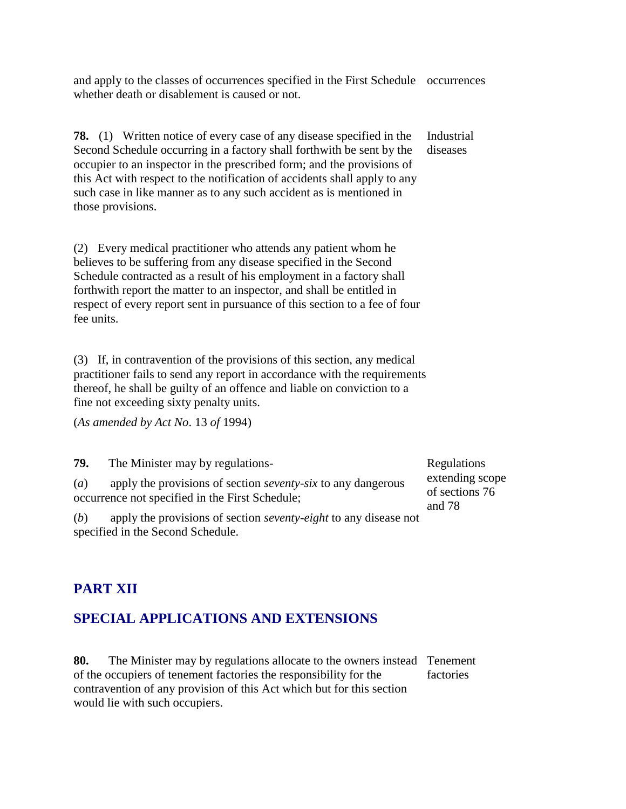and apply to the classes of occurrences specified in the First Schedule occurrences whether death or disablement is caused or not.

**78.** (1) Written notice of every case of any disease specified in the Second Schedule occurring in a factory shall forthwith be sent by the occupier to an inspector in the prescribed form; and the provisions of this Act with respect to the notification of accidents shall apply to any such case in like manner as to any such accident as is mentioned in those provisions.

(2) Every medical practitioner who attends any patient whom he believes to be suffering from any disease specified in the Second Schedule contracted as a result of his employment in a factory shall forthwith report the matter to an inspector, and shall be entitled in respect of every report sent in pursuance of this section to a fee of four fee units.

(3) If, in contravention of the provisions of this section, any medical practitioner fails to send any report in accordance with the requirements thereof, he shall be guilty of an offence and liable on conviction to a fine not exceeding sixty penalty units.

(*As amended by Act No*. 13 *of* 1994)

**79.** The Minister may by regulations- (*a*) apply the provisions of section *seventy-six* to any dangerous occurrence not specified in the First Schedule;

Regulations extending scope of sections 76 and 78

(*b*) apply the provisions of section *seventy-eight* to any disease not specified in the Second Schedule.

# **PART XII**

## **SPECIAL APPLICATIONS AND EXTENSIONS**

**80.** The Minister may by regulations allocate to the owners instead Tenement of the occupiers of tenement factories the responsibility for the contravention of any provision of this Act which but for this section would lie with such occupiers. factories

Industrial diseases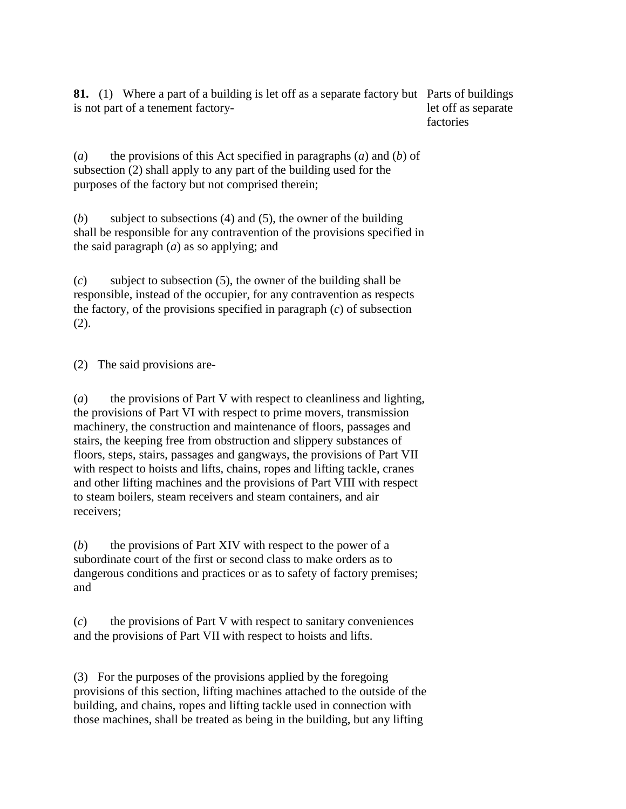**81.** (1) Where a part of a building is let off as a separate factory but Parts of buildings is not part of a tenement factorylet off as separate factories

(*a*) the provisions of this Act specified in paragraphs (*a*) and (*b*) of subsection (2) shall apply to any part of the building used for the purposes of the factory but not comprised therein;

(*b*) subject to subsections (4) and (5), the owner of the building shall be responsible for any contravention of the provisions specified in the said paragraph (*a*) as so applying; and

(*c*) subject to subsection (5), the owner of the building shall be responsible, instead of the occupier, for any contravention as respects the factory, of the provisions specified in paragraph (*c*) of subsection (2).

(2) The said provisions are-

(*a*) the provisions of Part V with respect to cleanliness and lighting, the provisions of Part VI with respect to prime movers, transmission machinery, the construction and maintenance of floors, passages and stairs, the keeping free from obstruction and slippery substances of floors, steps, stairs, passages and gangways, the provisions of Part VII with respect to hoists and lifts, chains, ropes and lifting tackle, cranes and other lifting machines and the provisions of Part VIII with respect to steam boilers, steam receivers and steam containers, and air receivers;

(*b*) the provisions of Part XIV with respect to the power of a subordinate court of the first or second class to make orders as to dangerous conditions and practices or as to safety of factory premises; and

(*c*) the provisions of Part V with respect to sanitary conveniences and the provisions of Part VII with respect to hoists and lifts.

(3) For the purposes of the provisions applied by the foregoing provisions of this section, lifting machines attached to the outside of the building, and chains, ropes and lifting tackle used in connection with those machines, shall be treated as being in the building, but any lifting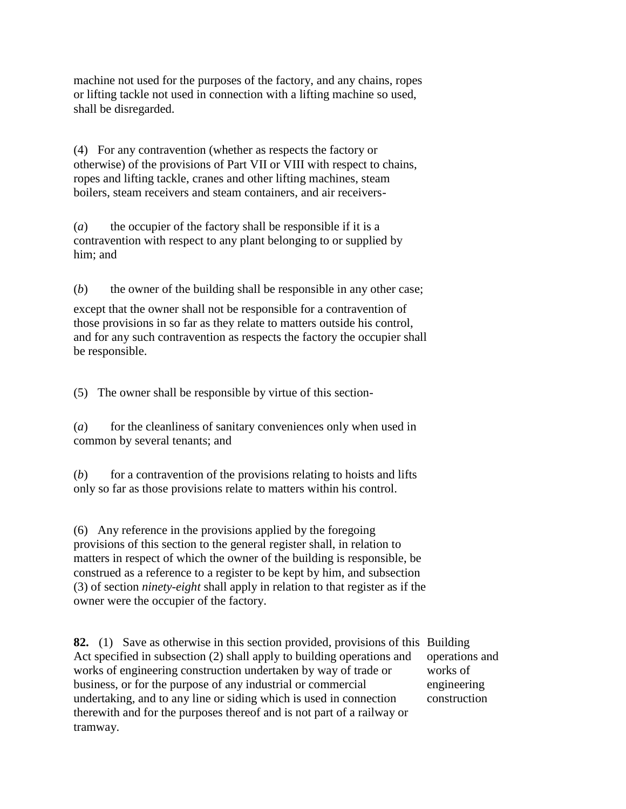machine not used for the purposes of the factory, and any chains, ropes or lifting tackle not used in connection with a lifting machine so used, shall be disregarded.

(4) For any contravention (whether as respects the factory or otherwise) of the provisions of Part VII or VIII with respect to chains, ropes and lifting tackle, cranes and other lifting machines, steam boilers, steam receivers and steam containers, and air receivers-

(*a*) the occupier of the factory shall be responsible if it is a contravention with respect to any plant belonging to or supplied by him; and

(*b*) the owner of the building shall be responsible in any other case;

except that the owner shall not be responsible for a contravention of those provisions in so far as they relate to matters outside his control, and for any such contravention as respects the factory the occupier shall be responsible.

(5) The owner shall be responsible by virtue of this section-

(*a*) for the cleanliness of sanitary conveniences only when used in common by several tenants; and

(*b*) for a contravention of the provisions relating to hoists and lifts only so far as those provisions relate to matters within his control.

(6) Any reference in the provisions applied by the foregoing provisions of this section to the general register shall, in relation to matters in respect of which the owner of the building is responsible, be construed as a reference to a register to be kept by him, and subsection (3) of section *ninety-eight* shall apply in relation to that register as if the owner were the occupier of the factory.

**82.** (1) Save as otherwise in this section provided, provisions of this Building Act specified in subsection (2) shall apply to building operations and works of engineering construction undertaken by way of trade or business, or for the purpose of any industrial or commercial undertaking, and to any line or siding which is used in connection therewith and for the purposes thereof and is not part of a railway or tramway.

operations and works of engineering construction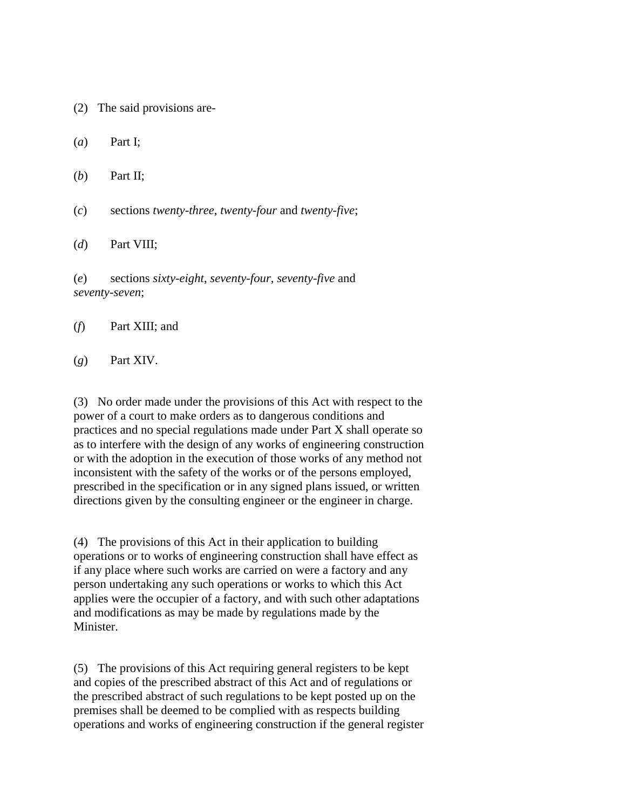- (2) The said provisions are-
- (*a*) Part I;
- (*b*) Part II;
- (*c*) sections *twenty-three*, *twenty-four* and *twenty-five*;
- (*d*) Part VIII;

(*e*) sections *sixty-eight*, *seventy-four*, *seventy-five* and *seventy-seven*;

- (*f*) Part XIII; and
- (*g*) Part XIV.

(3) No order made under the provisions of this Act with respect to the power of a court to make orders as to dangerous conditions and practices and no special regulations made under Part X shall operate so as to interfere with the design of any works of engineering construction or with the adoption in the execution of those works of any method not inconsistent with the safety of the works or of the persons employed, prescribed in the specification or in any signed plans issued, or written directions given by the consulting engineer or the engineer in charge.

(4) The provisions of this Act in their application to building operations or to works of engineering construction shall have effect as if any place where such works are carried on were a factory and any person undertaking any such operations or works to which this Act applies were the occupier of a factory, and with such other adaptations and modifications as may be made by regulations made by the **Minister** 

(5) The provisions of this Act requiring general registers to be kept and copies of the prescribed abstract of this Act and of regulations or the prescribed abstract of such regulations to be kept posted up on the premises shall be deemed to be complied with as respects building operations and works of engineering construction if the general register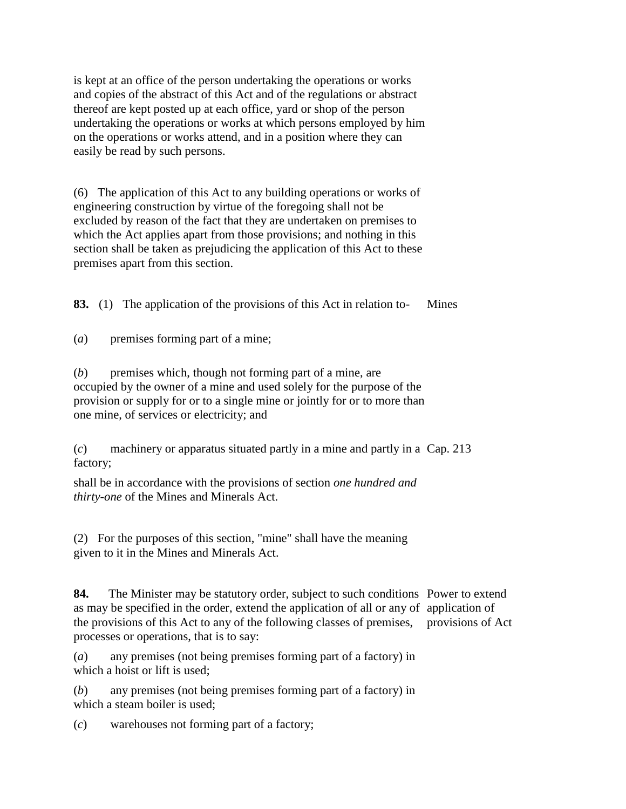is kept at an office of the person undertaking the operations or works and copies of the abstract of this Act and of the regulations or abstract thereof are kept posted up at each office, yard or shop of the person undertaking the operations or works at which persons employed by him on the operations or works attend, and in a position where they can easily be read by such persons.

(6) The application of this Act to any building operations or works of engineering construction by virtue of the foregoing shall not be excluded by reason of the fact that they are undertaken on premises to which the Act applies apart from those provisions; and nothing in this section shall be taken as prejudicing the application of this Act to these premises apart from this section.

**83.** (1) The application of the provisions of this Act in relation to- Mines

(*a*) premises forming part of a mine;

(*b*) premises which, though not forming part of a mine, are occupied by the owner of a mine and used solely for the purpose of the provision or supply for or to a single mine or jointly for or to more than one mine, of services or electricity; and

(*c*) machinery or apparatus situated partly in a mine and partly in a Cap. 213 factory;

shall be in accordance with the provisions of section *one hundred and thirty-one* of the Mines and Minerals Act.

(2) For the purposes of this section, "mine" shall have the meaning given to it in the Mines and Minerals Act.

**84.** The Minister may be statutory order, subject to such conditions Power to extend as may be specified in the order, extend the application of all or any of application of the provisions of this Act to any of the following classes of premises, provisions of Actprocesses or operations, that is to say:

(*a*) any premises (not being premises forming part of a factory) in which a hoist or lift is used;

(*b*) any premises (not being premises forming part of a factory) in which a steam boiler is used;

(*c*) warehouses not forming part of a factory;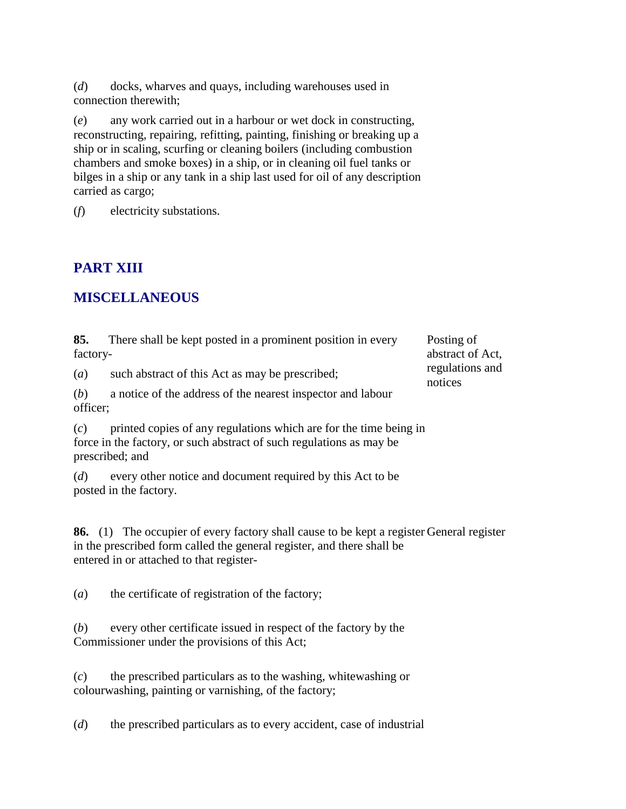(*d*) docks, wharves and quays, including warehouses used in connection therewith;

(*e*) any work carried out in a harbour or wet dock in constructing, reconstructing, repairing, refitting, painting, finishing or breaking up a ship or in scaling, scurfing or cleaning boilers (including combustion chambers and smoke boxes) in a ship, or in cleaning oil fuel tanks or bilges in a ship or any tank in a ship last used for oil of any description carried as cargo;

(*f*) electricity substations.

### **PART XIII**

#### **MISCELLANEOUS**

**85.** There shall be kept posted in a prominent position in every factory-

Posting of abstract of Act, regulations and notices

(*a*) such abstract of this Act as may be prescribed;

(*b*) a notice of the address of the nearest inspector and labour officer;

(*c*) printed copies of any regulations which are for the time being in force in the factory, or such abstract of such regulations as may be prescribed; and

(*d*) every other notice and document required by this Act to be posted in the factory.

**86.** (1) The occupier of every factory shall cause to be kept a register General register in the prescribed form called the general register, and there shall be entered in or attached to that register-

(*a*) the certificate of registration of the factory;

(*b*) every other certificate issued in respect of the factory by the Commissioner under the provisions of this Act;

(*c*) the prescribed particulars as to the washing, whitewashing or colourwashing, painting or varnishing, of the factory;

(*d*) the prescribed particulars as to every accident, case of industrial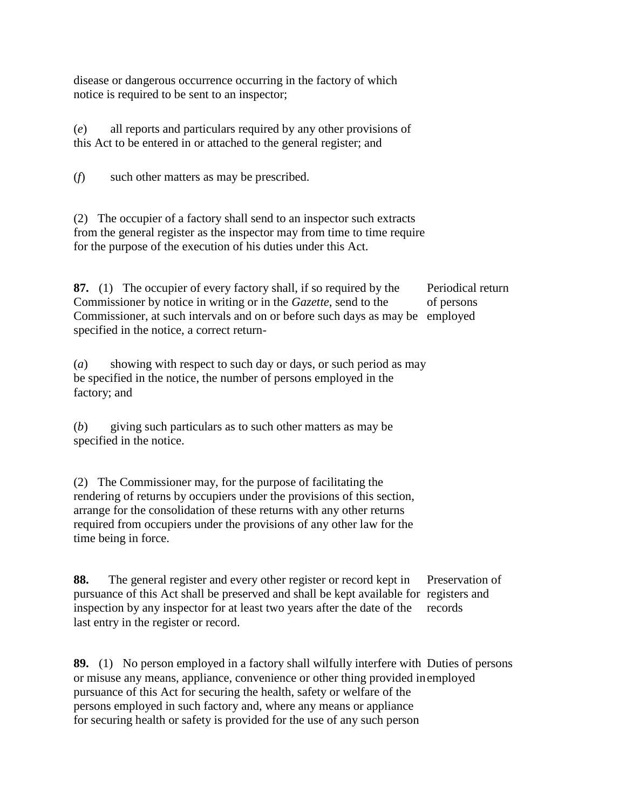disease or dangerous occurrence occurring in the factory of which notice is required to be sent to an inspector;

(*e*) all reports and particulars required by any other provisions of this Act to be entered in or attached to the general register; and

(*f*) such other matters as may be prescribed.

(2) The occupier of a factory shall send to an inspector such extracts from the general register as the inspector may from time to time require for the purpose of the execution of his duties under this Act.

**87.** (1) The occupier of every factory shall, if so required by the Commissioner by notice in writing or in the *Gazette*, send to the Commissioner, at such intervals and on or before such days as may be employed specified in the notice, a correct return-Periodical return of persons

(*a*) showing with respect to such day or days, or such period as may be specified in the notice, the number of persons employed in the factory; and

(*b*) giving such particulars as to such other matters as may be specified in the notice.

(2) The Commissioner may, for the purpose of facilitating the rendering of returns by occupiers under the provisions of this section, arrange for the consolidation of these returns with any other returns required from occupiers under the provisions of any other law for the time being in force.

**88.** The general register and every other register or record kept in pursuance of this Act shall be preserved and shall be kept available for registers and inspection by any inspector for at least two years after the date of the last entry in the register or record. Preservation of records

**89.** (1) No person employed in a factory shall wilfully interfere with Duties of persons or misuse any means, appliance, convenience or other thing provided in employedpursuance of this Act for securing the health, safety or welfare of the persons employed in such factory and, where any means or appliance for securing health or safety is provided for the use of any such person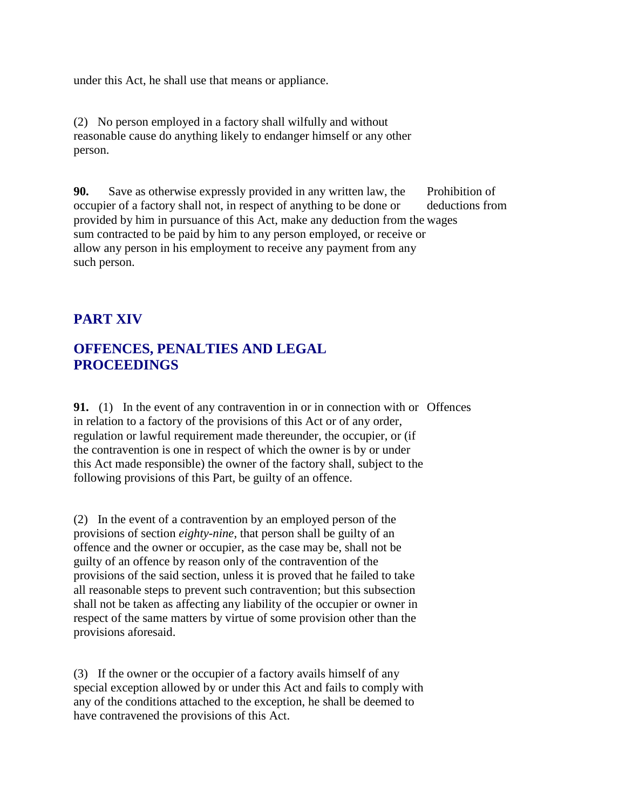under this Act, he shall use that means or appliance.

(2) No person employed in a factory shall wilfully and without reasonable cause do anything likely to endanger himself or any other person.

**90.** Save as otherwise expressly provided in any written law, the occupier of a factory shall not, in respect of anything to be done or provided by him in pursuance of this Act, make any deduction from the wages sum contracted to be paid by him to any person employed, or receive or allow any person in his employment to receive any payment from any such person. Prohibition of deductions from

### **PART XIV**

### **OFFENCES, PENALTIES AND LEGAL PROCEEDINGS**

**91.** (1) In the event of any contravention in or in connection with or Offences in relation to a factory of the provisions of this Act or of any order, regulation or lawful requirement made thereunder, the occupier, or (if the contravention is one in respect of which the owner is by or under this Act made responsible) the owner of the factory shall, subject to the following provisions of this Part, be guilty of an offence.

(2) In the event of a contravention by an employed person of the provisions of section *eighty-nine*, that person shall be guilty of an offence and the owner or occupier, as the case may be, shall not be guilty of an offence by reason only of the contravention of the provisions of the said section, unless it is proved that he failed to take all reasonable steps to prevent such contravention; but this subsection shall not be taken as affecting any liability of the occupier or owner in respect of the same matters by virtue of some provision other than the provisions aforesaid.

(3) If the owner or the occupier of a factory avails himself of any special exception allowed by or under this Act and fails to comply with any of the conditions attached to the exception, he shall be deemed to have contravened the provisions of this Act.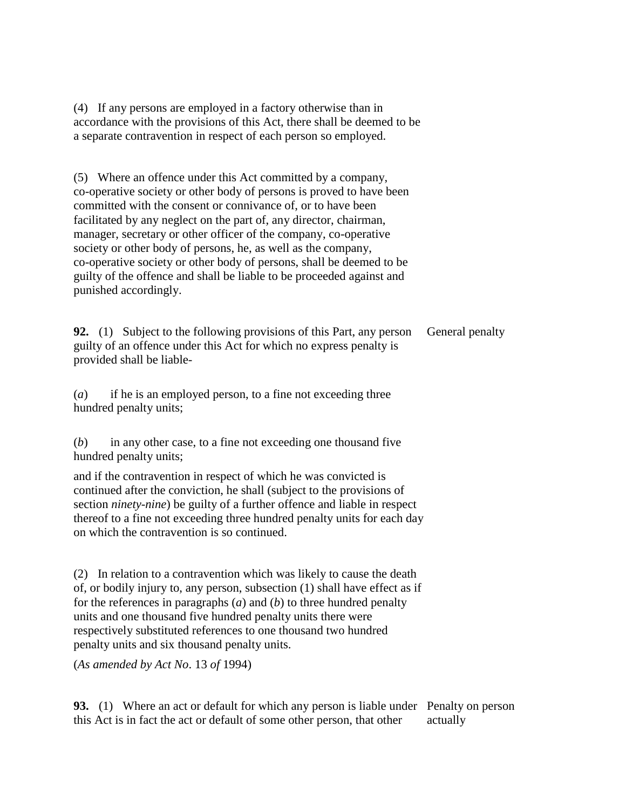(4) If any persons are employed in a factory otherwise than in accordance with the provisions of this Act, there shall be deemed to be a separate contravention in respect of each person so employed.

(5) Where an offence under this Act committed by a company, co-operative society or other body of persons is proved to have been committed with the consent or connivance of, or to have been facilitated by any neglect on the part of, any director, chairman, manager, secretary or other officer of the company, co-operative society or other body of persons, he, as well as the company, co-operative society or other body of persons, shall be deemed to be guilty of the offence and shall be liable to be proceeded against and punished accordingly.

**92.** (1) Subject to the following provisions of this Part, any person guilty of an offence under this Act for which no express penalty is provided shall be liable-General penalty

(*a*) if he is an employed person, to a fine not exceeding three hundred penalty units;

(*b*) in any other case, to a fine not exceeding one thousand five hundred penalty units;

and if the contravention in respect of which he was convicted is continued after the conviction, he shall (subject to the provisions of section *ninety-nine*) be guilty of a further offence and liable in respect thereof to a fine not exceeding three hundred penalty units for each day on which the contravention is so continued.

(2) In relation to a contravention which was likely to cause the death of, or bodily injury to, any person, subsection (1) shall have effect as if for the references in paragraphs (*a*) and (*b*) to three hundred penalty units and one thousand five hundred penalty units there were respectively substituted references to one thousand two hundred penalty units and six thousand penalty units.

(*As amended by Act No*. 13 *of* 1994)

**93.** (1) Where an act or default for which any person is liable under Penalty on person this Act is in fact the act or default of some other person, that other actually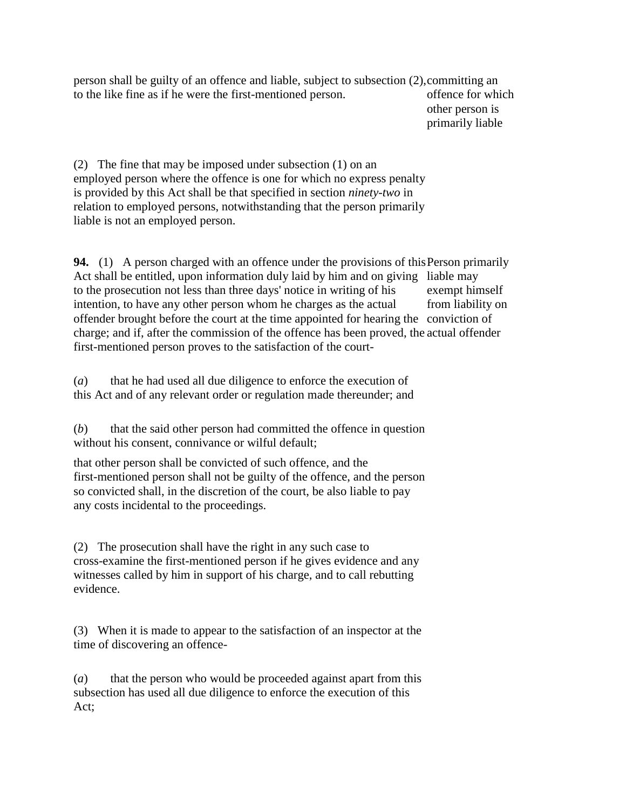person shall be guilty of an offence and liable, subject to subsection (2), committing an to the like fine as if he were the first-mentioned person. offence for which

other person is primarily liable

(2) The fine that may be imposed under subsection (1) on an employed person where the offence is one for which no express penalty is provided by this Act shall be that specified in section *ninety-two* in relation to employed persons, notwithstanding that the person primarily liable is not an employed person.

**94.** (1) A person charged with an offence under the provisions of this Person primarily Act shall be entitled, upon information duly laid by him and on giving liable may to the prosecution not less than three days' notice in writing of his intention, to have any other person whom he charges as the actual offender brought before the court at the time appointed for hearing the conviction of charge; and if, after the commission of the offence has been proved, the actual offender first-mentioned person proves to the satisfaction of the courtexempt himself from liability on

(*a*) that he had used all due diligence to enforce the execution of this Act and of any relevant order or regulation made thereunder; and

(*b*) that the said other person had committed the offence in question without his consent, connivance or wilful default;

that other person shall be convicted of such offence, and the first-mentioned person shall not be guilty of the offence, and the person so convicted shall, in the discretion of the court, be also liable to pay any costs incidental to the proceedings.

(2) The prosecution shall have the right in any such case to cross-examine the first-mentioned person if he gives evidence and any witnesses called by him in support of his charge, and to call rebutting evidence.

(3) When it is made to appear to the satisfaction of an inspector at the time of discovering an offence-

(*a*) that the person who would be proceeded against apart from this subsection has used all due diligence to enforce the execution of this Act;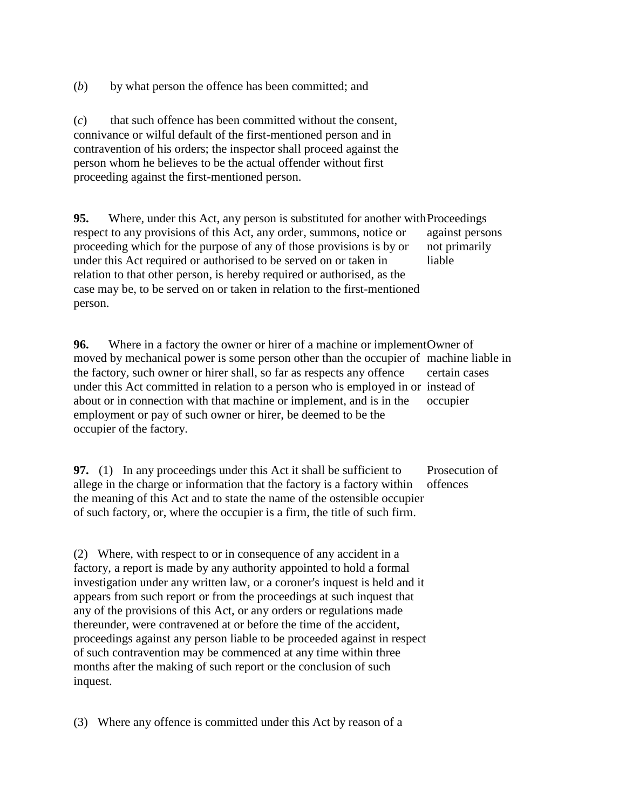(*b*) by what person the offence has been committed; and

(*c*) that such offence has been committed without the consent, connivance or wilful default of the first-mentioned person and in contravention of his orders; the inspector shall proceed against the person whom he believes to be the actual offender without first proceeding against the first-mentioned person.

**95.** Where, under this Act, any person is substituted for another with Proceedings respect to any provisions of this Act, any order, summons, notice or proceeding which for the purpose of any of those provisions is by or under this Act required or authorised to be served on or taken in relation to that other person, is hereby required or authorised, as the case may be, to be served on or taken in relation to the first-mentioned person. against persons not primarily liable

**96.** Where in a factory the owner or hirer of a machine or implement Owner of moved by mechanical power is some person other than the occupier of machine liable in the factory, such owner or hirer shall, so far as respects any offence under this Act committed in relation to a person who is employed in or instead of about or in connection with that machine or implement, and is in the employment or pay of such owner or hirer, be deemed to be the occupier of the factory. certain cases occupier

**97.** (1) In any proceedings under this Act it shall be sufficient to allege in the charge or information that the factory is a factory within the meaning of this Act and to state the name of the ostensible occupier of such factory, or, where the occupier is a firm, the title of such firm. Prosecution of offences

(2) Where, with respect to or in consequence of any accident in a factory, a report is made by any authority appointed to hold a formal investigation under any written law, or a coroner's inquest is held and it appears from such report or from the proceedings at such inquest that any of the provisions of this Act, or any orders or regulations made thereunder, were contravened at or before the time of the accident, proceedings against any person liable to be proceeded against in respect of such contravention may be commenced at any time within three months after the making of such report or the conclusion of such inquest.

(3) Where any offence is committed under this Act by reason of a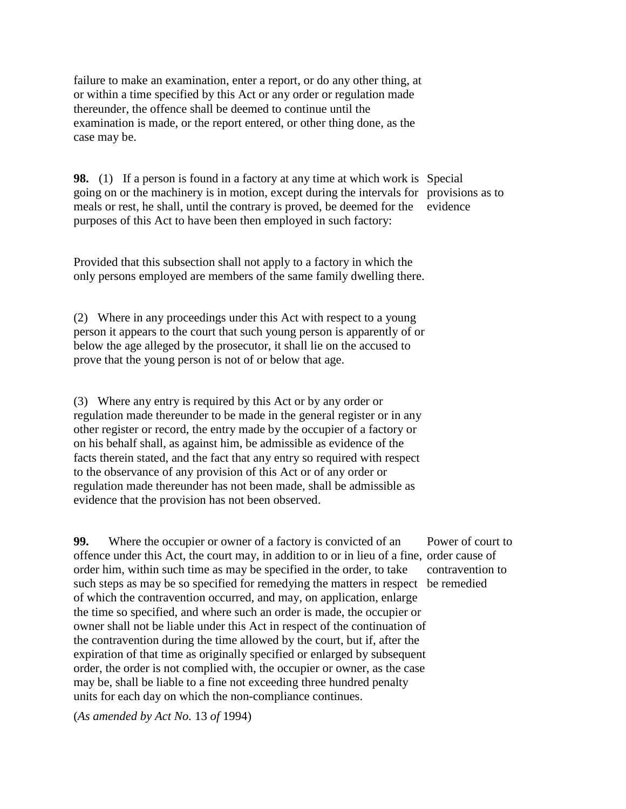failure to make an examination, enter a report, or do any other thing, at or within a time specified by this Act or any order or regulation made thereunder, the offence shall be deemed to continue until the examination is made, or the report entered, or other thing done, as the case may be.

**98.** (1) If a person is found in a factory at any time at which work is Special going on or the machinery is in motion, except during the intervals for provisions as to meals or rest, he shall, until the contrary is proved, be deemed for the purposes of this Act to have been then employed in such factory: evidence

Provided that this subsection shall not apply to a factory in which the only persons employed are members of the same family dwelling there.

(2) Where in any proceedings under this Act with respect to a young person it appears to the court that such young person is apparently of or below the age alleged by the prosecutor, it shall lie on the accused to prove that the young person is not of or below that age.

(3) Where any entry is required by this Act or by any order or regulation made thereunder to be made in the general register or in any other register or record, the entry made by the occupier of a factory or on his behalf shall, as against him, be admissible as evidence of the facts therein stated, and the fact that any entry so required with respect to the observance of any provision of this Act or of any order or regulation made thereunder has not been made, shall be admissible as evidence that the provision has not been observed.

**99.** Where the occupier or owner of a factory is convicted of an offence under this Act, the court may, in addition to or in lieu of a fine, order cause of order him, within such time as may be specified in the order, to take such steps as may be so specified for remedying the matters in respect be remediedof which the contravention occurred, and may, on application, enlarge the time so specified, and where such an order is made, the occupier or owner shall not be liable under this Act in respect of the continuation of the contravention during the time allowed by the court, but if, after the expiration of that time as originally specified or enlarged by subsequent order, the order is not complied with, the occupier or owner, as the case may be, shall be liable to a fine not exceeding three hundred penalty units for each day on which the non-compliance continues.

(*As amended by Act No.* 13 *of* 1994)

Power of court to contravention to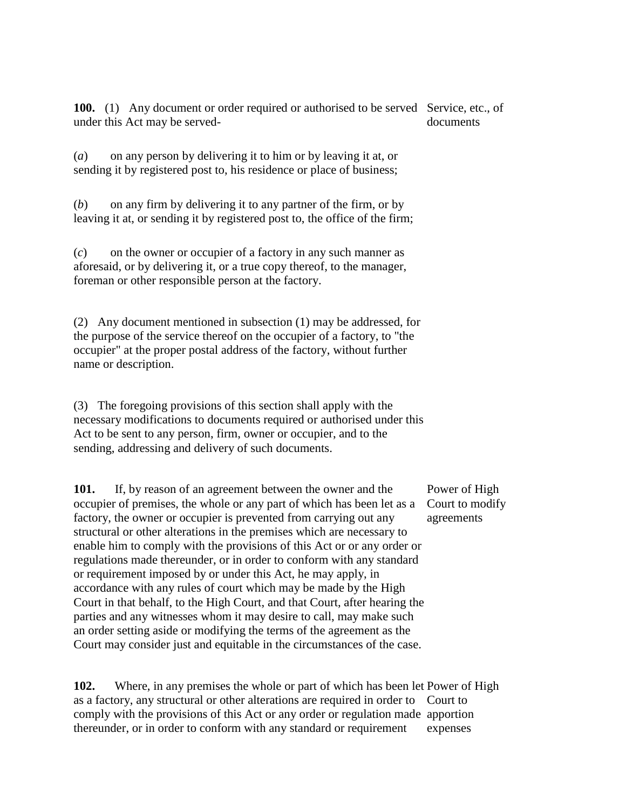100. (1) Any document or order required or authorised to be served Service, etc., of under this Act may be serveddocuments

(*a*) on any person by delivering it to him or by leaving it at, or sending it by registered post to, his residence or place of business;

(*b*) on any firm by delivering it to any partner of the firm, or by leaving it at, or sending it by registered post to, the office of the firm;

(*c*) on the owner or occupier of a factory in any such manner as aforesaid, or by delivering it, or a true copy thereof, to the manager, foreman or other responsible person at the factory.

(2) Any document mentioned in subsection (1) may be addressed, for the purpose of the service thereof on the occupier of a factory, to "the occupier" at the proper postal address of the factory, without further name or description.

(3) The foregoing provisions of this section shall apply with the necessary modifications to documents required or authorised under this Act to be sent to any person, firm, owner or occupier, and to the sending, addressing and delivery of such documents.

**101.** If, by reason of an agreement between the owner and the occupier of premises, the whole or any part of which has been let as a factory, the owner or occupier is prevented from carrying out any structural or other alterations in the premises which are necessary to enable him to comply with the provisions of this Act or or any order or regulations made thereunder, or in order to conform with any standard or requirement imposed by or under this Act, he may apply, in accordance with any rules of court which may be made by the High Court in that behalf, to the High Court, and that Court, after hearing the parties and any witnesses whom it may desire to call, may make such an order setting aside or modifying the terms of the agreement as the Court may consider just and equitable in the circumstances of the case. agreements

**102.** Where, in any premises the whole or part of which has been let Power of High as a factory, any structural or other alterations are required in order to Court to comply with the provisions of this Act or any order or regulation made apportion thereunder, or in order to conform with any standard or requirement expenses

Power of High Court to modify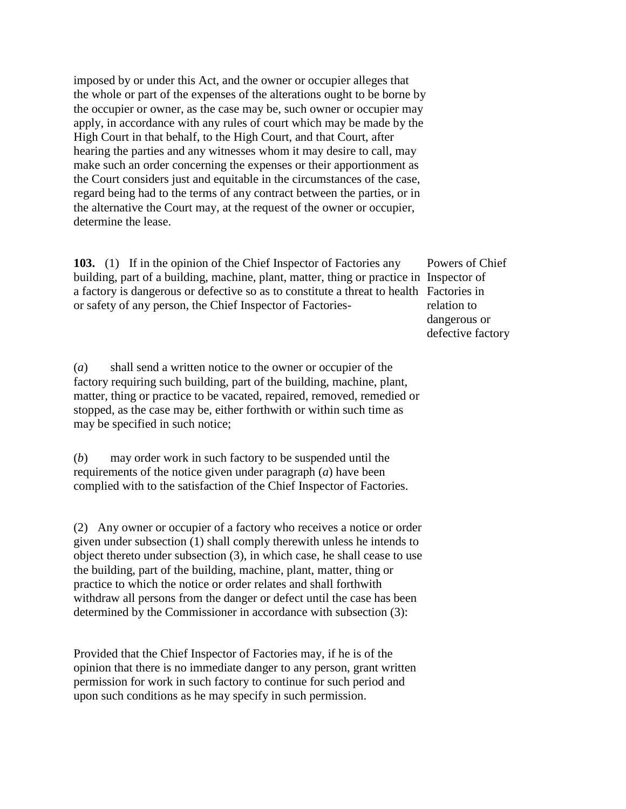imposed by or under this Act, and the owner or occupier alleges that the whole or part of the expenses of the alterations ought to be borne by the occupier or owner, as the case may be, such owner or occupier may apply, in accordance with any rules of court which may be made by the High Court in that behalf, to the High Court, and that Court, after hearing the parties and any witnesses whom it may desire to call, may make such an order concerning the expenses or their apportionment as the Court considers just and equitable in the circumstances of the case, regard being had to the terms of any contract between the parties, or in the alternative the Court may, at the request of the owner or occupier, determine the lease.

**103.** (1) If in the opinion of the Chief Inspector of Factories any building, part of a building, machine, plant, matter, thing or practice in Inspector of a factory is dangerous or defective so as to constitute a threat to health Factories in or safety of any person, the Chief Inspector of Factories-

(*a*) shall send a written notice to the owner or occupier of the factory requiring such building, part of the building, machine, plant, matter, thing or practice to be vacated, repaired, removed, remedied or stopped, as the case may be, either forthwith or within such time as may be specified in such notice;

(*b*) may order work in such factory to be suspended until the requirements of the notice given under paragraph (*a*) have been complied with to the satisfaction of the Chief Inspector of Factories.

(2) Any owner or occupier of a factory who receives a notice or order given under subsection (1) shall comply therewith unless he intends to object thereto under subsection (3), in which case, he shall cease to use the building, part of the building, machine, plant, matter, thing or practice to which the notice or order relates and shall forthwith withdraw all persons from the danger or defect until the case has been determined by the Commissioner in accordance with subsection (3):

Provided that the Chief Inspector of Factories may, if he is of the opinion that there is no immediate danger to any person, grant written permission for work in such factory to continue for such period and upon such conditions as he may specify in such permission.

Powers of Chief relation to dangerous or defective factory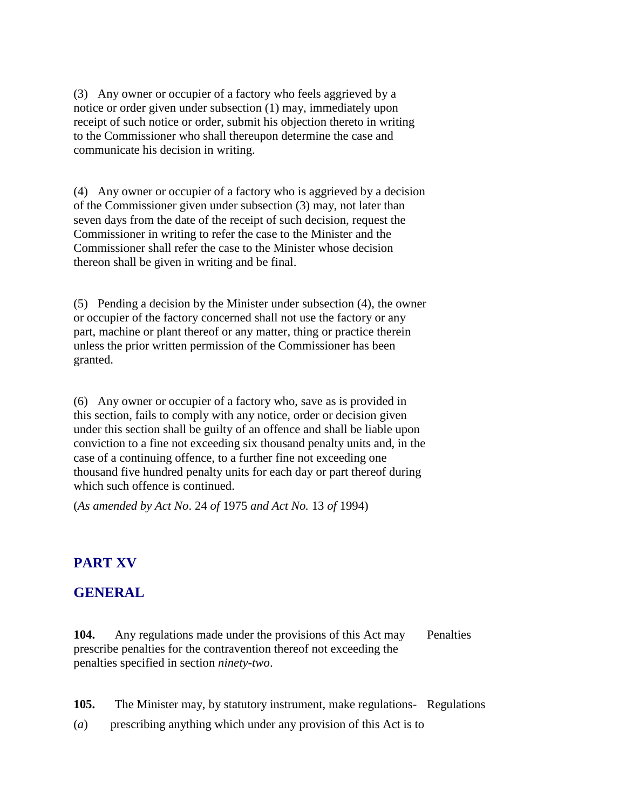(3) Any owner or occupier of a factory who feels aggrieved by a notice or order given under subsection (1) may, immediately upon receipt of such notice or order, submit his objection thereto in writing to the Commissioner who shall thereupon determine the case and communicate his decision in writing.

(4) Any owner or occupier of a factory who is aggrieved by a decision of the Commissioner given under subsection (3) may, not later than seven days from the date of the receipt of such decision, request the Commissioner in writing to refer the case to the Minister and the Commissioner shall refer the case to the Minister whose decision thereon shall be given in writing and be final.

(5) Pending a decision by the Minister under subsection (4), the owner or occupier of the factory concerned shall not use the factory or any part, machine or plant thereof or any matter, thing or practice therein unless the prior written permission of the Commissioner has been granted.

(6) Any owner or occupier of a factory who, save as is provided in this section, fails to comply with any notice, order or decision given under this section shall be guilty of an offence and shall be liable upon conviction to a fine not exceeding six thousand penalty units and, in the case of a continuing offence, to a further fine not exceeding one thousand five hundred penalty units for each day or part thereof during which such offence is continued.

(*As amended by Act No*. 24 *of* 1975 *and Act No.* 13 *of* 1994)

# **PART XV**

#### **GENERAL**

**104.** Any regulations made under the provisions of this Act may prescribe penalties for the contravention thereof not exceeding the penalties specified in section *ninety-two*. **Penalties** 

- **105.** The Minister may, by statutory instrument, make regulations- Regulations
- (*a*) prescribing anything which under any provision of this Act is to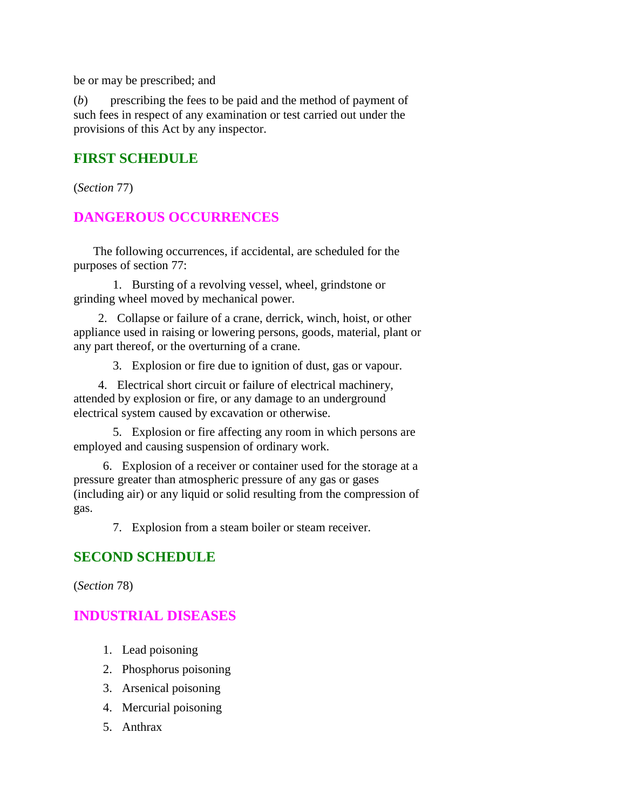be or may be prescribed; and

(*b*) prescribing the fees to be paid and the method of payment of such fees in respect of any examination or test carried out under the provisions of this Act by any inspector.

### **FIRST SCHEDULE**

(*Section* 77)

### **DANGEROUS OCCURRENCES**

 The following occurrences, if accidental, are scheduled for the purposes of section 77:

 1. Bursting of a revolving vessel, wheel, grindstone or grinding wheel moved by mechanical power.

 2. Collapse or failure of a crane, derrick, winch, hoist, or other appliance used in raising or lowering persons, goods, material, plant or any part thereof, or the overturning of a crane.

3. Explosion or fire due to ignition of dust, gas or vapour.

 4. Electrical short circuit or failure of electrical machinery, attended by explosion or fire, or any damage to an underground electrical system caused by excavation or otherwise.

 5. Explosion or fire affecting any room in which persons are employed and causing suspension of ordinary work.

 6. Explosion of a receiver or container used for the storage at a pressure greater than atmospheric pressure of any gas or gases (including air) or any liquid or solid resulting from the compression of gas.

7. Explosion from a steam boiler or steam receiver.

#### **SECOND SCHEDULE**

(*Section* 78)

#### **INDUSTRIAL DISEASES**

- 1. Lead poisoning
- 2. Phosphorus poisoning
- 3. Arsenical poisoning
- 4. Mercurial poisoning
- 5. Anthrax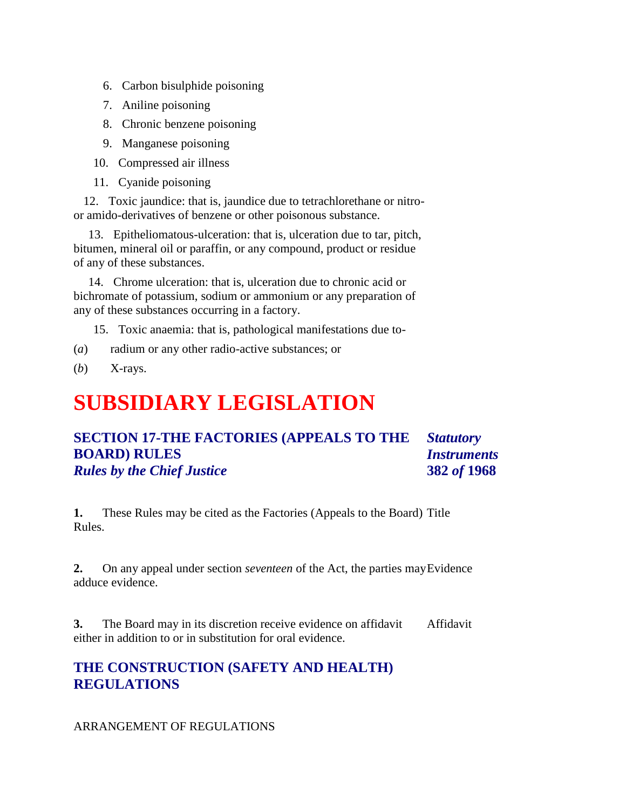- 6. Carbon bisulphide poisoning
- 7. Aniline poisoning
- 8. Chronic benzene poisoning
- 9. Manganese poisoning
- 10. Compressed air illness
- 11. Cyanide poisoning

 12. Toxic jaundice: that is, jaundice due to tetrachlorethane or nitroor amido-derivatives of benzene or other poisonous substance.

 13. Epitheliomatous-ulceration: that is, ulceration due to tar, pitch, bitumen, mineral oil or paraffin, or any compound, product or residue of any of these substances.

 14. Chrome ulceration: that is, ulceration due to chronic acid or bichromate of potassium, sodium or ammonium or any preparation of any of these substances occurring in a factory.

- 15. Toxic anaemia: that is, pathological manifestations due to-
- (*a*) radium or any other radio-active substances; or
- (*b*) X-rays.

# **SUBSIDIARY LEGISLATION**

#### **SECTION 17-THE FACTORIES (APPEALS TO THE BOARD) RULES** *Rules by the Chief Justice Statutory Instruments* **382** *of* **1968**

**1.** These Rules may be cited as the Factories (Appeals to the Board) Title Rules.

**2.** On any appeal under section *seventeen* of the Act, the parties may Evidence adduce evidence.

**3.** The Board may in its discretion receive evidence on affidavit either in addition to or in substitution for oral evidence. Affidavit

### **THE CONSTRUCTION (SAFETY AND HEALTH) REGULATIONS**

#### ARRANGEMENT OF REGULATIONS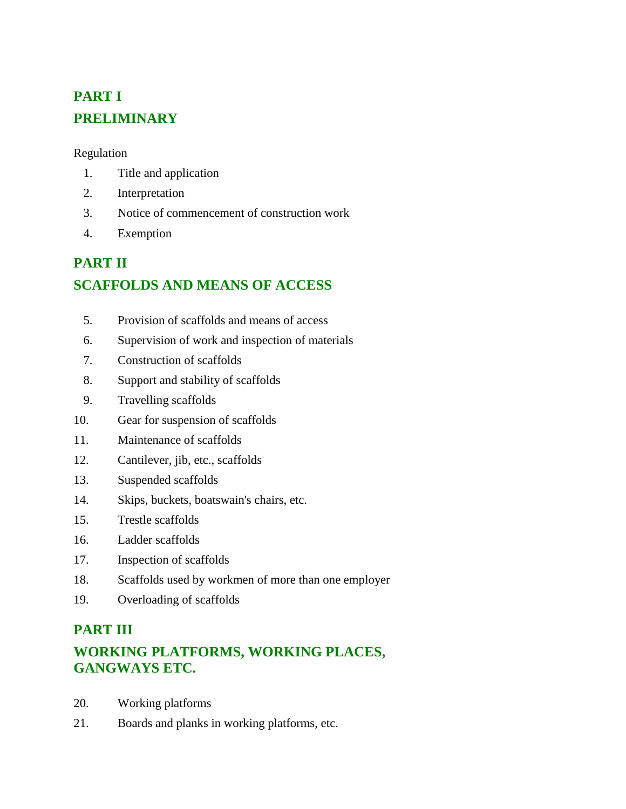# **PART I PRELIMINARY**

Regulation

- 1. Title and application
- 2. Interpretation
- 3. Notice of commencement of construction work
- 4. Exemption

# **PART II SCAFFOLDS AND MEANS OF ACCESS**

- 5. Provision of scaffolds and means of access
- 6. Supervision of work and inspection of materials
- 7. Construction of scaffolds
- 8. Support and stability of scaffolds
- 9. Travelling scaffolds
- 10. Gear for suspension of scaffolds
- 11. Maintenance of scaffolds
- 12. Cantilever, jib, etc., scaffolds
- 13. Suspended scaffolds
- 14. Skips, buckets, boatswain's chairs, etc.
- 15. Trestle scaffolds
- 16. Ladder scaffolds
- 17. Inspection of scaffolds
- 18. Scaffolds used by workmen of more than one employer
- 19. Overloading of scaffolds

# **PART III**

# **WORKING PLATFORMS, WORKING PLACES, GANGWAYS ETC.**

- 20. Working platforms
- 21. Boards and planks in working platforms, etc.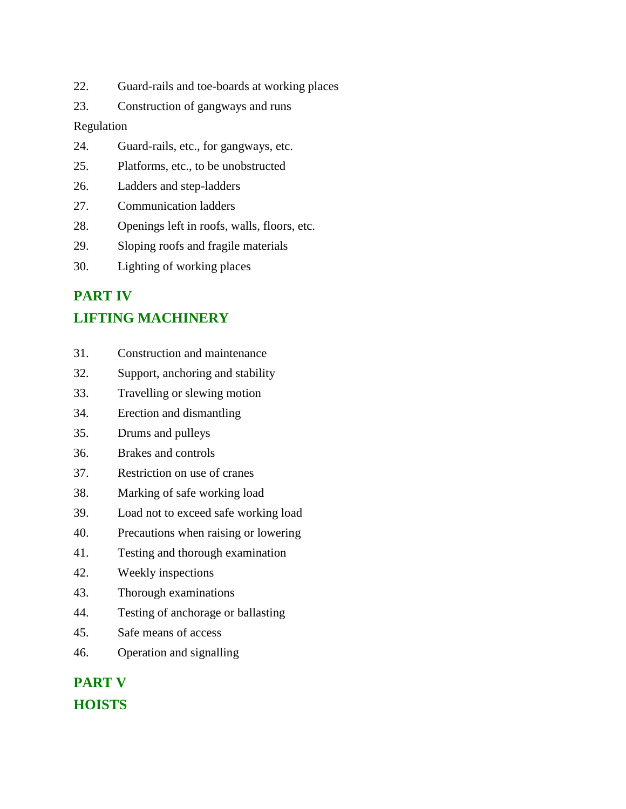- 22. Guard-rails and toe-boards at working places
- 23. Construction of gangways and runs

#### Regulation

- 24. Guard-rails, etc., for gangways, etc.
- 25. Platforms, etc., to be unobstructed
- 26. Ladders and step-ladders
- 27. Communication ladders
- 28. Openings left in roofs, walls, floors, etc.
- 29. Sloping roofs and fragile materials
- 30. Lighting of working places

# **PART IV**

# **LIFTING MACHINERY**

- 31. Construction and maintenance
- 32. Support, anchoring and stability
- 33. Travelling or slewing motion
- 34. Erection and dismantling
- 35. Drums and pulleys
- 36. Brakes and controls
- 37. Restriction on use of cranes
- 38. Marking of safe working load
- 39. Load not to exceed safe working load
- 40. Precautions when raising or lowering
- 41. Testing and thorough examination
- 42. Weekly inspections
- 43. Thorough examinations
- 44. Testing of anchorage or ballasting
- 45. Safe means of access
- 46. Operation and signalling

# **PART V HOISTS**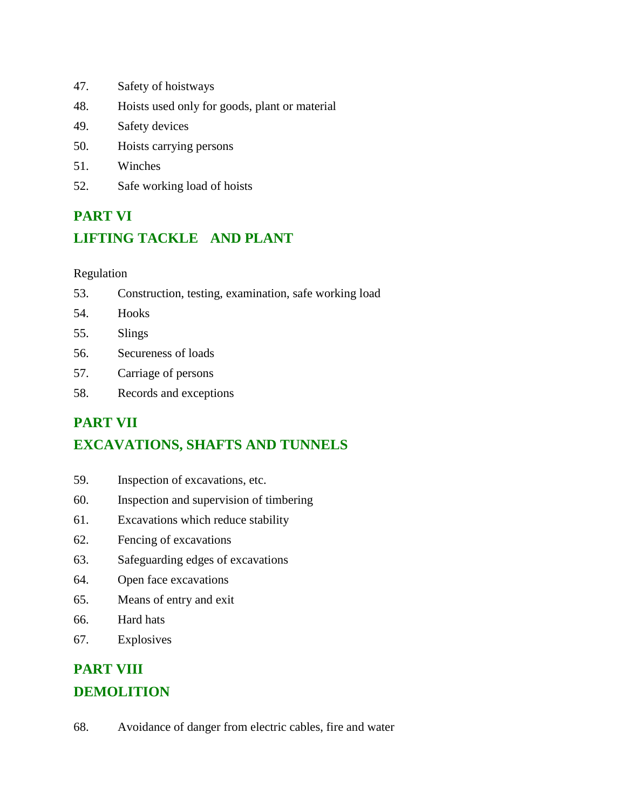- 47. Safety of hoistways
- 48. Hoists used only for goods, plant or material
- 49. Safety devices
- 50. Hoists carrying persons
- 51. Winches
- 52. Safe working load of hoists

# **PART VI LIFTING TACKLE AND PLANT**

#### Regulation

- 53. Construction, testing, examination, safe working load
- 54. Hooks
- 55. Slings
- 56. Secureness of loads
- 57. Carriage of persons
- 58. Records and exceptions

# **PART VII**

# **EXCAVATIONS, SHAFTS AND TUNNELS**

- 59. Inspection of excavations, etc.
- 60. Inspection and supervision of timbering
- 61. Excavations which reduce stability
- 62. Fencing of excavations
- 63. Safeguarding edges of excavations
- 64. Open face excavations
- 65. Means of entry and exit
- 66. Hard hats
- 67. Explosives

# **PART VIII DEMOLITION**

68. Avoidance of danger from electric cables, fire and water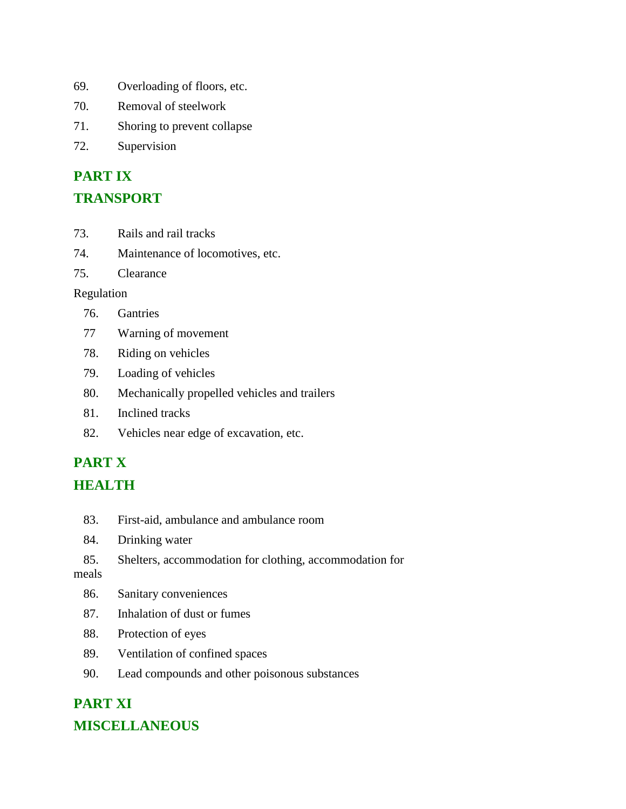- 69. Overloading of floors, etc.
- 70. Removal of steelwork
- 71. Shoring to prevent collapse
- 72. Supervision

# **PART IX**

#### **TRANSPORT**

- 73. Rails and rail tracks
- 74. Maintenance of locomotives, etc.
- 75. Clearance

#### Regulation

- 76. Gantries
- 77 Warning of movement
- 78. Riding on vehicles
- 79. Loading of vehicles
- 80. Mechanically propelled vehicles and trailers
- 81. Inclined tracks
- 82. Vehicles near edge of excavation, etc.

# **PART X HEALTH**

- 83. First-aid, ambulance and ambulance room
- 84. Drinking water
- 85. Shelters, accommodation for clothing, accommodation for

meals

- 86. Sanitary conveniences
- 87. Inhalation of dust or fumes
- 88. Protection of eyes
- 89. Ventilation of confined spaces
- 90. Lead compounds and other poisonous substances

# **PART XI**

### **MISCELLANEOUS**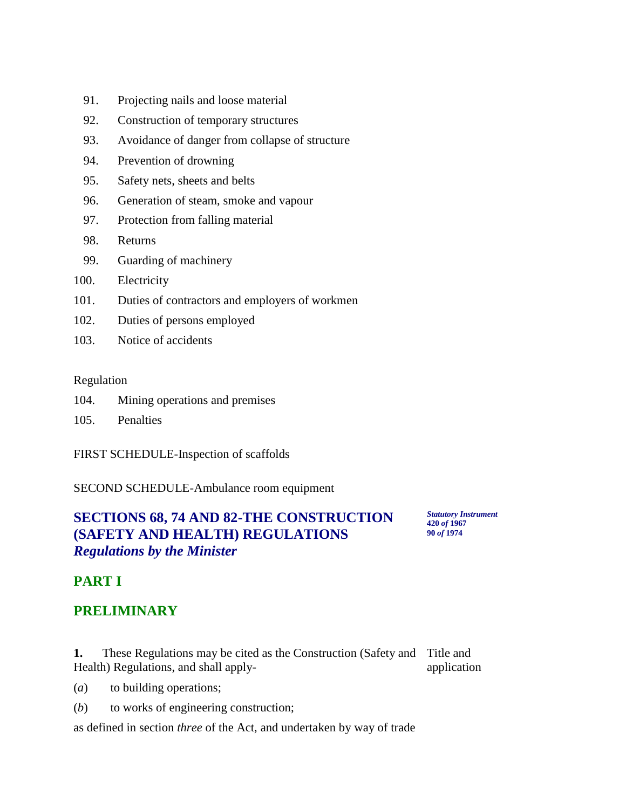- 91. Projecting nails and loose material
- 92. Construction of temporary structures
- 93. Avoidance of danger from collapse of structure
- 94. Prevention of drowning
- 95. Safety nets, sheets and belts
- 96. Generation of steam, smoke and vapour
- 97. Protection from falling material
- 98. Returns
- 99. Guarding of machinery
- 100. Electricity
- 101. Duties of contractors and employers of workmen
- 102. Duties of persons employed
- 103. Notice of accidents

#### Regulation

- 104. Mining operations and premises
- 105. Penalties

FIRST SCHEDULE-Inspection of scaffolds

SECOND SCHEDULE-Ambulance room equipment

# **SECTIONS 68, 74 AND 82-THE CONSTRUCTION (SAFETY AND HEALTH) REGULATIONS** *Regulations by the Minister*

*Statutory Instrument* **420** *of* **1967 90** *of* **1974**

# **PART I**

### **PRELIMINARY**

**1.** These Regulations may be cited as the Construction (Safety and Title and Health) Regulations, and shall apply application

- (*a*) to building operations;
- (*b*) to works of engineering construction;

as defined in section *three* of the Act, and undertaken by way of trade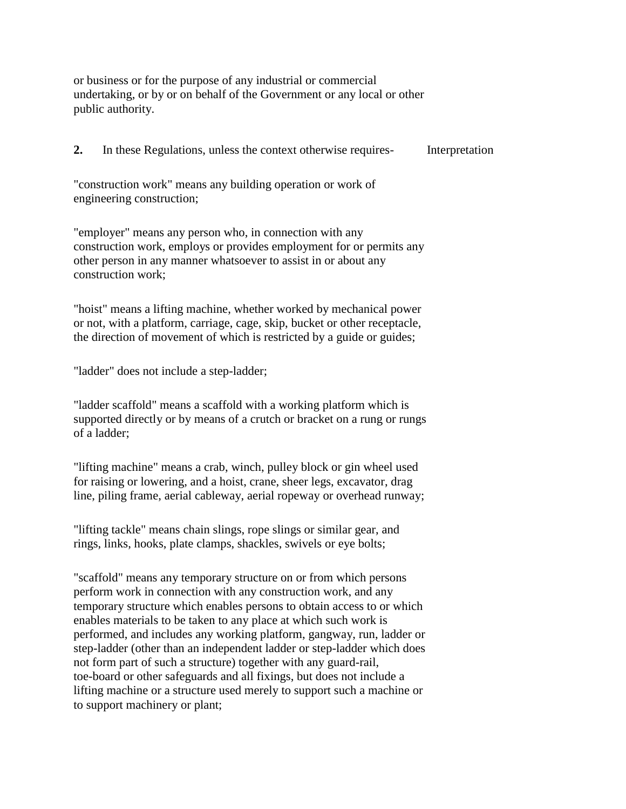or business or for the purpose of any industrial or commercial undertaking, or by or on behalf of the Government or any local or other public authority.

**2.** In these Regulations, unless the context otherwise requires- Interpretation

"construction work" means any building operation or work of engineering construction;

"employer" means any person who, in connection with any construction work, employs or provides employment for or permits any other person in any manner whatsoever to assist in or about any construction work;

"hoist" means a lifting machine, whether worked by mechanical power or not, with a platform, carriage, cage, skip, bucket or other receptacle, the direction of movement of which is restricted by a guide or guides;

"ladder" does not include a step-ladder;

"ladder scaffold" means a scaffold with a working platform which is supported directly or by means of a crutch or bracket on a rung or rungs of a ladder;

"lifting machine" means a crab, winch, pulley block or gin wheel used for raising or lowering, and a hoist, crane, sheer legs, excavator, drag line, piling frame, aerial cableway, aerial ropeway or overhead runway;

"lifting tackle" means chain slings, rope slings or similar gear, and rings, links, hooks, plate clamps, shackles, swivels or eye bolts;

"scaffold" means any temporary structure on or from which persons perform work in connection with any construction work, and any temporary structure which enables persons to obtain access to or which enables materials to be taken to any place at which such work is performed, and includes any working platform, gangway, run, ladder or step-ladder (other than an independent ladder or step-ladder which does not form part of such a structure) together with any guard-rail, toe-board or other safeguards and all fixings, but does not include a lifting machine or a structure used merely to support such a machine or to support machinery or plant;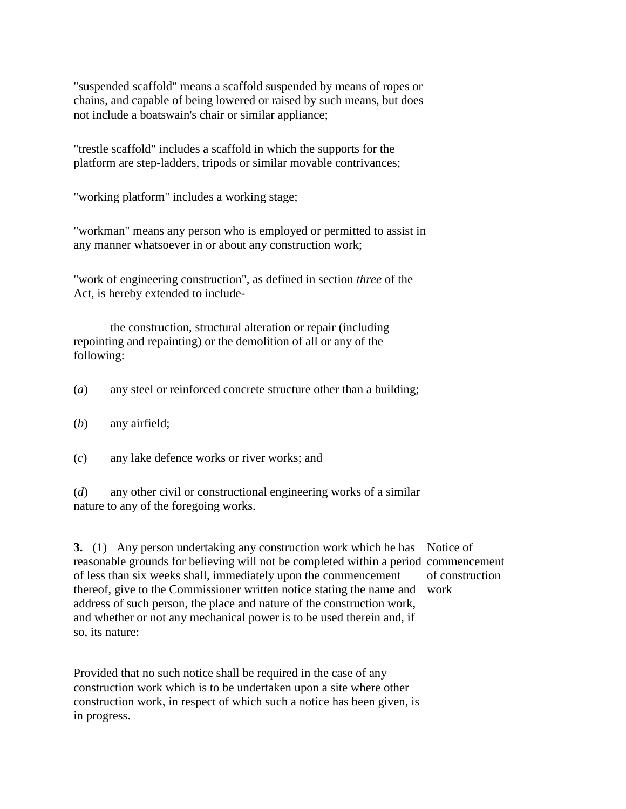"suspended scaffold" means a scaffold suspended by means of ropes or chains, and capable of being lowered or raised by such means, but does not include a boatswain's chair or similar appliance;

"trestle scaffold" includes a scaffold in which the supports for the platform are step-ladders, tripods or similar movable contrivances;

"working platform" includes a working stage;

"workman" means any person who is employed or permitted to assist in any manner whatsoever in or about any construction work;

"work of engineering construction", as defined in section *three* of the Act, is hereby extended to include-

the construction, structural alteration or repair (including repointing and repainting) or the demolition of all or any of the following:

- (*a*) any steel or reinforced concrete structure other than a building;
- (*b*) any airfield;
- (*c*) any lake defence works or river works; and
- (*d*) any other civil or constructional engineering works of a similar nature to any of the foregoing works.

**3.** (1) Any person undertaking any construction work which he has Notice of reasonable grounds for believing will not be completed within a period commencement of less than six weeks shall, immediately upon the commencement thereof, give to the Commissioner written notice stating the name and work address of such person, the place and nature of the construction work, and whether or not any mechanical power is to be used therein and, if so, its nature: of construction

Provided that no such notice shall be required in the case of any construction work which is to be undertaken upon a site where other construction work, in respect of which such a notice has been given, is in progress.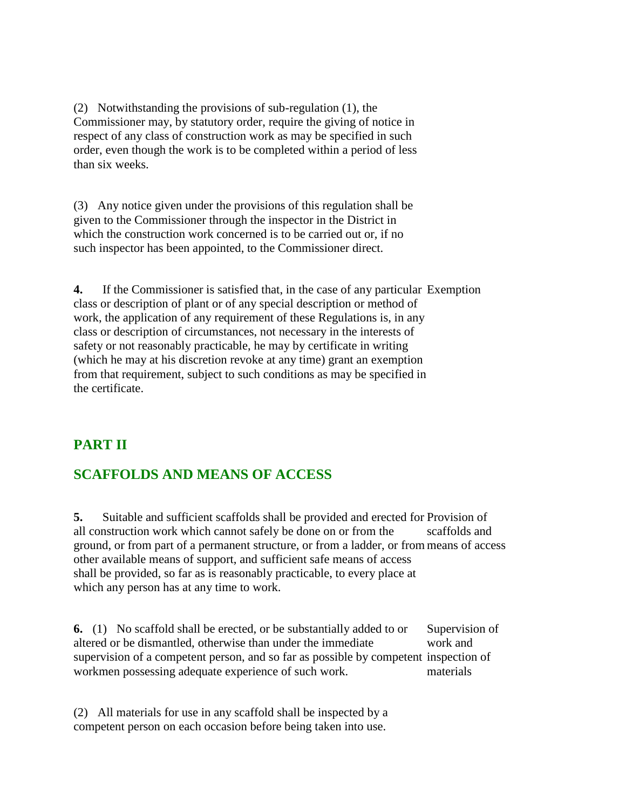(2) Notwithstanding the provisions of sub-regulation (1), the Commissioner may, by statutory order, require the giving of notice in respect of any class of construction work as may be specified in such order, even though the work is to be completed within a period of less than six weeks.

(3) Any notice given under the provisions of this regulation shall be given to the Commissioner through the inspector in the District in which the construction work concerned is to be carried out or, if no such inspector has been appointed, to the Commissioner direct.

**4.** If the Commissioner is satisfied that, in the case of any particular Exemption class or description of plant or of any special description or method of work, the application of any requirement of these Regulations is, in any class or description of circumstances, not necessary in the interests of safety or not reasonably practicable, he may by certificate in writing (which he may at his discretion revoke at any time) grant an exemption from that requirement, subject to such conditions as may be specified in the certificate.

# **PART II**

### **SCAFFOLDS AND MEANS OF ACCESS**

**5.** Suitable and sufficient scaffolds shall be provided and erected for Provision of all construction work which cannot safely be done on or from the ground, or from part of a permanent structure, or from a ladder, or from means of access other available means of support, and sufficient safe means of access shall be provided, so far as is reasonably practicable, to every place at which any person has at any time to work. scaffolds and

**6.** (1) No scaffold shall be erected, or be substantially added to or altered or be dismantled, otherwise than under the immediate supervision of a competent person, and so far as possible by competent inspection of workmen possessing adequate experience of such work. Supervision of work and materials

(2) All materials for use in any scaffold shall be inspected by a competent person on each occasion before being taken into use.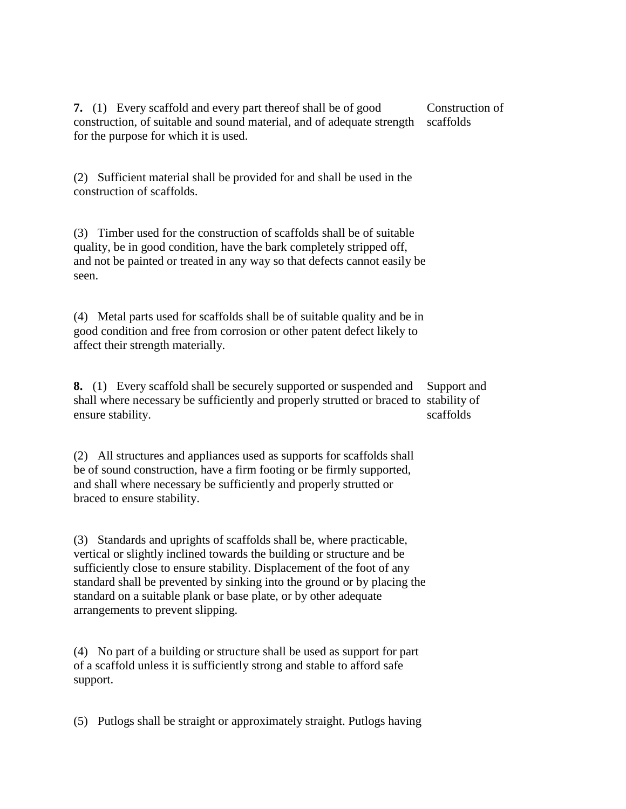**7.** (1) Every scaffold and every part thereof shall be of good construction, of suitable and sound material, and of adequate strength scaffolds for the purpose for which it is used. Construction of

(2) Sufficient material shall be provided for and shall be used in the construction of scaffolds.

(3) Timber used for the construction of scaffolds shall be of suitable quality, be in good condition, have the bark completely stripped off, and not be painted or treated in any way so that defects cannot easily be seen.

(4) Metal parts used for scaffolds shall be of suitable quality and be in good condition and free from corrosion or other patent defect likely to affect their strength materially.

**8.** (1) Every scaffold shall be securely supported or suspended and shall where necessary be sufficiently and properly strutted or braced to stability of ensure stability. Support and scaffolds

(2) All structures and appliances used as supports for scaffolds shall be of sound construction, have a firm footing or be firmly supported, and shall where necessary be sufficiently and properly strutted or braced to ensure stability.

(3) Standards and uprights of scaffolds shall be, where practicable, vertical or slightly inclined towards the building or structure and be sufficiently close to ensure stability. Displacement of the foot of any standard shall be prevented by sinking into the ground or by placing the standard on a suitable plank or base plate, or by other adequate arrangements to prevent slipping.

(4) No part of a building or structure shall be used as support for part of a scaffold unless it is sufficiently strong and stable to afford safe support.

(5) Putlogs shall be straight or approximately straight. Putlogs having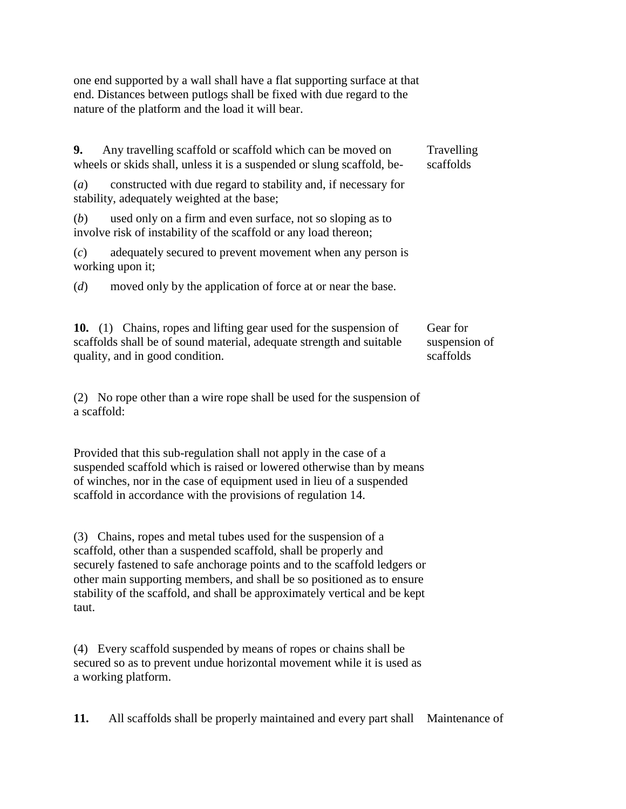one end supported by a wall shall have a flat supporting surface at that end. Distances between putlogs shall be fixed with due regard to the nature of the platform and the load it will bear.

| 9.                                                                                                                                                                           | Any travelling scaffold or scaffold which can be moved on<br>wheels or skids shall, unless it is a suspended or slung scaffold, be-                                                                                                                                                 | Travelling<br>scaffolds |
|------------------------------------------------------------------------------------------------------------------------------------------------------------------------------|-------------------------------------------------------------------------------------------------------------------------------------------------------------------------------------------------------------------------------------------------------------------------------------|-------------------------|
| (a)                                                                                                                                                                          | constructed with due regard to stability and, if necessary for<br>stability, adequately weighted at the base;                                                                                                                                                                       |                         |
| (b)                                                                                                                                                                          | used only on a firm and even surface, not so sloping as to<br>involve risk of instability of the scaffold or any load thereon;                                                                                                                                                      |                         |
| (c)                                                                                                                                                                          | adequately secured to prevent movement when any person is<br>working upon it;                                                                                                                                                                                                       |                         |
| (d)                                                                                                                                                                          | moved only by the application of force at or near the base.                                                                                                                                                                                                                         |                         |
| 10. (1) Chains, ropes and lifting gear used for the suspension of<br>scaffolds shall be of sound material, adequate strength and suitable<br>quality, and in good condition. | Gear for<br>suspension of<br>scaffolds                                                                                                                                                                                                                                              |                         |
|                                                                                                                                                                              | (2) No rope other than a wire rope shall be used for the suspension of<br>a scaffold:                                                                                                                                                                                               |                         |
|                                                                                                                                                                              | Provided that this sub-regulation shall not apply in the case of a<br>suspended scaffold which is raised or lowered otherwise than by means<br>of winches, nor in the case of equipment used in lieu of a suspended<br>scaffold in accordance with the provisions of regulation 14. |                         |
|                                                                                                                                                                              | (3) Chains, ropes and metal tubes used for the suspension of a                                                                                                                                                                                                                      |                         |

scaffold, other than a suspended scaffold, shall be properly and securely fastened to safe anchorage points and to the scaffold ledgers or other main supporting members, and shall be so positioned as to ensure stability of the scaffold, and shall be approximately vertical and be kept taut.

(4) Every scaffold suspended by means of ropes or chains shall be secured so as to prevent undue horizontal movement while it is used as a working platform.

**11.** All scaffolds shall be properly maintained and every part shall Maintenance of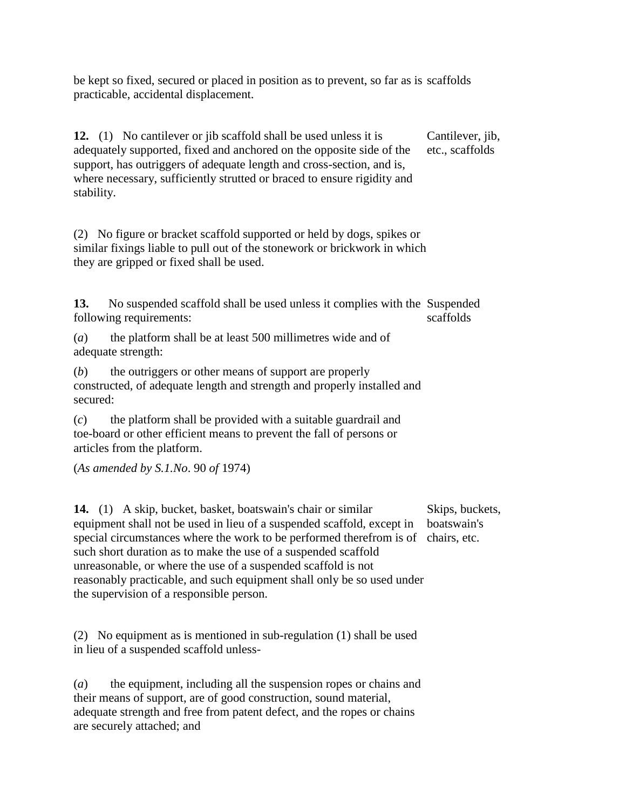be kept so fixed, secured or placed in position as to prevent, so far as is scaffolds practicable, accidental displacement.

**12.** (1) No cantilever or jib scaffold shall be used unless it is adequately supported, fixed and anchored on the opposite side of the support, has outriggers of adequate length and cross-section, and is, where necessary, sufficiently strutted or braced to ensure rigidity and stability.

Cantilever, jib, etc., scaffolds

(2) No figure or bracket scaffold supported or held by dogs, spikes or similar fixings liable to pull out of the stonework or brickwork in which they are gripped or fixed shall be used.

**13.** No suspended scaffold shall be used unless it complies with the Suspended following requirements: scaffolds

(*a*) the platform shall be at least 500 millimetres wide and of adequate strength:

(*b*) the outriggers or other means of support are properly constructed, of adequate length and strength and properly installed and secured:

(*c*) the platform shall be provided with a suitable guardrail and toe-board or other efficient means to prevent the fall of persons or articles from the platform.

(*As amended by S.1.No*. 90 *of* 1974)

**14.** (1) A skip, bucket, basket, boatswain's chair or similar equipment shall not be used in lieu of a suspended scaffold, except in special circumstances where the work to be performed therefrom is of chairs, etc. such short duration as to make the use of a suspended scaffold unreasonable, or where the use of a suspended scaffold is not reasonably practicable, and such equipment shall only be so used under the supervision of a responsible person.

Skips, buckets, boatswain's

(2) No equipment as is mentioned in sub-regulation (1) shall be used in lieu of a suspended scaffold unless-

(*a*) the equipment, including all the suspension ropes or chains and their means of support, are of good construction, sound material, adequate strength and free from patent defect, and the ropes or chains are securely attached; and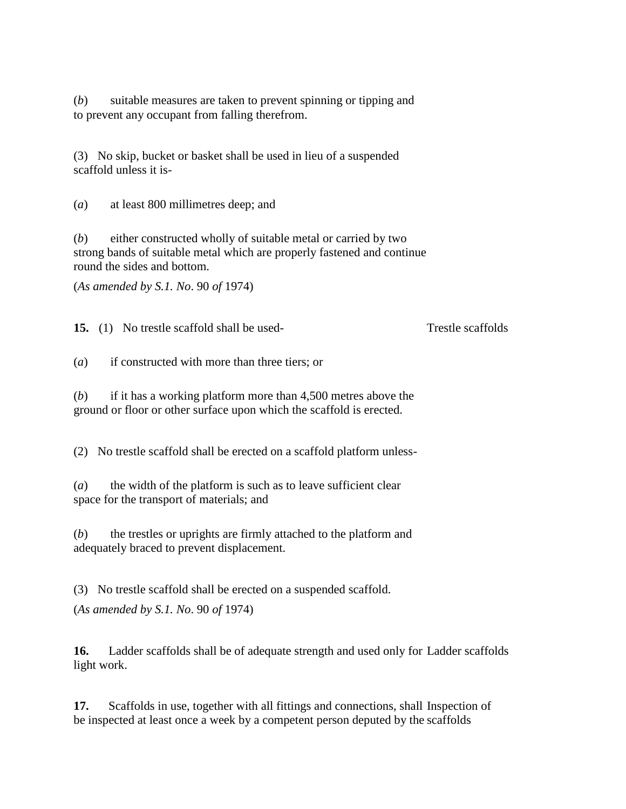(*b*) suitable measures are taken to prevent spinning or tipping and to prevent any occupant from falling therefrom.

(3) No skip, bucket or basket shall be used in lieu of a suspended scaffold unless it is-

(*a*) at least 800 millimetres deep; and

(*b*) either constructed wholly of suitable metal or carried by two strong bands of suitable metal which are properly fastened and continue round the sides and bottom.

(*As amended by S.1. No*. 90 *of* 1974)

**15.** (1) No trestle scaffold shall be used- Trestle scaffolds

(*a*) if constructed with more than three tiers; or

(*b*) if it has a working platform more than 4,500 metres above the ground or floor or other surface upon which the scaffold is erected.

(2) No trestle scaffold shall be erected on a scaffold platform unless-

(*a*) the width of the platform is such as to leave sufficient clear space for the transport of materials; and

(*b*) the trestles or uprights are firmly attached to the platform and adequately braced to prevent displacement.

(3) No trestle scaffold shall be erected on a suspended scaffold.

(*As amended by S.1. No*. 90 *of* 1974)

**16.** Ladder scaffolds shall be of adequate strength and used only for Ladder scaffolds light work.

17. Scaffolds in use, together with all fittings and connections, shall Inspection of be inspected at least once a week by a competent person deputed by the scaffolds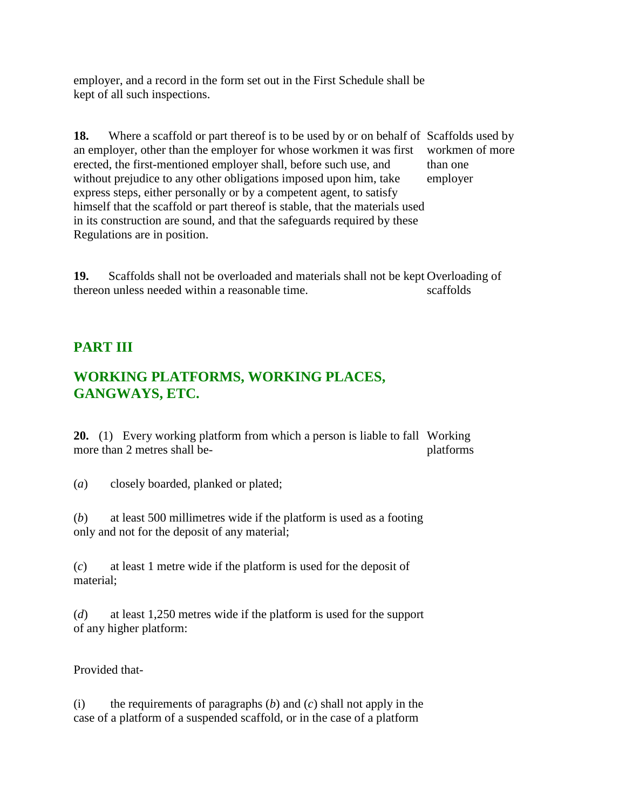employer, and a record in the form set out in the First Schedule shall be kept of all such inspections.

18. Where a scaffold or part thereof is to be used by or on behalf of Scaffolds used by an employer, other than the employer for whose workmen it was first erected, the first-mentioned employer shall, before such use, and without prejudice to any other obligations imposed upon him, take express steps, either personally or by a competent agent, to satisfy himself that the scaffold or part thereof is stable, that the materials used in its construction are sound, and that the safeguards required by these Regulations are in position. workmen of more than one employer

**19.** Scaffolds shall not be overloaded and materials shall not be kept Overloading of thereon unless needed within a reasonable time. scaffolds

# **PART III**

# **WORKING PLATFORMS, WORKING PLACES, GANGWAYS, ETC.**

**20.** (1) Every working platform from which a person is liable to fall Working more than 2 metres shall beplatforms

(*a*) closely boarded, planked or plated;

(*b*) at least 500 millimetres wide if the platform is used as a footing only and not for the deposit of any material;

(*c*) at least 1 metre wide if the platform is used for the deposit of material;

(*d*) at least 1,250 metres wide if the platform is used for the support of any higher platform:

Provided that-

(i) the requirements of paragraphs (*b*) and (*c*) shall not apply in the case of a platform of a suspended scaffold, or in the case of a platform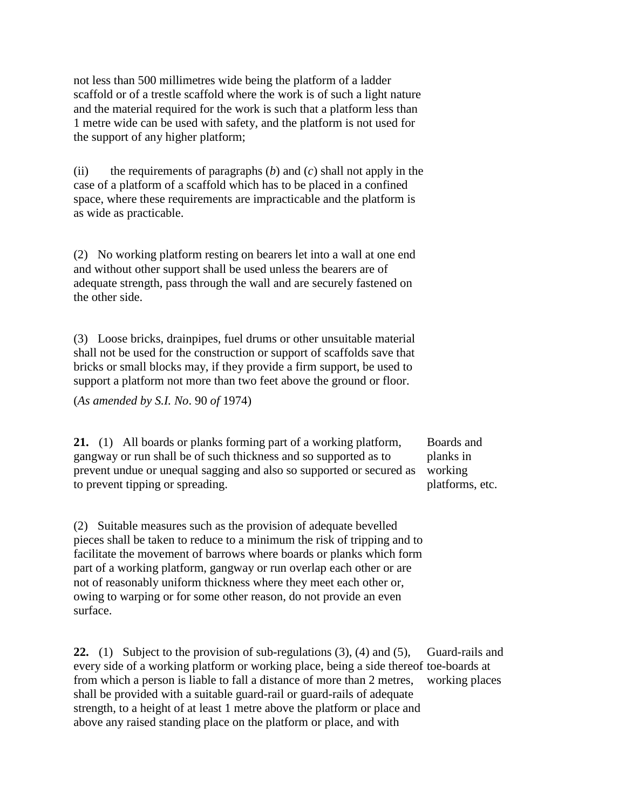not less than 500 millimetres wide being the platform of a ladder scaffold or of a trestle scaffold where the work is of such a light nature and the material required for the work is such that a platform less than 1 metre wide can be used with safety, and the platform is not used for the support of any higher platform;

(ii) the requirements of paragraphs (*b*) and (*c*) shall not apply in the case of a platform of a scaffold which has to be placed in a confined space, where these requirements are impracticable and the platform is as wide as practicable.

(2) No working platform resting on bearers let into a wall at one end and without other support shall be used unless the bearers are of adequate strength, pass through the wall and are securely fastened on the other side.

(3) Loose bricks, drainpipes, fuel drums or other unsuitable material shall not be used for the construction or support of scaffolds save that bricks or small blocks may, if they provide a firm support, be used to support a platform not more than two feet above the ground or floor.

(*As amended by S.I. No*. 90 *of* 1974)

**21.** (1) All boards or planks forming part of a working platform, gangway or run shall be of such thickness and so supported as to prevent undue or unequal sagging and also so supported or secured as to prevent tipping or spreading.

Boards and planks in working platforms, etc.

(2) Suitable measures such as the provision of adequate bevelled pieces shall be taken to reduce to a minimum the risk of tripping and to facilitate the movement of barrows where boards or planks which form part of a working platform, gangway or run overlap each other or are not of reasonably uniform thickness where they meet each other or, owing to warping or for some other reason, do not provide an even surface.

**22.** (1) Subject to the provision of sub-regulations (3), (4) and (5), every side of a working platform or working place, being a side thereof toe-boards at from which a person is liable to fall a distance of more than 2 metres, shall be provided with a suitable guard-rail or guard-rails of adequate strength, to a height of at least 1 metre above the platform or place and above any raised standing place on the platform or place, and with Guard-rails and working places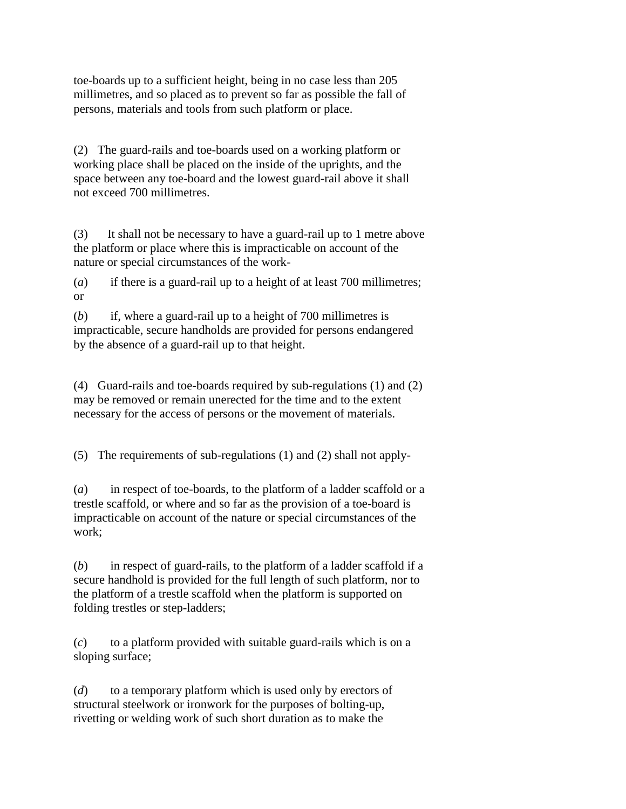toe-boards up to a sufficient height, being in no case less than 205 millimetres, and so placed as to prevent so far as possible the fall of persons, materials and tools from such platform or place.

(2) The guard-rails and toe-boards used on a working platform or working place shall be placed on the inside of the uprights, and the space between any toe-board and the lowest guard-rail above it shall not exceed 700 millimetres.

(3) It shall not be necessary to have a guard-rail up to 1 metre above the platform or place where this is impracticable on account of the nature or special circumstances of the work-

(*a*) if there is a guard-rail up to a height of at least 700 millimetres; or

(*b*) if, where a guard-rail up to a height of 700 millimetres is impracticable, secure handholds are provided for persons endangered by the absence of a guard-rail up to that height.

(4) Guard-rails and toe-boards required by sub-regulations (1) and (2) may be removed or remain unerected for the time and to the extent necessary for the access of persons or the movement of materials.

(5) The requirements of sub-regulations (1) and (2) shall not apply-

(*a*) in respect of toe-boards, to the platform of a ladder scaffold or a trestle scaffold, or where and so far as the provision of a toe-board is impracticable on account of the nature or special circumstances of the work;

(*b*) in respect of guard-rails, to the platform of a ladder scaffold if a secure handhold is provided for the full length of such platform, nor to the platform of a trestle scaffold when the platform is supported on folding trestles or step-ladders;

(*c*) to a platform provided with suitable guard-rails which is on a sloping surface;

(*d*) to a temporary platform which is used only by erectors of structural steelwork or ironwork for the purposes of bolting-up, rivetting or welding work of such short duration as to make the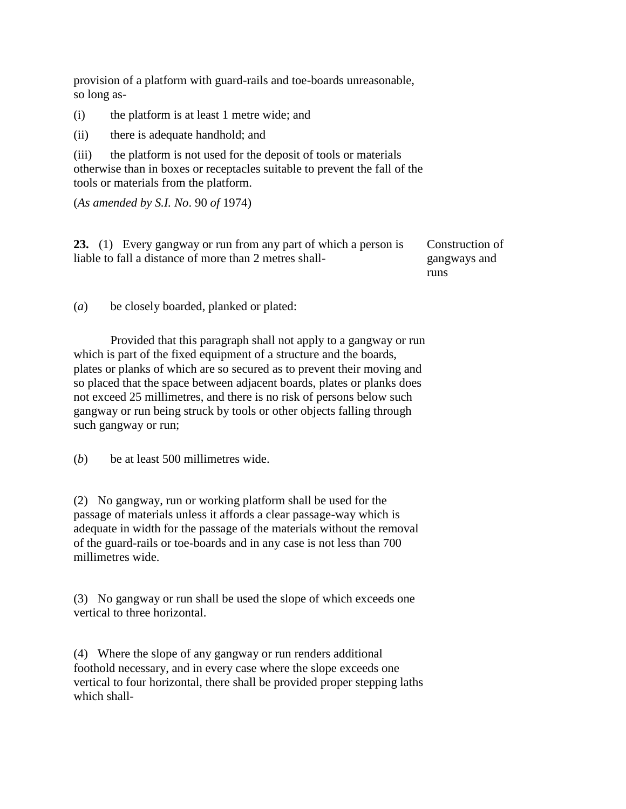provision of a platform with guard-rails and toe-boards unreasonable, so long as-

(i) the platform is at least 1 metre wide; and

(ii) there is adequate handhold; and

(iii) the platform is not used for the deposit of tools or materials otherwise than in boxes or receptacles suitable to prevent the fall of the tools or materials from the platform.

(*As amended by S.I. No*. 90 *of* 1974)

| 23. (1) Every gangway or run from any part of which a person is | Construction of |
|-----------------------------------------------------------------|-----------------|
| liable to fall a distance of more than 2 metres shall-          | gangways and    |
|                                                                 | runs            |

(*a*) be closely boarded, planked or plated:

Provided that this paragraph shall not apply to a gangway or run which is part of the fixed equipment of a structure and the boards, plates or planks of which are so secured as to prevent their moving and so placed that the space between adjacent boards, plates or planks does not exceed 25 millimetres, and there is no risk of persons below such gangway or run being struck by tools or other objects falling through such gangway or run;

(*b*) be at least 500 millimetres wide.

(2) No gangway, run or working platform shall be used for the passage of materials unless it affords a clear passage-way which is adequate in width for the passage of the materials without the removal of the guard-rails or toe-boards and in any case is not less than 700 millimetres wide.

(3) No gangway or run shall be used the slope of which exceeds one vertical to three horizontal.

(4) Where the slope of any gangway or run renders additional foothold necessary, and in every case where the slope exceeds one vertical to four horizontal, there shall be provided proper stepping laths which shall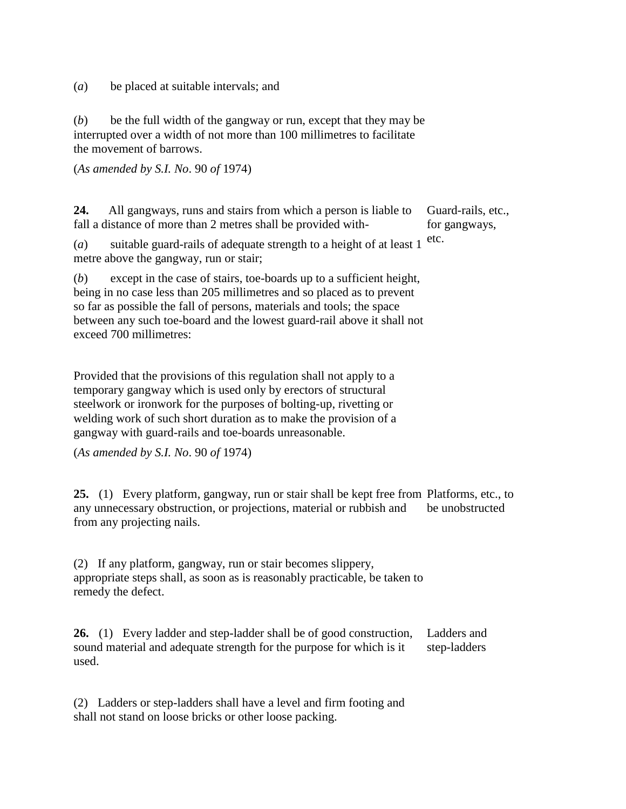(*a*) be placed at suitable intervals; and

(*b*) be the full width of the gangway or run, except that they may be interrupted over a width of not more than 100 millimetres to facilitate the movement of barrows.

(*As amended by S.I. No*. 90 *of* 1974)

**24.** All gangways, runs and stairs from which a person is liable to fall a distance of more than 2 metres shall be provided with- Guard-rails, etc., for gangways,

(*a*) suitable guard-rails of adequate strength to a height of at least 1 metre above the gangway, run or stair; etc.

(*b*) except in the case of stairs, toe-boards up to a sufficient height, being in no case less than 205 millimetres and so placed as to prevent so far as possible the fall of persons, materials and tools; the space between any such toe-board and the lowest guard-rail above it shall not exceed 700 millimetres:

Provided that the provisions of this regulation shall not apply to a temporary gangway which is used only by erectors of structural steelwork or ironwork for the purposes of bolting-up, rivetting or welding work of such short duration as to make the provision of a gangway with guard-rails and toe-boards unreasonable.

(*As amended by S.I. No*. 90 *of* 1974)

**25.** (1) Every platform, gangway, run or stair shall be kept free from Platforms, etc., to any unnecessary obstruction, or projections, material or rubbish and from any projecting nails. be unobstructed

(2) If any platform, gangway, run or stair becomes slippery, appropriate steps shall, as soon as is reasonably practicable, be taken to remedy the defect.

**26.** (1) Every ladder and step-ladder shall be of good construction, sound material and adequate strength for the purpose for which is it used. Ladders and step-ladders

(2) Ladders or step-ladders shall have a level and firm footing and shall not stand on loose bricks or other loose packing.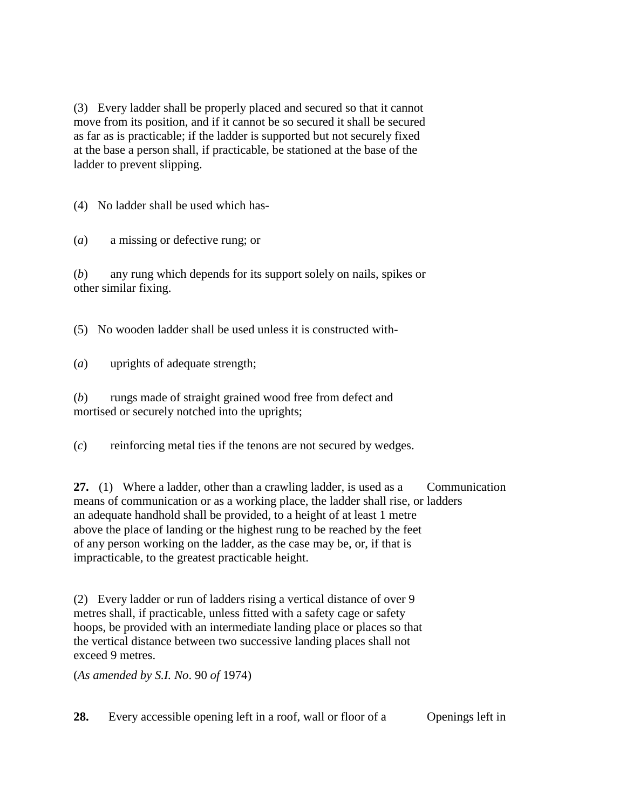(3) Every ladder shall be properly placed and secured so that it cannot move from its position, and if it cannot be so secured it shall be secured as far as is practicable; if the ladder is supported but not securely fixed at the base a person shall, if practicable, be stationed at the base of the ladder to prevent slipping.

(4) No ladder shall be used which has-

(*a*) a missing or defective rung; or

(*b*) any rung which depends for its support solely on nails, spikes or other similar fixing.

(5) No wooden ladder shall be used unless it is constructed with-

(*a*) uprights of adequate strength;

(*b*) rungs made of straight grained wood free from defect and mortised or securely notched into the uprights;

(*c*) reinforcing metal ties if the tenons are not secured by wedges.

**27.** (1) Where a ladder, other than a crawling ladder, is used as a means of communication or as a working place, the ladder shall rise, or ladders an adequate handhold shall be provided, to a height of at least 1 metre above the place of landing or the highest rung to be reached by the feet of any person working on the ladder, as the case may be, or, if that is impracticable, to the greatest practicable height. Communication

(2) Every ladder or run of ladders rising a vertical distance of over 9 metres shall, if practicable, unless fitted with a safety cage or safety hoops, be provided with an intermediate landing place or places so that the vertical distance between two successive landing places shall not exceed 9 metres.

(*As amended by S.I. No*. 90 *of* 1974)

**28.** Every accessible opening left in a roof, wall or floor of a Openings left in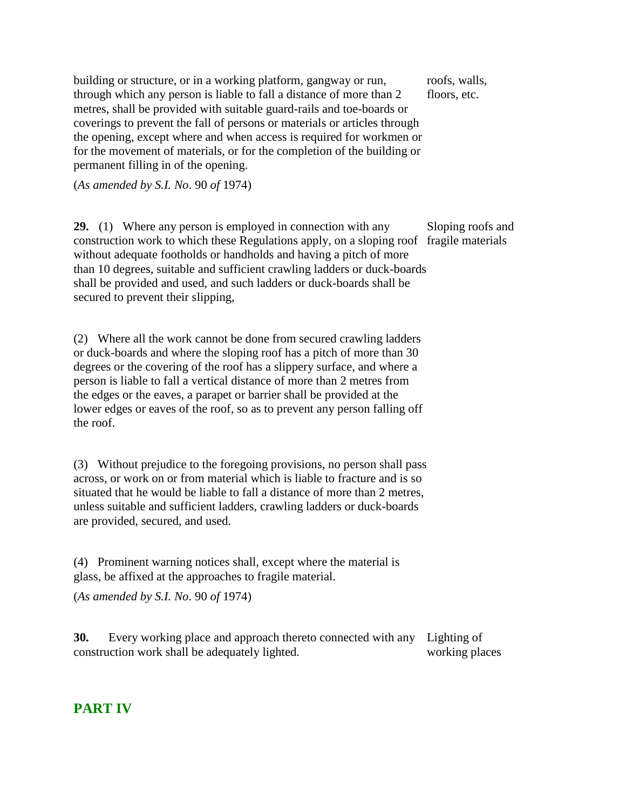building or structure, or in a working platform, gangway or run, through which any person is liable to fall a distance of more than 2 metres, shall be provided with suitable guard-rails and toe-boards or coverings to prevent the fall of persons or materials or articles through the opening, except where and when access is required for workmen or for the movement of materials, or for the completion of the building or permanent filling in of the opening. roofs, walls, floors, etc.

(*As amended by S.I. No*. 90 *of* 1974)

**29.** (1) Where any person is employed in connection with any construction work to which these Regulations apply, on a sloping roof fragile materials without adequate footholds or handholds and having a pitch of more than 10 degrees, suitable and sufficient crawling ladders or duck-boards shall be provided and used, and such ladders or duck-boards shall be secured to prevent their slipping, Sloping roofs and

(2) Where all the work cannot be done from secured crawling ladders or duck-boards and where the sloping roof has a pitch of more than 30 degrees or the covering of the roof has a slippery surface, and where a person is liable to fall a vertical distance of more than 2 metres from the edges or the eaves, a parapet or barrier shall be provided at the lower edges or eaves of the roof, so as to prevent any person falling off the roof.

(3) Without prejudice to the foregoing provisions, no person shall pass across, or work on or from material which is liable to fracture and is so situated that he would be liable to fall a distance of more than 2 metres, unless suitable and sufficient ladders, crawling ladders or duck-boards are provided, secured, and used.

(4) Prominent warning notices shall, except where the material is glass, be affixed at the approaches to fragile material.

(*As amended by S.I. No*. 90 *of* 1974)

**30.** Every working place and approach thereto connected with any construction work shall be adequately lighted. Lighting of working places

### **PART IV**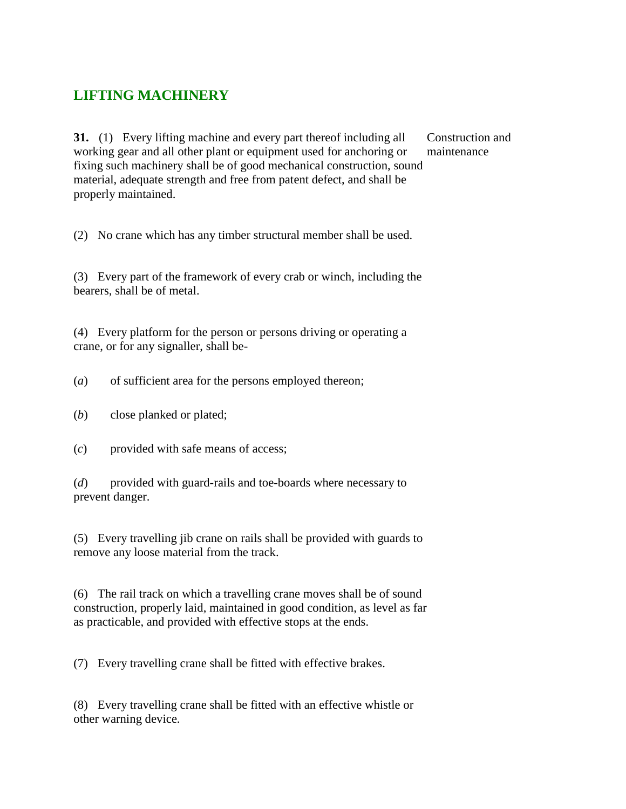### **LIFTING MACHINERY**

**31.** (1) Every lifting machine and every part thereof including all working gear and all other plant or equipment used for anchoring or fixing such machinery shall be of good mechanical construction, sound material, adequate strength and free from patent defect, and shall be properly maintained.

Construction and maintenance

(2) No crane which has any timber structural member shall be used.

(3) Every part of the framework of every crab or winch, including the bearers, shall be of metal.

(4) Every platform for the person or persons driving or operating a crane, or for any signaller, shall be-

(*a*) of sufficient area for the persons employed thereon;

- (*b*) close planked or plated;
- (*c*) provided with safe means of access;

(*d*) provided with guard-rails and toe-boards where necessary to prevent danger.

(5) Every travelling jib crane on rails shall be provided with guards to remove any loose material from the track.

(6) The rail track on which a travelling crane moves shall be of sound construction, properly laid, maintained in good condition, as level as far as practicable, and provided with effective stops at the ends.

(7) Every travelling crane shall be fitted with effective brakes.

(8) Every travelling crane shall be fitted with an effective whistle or other warning device.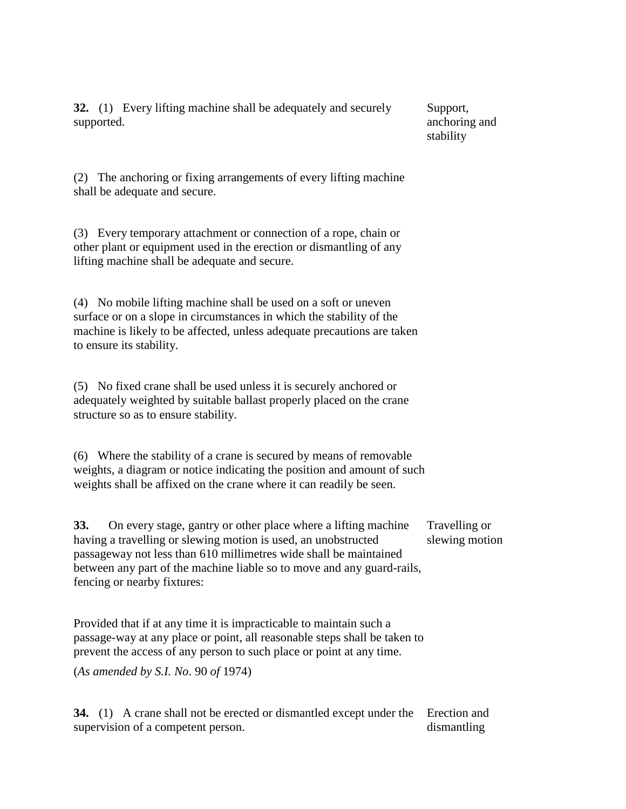**32.** (1) Every lifting machine shall be adequately and securely supported.

Support, anchoring and stability

(2) The anchoring or fixing arrangements of every lifting machine shall be adequate and secure.

(3) Every temporary attachment or connection of a rope, chain or other plant or equipment used in the erection or dismantling of any lifting machine shall be adequate and secure.

(4) No mobile lifting machine shall be used on a soft or uneven surface or on a slope in circumstances in which the stability of the machine is likely to be affected, unless adequate precautions are taken to ensure its stability.

(5) No fixed crane shall be used unless it is securely anchored or adequately weighted by suitable ballast properly placed on the crane structure so as to ensure stability.

(6) Where the stability of a crane is secured by means of removable weights, a diagram or notice indicating the position and amount of such weights shall be affixed on the crane where it can readily be seen.

**33.** On every stage, gantry or other place where a lifting machine having a travelling or slewing motion is used, an unobstructed passageway not less than 610 millimetres wide shall be maintained between any part of the machine liable so to move and any guard-rails, fencing or nearby fixtures: Travelling or slewing motion

Provided that if at any time it is impracticable to maintain such a passage-way at any place or point, all reasonable steps shall be taken to prevent the access of any person to such place or point at any time.

(*As amended by S.I. No*. 90 *of* 1974)

**34.** (1) A crane shall not be erected or dismantled except under the Erection and supervision of a competent person. dismantling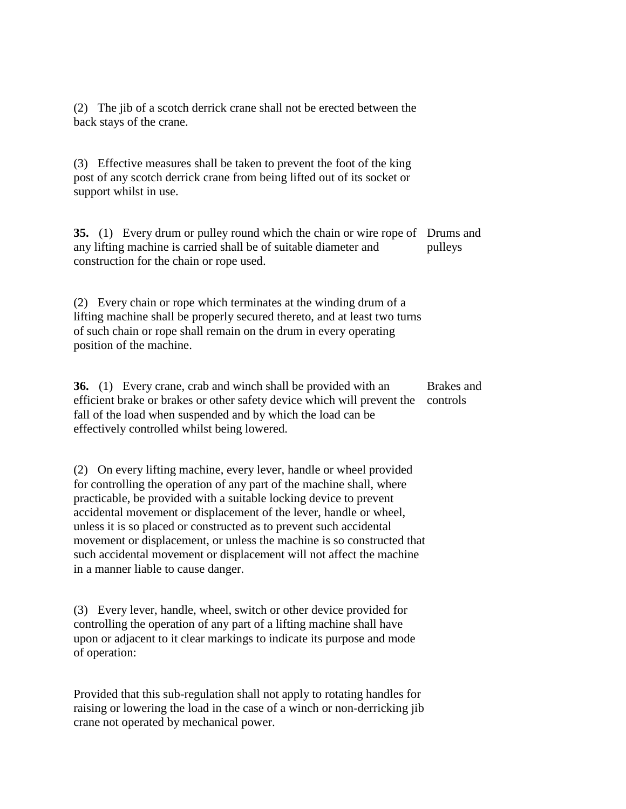(2) The jib of a scotch derrick crane shall not be erected between the back stays of the crane.

(3) Effective measures shall be taken to prevent the foot of the king post of any scotch derrick crane from being lifted out of its socket or support whilst in use.

**35.** (1) Every drum or pulley round which the chain or wire rope of Drums and any lifting machine is carried shall be of suitable diameter and construction for the chain or rope used. pulleys

(2) Every chain or rope which terminates at the winding drum of a lifting machine shall be properly secured thereto, and at least two turns of such chain or rope shall remain on the drum in every operating position of the machine.

**36.** (1) Every crane, crab and winch shall be provided with an efficient brake or brakes or other safety device which will prevent the controls fall of the load when suspended and by which the load can be effectively controlled whilst being lowered. Brakes and

(2) On every lifting machine, every lever, handle or wheel provided for controlling the operation of any part of the machine shall, where practicable, be provided with a suitable locking device to prevent accidental movement or displacement of the lever, handle or wheel, unless it is so placed or constructed as to prevent such accidental movement or displacement, or unless the machine is so constructed that such accidental movement or displacement will not affect the machine in a manner liable to cause danger.

(3) Every lever, handle, wheel, switch or other device provided for controlling the operation of any part of a lifting machine shall have upon or adjacent to it clear markings to indicate its purpose and mode of operation:

Provided that this sub-regulation shall not apply to rotating handles for raising or lowering the load in the case of a winch or non-derricking jib crane not operated by mechanical power.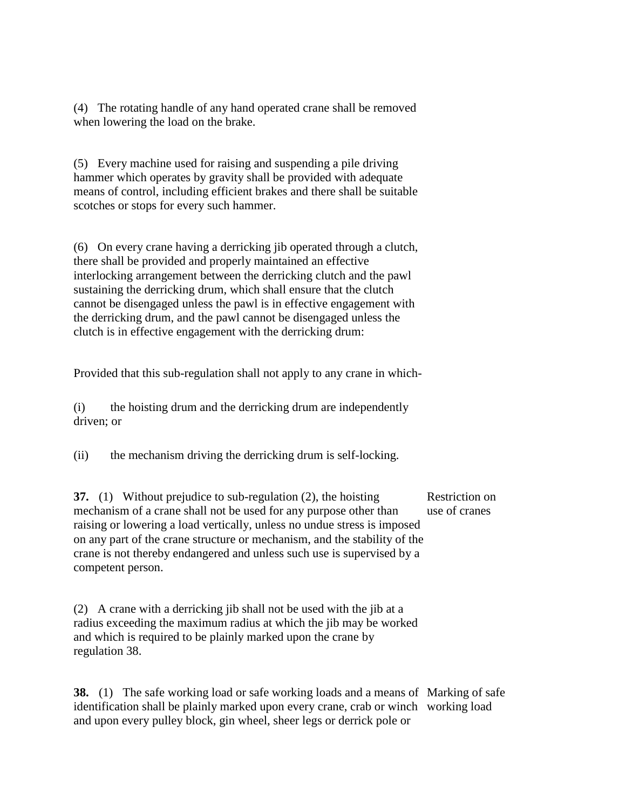(4) The rotating handle of any hand operated crane shall be removed when lowering the load on the brake.

(5) Every machine used for raising and suspending a pile driving hammer which operates by gravity shall be provided with adequate means of control, including efficient brakes and there shall be suitable scotches or stops for every such hammer.

(6) On every crane having a derricking jib operated through a clutch, there shall be provided and properly maintained an effective interlocking arrangement between the derricking clutch and the pawl sustaining the derricking drum, which shall ensure that the clutch cannot be disengaged unless the pawl is in effective engagement with the derricking drum, and the pawl cannot be disengaged unless the clutch is in effective engagement with the derricking drum:

Provided that this sub-regulation shall not apply to any crane in which-

(i) the hoisting drum and the derricking drum are independently driven; or

(ii) the mechanism driving the derricking drum is self-locking.

**37.** (1) Without prejudice to sub-regulation (2), the hoisting mechanism of a crane shall not be used for any purpose other than raising or lowering a load vertically, unless no undue stress is imposed on any part of the crane structure or mechanism, and the stability of the crane is not thereby endangered and unless such use is supervised by a competent person. Restriction on use of cranes

(2) A crane with a derricking jib shall not be used with the jib at a radius exceeding the maximum radius at which the jib may be worked and which is required to be plainly marked upon the crane by regulation 38.

**38.** (1) The safe working load or safe working loads and a means of Marking of safe identification shall be plainly marked upon every crane, crab or winch working loadand upon every pulley block, gin wheel, sheer legs or derrick pole or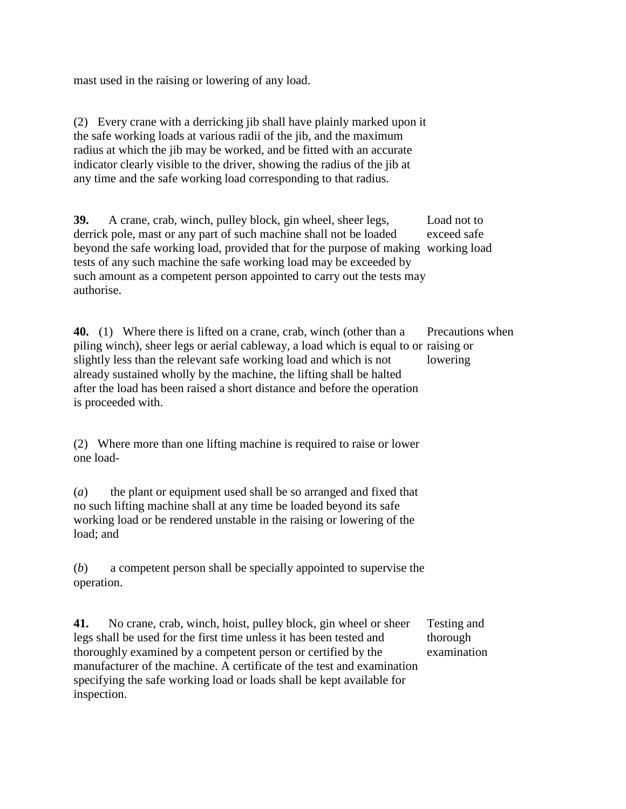mast used in the raising or lowering of any load.

(2) Every crane with a derricking jib shall have plainly marked upon it the safe working loads at various radii of the jib, and the maximum radius at which the jib may be worked, and be fitted with an accurate indicator clearly visible to the driver, showing the radius of the jib at any time and the safe working load corresponding to that radius.

**39.** A crane, crab, winch, pulley block, gin wheel, sheer legs, derrick pole, mast or any part of such machine shall not be loaded beyond the safe working load, provided that for the purpose of making working load tests of any such machine the safe working load may be exceeded by such amount as a competent person appointed to carry out the tests may authorise. Load not to exceed safe

**40.** (1) Where there is lifted on a crane, crab, winch (other than a piling winch), sheer legs or aerial cableway, a load which is equal to or raising or slightly less than the relevant safe working load and which is not already sustained wholly by the machine, the lifting shall be halted after the load has been raised a short distance and before the operation is proceeded with. Precautions when lowering

(2) Where more than one lifting machine is required to raise or lower one load-

(*a*) the plant or equipment used shall be so arranged and fixed that no such lifting machine shall at any time be loaded beyond its safe working load or be rendered unstable in the raising or lowering of the load; and

(*b*) a competent person shall be specially appointed to supervise the operation.

**41.** No crane, crab, winch, hoist, pulley block, gin wheel or sheer legs shall be used for the first time unless it has been tested and thoroughly examined by a competent person or certified by the manufacturer of the machine. A certificate of the test and examination specifying the safe working load or loads shall be kept available for inspection. Testing and thorough examination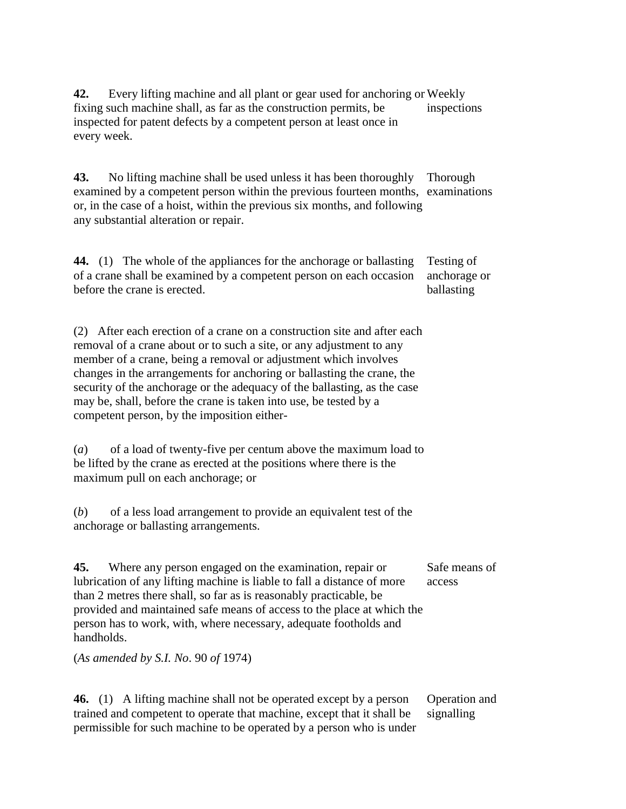**42.** Every lifting machine and all plant or gear used for anchoring or Weekly fixing such machine shall, as far as the construction permits, be inspected for patent defects by a competent person at least once in every week. inspections

**43.** No lifting machine shall be used unless it has been thoroughly examined by a competent person within the previous fourteen months, examinations or, in the case of a hoist, within the previous six months, and following any substantial alteration or repair. Thorough

**44.** (1) The whole of the appliances for the anchorage or ballasting of a crane shall be examined by a competent person on each occasion before the crane is erected. Testing of anchorage or ballasting

(2) After each erection of a crane on a construction site and after each removal of a crane about or to such a site, or any adjustment to any member of a crane, being a removal or adjustment which involves changes in the arrangements for anchoring or ballasting the crane, the security of the anchorage or the adequacy of the ballasting, as the case may be, shall, before the crane is taken into use, be tested by a competent person, by the imposition either-

(*a*) of a load of twenty-five per centum above the maximum load to be lifted by the crane as erected at the positions where there is the maximum pull on each anchorage; or

(*b*) of a less load arrangement to provide an equivalent test of the anchorage or ballasting arrangements.

**45.** Where any person engaged on the examination, repair or lubrication of any lifting machine is liable to fall a distance of more than 2 metres there shall, so far as is reasonably practicable, be provided and maintained safe means of access to the place at which the person has to work, with, where necessary, adequate footholds and handholds. Safe means of access

(*As amended by S.I. No*. 90 *of* 1974)

**46.** (1) A lifting machine shall not be operated except by a person trained and competent to operate that machine, except that it shall be permissible for such machine to be operated by a person who is under Operation and signalling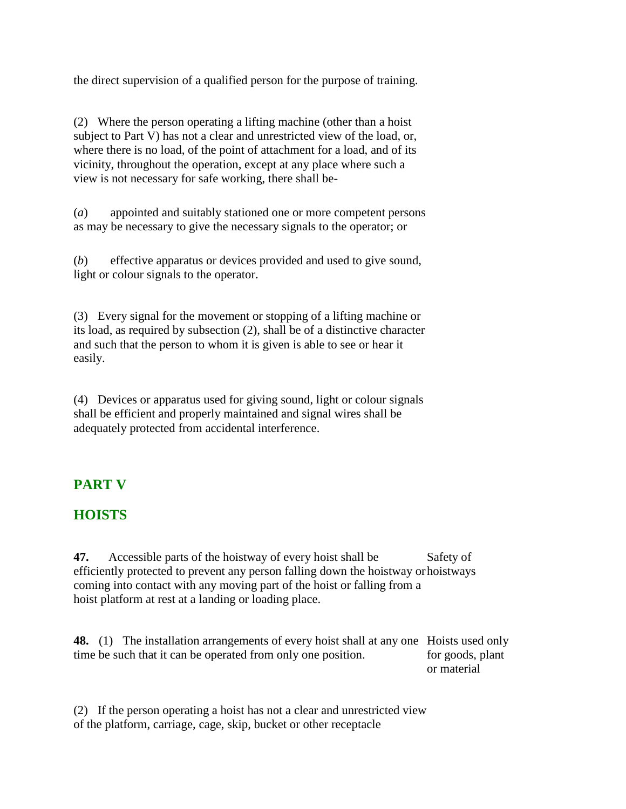the direct supervision of a qualified person for the purpose of training.

(2) Where the person operating a lifting machine (other than a hoist subject to Part V) has not a clear and unrestricted view of the load, or, where there is no load, of the point of attachment for a load, and of its vicinity, throughout the operation, except at any place where such a view is not necessary for safe working, there shall be-

(*a*) appointed and suitably stationed one or more competent persons as may be necessary to give the necessary signals to the operator; or

(*b*) effective apparatus or devices provided and used to give sound, light or colour signals to the operator.

(3) Every signal for the movement or stopping of a lifting machine or its load, as required by subsection (2), shall be of a distinctive character and such that the person to whom it is given is able to see or hear it easily.

(4) Devices or apparatus used for giving sound, light or colour signals shall be efficient and properly maintained and signal wires shall be adequately protected from accidental interference.

# **PART V**

### **HOISTS**

**47.** Accessible parts of the hoistway of every hoist shall be efficiently protected to prevent any person falling down the hoistway or hoistways coming into contact with any moving part of the hoist or falling from a hoist platform at rest at a landing or loading place. Safety of

**48.** (1) The installation arrangements of every hoist shall at any one Hoists used only time be such that it can be operated from only one position. for goods, plant or material

(2) If the person operating a hoist has not a clear and unrestricted view of the platform, carriage, cage, skip, bucket or other receptacle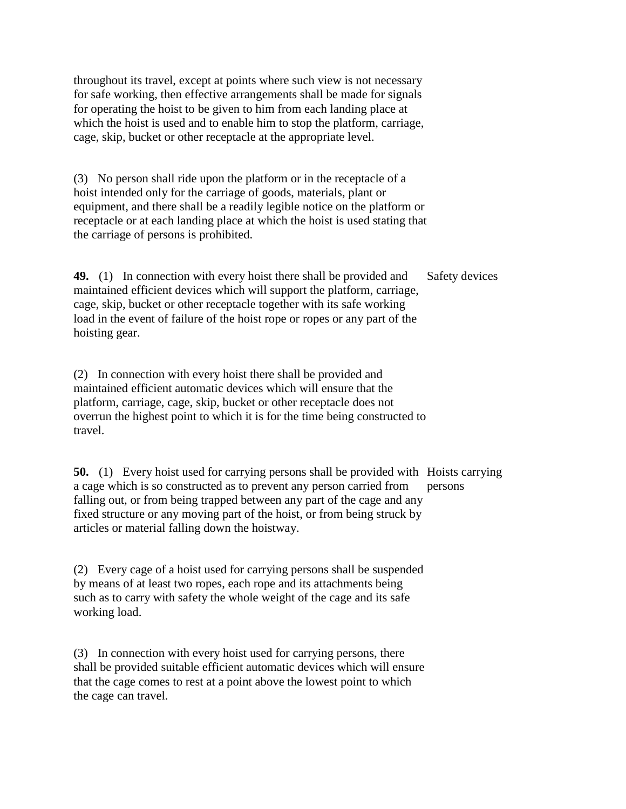throughout its travel, except at points where such view is not necessary for safe working, then effective arrangements shall be made for signals for operating the hoist to be given to him from each landing place at which the hoist is used and to enable him to stop the platform, carriage, cage, skip, bucket or other receptacle at the appropriate level.

(3) No person shall ride upon the platform or in the receptacle of a hoist intended only for the carriage of goods, materials, plant or equipment, and there shall be a readily legible notice on the platform or receptacle or at each landing place at which the hoist is used stating that the carriage of persons is prohibited.

**49.** (1) In connection with every hoist there shall be provided and maintained efficient devices which will support the platform, carriage, cage, skip, bucket or other receptacle together with its safe working load in the event of failure of the hoist rope or ropes or any part of the hoisting gear. Safety devices

(2) In connection with every hoist there shall be provided and maintained efficient automatic devices which will ensure that the platform, carriage, cage, skip, bucket or other receptacle does not overrun the highest point to which it is for the time being constructed to travel.

**50.** (1) Every hoist used for carrying persons shall be provided with Hoists carrying a cage which is so constructed as to prevent any person carried from falling out, or from being trapped between any part of the cage and any fixed structure or any moving part of the hoist, or from being struck by articles or material falling down the hoistway. persons

(2) Every cage of a hoist used for carrying persons shall be suspended by means of at least two ropes, each rope and its attachments being such as to carry with safety the whole weight of the cage and its safe working load.

(3) In connection with every hoist used for carrying persons, there shall be provided suitable efficient automatic devices which will ensure that the cage comes to rest at a point above the lowest point to which the cage can travel.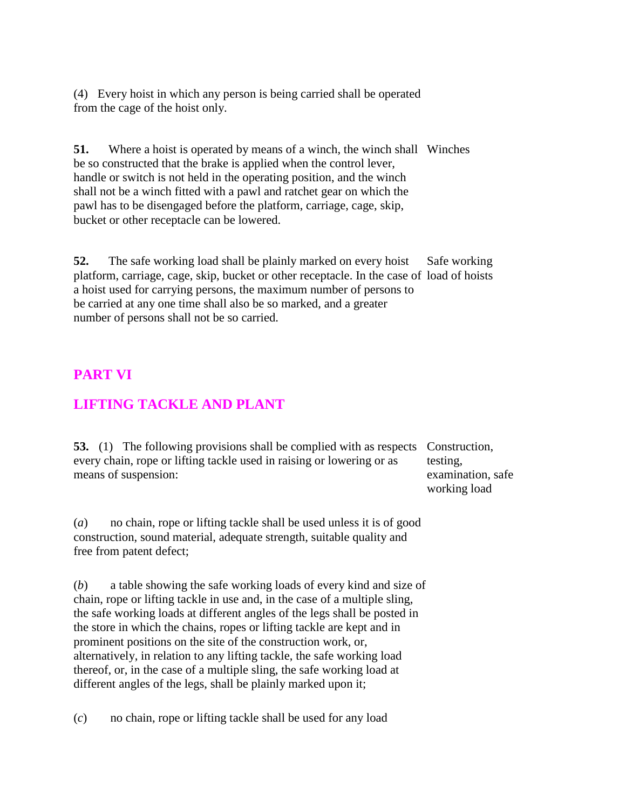(4) Every hoist in which any person is being carried shall be operated from the cage of the hoist only.

**51.** Where a hoist is operated by means of a winch, the winch shall Winches be so constructed that the brake is applied when the control lever, handle or switch is not held in the operating position, and the winch shall not be a winch fitted with a pawl and ratchet gear on which the pawl has to be disengaged before the platform, carriage, cage, skip, bucket or other receptacle can be lowered.

**52.** The safe working load shall be plainly marked on every hoist platform, carriage, cage, skip, bucket or other receptacle. In the case of load of hoists a hoist used for carrying persons, the maximum number of persons to be carried at any one time shall also be so marked, and a greater number of persons shall not be so carried. Safe working

### **PART VI**

### **LIFTING TACKLE AND PLANT**

**53.** (1) The following provisions shall be complied with as respects Construction, every chain, rope or lifting tackle used in raising or lowering or as means of suspension:

testing, examination, safe working load

(*a*) no chain, rope or lifting tackle shall be used unless it is of good construction, sound material, adequate strength, suitable quality and free from patent defect;

(*b*) a table showing the safe working loads of every kind and size of chain, rope or lifting tackle in use and, in the case of a multiple sling, the safe working loads at different angles of the legs shall be posted in the store in which the chains, ropes or lifting tackle are kept and in prominent positions on the site of the construction work, or, alternatively, in relation to any lifting tackle, the safe working load thereof, or, in the case of a multiple sling, the safe working load at different angles of the legs, shall be plainly marked upon it;

(*c*) no chain, rope or lifting tackle shall be used for any load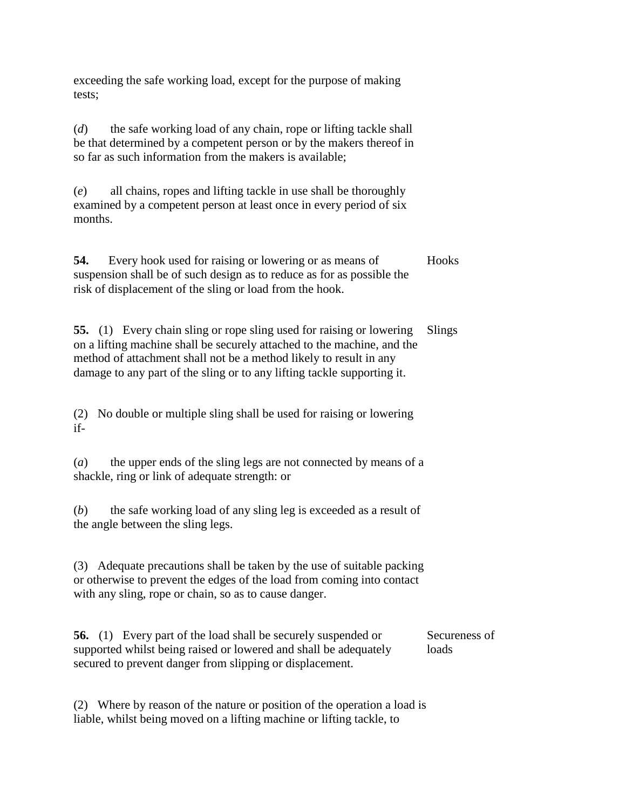exceeding the safe working load, except for the purpose of making tests;

(*d*) the safe working load of any chain, rope or lifting tackle shall be that determined by a competent person or by the makers thereof in so far as such information from the makers is available;

(*e*) all chains, ropes and lifting tackle in use shall be thoroughly examined by a competent person at least once in every period of six months.

**54.** Every hook used for raising or lowering or as means of suspension shall be of such design as to reduce as for as possible the risk of displacement of the sling or load from the hook. **Hooks** 

**55.** (1) Every chain sling or rope sling used for raising or lowering on a lifting machine shall be securely attached to the machine, and the method of attachment shall not be a method likely to result in any damage to any part of the sling or to any lifting tackle supporting it. Slings

(2) No double or multiple sling shall be used for raising or lowering if-

(*a*) the upper ends of the sling legs are not connected by means of a shackle, ring or link of adequate strength: or

(*b*) the safe working load of any sling leg is exceeded as a result of the angle between the sling legs.

(3) Adequate precautions shall be taken by the use of suitable packing or otherwise to prevent the edges of the load from coming into contact with any sling, rope or chain, so as to cause danger.

**56.** (1) Every part of the load shall be securely suspended or supported whilst being raised or lowered and shall be adequately secured to prevent danger from slipping or displacement. Secureness of loads

(2) Where by reason of the nature or position of the operation a load is liable, whilst being moved on a lifting machine or lifting tackle, to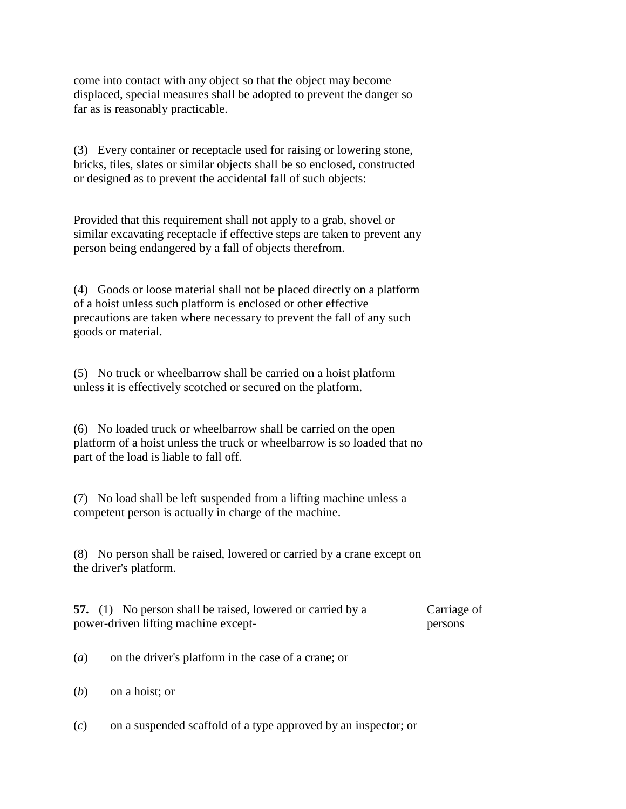come into contact with any object so that the object may become displaced, special measures shall be adopted to prevent the danger so far as is reasonably practicable.

(3) Every container or receptacle used for raising or lowering stone, bricks, tiles, slates or similar objects shall be so enclosed, constructed or designed as to prevent the accidental fall of such objects:

Provided that this requirement shall not apply to a grab, shovel or similar excavating receptacle if effective steps are taken to prevent any person being endangered by a fall of objects therefrom.

(4) Goods or loose material shall not be placed directly on a platform of a hoist unless such platform is enclosed or other effective precautions are taken where necessary to prevent the fall of any such goods or material.

(5) No truck or wheelbarrow shall be carried on a hoist platform unless it is effectively scotched or secured on the platform.

(6) No loaded truck or wheelbarrow shall be carried on the open platform of a hoist unless the truck or wheelbarrow is so loaded that no part of the load is liable to fall off.

(7) No load shall be left suspended from a lifting machine unless a competent person is actually in charge of the machine.

(8) No person shall be raised, lowered or carried by a crane except on the driver's platform.

**57.** (1) No person shall be raised, lowered or carried by a power-driven lifting machine except-Carriage of persons

(*a*) on the driver's platform in the case of a crane; or

(*b*) on a hoist; or

(*c*) on a suspended scaffold of a type approved by an inspector; or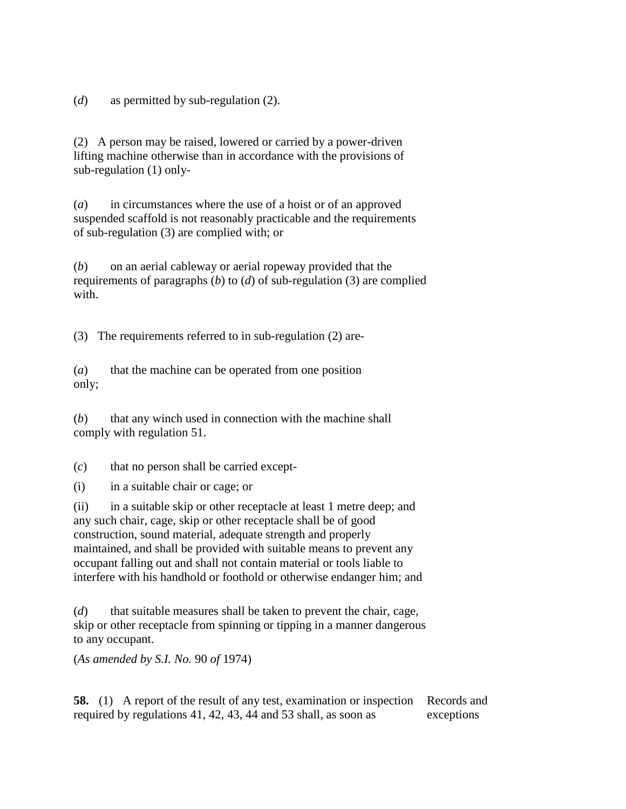(*d*) as permitted by sub-regulation (2).

(2) A person may be raised, lowered or carried by a power-driven lifting machine otherwise than in accordance with the provisions of sub-regulation (1) only-

(*a*) in circumstances where the use of a hoist or of an approved suspended scaffold is not reasonably practicable and the requirements of sub-regulation (3) are complied with; or

(*b*) on an aerial cableway or aerial ropeway provided that the requirements of paragraphs (*b*) to (*d*) of sub-regulation (3) are complied with.

(3) The requirements referred to in sub-regulation (2) are-

(*a*) that the machine can be operated from one position only;

(*b*) that any winch used in connection with the machine shall comply with regulation 51.

(*c*) that no person shall be carried except-

(i) in a suitable chair or cage; or

(ii) in a suitable skip or other receptacle at least 1 metre deep; and any such chair, cage, skip or other receptacle shall be of good construction, sound material, adequate strength and properly maintained, and shall be provided with suitable means to prevent any occupant falling out and shall not contain material or tools liable to interfere with his handhold or foothold or otherwise endanger him; and

(*d*) that suitable measures shall be taken to prevent the chair, cage, skip or other receptacle from spinning or tipping in a manner dangerous to any occupant.

(*As amended by S.I. No.* 90 *of* 1974)

**58.** (1) A report of the result of any test, examination or inspection required by regulations 41, 42, 43, 44 and 53 shall, as soon as Records and exceptions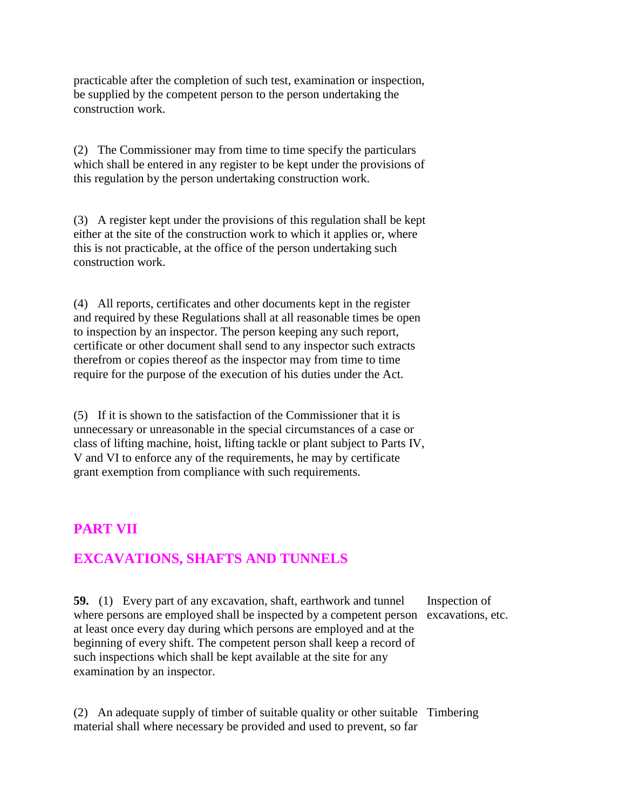practicable after the completion of such test, examination or inspection, be supplied by the competent person to the person undertaking the construction work.

(2) The Commissioner may from time to time specify the particulars which shall be entered in any register to be kept under the provisions of this regulation by the person undertaking construction work.

(3) A register kept under the provisions of this regulation shall be kept either at the site of the construction work to which it applies or, where this is not practicable, at the office of the person undertaking such construction work.

(4) All reports, certificates and other documents kept in the register and required by these Regulations shall at all reasonable times be open to inspection by an inspector. The person keeping any such report, certificate or other document shall send to any inspector such extracts therefrom or copies thereof as the inspector may from time to time require for the purpose of the execution of his duties under the Act.

(5) If it is shown to the satisfaction of the Commissioner that it is unnecessary or unreasonable in the special circumstances of a case or class of lifting machine, hoist, lifting tackle or plant subject to Parts IV, V and VI to enforce any of the requirements, he may by certificate grant exemption from compliance with such requirements.

### **PART VII**

# **EXCAVATIONS, SHAFTS AND TUNNELS**

**59.** (1) Every part of any excavation, shaft, earthwork and tunnel where persons are employed shall be inspected by a competent person excavations, etc. at least once every day during which persons are employed and at the beginning of every shift. The competent person shall keep a record of such inspections which shall be kept available at the site for any examination by an inspector. Inspection of

(2) An adequate supply of timber of suitable quality or other suitable Timberingmaterial shall where necessary be provided and used to prevent, so far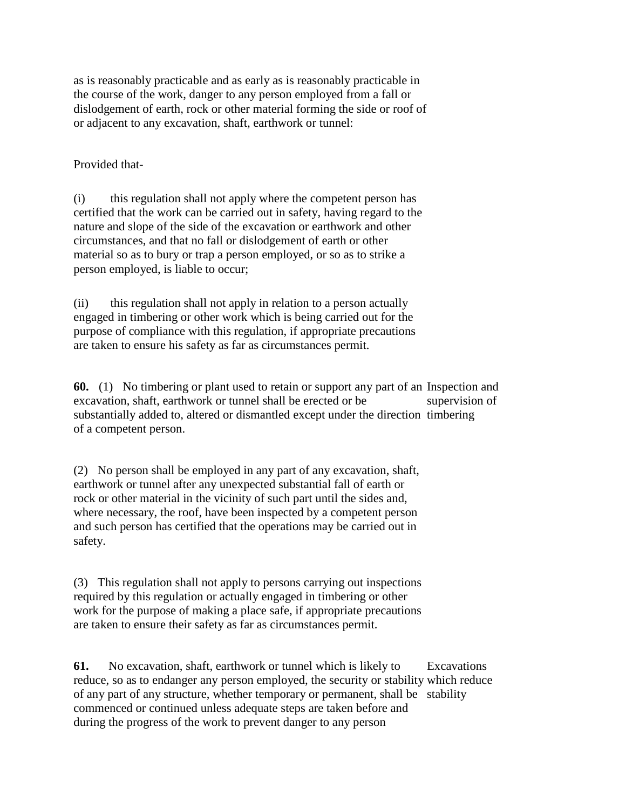as is reasonably practicable and as early as is reasonably practicable in the course of the work, danger to any person employed from a fall or dislodgement of earth, rock or other material forming the side or roof of or adjacent to any excavation, shaft, earthwork or tunnel:

Provided that-

(i) this regulation shall not apply where the competent person has certified that the work can be carried out in safety, having regard to the nature and slope of the side of the excavation or earthwork and other circumstances, and that no fall or dislodgement of earth or other material so as to bury or trap a person employed, or so as to strike a person employed, is liable to occur;

(ii) this regulation shall not apply in relation to a person actually engaged in timbering or other work which is being carried out for the purpose of compliance with this regulation, if appropriate precautions are taken to ensure his safety as far as circumstances permit.

**60.** (1) No timbering or plant used to retain or support any part of an Inspection and excavation, shaft, earthwork or tunnel shall be erected or be substantially added to, altered or dismantled except under the direction timbering of a competent person. supervision of

(2) No person shall be employed in any part of any excavation, shaft, earthwork or tunnel after any unexpected substantial fall of earth or rock or other material in the vicinity of such part until the sides and, where necessary, the roof, have been inspected by a competent person and such person has certified that the operations may be carried out in safety.

(3) This regulation shall not apply to persons carrying out inspections required by this regulation or actually engaged in timbering or other work for the purpose of making a place safe, if appropriate precautions are taken to ensure their safety as far as circumstances permit.

**61.** No excavation, shaft, earthwork or tunnel which is likely to reduce, so as to endanger any person employed, the security or stability which reduce of any part of any structure, whether temporary or permanent, shall be stabilitycommenced or continued unless adequate steps are taken before and during the progress of the work to prevent danger to any person Excavations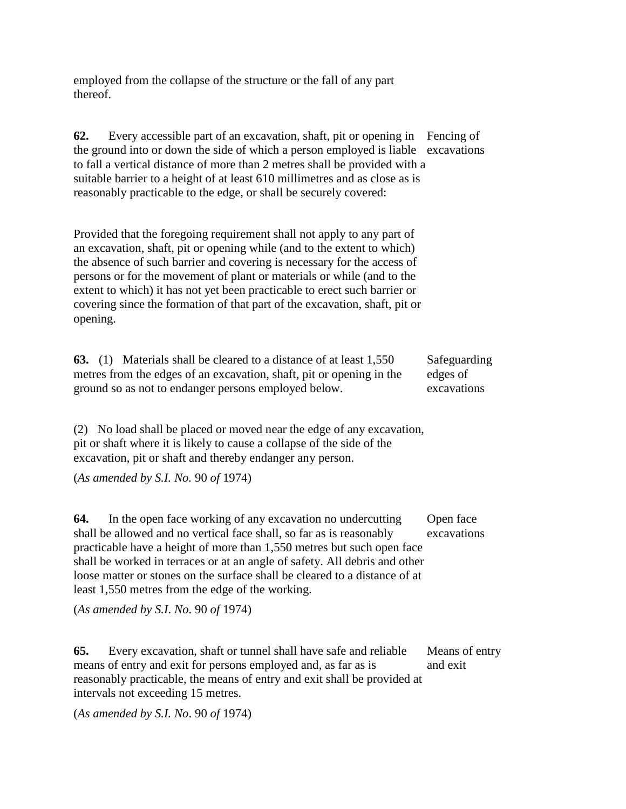employed from the collapse of the structure or the fall of any part thereof.

**62.** Every accessible part of an excavation, shaft, pit or opening in Fencing of the ground into or down the side of which a person employed is liable excavations to fall a vertical distance of more than 2 metres shall be provided with a suitable barrier to a height of at least 610 millimetres and as close as is reasonably practicable to the edge, or shall be securely covered:

Provided that the foregoing requirement shall not apply to any part of an excavation, shaft, pit or opening while (and to the extent to which) the absence of such barrier and covering is necessary for the access of persons or for the movement of plant or materials or while (and to the extent to which) it has not yet been practicable to erect such barrier or covering since the formation of that part of the excavation, shaft, pit or opening.

**63.** (1) Materials shall be cleared to a distance of at least 1,550 metres from the edges of an excavation, shaft, pit or opening in the ground so as not to endanger persons employed below. Safeguarding edges of excavations

(2) No load shall be placed or moved near the edge of any excavation, pit or shaft where it is likely to cause a collapse of the side of the excavation, pit or shaft and thereby endanger any person.

(*As amended by S.I. No.* 90 *of* 1974)

**64.** In the open face working of any excavation no undercutting shall be allowed and no vertical face shall, so far as is reasonably practicable have a height of more than 1,550 metres but such open face shall be worked in terraces or at an angle of safety. All debris and other loose matter or stones on the surface shall be cleared to a distance of at least 1,550 metres from the edge of the working. Open face excavations

(*As amended by S.I*. *No*. 90 *of* 1974)

**65.** Every excavation, shaft or tunnel shall have safe and reliable means of entry and exit for persons employed and, as far as is reasonably practicable, the means of entry and exit shall be provided at intervals not exceeding 15 metres. Means of entry and exit

(*As amended by S.I. No*. 90 *of* 1974)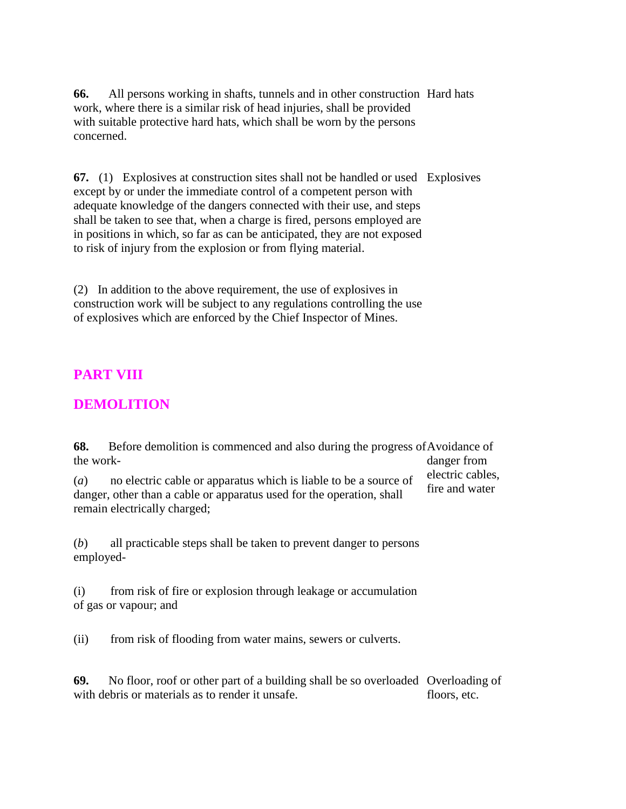**66.** All persons working in shafts, tunnels and in other construction Hard hats work, where there is a similar risk of head injuries, shall be provided with suitable protective hard hats, which shall be worn by the persons concerned.

**67.** (1) Explosives at construction sites shall not be handled or used Explosives except by or under the immediate control of a competent person with adequate knowledge of the dangers connected with their use, and steps shall be taken to see that, when a charge is fired, persons employed are in positions in which, so far as can be anticipated, they are not exposed to risk of injury from the explosion or from flying material.

(2) In addition to the above requirement, the use of explosives in construction work will be subject to any regulations controlling the use of explosives which are enforced by the Chief Inspector of Mines.

### **PART VIII**

### **DEMOLITION**

**68.** Before demolition is commenced and also during the progress of Avoidance of the work danger from

(*a*) no electric cable or apparatus which is liable to be a source of danger, other than a cable or apparatus used for the operation, shall remain electrically charged;

electric cables, fire and water

(*b*) all practicable steps shall be taken to prevent danger to persons employed-

(i) from risk of fire or explosion through leakage or accumulation of gas or vapour; and

(ii) from risk of flooding from water mains, sewers or culverts.

**69.** No floor, roof or other part of a building shall be so overloaded Overloading of with debris or materials as to render it unsafe. floors, etc.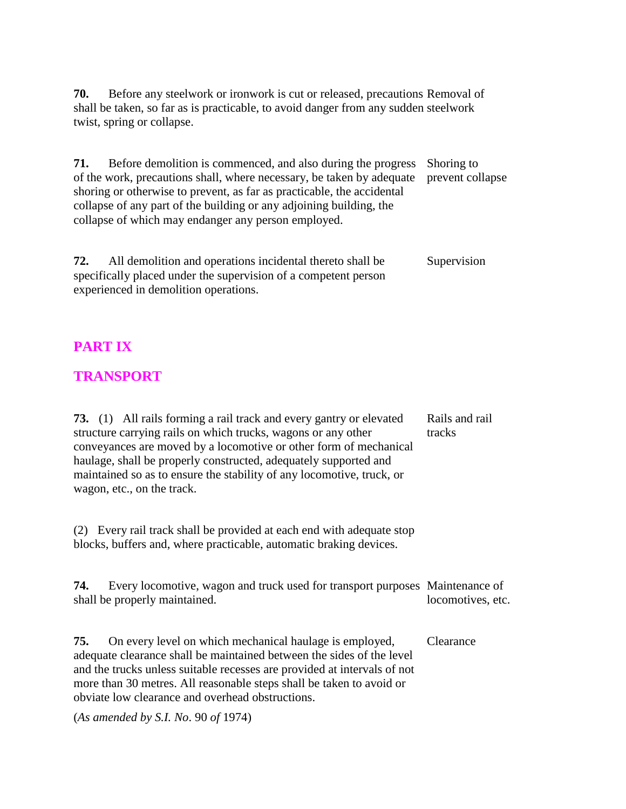**70.** Before any steelwork or ironwork is cut or released, precautions Removal of shall be taken, so far as is practicable, to avoid danger from any sudden steelwork twist, spring or collapse.

**71.** Before demolition is commenced, and also during the progress of the work, precautions shall, where necessary, be taken by adequate shoring or otherwise to prevent, as far as practicable, the accidental collapse of any part of the building or any adjoining building, the collapse of which may endanger any person employed. Shoring to prevent collapse

**72.** All demolition and operations incidental thereto shall be specifically placed under the supervision of a competent person experienced in demolition operations. Supervision

### **PART IX**

### **TRANSPORT**

**73.** (1) All rails forming a rail track and every gantry or elevated structure carrying rails on which trucks, wagons or any other conveyances are moved by a locomotive or other form of mechanical haulage, shall be properly constructed, adequately supported and maintained so as to ensure the stability of any locomotive, truck, or wagon, etc., on the track. Rails and rail tracks

(2) Every rail track shall be provided at each end with adequate stop blocks, buffers and, where practicable, automatic braking devices.

**74.** Every locomotive, wagon and truck used for transport purposes Maintenance of shall be properly maintained. locomotives, etc.

**75.** On every level on which mechanical haulage is employed, adequate clearance shall be maintained between the sides of the level and the trucks unless suitable recesses are provided at intervals of not more than 30 metres. All reasonable steps shall be taken to avoid or obviate low clearance and overhead obstructions. Clearance

(*As amended by S.I. No*. 90 *of* 1974)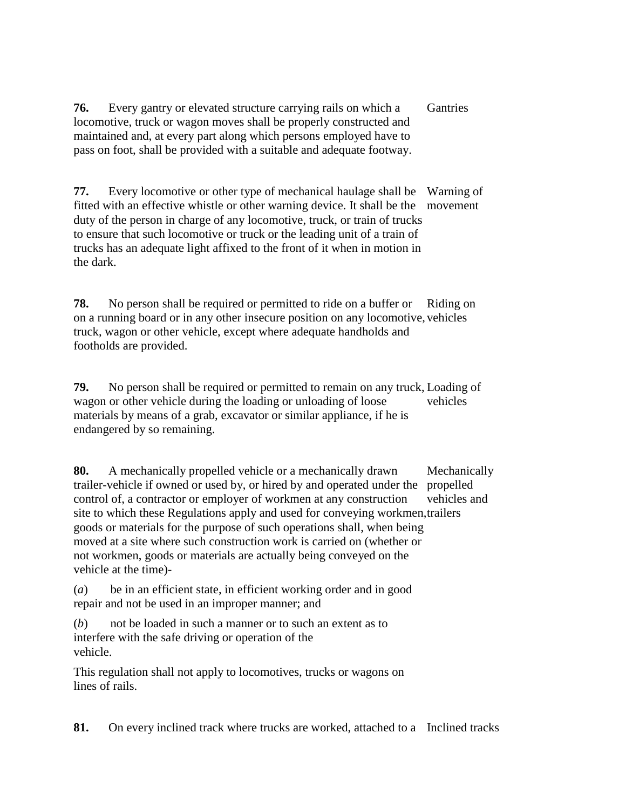**76.** Every gantry or elevated structure carrying rails on which a locomotive, truck or wagon moves shall be properly constructed and maintained and, at every part along which persons employed have to pass on foot, shall be provided with a suitable and adequate footway. Gantries

**77.** Every locomotive or other type of mechanical haulage shall be Warning of fitted with an effective whistle or other warning device. It shall be the movement duty of the person in charge of any locomotive, truck, or train of trucks to ensure that such locomotive or truck or the leading unit of a train of trucks has an adequate light affixed to the front of it when in motion in the dark.

**78.** No person shall be required or permitted to ride on a buffer or on a running board or in any other insecure position on any locomotive, vehicles truck, wagon or other vehicle, except where adequate handholds and footholds are provided. Riding on

**79.** No person shall be required or permitted to remain on any truck, Loading of wagon or other vehicle during the loading or unloading of loose materials by means of a grab, excavator or similar appliance, if he is endangered by so remaining. vehicles

**80.** A mechanically propelled vehicle or a mechanically drawn trailer-vehicle if owned or used by, or hired by and operated under the propelled control of, a contractor or employer of workmen at any construction site to which these Regulations apply and used for conveying workmen, trailers goods or materials for the purpose of such operations shall, when being moved at a site where such construction work is carried on (whether or not workmen, goods or materials are actually being conveyed on the vehicle at the time)- Mechanically vehicles and

(*a*) be in an efficient state, in efficient working order and in good repair and not be used in an improper manner; and

(*b*) not be loaded in such a manner or to such an extent as to interfere with the safe driving or operation of the vehicle.

This regulation shall not apply to locomotives, trucks or wagons on lines of rails.

**81.** On every inclined track where trucks are worked, attached to a Inclined tracks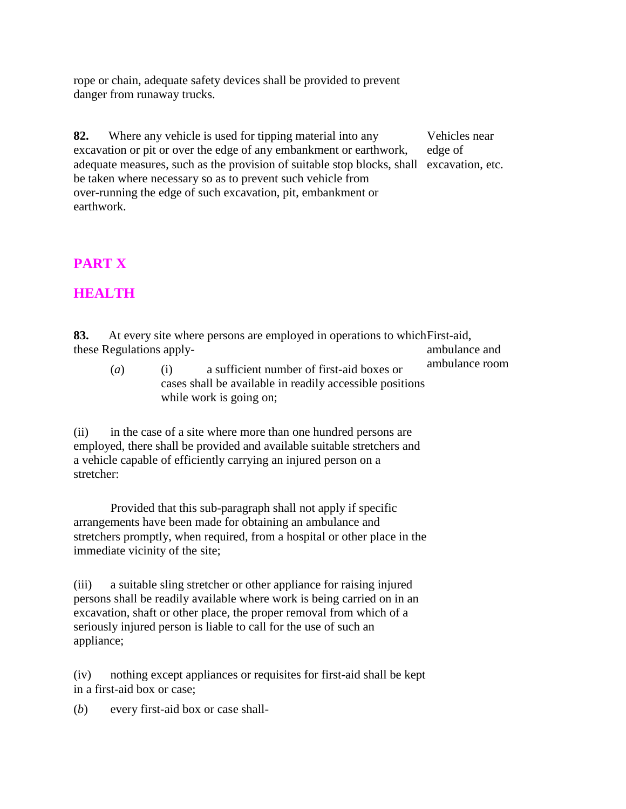rope or chain, adequate safety devices shall be provided to prevent danger from runaway trucks.

**82.** Where any vehicle is used for tipping material into any excavation or pit or over the edge of any embankment or earthwork, adequate measures, such as the provision of suitable stop blocks, shall excavation, etc. be taken where necessary so as to prevent such vehicle from over-running the edge of such excavation, pit, embankment or earthwork.

Vehicles near edge of

# **PART X**

### **HEALTH**

| 83. | these Regulations apply- |     | At every site where persons are employed in operations to which First-aid,                                                       | ambulance and  |
|-----|--------------------------|-----|----------------------------------------------------------------------------------------------------------------------------------|----------------|
|     | $\left(a\right)$         | (1) | a sufficient number of first-aid boxes or<br>cases shall be available in readily accessible positions<br>while work is going on; | ambulance room |

(ii) in the case of a site where more than one hundred persons are employed, there shall be provided and available suitable stretchers and a vehicle capable of efficiently carrying an injured person on a stretcher:

Provided that this sub-paragraph shall not apply if specific arrangements have been made for obtaining an ambulance and stretchers promptly, when required, from a hospital or other place in the immediate vicinity of the site;

(iii) a suitable sling stretcher or other appliance for raising injured persons shall be readily available where work is being carried on in an excavation, shaft or other place, the proper removal from which of a seriously injured person is liable to call for the use of such an appliance;

(iv) nothing except appliances or requisites for first-aid shall be kept in a first-aid box or case;

(*b*) every first-aid box or case shall-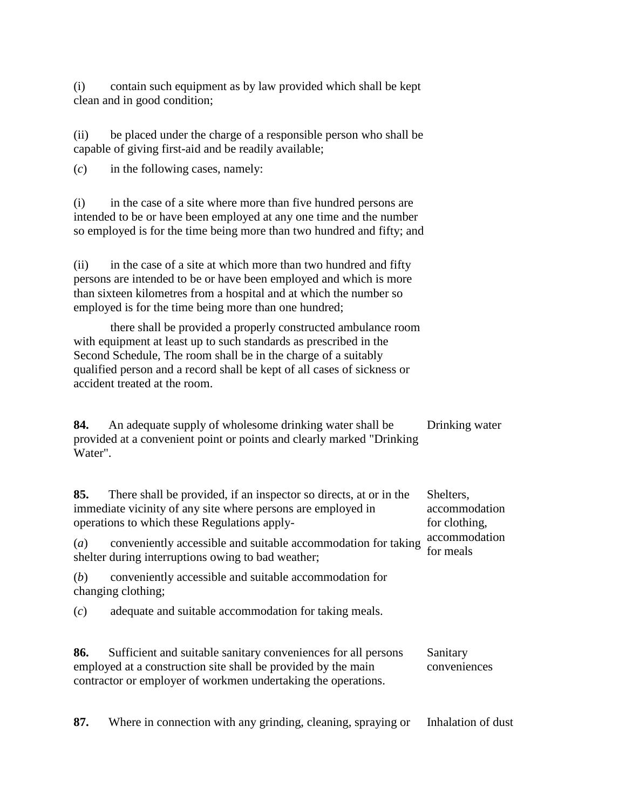(i) contain such equipment as by law provided which shall be kept clean and in good condition;

(ii) be placed under the charge of a responsible person who shall be capable of giving first-aid and be readily available;

(*c*) in the following cases, namely:

(i) in the case of a site where more than five hundred persons are intended to be or have been employed at any one time and the number so employed is for the time being more than two hundred and fifty; and

(ii) in the case of a site at which more than two hundred and fifty persons are intended to be or have been employed and which is more than sixteen kilometres from a hospital and at which the number so employed is for the time being more than one hundred;

there shall be provided a properly constructed ambulance room with equipment at least up to such standards as prescribed in the Second Schedule, The room shall be in the charge of a suitably qualified person and a record shall be kept of all cases of sickness or accident treated at the room.

**84.** An adequate supply of wholesome drinking water shall be provided at a convenient point or points and clearly marked "Drinking Water". Drinking water

| 85.<br>There shall be provided, if an inspector so directs, at or in the<br>immediate vicinity of any site where persons are employed in<br>operations to which these Regulations apply- | Shelters,<br>accommodation<br>for clothing,                                                                                                                                                     |                            |  |
|------------------------------------------------------------------------------------------------------------------------------------------------------------------------------------------|-------------------------------------------------------------------------------------------------------------------------------------------------------------------------------------------------|----------------------------|--|
| $\left(a\right)$                                                                                                                                                                         | conveniently accessible and suitable accommodation for taking<br>shelter during interruptions owing to bad weather;                                                                             | accommodation<br>for meals |  |
| (b)                                                                                                                                                                                      | conveniently accessible and suitable accommodation for<br>changing clothing;                                                                                                                    |                            |  |
| (c)                                                                                                                                                                                      | adequate and suitable accommodation for taking meals.                                                                                                                                           |                            |  |
| 86.                                                                                                                                                                                      | Sufficient and suitable sanitary conveniences for all persons<br>employed at a construction site shall be provided by the main<br>contractor or employer of workmen undertaking the operations. | Sanitary<br>conveniences   |  |
| 87.                                                                                                                                                                                      | Where in connection with any grinding, cleaning, spraying or                                                                                                                                    | Inhalation of dust         |  |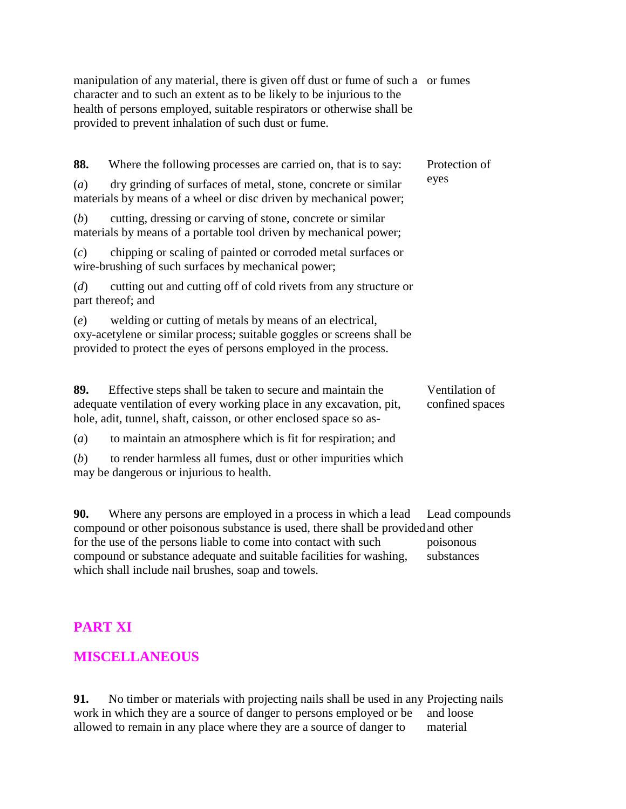manipulation of any material, there is given off dust or fume of such a or fumes character and to such an extent as to be likely to be injurious to the health of persons employed, suitable respirators or otherwise shall be provided to prevent inhalation of such dust or fume.

| 88.                                                                      | Where the following processes are carried on, that is to say:                                                                                                                                          | Protection of                     |
|--------------------------------------------------------------------------|--------------------------------------------------------------------------------------------------------------------------------------------------------------------------------------------------------|-----------------------------------|
| (a)<br>materials by means of a wheel or disc driven by mechanical power; | eyes                                                                                                                                                                                                   |                                   |
| (b)                                                                      | cutting, dressing or carving of stone, concrete or similar<br>materials by means of a portable tool driven by mechanical power;                                                                        |                                   |
| (c)                                                                      | chipping or scaling of painted or corroded metal surfaces or<br>wire-brushing of such surfaces by mechanical power;                                                                                    |                                   |
| (d)                                                                      | cutting out and cutting off of cold rivets from any structure or<br>part thereof; and                                                                                                                  |                                   |
| (e)                                                                      | welding or cutting of metals by means of an electrical,<br>oxy-acetylene or similar process; suitable goggles or screens shall be<br>provided to protect the eyes of persons employed in the process.  |                                   |
| 89.                                                                      | Effective steps shall be taken to secure and maintain the<br>adequate ventilation of every working place in any excavation, pit,<br>hole, adit, tunnel, shaft, caisson, or other enclosed space so as- | Ventilation of<br>confined spaces |
| (a)                                                                      | to maintain an atmosphere which is fit for respiration; and                                                                                                                                            |                                   |
| (b)                                                                      | to render harmless all fumes, dust or other impurities which<br>may be dangerous or injurious to health.                                                                                               |                                   |
| 90.                                                                      | Where any persons are employed in a process in which a lead                                                                                                                                            | Lead compounds                    |

compound or other poisonous substance is used, there shall be provided for the use of the persons liable to come into contact with such compound or substance adequate and suitable facilities for washing, which shall include nail brushes, soap and towels. and other poisonous substances

# **PART XI**

# **MISCELLANEOUS**

**91.** No timber or materials with projecting nails shall be used in any Projecting nails work in which they are a source of danger to persons employed or be allowed to remain in any place where they are a source of danger to and loose material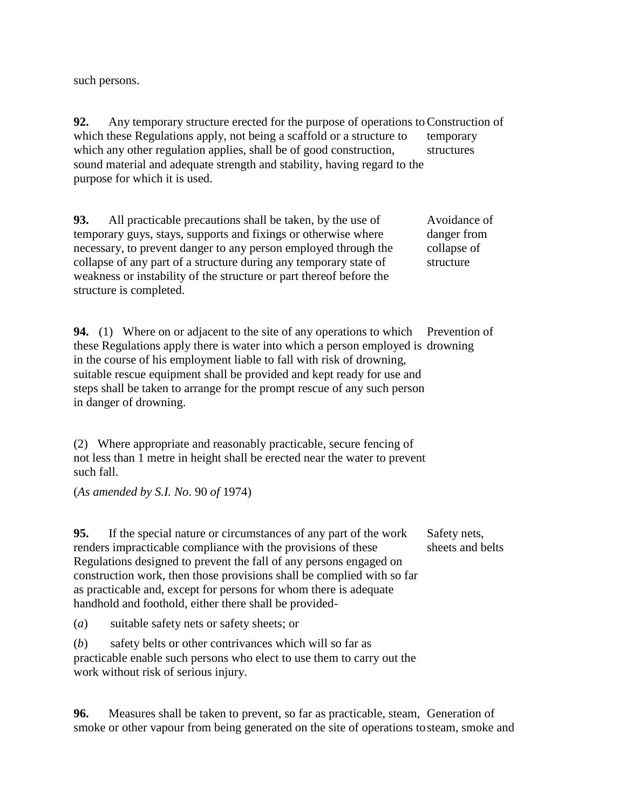such persons.

**92.** Any temporary structure erected for the purpose of operations to Construction of which these Regulations apply, not being a scaffold or a structure to which any other regulation applies, shall be of good construction, sound material and adequate strength and stability, having regard to the purpose for which it is used. temporary structures

**93.** All practicable precautions shall be taken, by the use of temporary guys, stays, supports and fixings or otherwise where necessary, to prevent danger to any person employed through the collapse of any part of a structure during any temporary state of weakness or instability of the structure or part thereof before the structure is completed. Avoidance of danger from collapse of structure

**94.** (1) Where on or adjacent to the site of any operations to which Prevention of these Regulations apply there is water into which a person employed is drowning in the course of his employment liable to fall with risk of drowning, suitable rescue equipment shall be provided and kept ready for use and steps shall be taken to arrange for the prompt rescue of any such person in danger of drowning.

(2) Where appropriate and reasonably practicable, secure fencing of not less than 1 metre in height shall be erected near the water to prevent such fall.

(*As amended by S.I. No*. 90 *of* 1974)

**95.** If the special nature or circumstances of any part of the work renders impracticable compliance with the provisions of these Regulations designed to prevent the fall of any persons engaged on construction work, then those provisions shall be complied with so far as practicable and, except for persons for whom there is adequate handhold and foothold, either there shall be provided-

Safety nets, sheets and belts

(*a*) suitable safety nets or safety sheets; or

(*b*) safety belts or other contrivances which will so far as practicable enable such persons who elect to use them to carry out the work without risk of serious injury.

**96.** Measures shall be taken to prevent, so far as practicable, steam, Generation of smoke or other vapour from being generated on the site of operations to steam, smoke and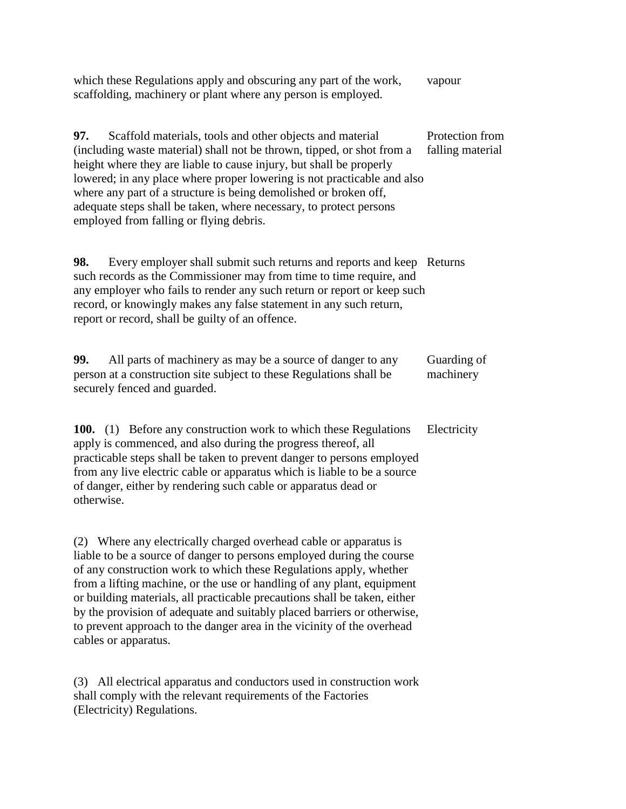| which these Regulations apply and obscuring any part of the work,<br>scaffolding, machinery or plant where any person is employed.                                                                                                                                                                                                                                                                                                                                                                                                                   | vapour                              |
|------------------------------------------------------------------------------------------------------------------------------------------------------------------------------------------------------------------------------------------------------------------------------------------------------------------------------------------------------------------------------------------------------------------------------------------------------------------------------------------------------------------------------------------------------|-------------------------------------|
| Scaffold materials, tools and other objects and material<br>97.<br>(including waste material) shall not be thrown, tipped, or shot from a<br>height where they are liable to cause injury, but shall be properly<br>lowered; in any place where proper lowering is not practicable and also<br>where any part of a structure is being demolished or broken off,<br>adequate steps shall be taken, where necessary, to protect persons<br>employed from falling or flying debris.                                                                     | Protection from<br>falling material |
| Every employer shall submit such returns and reports and keep Returns<br>98.<br>such records as the Commissioner may from time to time require, and<br>any employer who fails to render any such return or report or keep such<br>record, or knowingly makes any false statement in any such return,<br>report or record, shall be guilty of an offence.                                                                                                                                                                                             |                                     |
| All parts of machinery as may be a source of danger to any<br>99.<br>person at a construction site subject to these Regulations shall be<br>securely fenced and guarded.                                                                                                                                                                                                                                                                                                                                                                             | Guarding of<br>machinery            |
| <b>100.</b> (1) Before any construction work to which these Regulations<br>apply is commenced, and also during the progress thereof, all<br>practicable steps shall be taken to prevent danger to persons employed<br>from any live electric cable or apparatus which is liable to be a source<br>of danger, either by rendering such cable or apparatus dead or<br>otherwise.                                                                                                                                                                       | Electricity                         |
| (2) Where any electrically charged overhead cable or apparatus is<br>liable to be a source of danger to persons employed during the course<br>of any construction work to which these Regulations apply, whether<br>from a lifting machine, or the use or handling of any plant, equipment<br>or building materials, all practicable precautions shall be taken, either<br>by the provision of adequate and suitably placed barriers or otherwise,<br>to prevent approach to the danger area in the vicinity of the overhead<br>cables or apparatus. |                                     |
| (3) All electrical apparatus and conductors used in construction work<br>shall comply with the relevant requirements of the Factories<br>(Electricity) Regulations.                                                                                                                                                                                                                                                                                                                                                                                  |                                     |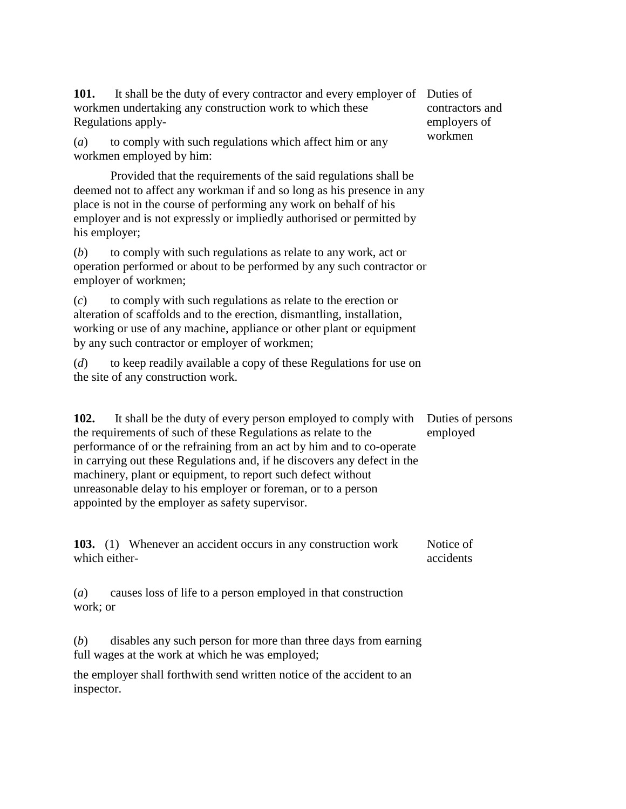| 101.<br>It shall be the duty of every contractor and every employer of<br>workmen undertaking any construction work to which these<br>Regulations apply-                                                                                                                                                                                                                                                                                                                        | Duties of<br>contractors and<br>employers of |
|---------------------------------------------------------------------------------------------------------------------------------------------------------------------------------------------------------------------------------------------------------------------------------------------------------------------------------------------------------------------------------------------------------------------------------------------------------------------------------|----------------------------------------------|
| to comply with such regulations which affect him or any<br>(a)<br>workmen employed by him:                                                                                                                                                                                                                                                                                                                                                                                      | workmen                                      |
| Provided that the requirements of the said regulations shall be<br>deemed not to affect any workman if and so long as his presence in any<br>place is not in the course of performing any work on behalf of his<br>employer and is not expressly or impliedly authorised or permitted by<br>his employer;                                                                                                                                                                       |                                              |
| to comply with such regulations as relate to any work, act or<br>(b)<br>operation performed or about to be performed by any such contractor or<br>employer of workmen;                                                                                                                                                                                                                                                                                                          |                                              |
| to comply with such regulations as relate to the erection or<br>(c)<br>alteration of scaffolds and to the erection, dismantling, installation,<br>working or use of any machine, appliance or other plant or equipment<br>by any such contractor or employer of workmen;                                                                                                                                                                                                        |                                              |
| to keep readily available a copy of these Regulations for use on<br>(d)<br>the site of any construction work.                                                                                                                                                                                                                                                                                                                                                                   |                                              |
| 102.<br>It shall be the duty of every person employed to comply with<br>the requirements of such of these Regulations as relate to the<br>performance of or the refraining from an act by him and to co-operate<br>in carrying out these Regulations and, if he discovers any defect in the<br>machinery, plant or equipment, to report such defect without<br>unreasonable delay to his employer or foreman, or to a person<br>appointed by the employer as safety supervisor. | Duties of persons<br>employed                |
| <b>103.</b> (1) Whenever an accident occurs in any construction work<br>which either-                                                                                                                                                                                                                                                                                                                                                                                           | Notice of<br>accidents                       |
| causes loss of life to a person employed in that construction<br>(a)<br>work; or                                                                                                                                                                                                                                                                                                                                                                                                |                                              |
| disables any such person for more than three days from earning<br>(b)<br>full wages at the work at which he was employed;                                                                                                                                                                                                                                                                                                                                                       |                                              |
| the employer shall forthwith send written notice of the accident to an<br>inspector.                                                                                                                                                                                                                                                                                                                                                                                            |                                              |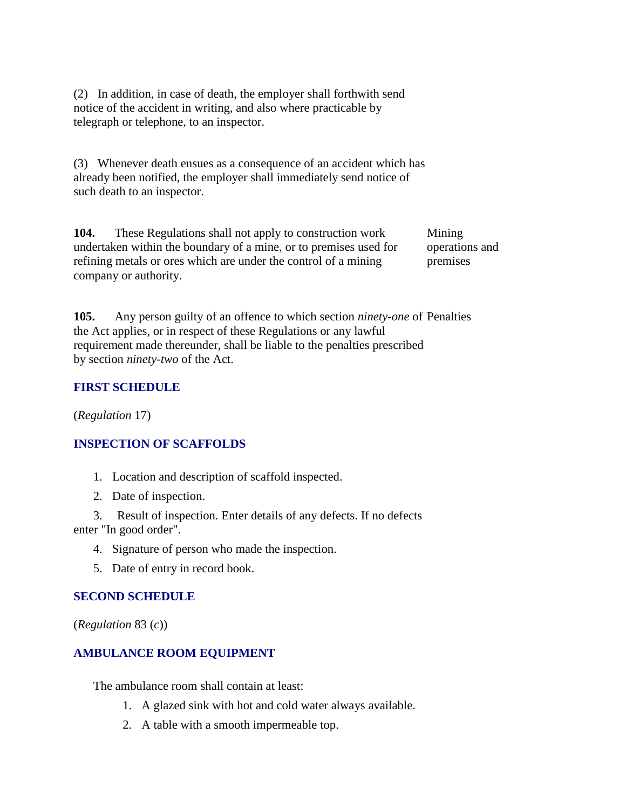(2) In addition, in case of death, the employer shall forthwith send notice of the accident in writing, and also where practicable by telegraph or telephone, to an inspector.

(3) Whenever death ensues as a consequence of an accident which has already been notified, the employer shall immediately send notice of such death to an inspector.

**104.** These Regulations shall not apply to construction work undertaken within the boundary of a mine, or to premises used for refining metals or ores which are under the control of a mining company or authority.

Mining operations and premises

**105.** Any person guilty of an offence to which section *ninety-one* of Penalties the Act applies, or in respect of these Regulations or any lawful requirement made thereunder, shall be liable to the penalties prescribed by section *ninety-two* of the Act.

#### **FIRST SCHEDULE**

(*Regulation* 17)

#### **INSPECTION OF SCAFFOLDS**

- 1. Location and description of scaffold inspected.
- 2. Date of inspection.

 3. Result of inspection. Enter details of any defects. If no defects enter "In good order".

- 4. Signature of person who made the inspection.
- 5. Date of entry in record book.

#### **SECOND SCHEDULE**

(*Regulation* 83 (*c*))

#### **AMBULANCE ROOM EQUIPMENT**

The ambulance room shall contain at least:

- 1. A glazed sink with hot and cold water always available.
- 2. A table with a smooth impermeable top.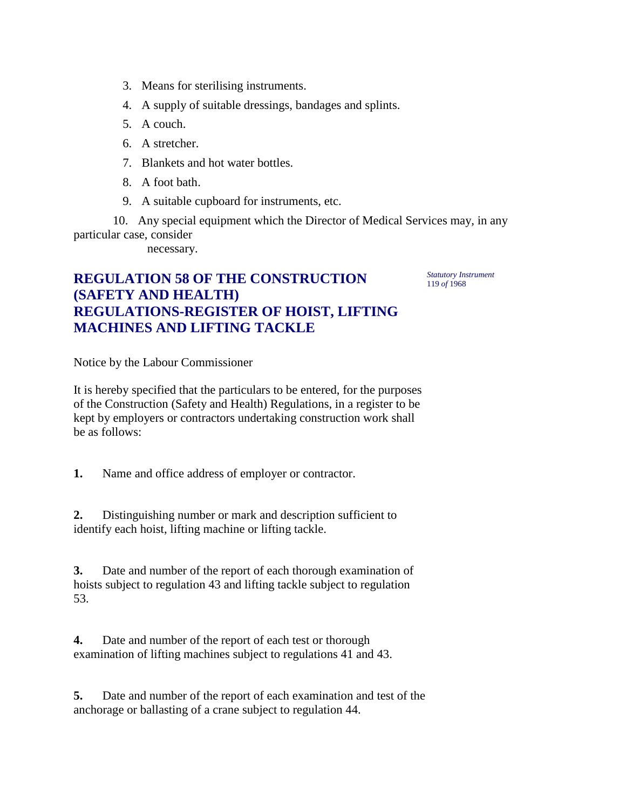- 3. Means for sterilising instruments.
- 4. A supply of suitable dressings, bandages and splints.
- 5. A couch.
- 6. A stretcher.
- 7. Blankets and hot water bottles.
- 8. A foot bath.
- 9. A suitable cupboard for instruments, etc.

 10. Any special equipment which the Director of Medical Services may, in any particular case, consider

necessary.

# **REGULATION 58 OF THE CONSTRUCTION (SAFETY AND HEALTH) REGULATIONS-REGISTER OF HOIST, LIFTING MACHINES AND LIFTING TACKLE**

*Statutory Instrument* 119 *of* 1968

Notice by the Labour Commissioner

It is hereby specified that the particulars to be entered, for the purposes of the Construction (Safety and Health) Regulations, in a register to be kept by employers or contractors undertaking construction work shall be as follows:

**1.** Name and office address of employer or contractor.

**2.** Distinguishing number or mark and description sufficient to identify each hoist, lifting machine or lifting tackle.

**3.** Date and number of the report of each thorough examination of hoists subject to regulation 43 and lifting tackle subject to regulation 53.

**4.** Date and number of the report of each test or thorough examination of lifting machines subject to regulations 41 and 43.

**5.** Date and number of the report of each examination and test of the anchorage or ballasting of a crane subject to regulation 44.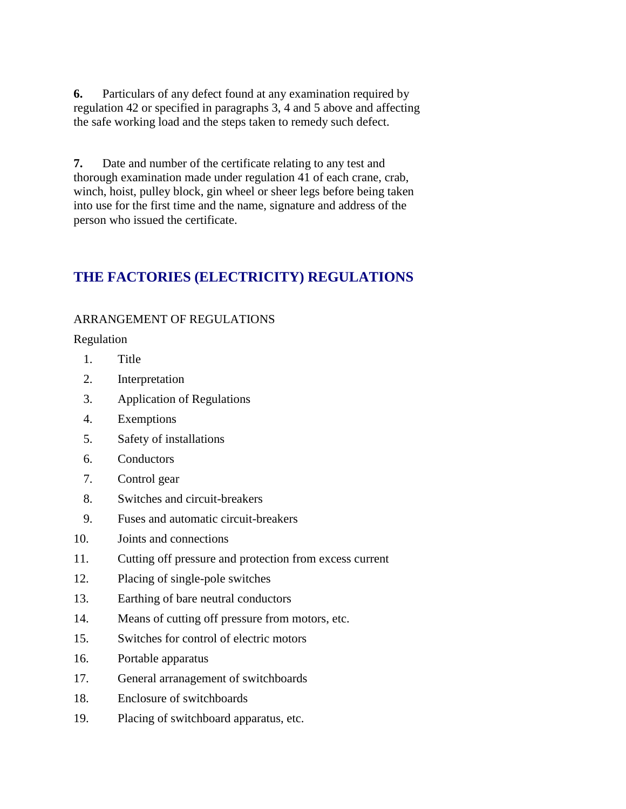**6.** Particulars of any defect found at any examination required by regulation 42 or specified in paragraphs 3, 4 and 5 above and affecting the safe working load and the steps taken to remedy such defect.

**7.** Date and number of the certificate relating to any test and thorough examination made under regulation 41 of each crane, crab, winch, hoist, pulley block, gin wheel or sheer legs before being taken into use for the first time and the name, signature and address of the person who issued the certificate.

# **THE FACTORIES (ELECTRICITY) REGULATIONS**

#### ARRANGEMENT OF REGULATIONS

Regulation

- 1. Title
- 2. Interpretation
- 3. Application of Regulations
- 4. Exemptions
- 5. Safety of installations
- 6. Conductors
- 7. Control gear
- 8. Switches and circuit-breakers
- 9. Fuses and automatic circuit-breakers
- 10. Joints and connections
- 11. Cutting off pressure and protection from excess current
- 12. Placing of single-pole switches
- 13. Earthing of bare neutral conductors
- 14. Means of cutting off pressure from motors, etc.
- 15. Switches for control of electric motors
- 16. Portable apparatus
- 17. General arranagement of switchboards
- 18. Enclosure of switchboards
- 19. Placing of switchboard apparatus, etc.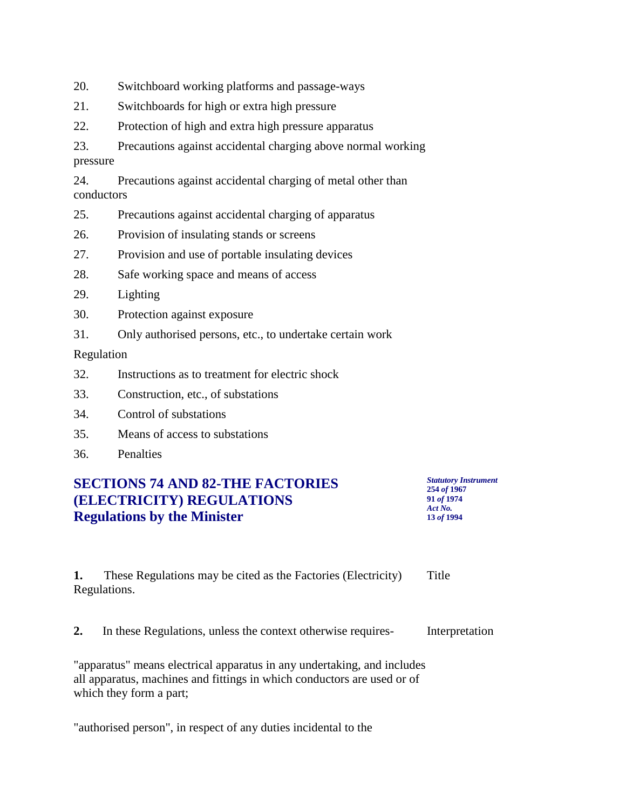20. Switchboard working platforms and passage-ways

- 21. Switchboards for high or extra high pressure
- 22. Protection of high and extra high pressure apparatus

23. Precautions against accidental charging above normal working pressure

24. Precautions against accidental charging of metal other than conductors

- 25. Precautions against accidental charging of apparatus
- 26. Provision of insulating stands or screens
- 27. Provision and use of portable insulating devices
- 28. Safe working space and means of access
- 29. Lighting
- 30. Protection against exposure
- 31. Only authorised persons, etc., to undertake certain work

Regulation

- 32. Instructions as to treatment for electric shock
- 33. Construction, etc., of substations
- 34. Control of substations
- 35. Means of access to substations
- 36. Penalties

### **SECTIONS 74 AND 82-THE FACTORIES (ELECTRICITY) REGULATIONS Regulations by the Minister**

| <b>Statutory Instrument</b> |  |
|-----------------------------|--|
| 254 of 1967                 |  |
| 91 of 1974                  |  |
| Act No.                     |  |
| 13 of 1994                  |  |

**1.** These Regulations may be cited as the Factories (Electricity) Regulations. **Title** 

**2.** In these Regulations, unless the context otherwise requires- Interpretation

"apparatus" means electrical apparatus in any undertaking, and includes all apparatus, machines and fittings in which conductors are used or of which they form a part;

"authorised person", in respect of any duties incidental to the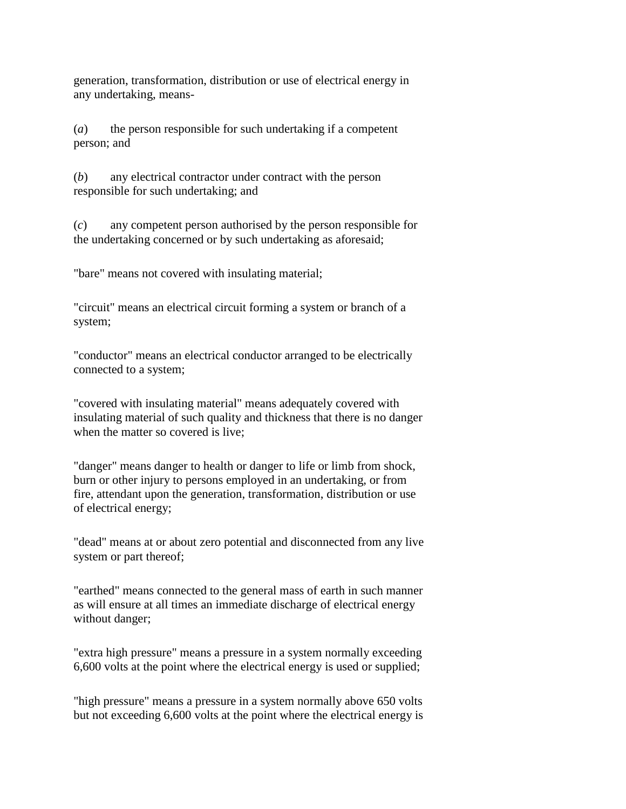generation, transformation, distribution or use of electrical energy in any undertaking, means-

(*a*) the person responsible for such undertaking if a competent person; and

(*b*) any electrical contractor under contract with the person responsible for such undertaking; and

(*c*) any competent person authorised by the person responsible for the undertaking concerned or by such undertaking as aforesaid;

"bare" means not covered with insulating material;

"circuit" means an electrical circuit forming a system or branch of a system;

"conductor" means an electrical conductor arranged to be electrically connected to a system;

"covered with insulating material" means adequately covered with insulating material of such quality and thickness that there is no danger when the matter so covered is live;

"danger" means danger to health or danger to life or limb from shock, burn or other injury to persons employed in an undertaking, or from fire, attendant upon the generation, transformation, distribution or use of electrical energy;

"dead" means at or about zero potential and disconnected from any live system or part thereof;

"earthed" means connected to the general mass of earth in such manner as will ensure at all times an immediate discharge of electrical energy without danger;

"extra high pressure" means a pressure in a system normally exceeding 6,600 volts at the point where the electrical energy is used or supplied;

"high pressure" means a pressure in a system normally above 650 volts but not exceeding 6,600 volts at the point where the electrical energy is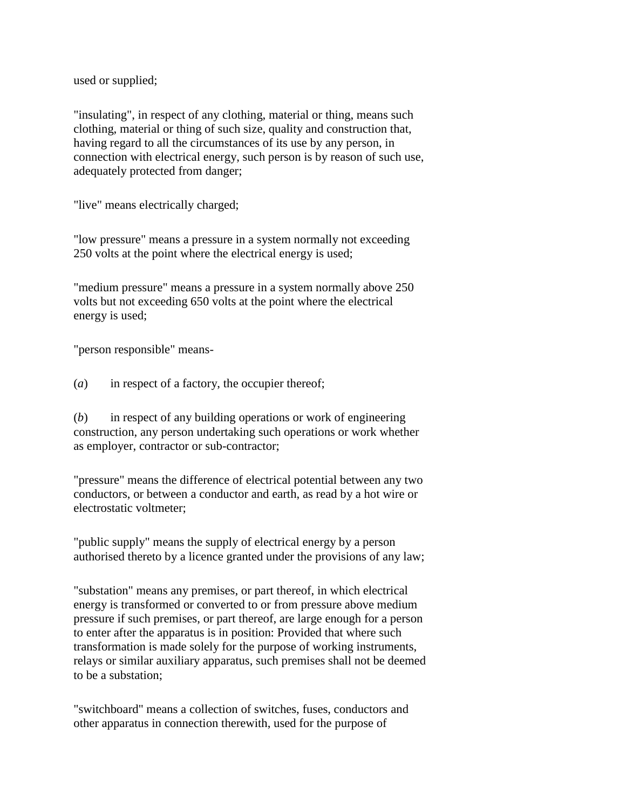used or supplied;

"insulating", in respect of any clothing, material or thing, means such clothing, material or thing of such size, quality and construction that, having regard to all the circumstances of its use by any person, in connection with electrical energy, such person is by reason of such use, adequately protected from danger;

"live" means electrically charged;

"low pressure" means a pressure in a system normally not exceeding 250 volts at the point where the electrical energy is used;

"medium pressure" means a pressure in a system normally above 250 volts but not exceeding 650 volts at the point where the electrical energy is used;

"person responsible" means-

(*a*) in respect of a factory, the occupier thereof;

(*b*) in respect of any building operations or work of engineering construction, any person undertaking such operations or work whether as employer, contractor or sub-contractor;

"pressure" means the difference of electrical potential between any two conductors, or between a conductor and earth, as read by a hot wire or electrostatic voltmeter;

"public supply" means the supply of electrical energy by a person authorised thereto by a licence granted under the provisions of any law;

"substation" means any premises, or part thereof, in which electrical energy is transformed or converted to or from pressure above medium pressure if such premises, or part thereof, are large enough for a person to enter after the apparatus is in position: Provided that where such transformation is made solely for the purpose of working instruments, relays or similar auxiliary apparatus, such premises shall not be deemed to be a substation;

"switchboard" means a collection of switches, fuses, conductors and other apparatus in connection therewith, used for the purpose of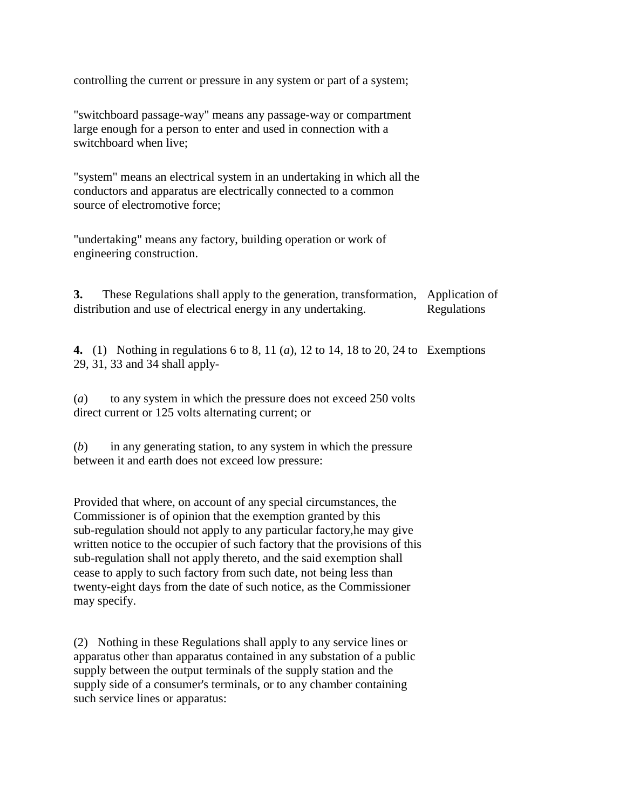controlling the current or pressure in any system or part of a system;

"switchboard passage-way" means any passage-way or compartment large enough for a person to enter and used in connection with a switchboard when live;

"system" means an electrical system in an undertaking in which all the conductors and apparatus are electrically connected to a common source of electromotive force;

"undertaking" means any factory, building operation or work of engineering construction.

**3.** These Regulations shall apply to the generation, transformation, Application of distribution and use of electrical energy in any undertaking. Regulations

**4.** (1) Nothing in regulations 6 to 8, 11 (*a*), 12 to 14, 18 to 20, 24 to Exemptions 29, 31, 33 and 34 shall apply-

(*a*) to any system in which the pressure does not exceed 250 volts direct current or 125 volts alternating current; or

(*b*) in any generating station, to any system in which the pressure between it and earth does not exceed low pressure:

Provided that where, on account of any special circumstances, the Commissioner is of opinion that the exemption granted by this sub-regulation should not apply to any particular factory,he may give written notice to the occupier of such factory that the provisions of this sub-regulation shall not apply thereto, and the said exemption shall cease to apply to such factory from such date, not being less than twenty-eight days from the date of such notice, as the Commissioner may specify.

(2) Nothing in these Regulations shall apply to any service lines or apparatus other than apparatus contained in any substation of a public supply between the output terminals of the supply station and the supply side of a consumer's terminals, or to any chamber containing such service lines or apparatus: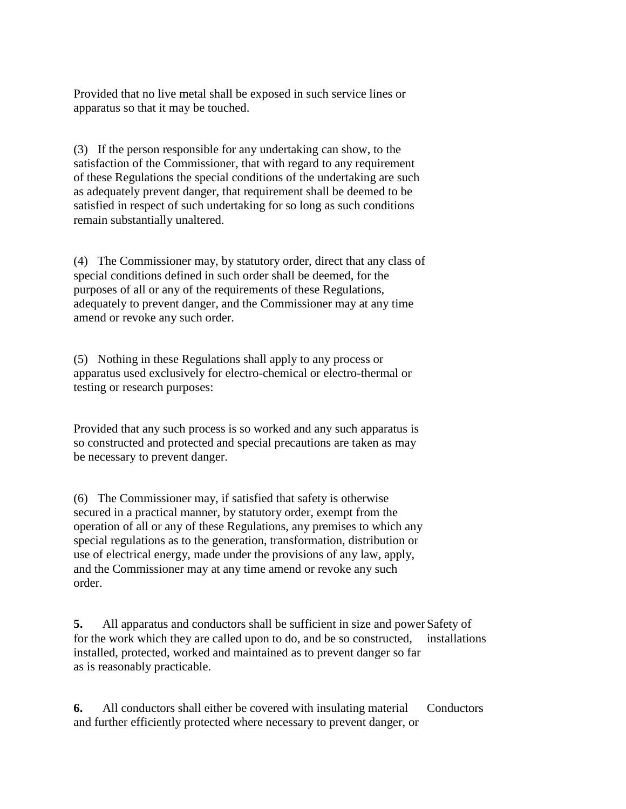Provided that no live metal shall be exposed in such service lines or apparatus so that it may be touched.

(3) If the person responsible for any undertaking can show, to the satisfaction of the Commissioner, that with regard to any requirement of these Regulations the special conditions of the undertaking are such as adequately prevent danger, that requirement shall be deemed to be satisfied in respect of such undertaking for so long as such conditions remain substantially unaltered.

(4) The Commissioner may, by statutory order, direct that any class of special conditions defined in such order shall be deemed, for the purposes of all or any of the requirements of these Regulations, adequately to prevent danger, and the Commissioner may at any time amend or revoke any such order.

(5) Nothing in these Regulations shall apply to any process or apparatus used exclusively for electro-chemical or electro-thermal or testing or research purposes:

Provided that any such process is so worked and any such apparatus is so constructed and protected and special precautions are taken as may be necessary to prevent danger.

(6) The Commissioner may, if satisfied that safety is otherwise secured in a practical manner, by statutory order, exempt from the operation of all or any of these Regulations, any premises to which any special regulations as to the generation, transformation, distribution or use of electrical energy, made under the provisions of any law, apply, and the Commissioner may at any time amend or revoke any such order.

**5.** All apparatus and conductors shall be sufficient in size and power Safety of for the work which they are called upon to do, and be so constructed, installed, protected, worked and maintained as to prevent danger so far as is reasonably practicable. installations

**6.** All conductors shall either be covered with insulating material and further efficiently protected where necessary to prevent danger, or **Conductors**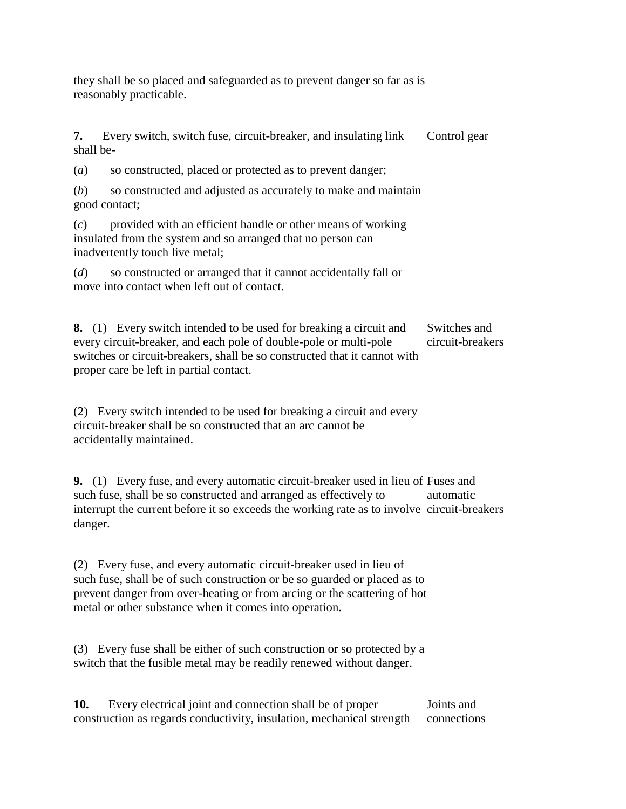they shall be so placed and safeguarded as to prevent danger so far as is reasonably practicable.

**7.** Every switch, switch fuse, circuit-breaker, and insulating link shall be- Control gear

(*a*) so constructed, placed or protected as to prevent danger;

(*b*) so constructed and adjusted as accurately to make and maintain good contact;

(*c*) provided with an efficient handle or other means of working insulated from the system and so arranged that no person can inadvertently touch live metal;

(*d*) so constructed or arranged that it cannot accidentally fall or move into contact when left out of contact.

**8.** (1) Every switch intended to be used for breaking a circuit and every circuit-breaker, and each pole of double-pole or multi-pole switches or circuit-breakers, shall be so constructed that it cannot with proper care be left in partial contact. Switches and circuit-breakers

(2) Every switch intended to be used for breaking a circuit and every circuit-breaker shall be so constructed that an arc cannot be accidentally maintained.

**9.** (1) Every fuse, and every automatic circuit-breaker used in lieu of Fuses and such fuse, shall be so constructed and arranged as effectively to interrupt the current before it so exceeds the working rate as to involve circuit-breakers danger. automatic

(2) Every fuse, and every automatic circuit-breaker used in lieu of such fuse, shall be of such construction or be so guarded or placed as to prevent danger from over-heating or from arcing or the scattering of hot metal or other substance when it comes into operation.

(3) Every fuse shall be either of such construction or so protected by a switch that the fusible metal may be readily renewed without danger.

**10.** Every electrical joint and connection shall be of proper construction as regards conductivity, insulation, mechanical strength Joints and connections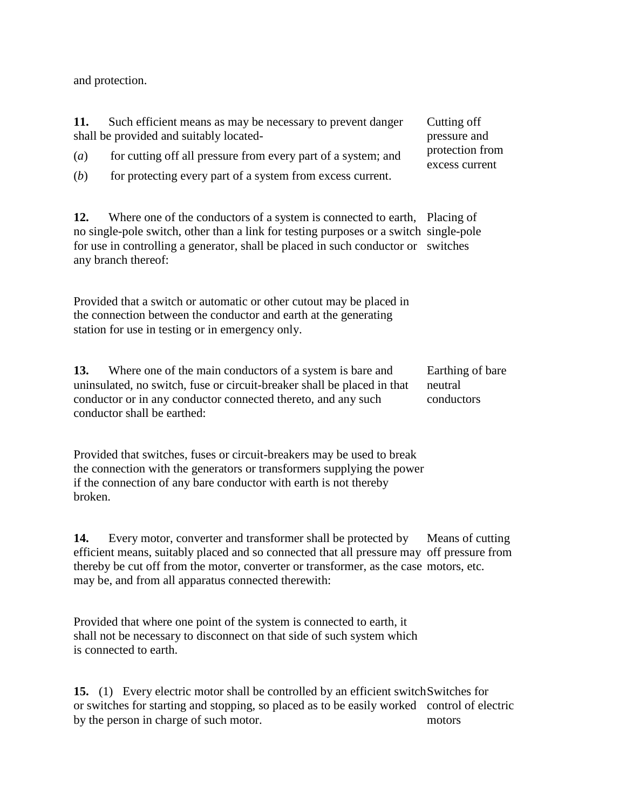and protection.

| 11.<br>(a)<br>(b)                                                                                                                                                                            | Such efficient means as may be necessary to prevent danger<br>shall be provided and suitably located-<br>for cutting off all pressure from every part of a system; and<br>for protecting every part of a system from excess current.                                           | Cutting off<br>pressure and<br>protection from<br>excess current |  |  |  |
|----------------------------------------------------------------------------------------------------------------------------------------------------------------------------------------------|--------------------------------------------------------------------------------------------------------------------------------------------------------------------------------------------------------------------------------------------------------------------------------|------------------------------------------------------------------|--|--|--|
| 12.                                                                                                                                                                                          | Where one of the conductors of a system is connected to earth, Placing of<br>no single-pole switch, other than a link for testing purposes or a switch single-pole<br>for use in controlling a generator, shall be placed in such conductor or switches<br>any branch thereof: |                                                                  |  |  |  |
| Provided that a switch or automatic or other cutout may be placed in<br>the connection between the conductor and earth at the generating<br>station for use in testing or in emergency only. |                                                                                                                                                                                                                                                                                |                                                                  |  |  |  |
| 13.                                                                                                                                                                                          | Where one of the main conductors of a system is bare and<br>uninsulated, no switch, fuse or circuit-breaker shall be placed in that<br>conductor or in any conductor connected thereto, and any such<br>conductor shall be earthed:                                            | Earthing of bare<br>neutral<br>conductors                        |  |  |  |

Provided that switches, fuses or circuit-breakers may be used to break the connection with the generators or transformers supplying the power if the connection of any bare conductor with earth is not thereby broken.

**14.** Every motor, converter and transformer shall be protected by efficient means, suitably placed and so connected that all pressure may off pressure from thereby be cut off from the motor, converter or transformer, as the case motors, etc. may be, and from all apparatus connected therewith: Means of cutting

Provided that where one point of the system is connected to earth, it shall not be necessary to disconnect on that side of such system which is connected to earth.

15. (1) Every electric motor shall be controlled by an efficient switch Switches for or switches for starting and stopping, so placed as to be easily worked control of electric by the person in charge of such motor. motors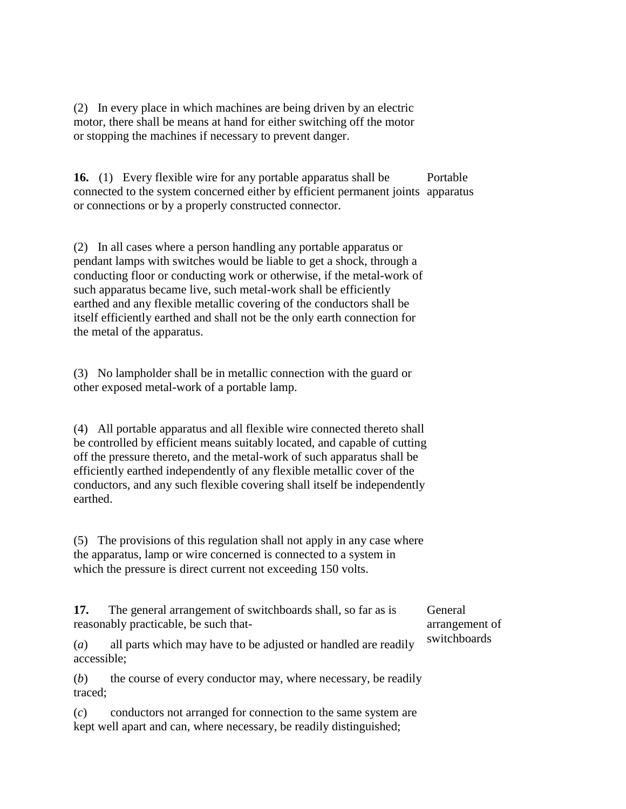(2) In every place in which machines are being driven by an electric motor, there shall be means at hand for either switching off the motor or stopping the machines if necessary to prevent danger.

**16.** (1) Every flexible wire for any portable apparatus shall be connected to the system concerned either by efficient permanent joints apparatus or connections or by a properly constructed connector. Portable

(2) In all cases where a person handling any portable apparatus or pendant lamps with switches would be liable to get a shock, through a conducting floor or conducting work or otherwise, if the metal-work of such apparatus became live, such metal-work shall be efficiently earthed and any flexible metallic covering of the conductors shall be itself efficiently earthed and shall not be the only earth connection for the metal of the apparatus.

(3) No lampholder shall be in metallic connection with the guard or other exposed metal-work of a portable lamp.

(4) All portable apparatus and all flexible wire connected thereto shall be controlled by efficient means suitably located, and capable of cutting off the pressure thereto, and the metal-work of such apparatus shall be efficiently earthed independently of any flexible metallic cover of the conductors, and any such flexible covering shall itself be independently earthed.

(5) The provisions of this regulation shall not apply in any case where the apparatus, lamp or wire concerned is connected to a system in which the pressure is direct current not exceeding 150 volts.

**17.** The general arrangement of switchboards shall, so far as is reasonably practicable, be such that-

General arrangement of switchboards

(*a*) all parts which may have to be adjusted or handled are readily accessible;

(*b*) the course of every conductor may, where necessary, be readily traced;

(*c*) conductors not arranged for connection to the same system are kept well apart and can, where necessary, be readily distinguished;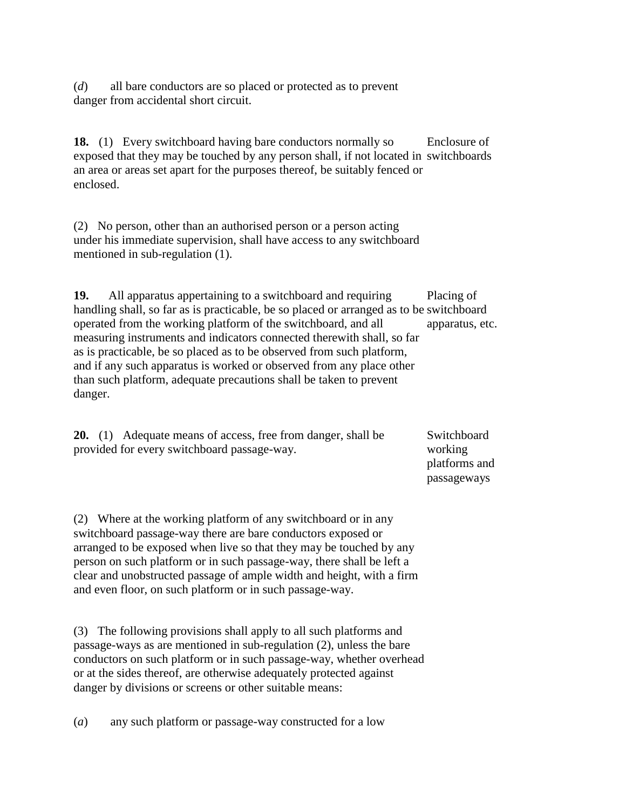(*d*) all bare conductors are so placed or protected as to prevent danger from accidental short circuit.

**18.** (1) Every switchboard having bare conductors normally so exposed that they may be touched by any person shall, if not located in switchboards an area or areas set apart for the purposes thereof, be suitably fenced or enclosed. Enclosure of

(2) No person, other than an authorised person or a person acting under his immediate supervision, shall have access to any switchboard mentioned in sub-regulation (1).

**19.** All apparatus appertaining to a switchboard and requiring handling shall, so far as is practicable, be so placed or arranged as to be switchboard operated from the working platform of the switchboard, and all measuring instruments and indicators connected therewith shall, so far as is practicable, be so placed as to be observed from such platform, and if any such apparatus is worked or observed from any place other than such platform, adequate precautions shall be taken to prevent danger. Placing of apparatus, etc.

|  | <b>20.</b> (1) Adequate means of access, free from danger, shall be | Switchboard        |
|--|---------------------------------------------------------------------|--------------------|
|  | provided for every switchboard passage-way.                         | working            |
|  |                                                                     | $1.1.40$ and $1.1$ |

platforms and passageways

(2) Where at the working platform of any switchboard or in any switchboard passage-way there are bare conductors exposed or arranged to be exposed when live so that they may be touched by any person on such platform or in such passage-way, there shall be left a clear and unobstructed passage of ample width and height, with a firm and even floor, on such platform or in such passage-way.

(3) The following provisions shall apply to all such platforms and passage-ways as are mentioned in sub-regulation (2), unless the bare conductors on such platform or in such passage-way, whether overhead or at the sides thereof, are otherwise adequately protected against danger by divisions or screens or other suitable means:

(*a*) any such platform or passage-way constructed for a low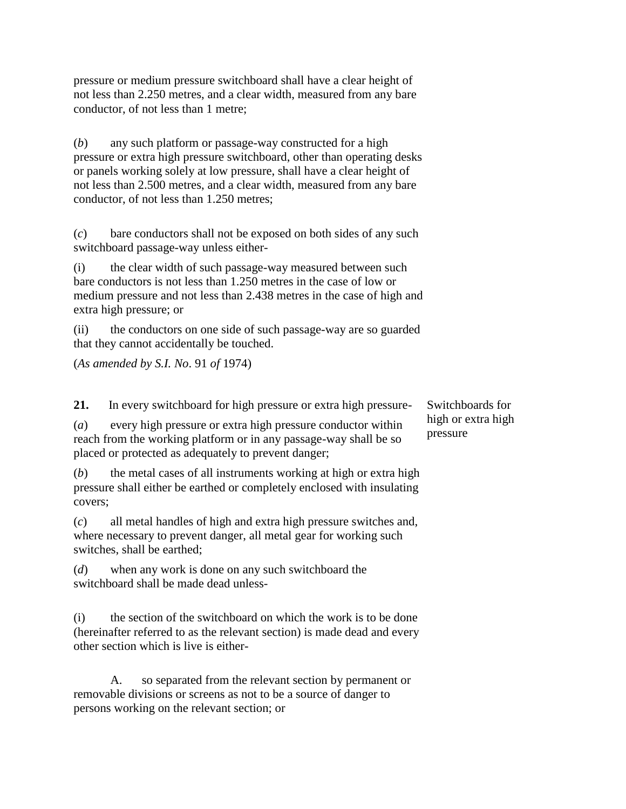pressure or medium pressure switchboard shall have a clear height of not less than 2.250 metres, and a clear width, measured from any bare conductor, of not less than 1 metre;

(*b*) any such platform or passage-way constructed for a high pressure or extra high pressure switchboard, other than operating desks or panels working solely at low pressure, shall have a clear height of not less than 2.500 metres, and a clear width, measured from any bare conductor, of not less than 1.250 metres;

(*c*) bare conductors shall not be exposed on both sides of any such switchboard passage-way unless either-

(i) the clear width of such passage-way measured between such bare conductors is not less than 1.250 metres in the case of low or medium pressure and not less than 2.438 metres in the case of high and extra high pressure; or

(ii) the conductors on one side of such passage-way are so guarded that they cannot accidentally be touched.

(*As amended by S.I. No*. 91 *of* 1974)

**21.** In every switchboard for high pressure or extra high pressure-

(*a*) every high pressure or extra high pressure conductor within reach from the working platform or in any passage-way shall be so placed or protected as adequately to prevent danger;

(*b*) the metal cases of all instruments working at high or extra high pressure shall either be earthed or completely enclosed with insulating covers;

(*c*) all metal handles of high and extra high pressure switches and, where necessary to prevent danger, all metal gear for working such switches, shall be earthed;

(*d*) when any work is done on any such switchboard the switchboard shall be made dead unless-

(i) the section of the switchboard on which the work is to be done (hereinafter referred to as the relevant section) is made dead and every other section which is live is either-

A. so separated from the relevant section by permanent or removable divisions or screens as not to be a source of danger to persons working on the relevant section; or

Switchboards for high or extra high pressure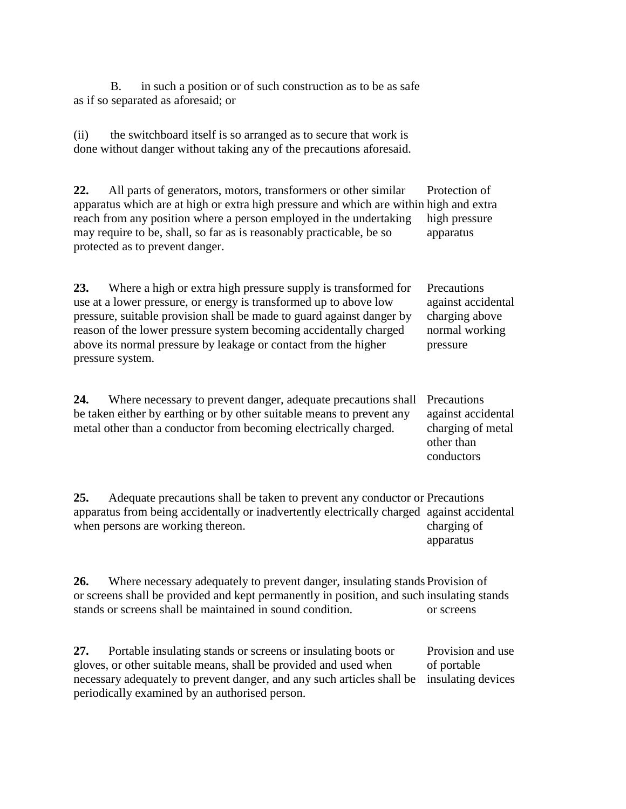B. in such a position or of such construction as to be as safe as if so separated as aforesaid; or

(ii) the switchboard itself is so arranged as to secure that work is done without danger without taking any of the precautions aforesaid.

**22.** All parts of generators, motors, transformers or other similar apparatus which are at high or extra high pressure and which are within high and extra reach from any position where a person employed in the undertaking may require to be, shall, so far as is reasonably practicable, be so protected as to prevent danger. Protection of high pressure apparatus

**23.** Where a high or extra high pressure supply is transformed for use at a lower pressure, or energy is transformed up to above low pressure, suitable provision shall be made to guard against danger by reason of the lower pressure system becoming accidentally charged above its normal pressure by leakage or contact from the higher pressure system. **Precautions** against accidental charging above normal working pressure

**24.** Where necessary to prevent danger, adequate precautions shall be taken either by earthing or by other suitable means to prevent any metal other than a conductor from becoming electrically charged.

Precautions against accidental charging of metal other than conductors

**25.** Adequate precautions shall be taken to prevent any conductor or Precautions apparatus from being accidentally or inadvertently electrically charged against accidental when persons are working thereon. charging of apparatus

**26.** Where necessary adequately to prevent danger, insulating stands Provision of or screens shall be provided and kept permanently in position, and such insulating stands stands or screens shall be maintained in sound condition. or screens

**27.** Portable insulating stands or screens or insulating boots or gloves, or other suitable means, shall be provided and used when necessary adequately to prevent danger, and any such articles shall be periodically examined by an authorised person. Provision and use of portable insulating devices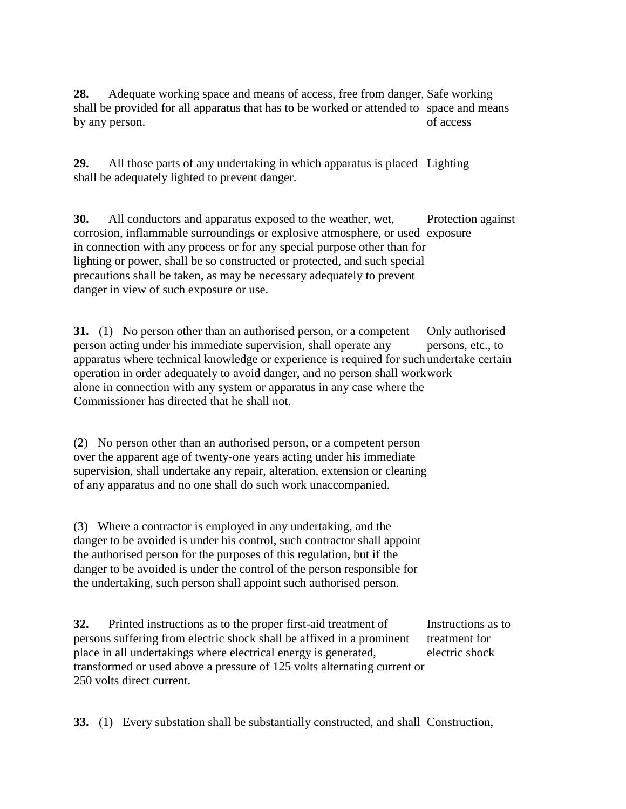28. Adequate working space and means of access, free from danger, Safe working shall be provided for all apparatus that has to be worked or attended to space and means by any person. of access

**29.** All those parts of any undertaking in which apparatus is placed Lighting shall be adequately lighted to prevent danger.

**30.** All conductors and apparatus exposed to the weather, wet, corrosion, inflammable surroundings or explosive atmosphere, or used exposure in connection with any process or for any special purpose other than for lighting or power, shall be so constructed or protected, and such special precautions shall be taken, as may be necessary adequately to prevent danger in view of such exposure or use. Protection against

**31.** (1) No person other than an authorised person, or a competent person acting under his immediate supervision, shall operate any apparatus where technical knowledge or experience is required for such undertake certain operation in order adequately to avoid danger, and no person shall work work alone in connection with any system or apparatus in any case where the Commissioner has directed that he shall not. Only authorised persons, etc., to

(2) No person other than an authorised person, or a competent person over the apparent age of twenty-one years acting under his immediate supervision, shall undertake any repair, alteration, extension or cleaning of any apparatus and no one shall do such work unaccompanied.

(3) Where a contractor is employed in any undertaking, and the danger to be avoided is under his control, such contractor shall appoint the authorised person for the purposes of this regulation, but if the danger to be avoided is under the control of the person responsible for the undertaking, such person shall appoint such authorised person.

**32.** Printed instructions as to the proper first-aid treatment of persons suffering from electric shock shall be affixed in a prominent place in all undertakings where electrical energy is generated, transformed or used above a pressure of 125 volts alternating current or 250 volts direct current. Instructions as to treatment for electric shock

**33.** (1) Every substation shall be substantially constructed, and shall Construction,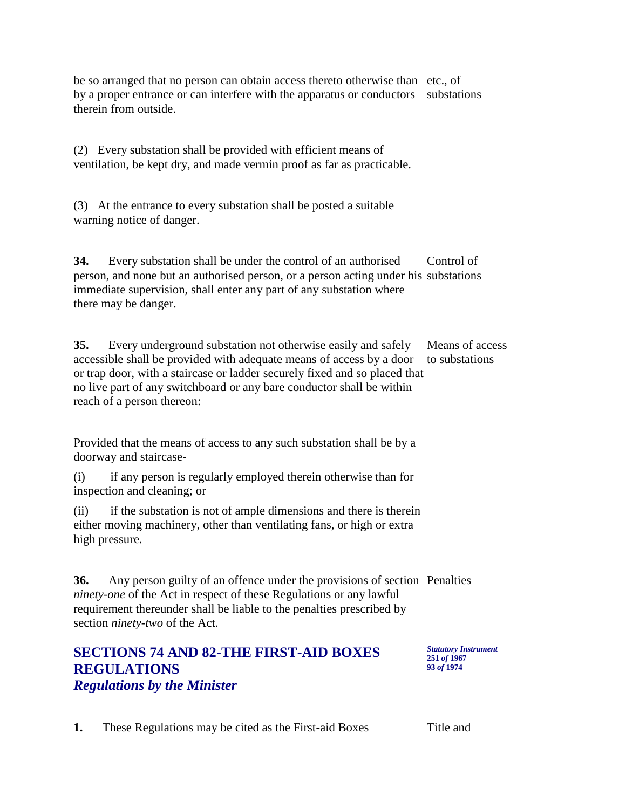be so arranged that no person can obtain access thereto otherwise than etc., of by a proper entrance or can interfere with the apparatus or conductors substations therein from outside.

(2) Every substation shall be provided with efficient means of ventilation, be kept dry, and made vermin proof as far as practicable.

(3) At the entrance to every substation shall be posted a suitable warning notice of danger.

**34.** Every substation shall be under the control of an authorised person, and none but an authorised person, or a person acting under his substations immediate supervision, shall enter any part of any substation where there may be danger. Control of

**35.** Every underground substation not otherwise easily and safely accessible shall be provided with adequate means of access by a door or trap door, with a staircase or ladder securely fixed and so placed that no live part of any switchboard or any bare conductor shall be within reach of a person thereon: Means of access to substations

Provided that the means of access to any such substation shall be by a doorway and staircase-

(i) if any person is regularly employed therein otherwise than for inspection and cleaning; or

(ii) if the substation is not of ample dimensions and there is therein either moving machinery, other than ventilating fans, or high or extra high pressure.

**36.** Any person guilty of an offence under the provisions of section Penalties *ninety-one* of the Act in respect of these Regulations or any lawful requirement thereunder shall be liable to the penalties prescribed by section *ninety-two* of the Act.

## **SECTIONS 74 AND 82-THE FIRST-AID BOXES REGULATIONS** *Regulations by the Minister*

*Statutory Instrument* **251** *of* **1967 93** *of* **1974**

**1.** These Regulations may be cited as the First-aid Boxes Title and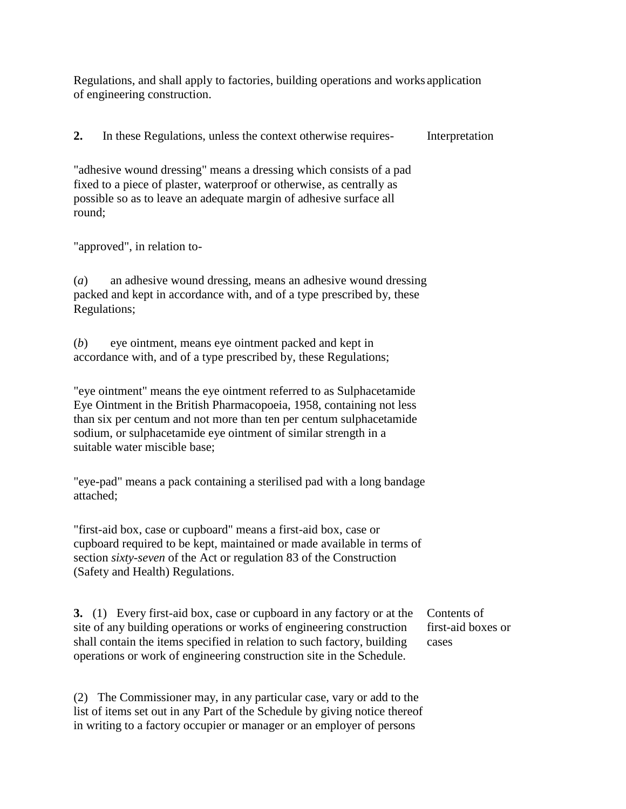Regulations, and shall apply to factories, building operations and works application of engineering construction.

**2.** In these Regulations, unless the context otherwise requires- Interpretation

"adhesive wound dressing" means a dressing which consists of a pad fixed to a piece of plaster, waterproof or otherwise, as centrally as possible so as to leave an adequate margin of adhesive surface all round;

"approved", in relation to-

(*a*) an adhesive wound dressing, means an adhesive wound dressing packed and kept in accordance with, and of a type prescribed by, these Regulations;

(*b*) eye ointment, means eye ointment packed and kept in accordance with, and of a type prescribed by, these Regulations;

"eye ointment" means the eye ointment referred to as Sulphacetamide Eye Ointment in the British Pharmacopoeia, 1958, containing not less than six per centum and not more than ten per centum sulphacetamide sodium, or sulphacetamide eye ointment of similar strength in a suitable water miscible base;

"eye-pad" means a pack containing a sterilised pad with a long bandage attached;

"first-aid box, case or cupboard" means a first-aid box, case or cupboard required to be kept, maintained or made available in terms of section *sixty-seven* of the Act or regulation 83 of the Construction (Safety and Health) Regulations.

**3.** (1) Every first-aid box, case or cupboard in any factory or at the site of any building operations or works of engineering construction shall contain the items specified in relation to such factory, building operations or work of engineering construction site in the Schedule.

Contents of first-aid boxes or cases

(2) The Commissioner may, in any particular case, vary or add to the list of items set out in any Part of the Schedule by giving notice thereof in writing to a factory occupier or manager or an employer of persons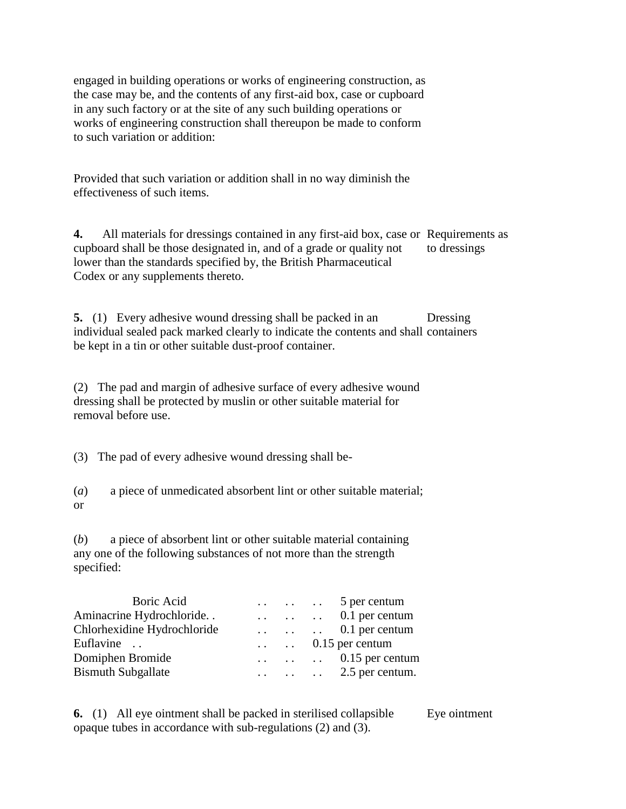engaged in building operations or works of engineering construction, as the case may be, and the contents of any first-aid box, case or cupboard in any such factory or at the site of any such building operations or works of engineering construction shall thereupon be made to conform to such variation or addition:

Provided that such variation or addition shall in no way diminish the effectiveness of such items.

**4.** All materials for dressings contained in any first-aid box, case or Requirements as cupboard shall be those designated in, and of a grade or quality not lower than the standards specified by, the British Pharmaceutical Codex or any supplements thereto. to dressings

**5.** (1) Every adhesive wound dressing shall be packed in an individual sealed pack marked clearly to indicate the contents and shall containers be kept in a tin or other suitable dust-proof container. Dressing

(2) The pad and margin of adhesive surface of every adhesive wound dressing shall be protected by muslin or other suitable material for removal before use.

(3) The pad of every adhesive wound dressing shall be-

(*a*) a piece of unmedicated absorbent lint or other suitable material; or

(*b*) a piece of absorbent lint or other suitable material containing any one of the following substances of not more than the strength specified:

|  | $\ldots$ $\ldots$ 0.1 per centum                             |
|--|--------------------------------------------------------------|
|  | $\ldots$ $\ldots$ 0.1 per centum                             |
|  |                                                              |
|  | $\ldots$ $\ldots$ 0.15 per centum                            |
|  | $\ldots$ $\ldots$ $\ldots$ 2.5 per centum.                   |
|  | $\ldots$ $\ldots$ 5 per centum<br>$\ldots$ . 0.15 per centum |

**6.** (1) All eye ointment shall be packed in sterilised collapsible opaque tubes in accordance with sub-regulations (2) and (3). Eye ointment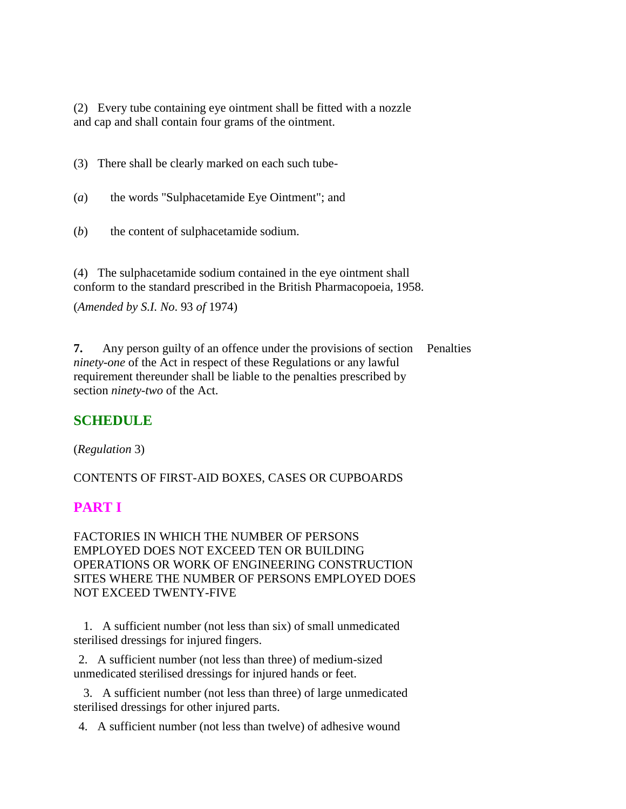(2) Every tube containing eye ointment shall be fitted with a nozzle and cap and shall contain four grams of the ointment.

(3) There shall be clearly marked on each such tube-

(*a*) the words "Sulphacetamide Eye Ointment"; and

(*b*) the content of sulphacetamide sodium.

(4) The sulphacetamide sodium contained in the eye ointment shall conform to the standard prescribed in the British Pharmacopoeia, 1958.

(*Amended by S.I. No*. 93 *of* 1974)

**7.** Any person guilty of an offence under the provisions of section Penalties *ninety-one* of the Act in respect of these Regulations or any lawful requirement thereunder shall be liable to the penalties prescribed by section *ninety-two* of the Act.

### **SCHEDULE**

(*Regulation* 3)

CONTENTS OF FIRST-AID BOXES, CASES OR CUPBOARDS

# **PART I**

FACTORIES IN WHICH THE NUMBER OF PERSONS EMPLOYED DOES NOT EXCEED TEN OR BUILDING OPERATIONS OR WORK OF ENGINEERING CONSTRUCTION SITES WHERE THE NUMBER OF PERSONS EMPLOYED DOES NOT EXCEED TWENTY-FIVE

 1. A sufficient number (not less than six) of small unmedicated sterilised dressings for injured fingers.

2. A sufficient number (not less than three) of medium-sized unmedicated sterilised dressings for injured hands or feet.

 3. A sufficient number (not less than three) of large unmedicated sterilised dressings for other injured parts.

4. A sufficient number (not less than twelve) of adhesive wound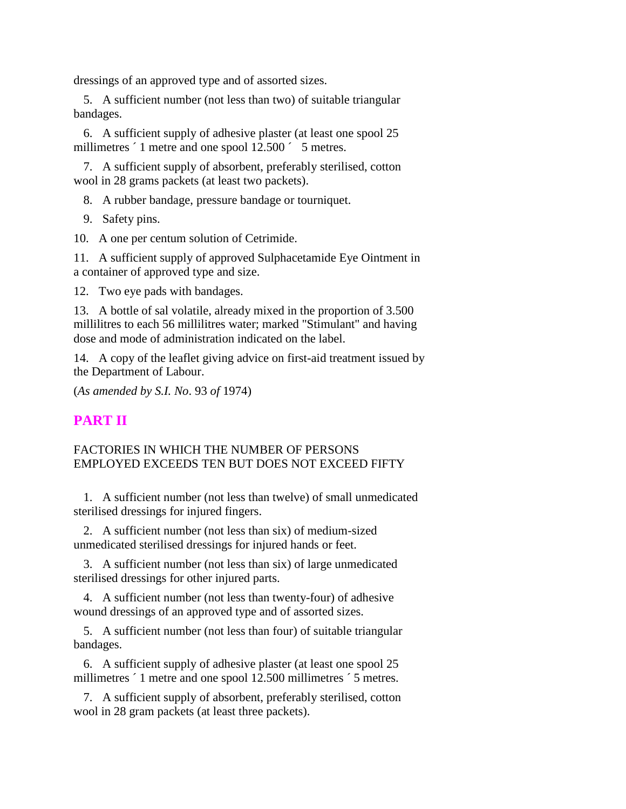dressings of an approved type and of assorted sizes.

 5. A sufficient number (not less than two) of suitable triangular bandages.

 6. A sufficient supply of adhesive plaster (at least one spool 25 millimetres  $\dot{\hspace{0.1cm}}$  1 metre and one spool 12.500  $\dot{\hspace{0.1cm}}$  5 metres.

 7. A sufficient supply of absorbent, preferably sterilised, cotton wool in 28 grams packets (at least two packets).

8. A rubber bandage, pressure bandage or tourniquet.

9. Safety pins.

10. A one per centum solution of Cetrimide.

11. A sufficient supply of approved Sulphacetamide Eye Ointment in a container of approved type and size.

12. Two eye pads with bandages.

13. A bottle of sal volatile, already mixed in the proportion of 3.500 millilitres to each 56 millilitres water; marked "Stimulant" and having dose and mode of administration indicated on the label.

14. A copy of the leaflet giving advice on first-aid treatment issued by the Department of Labour.

(*As amended by S.I. No*. 93 *of* 1974)

### **PART II**

#### FACTORIES IN WHICH THE NUMBER OF PERSONS EMPLOYED EXCEEDS TEN BUT DOES NOT EXCEED FIFTY

 1. A sufficient number (not less than twelve) of small unmedicated sterilised dressings for injured fingers.

 2. A sufficient number (not less than six) of medium-sized unmedicated sterilised dressings for injured hands or feet.

 3. A sufficient number (not less than six) of large unmedicated sterilised dressings for other injured parts.

 4. A sufficient number (not less than twenty-four) of adhesive wound dressings of an approved type and of assorted sizes.

 5. A sufficient number (not less than four) of suitable triangular bandages.

 6. A sufficient supply of adhesive plaster (at least one spool 25 millimetres  $\hat{ }$  1 metre and one spool 12.500 millimetres  $\hat{ }$  5 metres.

 7. A sufficient supply of absorbent, preferably sterilised, cotton wool in 28 gram packets (at least three packets).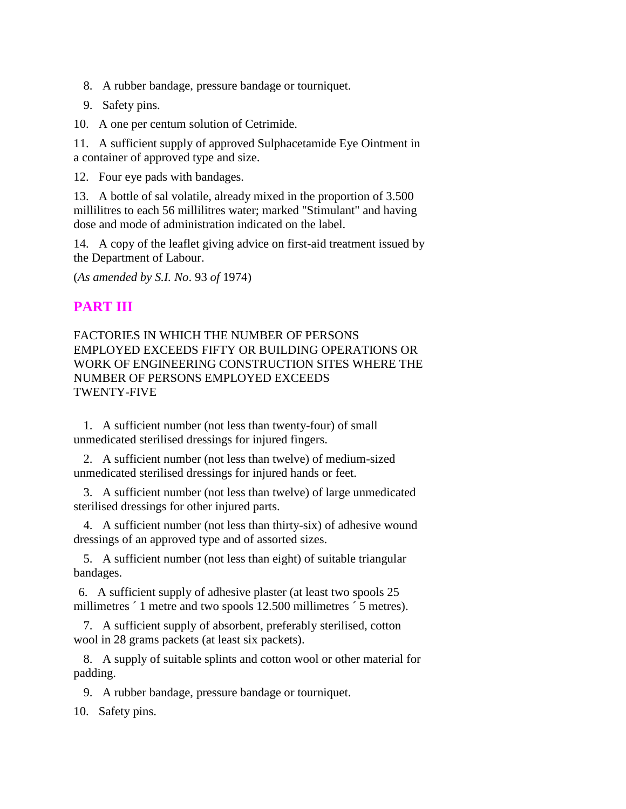- 8. A rubber bandage, pressure bandage or tourniquet.
- 9. Safety pins.

10. A one per centum solution of Cetrimide.

11. A sufficient supply of approved Sulphacetamide Eye Ointment in a container of approved type and size.

12. Four eye pads with bandages.

13. A bottle of sal volatile, already mixed in the proportion of 3.500 millilitres to each 56 millilitres water; marked "Stimulant" and having dose and mode of administration indicated on the label.

14. A copy of the leaflet giving advice on first-aid treatment issued by the Department of Labour.

(*As amended by S.I. No*. 93 *of* 1974)

# **PART III**

#### FACTORIES IN WHICH THE NUMBER OF PERSONS EMPLOYED EXCEEDS FIFTY OR BUILDING OPERATIONS OR WORK OF ENGINEERING CONSTRUCTION SITES WHERE THE NUMBER OF PERSONS EMPLOYED EXCEEDS TWENTY-FIVE

 1. A sufficient number (not less than twenty-four) of small unmedicated sterilised dressings for injured fingers.

 2. A sufficient number (not less than twelve) of medium-sized unmedicated sterilised dressings for injured hands or feet.

 3. A sufficient number (not less than twelve) of large unmedicated sterilised dressings for other injured parts.

 4. A sufficient number (not less than thirty-six) of adhesive wound dressings of an approved type and of assorted sizes.

 5. A sufficient number (not less than eight) of suitable triangular bandages.

6. A sufficient supply of adhesive plaster (at least two spools 25 millimetres  $\hat{ }$  1 metre and two spools 12.500 millimetres  $\hat{ }$  5 metres).

 7. A sufficient supply of absorbent, preferably sterilised, cotton wool in 28 grams packets (at least six packets).

 8. A supply of suitable splints and cotton wool or other material for padding.

9. A rubber bandage, pressure bandage or tourniquet.

10. Safety pins.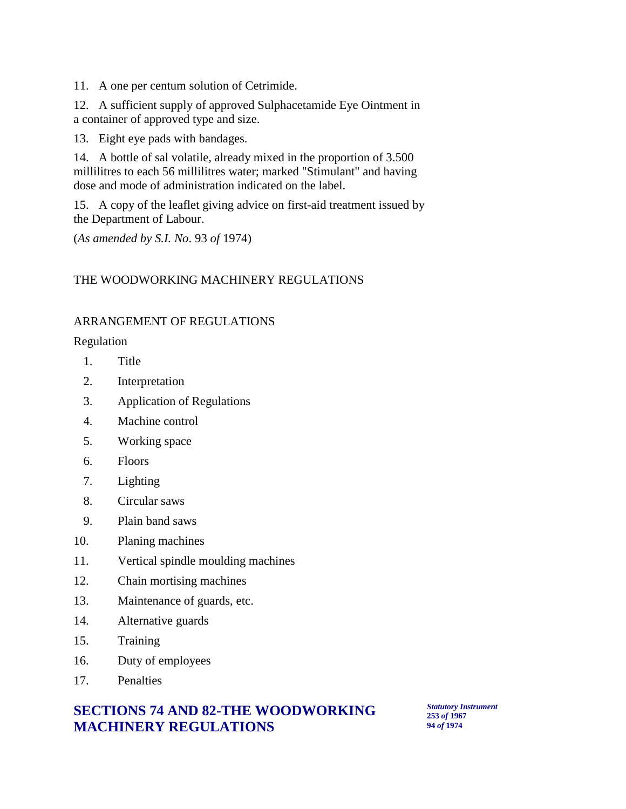11. A one per centum solution of Cetrimide.

12. A sufficient supply of approved Sulphacetamide Eye Ointment in a container of approved type and size.

13. Eight eye pads with bandages.

14. A bottle of sal volatile, already mixed in the proportion of 3.500 millilitres to each 56 millilitres water; marked "Stimulant" and having dose and mode of administration indicated on the label.

15. A copy of the leaflet giving advice on first-aid treatment issued by the Department of Labour.

(*As amended by S.I. No*. 93 *of* 1974)

#### THE WOODWORKING MACHINERY REGULATIONS

#### ARRANGEMENT OF REGULATIONS

Regulation

- 1. Title
- 2. Interpretation
- 3. Application of Regulations
- 4. Machine control
- 5. Working space
- 6. Floors
- 7. Lighting
- 8. Circular saws
- 9. Plain band saws
- 10. Planing machines
- 11. Vertical spindle moulding machines
- 12. Chain mortising machines
- 13. Maintenance of guards, etc.
- 14. Alternative guards
- 15. Training
- 16. Duty of employees
- 17. Penalties

## **SECTIONS 74 AND 82-THE WOODWORKING MACHINERY REGULATIONS**

*Statutory Instrument* **253** *of* **1967 94** *of* **1974**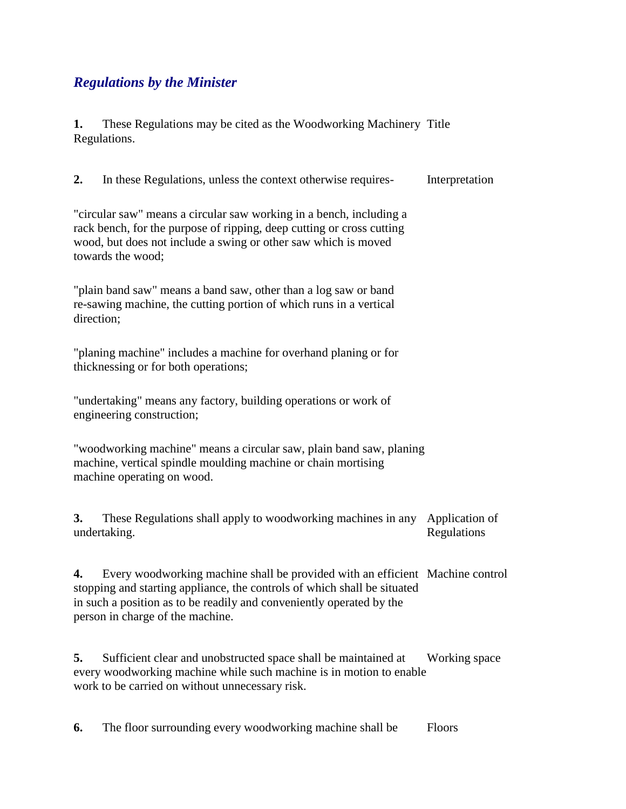# *Regulations by the Minister*

**1.** These Regulations may be cited as the Woodworking Machinery Title Regulations.

**2.** In these Regulations, unless the context otherwise requires- Interpretation

"circular saw" means a circular saw working in a bench, including a rack bench, for the purpose of ripping, deep cutting or cross cutting wood, but does not include a swing or other saw which is moved towards the wood;

"plain band saw" means a band saw, other than a log saw or band re-sawing machine, the cutting portion of which runs in a vertical direction;

"planing machine" includes a machine for overhand planing or for thicknessing or for both operations;

"undertaking" means any factory, building operations or work of engineering construction;

"woodworking machine" means a circular saw, plain band saw, planing machine, vertical spindle moulding machine or chain mortising machine operating on wood.

**3.** These Regulations shall apply to woodworking machines in any undertaking. Application of Regulations

**4.** Every woodworking machine shall be provided with an efficient Machine control stopping and starting appliance, the controls of which shall be situated in such a position as to be readily and conveniently operated by the person in charge of the machine.

**5.** Sufficient clear and unobstructed space shall be maintained at every woodworking machine while such machine is in motion to enable work to be carried on without unnecessary risk. Working space

**6.** The floor surrounding every woodworking machine shall be Floors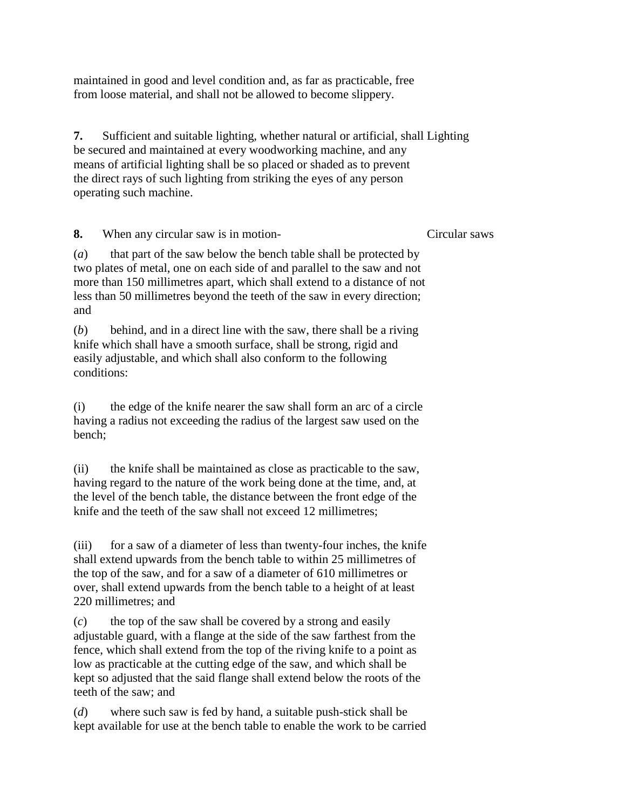maintained in good and level condition and, as far as practicable, free from loose material, and shall not be allowed to become slippery.

**7.** Sufficient and suitable lighting, whether natural or artificial, shall Lighting be secured and maintained at every woodworking machine, and any means of artificial lighting shall be so placed or shaded as to prevent the direct rays of such lighting from striking the eyes of any person operating such machine.

**8.** When any circular saw is in motion-

Circular saws

(*a*) that part of the saw below the bench table shall be protected by two plates of metal, one on each side of and parallel to the saw and not more than 150 millimetres apart, which shall extend to a distance of not less than 50 millimetres beyond the teeth of the saw in every direction; and

(*b*) behind, and in a direct line with the saw, there shall be a riving knife which shall have a smooth surface, shall be strong, rigid and easily adjustable, and which shall also conform to the following conditions:

(i) the edge of the knife nearer the saw shall form an arc of a circle having a radius not exceeding the radius of the largest saw used on the bench;

(ii) the knife shall be maintained as close as practicable to the saw, having regard to the nature of the work being done at the time, and, at the level of the bench table, the distance between the front edge of the knife and the teeth of the saw shall not exceed 12 millimetres;

(iii) for a saw of a diameter of less than twenty-four inches, the knife shall extend upwards from the bench table to within 25 millimetres of the top of the saw, and for a saw of a diameter of 610 millimetres or over, shall extend upwards from the bench table to a height of at least 220 millimetres; and

(*c*) the top of the saw shall be covered by a strong and easily adjustable guard, with a flange at the side of the saw farthest from the fence, which shall extend from the top of the riving knife to a point as low as practicable at the cutting edge of the saw, and which shall be kept so adjusted that the said flange shall extend below the roots of the teeth of the saw; and

(*d*) where such saw is fed by hand, a suitable push-stick shall be kept available for use at the bench table to enable the work to be carried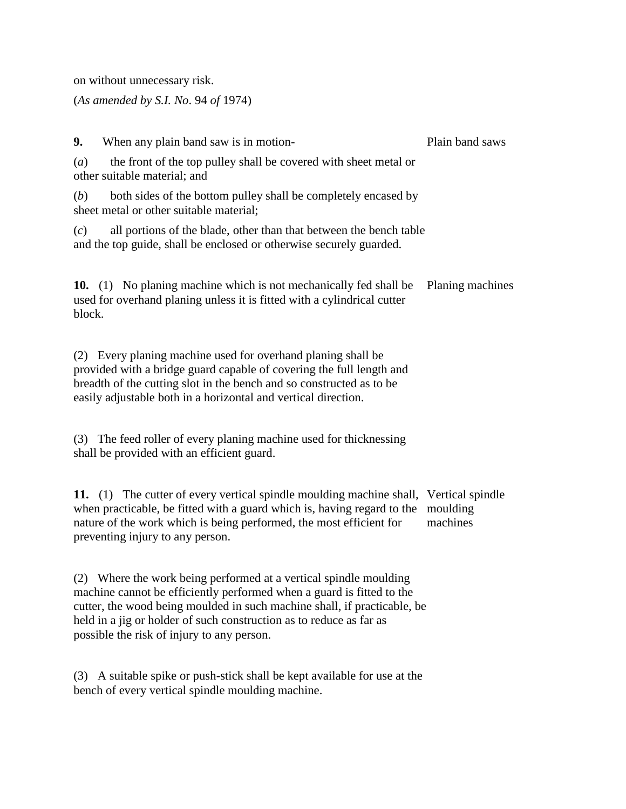on without unnecessary risk.

(*As amended by S.I. No*. 94 *of* 1974)

**9.** When any plain band saw is in motion- (*a*) the front of the top pulley shall be covered with sheet metal or other suitable material; and (*b*) both sides of the bottom pulley shall be completely encased by sheet metal or other suitable material; (*c*) all portions of the blade, other than that between the bench table and the top guide, shall be enclosed or otherwise securely guarded. Plain band saws **10.** (1) No planing machine which is not mechanically fed shall be used for overhand planing unless it is fitted with a cylindrical cutter block. Planing machines (2) Every planing machine used for overhand planing shall be provided with a bridge guard capable of covering the full length and breadth of the cutting slot in the bench and so constructed as to be easily adjustable both in a horizontal and vertical direction. (3) The feed roller of every planing machine used for thicknessing shall be provided with an efficient guard. **11.** (1) The cutter of every vertical spindle moulding machine shall, Vertical spindle when practicable, be fitted with a guard which is, having regard to the moulding nature of the work which is being performed, the most efficient for preventing injury to any person. machines

(2) Where the work being performed at a vertical spindle moulding machine cannot be efficiently performed when a guard is fitted to the cutter, the wood being moulded in such machine shall, if practicable, be held in a jig or holder of such construction as to reduce as far as possible the risk of injury to any person.

(3) A suitable spike or push-stick shall be kept available for use at the bench of every vertical spindle moulding machine.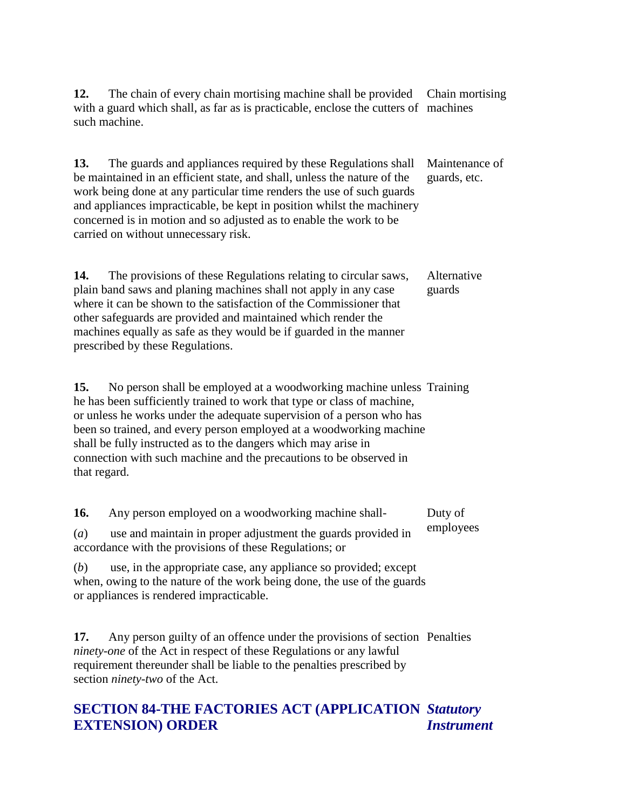**12.** The chain of every chain mortising machine shall be provided with a guard which shall, as far as is practicable, enclose the cutters of machines such machine. Chain mortising

**13.** The guards and appliances required by these Regulations shall be maintained in an efficient state, and shall, unless the nature of the work being done at any particular time renders the use of such guards and appliances impracticable, be kept in position whilst the machinery concerned is in motion and so adjusted as to enable the work to be carried on without unnecessary risk. Maintenance of guards, etc.

**14.** The provisions of these Regulations relating to circular saws, plain band saws and planing machines shall not apply in any case where it can be shown to the satisfaction of the Commissioner that other safeguards are provided and maintained which render the machines equally as safe as they would be if guarded in the manner prescribed by these Regulations. Alternative guards

15. No person shall be employed at a woodworking machine unless Training he has been sufficiently trained to work that type or class of machine, or unless he works under the adequate supervision of a person who has been so trained, and every person employed at a woodworking machine shall be fully instructed as to the dangers which may arise in connection with such machine and the precautions to be observed in that regard.

**16.** Any person employed on a woodworking machine shall- (*a*) use and maintain in proper adjustment the guards provided in accordance with the provisions of these Regulations; or Duty of employees

(*b*) use, in the appropriate case, any appliance so provided; except when, owing to the nature of the work being done, the use of the guards or appliances is rendered impracticable.

**17.** Any person guilty of an offence under the provisions of section Penalties *ninety-one* of the Act in respect of these Regulations or any lawful requirement thereunder shall be liable to the penalties prescribed by section *ninety-two* of the Act.

#### **SECTION 84-THE FACTORIES ACT (APPLICATION**  *Statutory*  **EXTENSION) ORDER** *Instrument*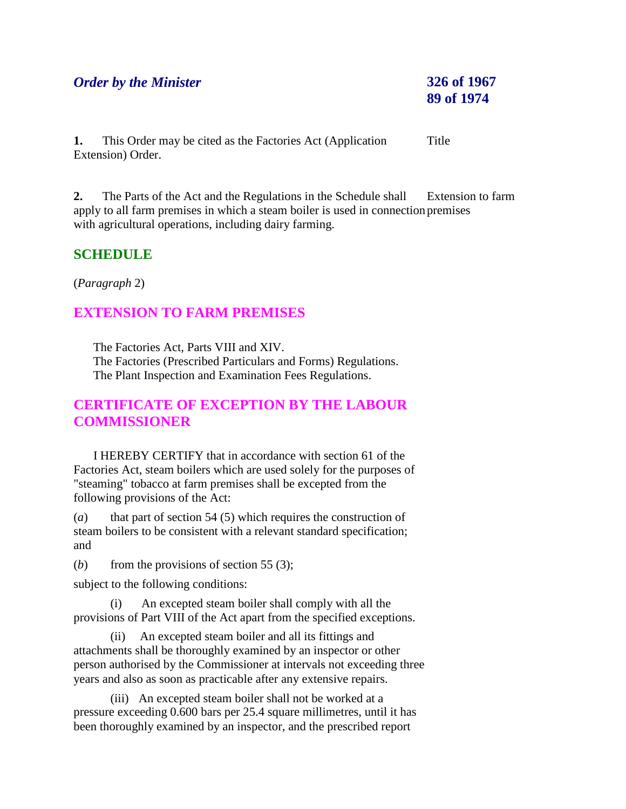# *Order by the Minister* **326 of 1967**

# **89 of 1974**

**1.** This Order may be cited as the Factories Act (Application Extension) Order. Title

**2.** The Parts of the Act and the Regulations in the Schedule shall apply to all farm premises in which a steam boiler is used in connection premises with agricultural operations, including dairy farming. Extension to farm

# **SCHEDULE**

(*Paragraph* 2)

# **EXTENSION TO FARM PREMISES**

 The Factories Act, Parts VIII and XIV. The Factories (Prescribed Particulars and Forms) Regulations. The Plant Inspection and Examination Fees Regulations.

# **CERTIFICATE OF EXCEPTION BY THE LABOUR COMMISSIONER**

 I HEREBY CERTIFY that in accordance with section 61 of the Factories Act, steam boilers which are used solely for the purposes of "steaming" tobacco at farm premises shall be excepted from the following provisions of the Act:

(*a*) that part of section 54 (5) which requires the construction of steam boilers to be consistent with a relevant standard specification; and

(*b*) from the provisions of section 55 (3);

subject to the following conditions:

(i) An excepted steam boiler shall comply with all the provisions of Part VIII of the Act apart from the specified exceptions.

(ii) An excepted steam boiler and all its fittings and attachments shall be thoroughly examined by an inspector or other person authorised by the Commissioner at intervals not exceeding three years and also as soon as practicable after any extensive repairs.

(iii) An excepted steam boiler shall not be worked at a pressure exceeding 0.600 bars per 25.4 square millimetres, until it has been thoroughly examined by an inspector, and the prescribed report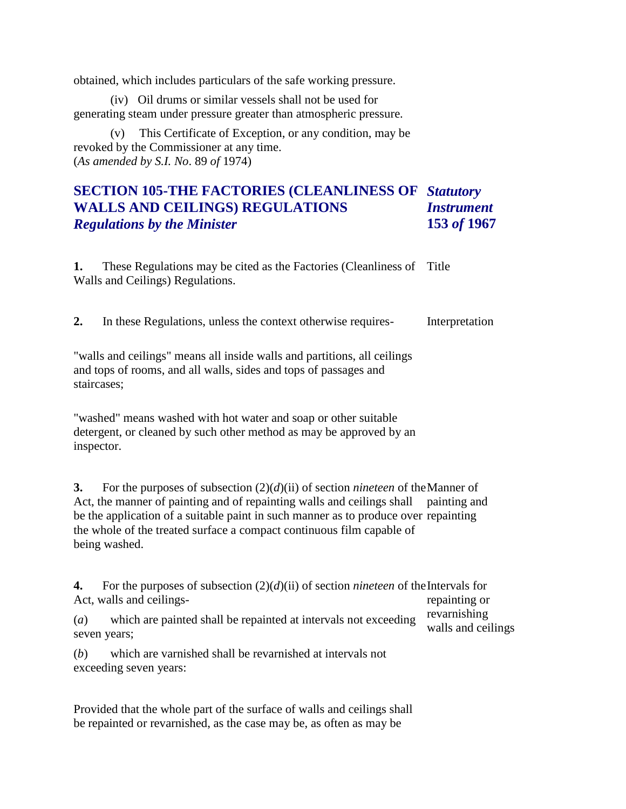obtained, which includes particulars of the safe working pressure.

(iv) Oil drums or similar vessels shall not be used for generating steam under pressure greater than atmospheric pressure.

(v) This Certificate of Exception, or any condition, may be revoked by the Commissioner at any time. (*As amended by S.I. No*. 89 *of* 1974)

#### **SECTION 105-THE FACTORIES (CLEANLINESS OF**  *Statutory*  **WALLS AND CEILINGS) REGULATIONS** *Regulations by the Minister Instrument* **153** *of* **1967**

1. These Regulations may be cited as the Factories (Cleanliness of Title Walls and Ceilings) Regulations.

**2.** In these Regulations, unless the context otherwise requires- Interpretation

"walls and ceilings" means all inside walls and partitions, all ceilings and tops of rooms, and all walls, sides and tops of passages and staircases;

"washed" means washed with hot water and soap or other suitable detergent, or cleaned by such other method as may be approved by an inspector.

**3.** For the purposes of subsection (2)(*d*)(ii) of section *nineteen* of the Manner of Act, the manner of painting and of repainting walls and ceilings shall be the application of a suitable paint in such manner as to produce over repainting the whole of the treated surface a compact continuous film capable of being washed. painting and

**4.** For the purposes of subsection (2)(*d*)(ii) of section *nineteen* of the Intervals for Act, walls and ceilings repainting or

(*a*) which are painted shall be repainted at intervals not exceeding seven years; revarnishing walls and ceilings

(*b*) which are varnished shall be revarnished at intervals not exceeding seven years:

Provided that the whole part of the surface of walls and ceilings shall be repainted or revarnished, as the case may be, as often as may be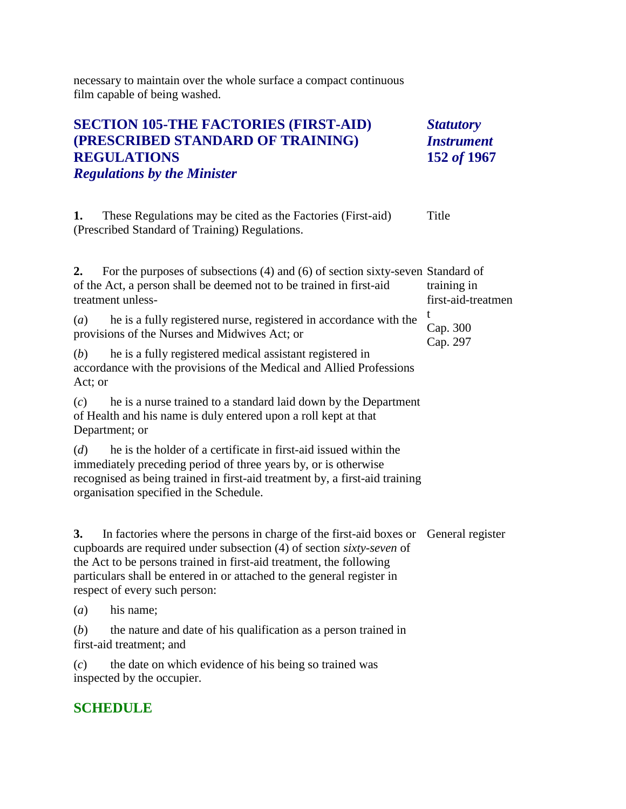necessary to maintain over the whole surface a compact continuous film capable of being washed.

| <b>SECTION 105-THE FACTORIES (FIRST-AID)</b><br>(PRESCRIBED STANDARD OF TRAINING)<br><b>REGULATIONS</b><br><b>Regulations by the Minister</b>                                                                                                                                                                                                        | <b>Statutory</b><br><b>Instrument</b><br>152 of 1967 |
|------------------------------------------------------------------------------------------------------------------------------------------------------------------------------------------------------------------------------------------------------------------------------------------------------------------------------------------------------|------------------------------------------------------|
| 1.<br>These Regulations may be cited as the Factories (First-aid)<br>(Prescribed Standard of Training) Regulations.                                                                                                                                                                                                                                  | Title                                                |
| For the purposes of subsections (4) and (6) of section sixty-seven Standard of<br>2.<br>of the Act, a person shall be deemed not to be trained in first-aid<br>treatment unless-                                                                                                                                                                     | training in<br>first-aid-treatmen                    |
| (a)<br>he is a fully registered nurse, registered in accordance with the<br>provisions of the Nurses and Midwives Act; or                                                                                                                                                                                                                            | t<br>Cap. 300<br>Cap. 297                            |
| he is a fully registered medical assistant registered in<br>(b)<br>accordance with the provisions of the Medical and Allied Professions<br>Act; or                                                                                                                                                                                                   |                                                      |
| he is a nurse trained to a standard laid down by the Department<br>(c)<br>of Health and his name is duly entered upon a roll kept at that<br>Department; or                                                                                                                                                                                          |                                                      |
| he is the holder of a certificate in first-aid issued within the<br>(d)<br>immediately preceding period of three years by, or is otherwise<br>recognised as being trained in first-aid treatment by, a first-aid training<br>organisation specified in the Schedule.                                                                                 |                                                      |
| 3.<br>In factories where the persons in charge of the first-aid boxes or General register<br>cupboards are required under subsection (4) of section sixty-seven of<br>the Act to be persons trained in first-aid treatment, the following<br>particulars shall be entered in or attached to the general register in<br>respect of every such person: |                                                      |
| his name;<br>(a)                                                                                                                                                                                                                                                                                                                                     |                                                      |
| (b)<br>the nature and date of his qualification as a person trained in<br>first-aid treatment; and                                                                                                                                                                                                                                                   |                                                      |
| the date on which evidence of his being so trained was<br>(c)<br>inspected by the occupier.                                                                                                                                                                                                                                                          |                                                      |
| <b>SCHEDULE</b>                                                                                                                                                                                                                                                                                                                                      |                                                      |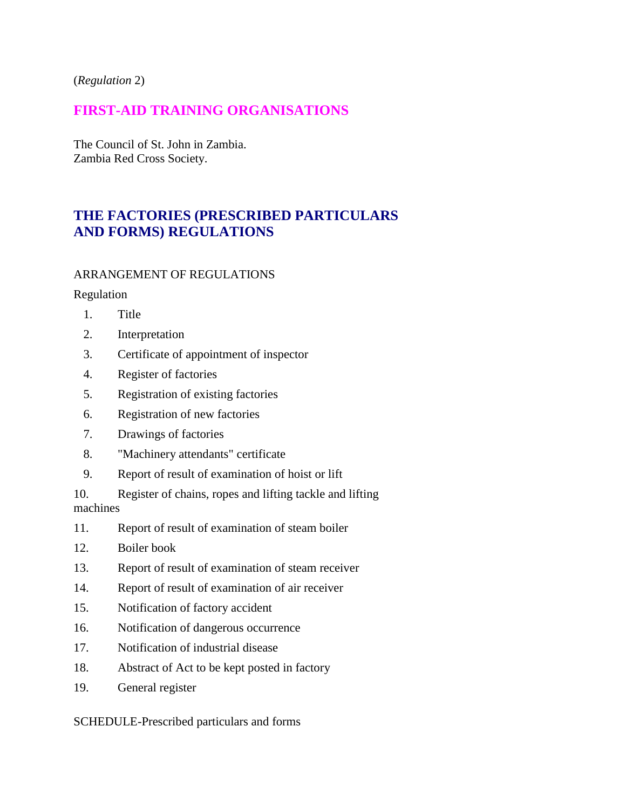(*Regulation* 2)

# **FIRST-AID TRAINING ORGANISATIONS**

The Council of St. John in Zambia. Zambia Red Cross Society.

# **THE FACTORIES (PRESCRIBED PARTICULARS AND FORMS) REGULATIONS**

## ARRANGEMENT OF REGULATIONS

Regulation

- 1. Title
- 2. Interpretation
- 3. Certificate of appointment of inspector
- 4. Register of factories
- 5. Registration of existing factories
- 6. Registration of new factories
- 7. Drawings of factories
- 8. "Machinery attendants" certificate
- 9. Report of result of examination of hoist or lift

10. Register of chains, ropes and lifting tackle and lifting machines

- 11. Report of result of examination of steam boiler
- 12. Boiler book
- 13. Report of result of examination of steam receiver
- 14. Report of result of examination of air receiver
- 15. Notification of factory accident
- 16. Notification of dangerous occurrence
- 17. Notification of industrial disease
- 18. Abstract of Act to be kept posted in factory
- 19. General register

SCHEDULE-Prescribed particulars and forms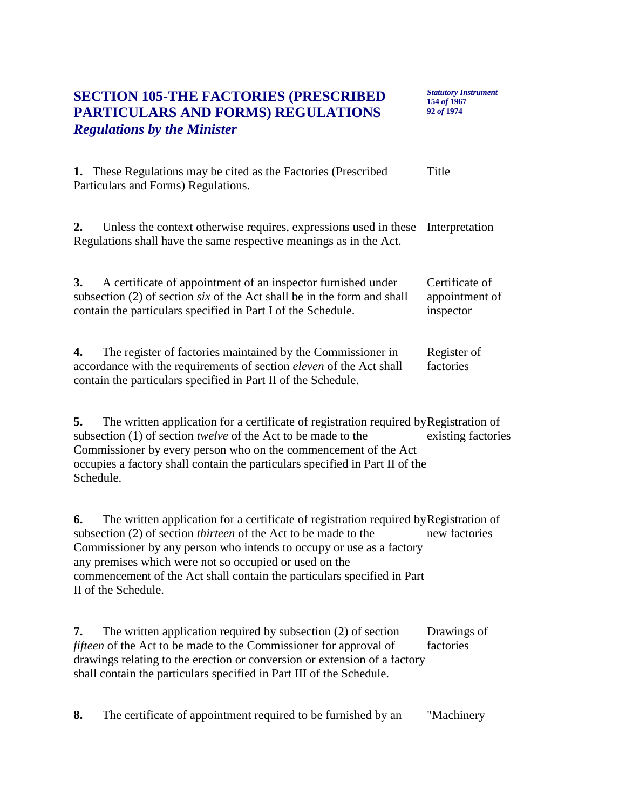# **SECTION 105-THE FACTORIES (PRESCRIBED PARTICULARS AND FORMS) REGULATIONS** *Regulations by the Minister*

*Statutory Instrument* **154** *of* **1967 92** *of* **1974**

| <b>1.</b> These Regulations may be cited as the Factories (Prescribed<br>Particulars and Forms) Regulations.                                                                                                         | Title                                         |
|----------------------------------------------------------------------------------------------------------------------------------------------------------------------------------------------------------------------|-----------------------------------------------|
| Unless the context otherwise requires, expressions used in these Interpretation<br>2.<br>Regulations shall have the same respective meanings as in the Act.                                                          |                                               |
| A certificate of appointment of an inspector furnished under<br>3.<br>subsection (2) of section <i>six</i> of the Act shall be in the form and shall<br>contain the particulars specified in Part I of the Schedule. | Certificate of<br>appointment of<br>inspector |
| The register of factories maintained by the Commissioner in<br>4.<br>accordance with the requirements of section <i>eleven</i> of the Act shall<br>contain the particulars specified in Part II of the Schedule.     | Register of<br>factories                      |

**5.** The written application for a certificate of registration required by Registration of subsection (1) of section *twelve* of the Act to be made to the Commissioner by every person who on the commencement of the Act occupies a factory shall contain the particulars specified in Part II of the Schedule. existing factories

**6.** The written application for a certificate of registration required by Registration of subsection (2) of section *thirteen* of the Act to be made to the Commissioner by any person who intends to occupy or use as a factory any premises which were not so occupied or used on the commencement of the Act shall contain the particulars specified in Part II of the Schedule. new factories

**7.** The written application required by subsection (2) of section *fifteen* of the Act to be made to the Commissioner for approval of drawings relating to the erection or conversion or extension of a factory shall contain the particulars specified in Part III of the Schedule. Drawings of factories

**8.** The certificate of appointment required to be furnished by an "Machinery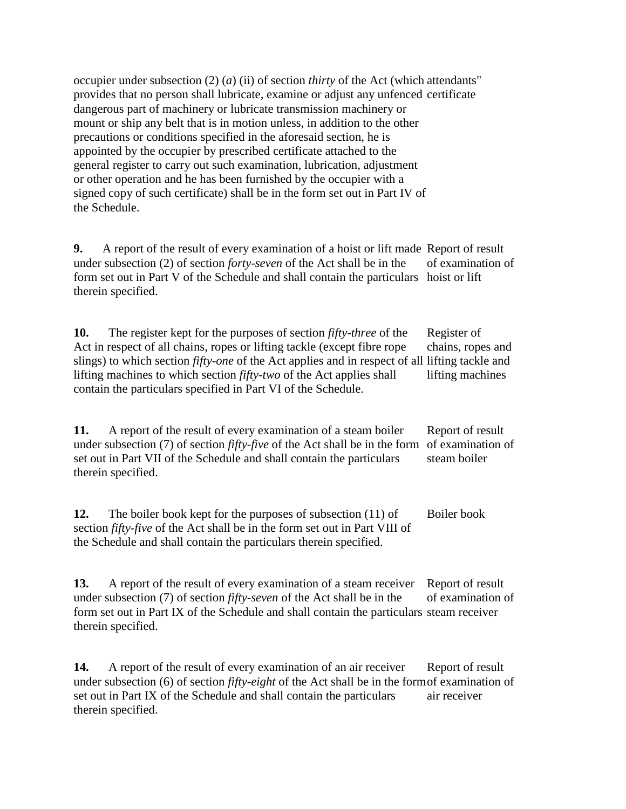occupier under subsection (2) (*a*) (ii) of section *thirty* of the Act (which attendants" provides that no person shall lubricate, examine or adjust any unfenced certificate dangerous part of machinery or lubricate transmission machinery or mount or ship any belt that is in motion unless, in addition to the other precautions or conditions specified in the aforesaid section, he is appointed by the occupier by prescribed certificate attached to the general register to carry out such examination, lubrication, adjustment or other operation and he has been furnished by the occupier with a signed copy of such certificate) shall be in the form set out in Part IV of the Schedule.

**9.** A report of the result of every examination of a hoist or lift made Report of result under subsection (2) of section *forty-seven* of the Act shall be in the form set out in Part V of the Schedule and shall contain the particulars hoist or lift therein specified. of examination of

**10.** The register kept for the purposes of section *fifty-three* of the Act in respect of all chains, ropes or lifting tackle (except fibre rope slings) to which section *fifty-one* of the Act applies and in respect of all lifting tackle and lifting machines to which section *fifty-two* of the Act applies shall contain the particulars specified in Part VI of the Schedule. Register of chains, ropes and lifting machines

**11.** A report of the result of every examination of a steam boiler under subsection (7) of section *fifty-five* of the Act shall be in the form of examination of set out in Part VII of the Schedule and shall contain the particulars therein specified. Report of result steam boiler

**12.** The boiler book kept for the purposes of subsection (11) of section *fifty-five* of the Act shall be in the form set out in Part VIII of the Schedule and shall contain the particulars therein specified. Boiler book

**13.** A report of the result of every examination of a steam receiver under subsection (7) of section *fifty-seven* of the Act shall be in the form set out in Part IX of the Schedule and shall contain the particulars steam receiver therein specified. Report of result of examination of

**14.** A report of the result of every examination of an air receiver under subsection (6) of section *fifty-eight* of the Act shall be in the form of examination of set out in Part IX of the Schedule and shall contain the particulars therein specified. Report of result air receiver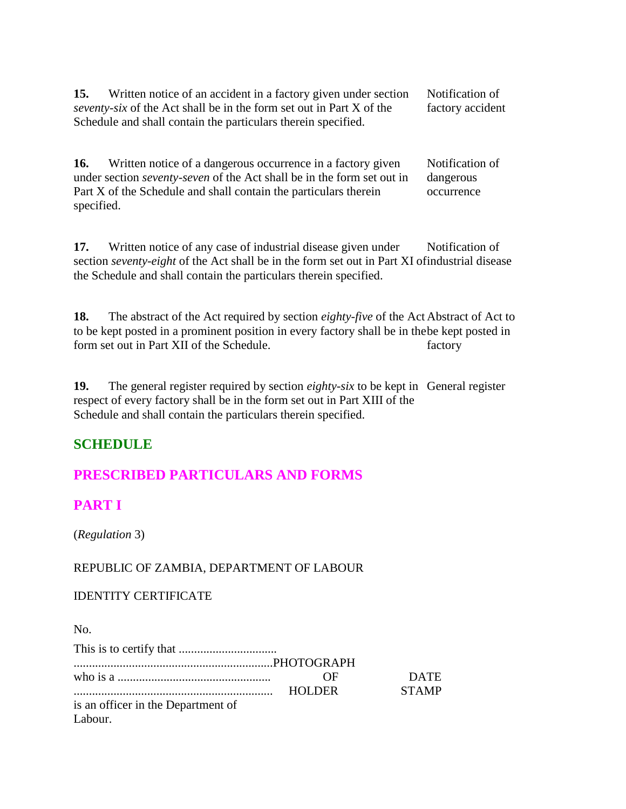| 15. | Written notice of an accident in a factory given under section              | Notification of  |
|-----|-----------------------------------------------------------------------------|------------------|
|     | <i>seventy-six</i> of the Act shall be in the form set out in Part X of the | factory accident |
|     | Schedule and shall contain the particulars therein specified.               |                  |

**16.** Written notice of a dangerous occurrence in a factory given under section *seventy-seven* of the Act shall be in the form set out in Part X of the Schedule and shall contain the particulars therein specified. Notification of dangerous occurrence

**17.** Written notice of any case of industrial disease given under section *seventy-eight* of the Act shall be in the form set out in Part XI of industrial disease the Schedule and shall contain the particulars therein specified. Notification of

18. The abstract of the Act required by section *eighty-five* of the Act Abstract of Act to to be kept posted in a prominent position in every factory shall be in the be kept posted in form set out in Part XII of the Schedule. factory

**19.** The general register required by section *eighty-six* to be kept in General register respect of every factory shall be in the form set out in Part XIII of the Schedule and shall contain the particulars therein specified.

# **SCHEDULE**

# **PRESCRIBED PARTICULARS AND FORMS**

# **PART I**

(*Regulation* 3)

## REPUBLIC OF ZAMBIA, DEPARTMENT OF LABOUR

#### IDENTITY CERTIFICATE

No.

|                                    | OF)           | <b>DATE</b>  |
|------------------------------------|---------------|--------------|
|                                    | <b>HOLDER</b> | <b>STAMP</b> |
| is an officer in the Department of |               |              |
| Labour.                            |               |              |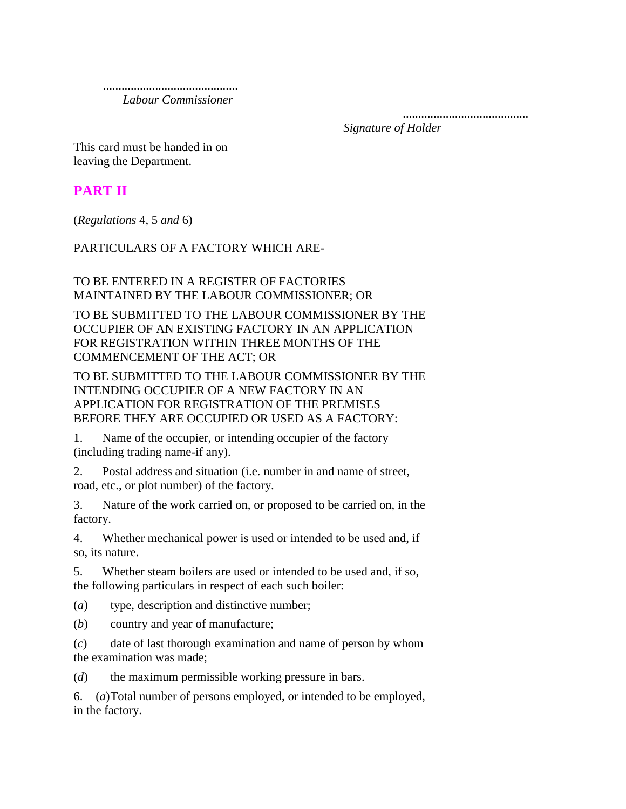............................................  *Labour Commissioner*

> ......................................... *Signature of Holder*

This card must be handed in on leaving the Department.

# **PART II**

(*Regulations* 4, 5 *and* 6)

PARTICULARS OF A FACTORY WHICH ARE-

## TO BE ENTERED IN A REGISTER OF FACTORIES MAINTAINED BY THE LABOUR COMMISSIONER; OR

TO BE SUBMITTED TO THE LABOUR COMMISSIONER BY THE OCCUPIER OF AN EXISTING FACTORY IN AN APPLICATION FOR REGISTRATION WITHIN THREE MONTHS OF THE COMMENCEMENT OF THE ACT; OR

TO BE SUBMITTED TO THE LABOUR COMMISSIONER BY THE INTENDING OCCUPIER OF A NEW FACTORY IN AN APPLICATION FOR REGISTRATION OF THE PREMISES BEFORE THEY ARE OCCUPIED OR USED AS A FACTORY:

1. Name of the occupier, or intending occupier of the factory (including trading name-if any).

2. Postal address and situation (i.e. number in and name of street, road, etc., or plot number) of the factory.

3. Nature of the work carried on, or proposed to be carried on, in the factory.

4. Whether mechanical power is used or intended to be used and, if so, its nature.

5. Whether steam boilers are used or intended to be used and, if so, the following particulars in respect of each such boiler:

(*a*) type, description and distinctive number;

(*b*) country and year of manufacture;

(*c*) date of last thorough examination and name of person by whom the examination was made;

(*d*) the maximum permissible working pressure in bars.

6. (*a*)Total number of persons employed, or intended to be employed, in the factory.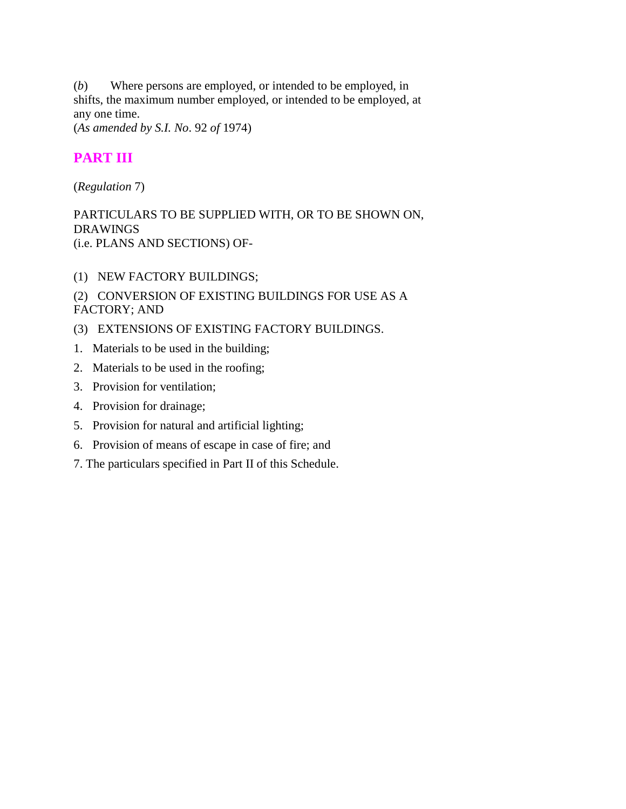(*b*) Where persons are employed, or intended to be employed, in shifts, the maximum number employed, or intended to be employed, at any one time.

(*As amended by S.I. No*. 92 *of* 1974)

# **PART III**

(*Regulation* 7)

PARTICULARS TO BE SUPPLIED WITH, OR TO BE SHOWN ON, DRAWINGS (i.e. PLANS AND SECTIONS) OF-

(1) NEW FACTORY BUILDINGS;

# (2) CONVERSION OF EXISTING BUILDINGS FOR USE AS A FACTORY; AND

- (3) EXTENSIONS OF EXISTING FACTORY BUILDINGS.
- 1. Materials to be used in the building;
- 2. Materials to be used in the roofing;
- 3. Provision for ventilation;
- 4. Provision for drainage;
- 5. Provision for natural and artificial lighting;
- 6. Provision of means of escape in case of fire; and
- 7. The particulars specified in Part II of this Schedule.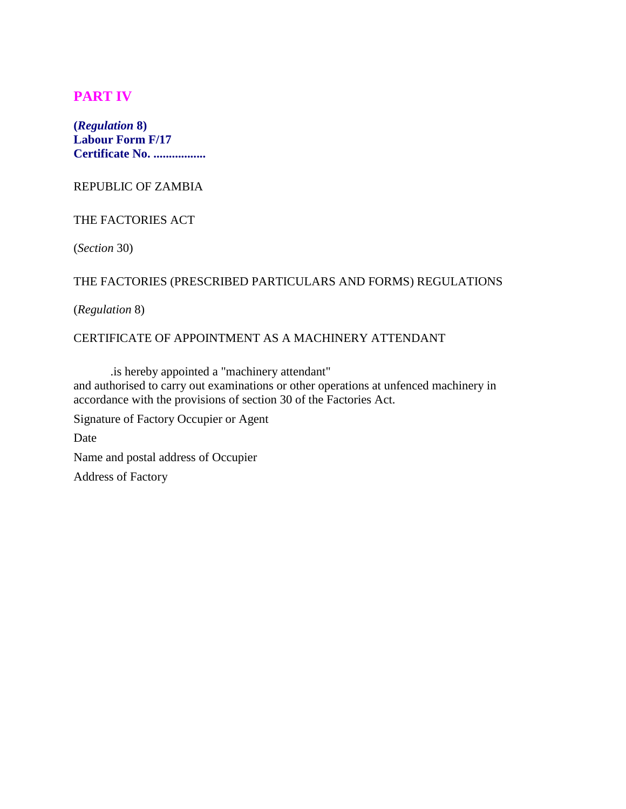# **PART IV**

**(***Regulation* **8) Labour Form F/17 Certificate No. .................**

REPUBLIC OF ZAMBIA

#### THE FACTORIES ACT

(*Section* 30)

## THE FACTORIES (PRESCRIBED PARTICULARS AND FORMS) REGULATIONS

(*Regulation* 8)

## CERTIFICATE OF APPOINTMENT AS A MACHINERY ATTENDANT

.is hereby appointed a "machinery attendant" and authorised to carry out examinations or other operations at unfenced machinery in accordance with the provisions of section 30 of the Factories Act. Signature of Factory Occupier or Agent Date

Name and postal address of Occupier

Address of Factory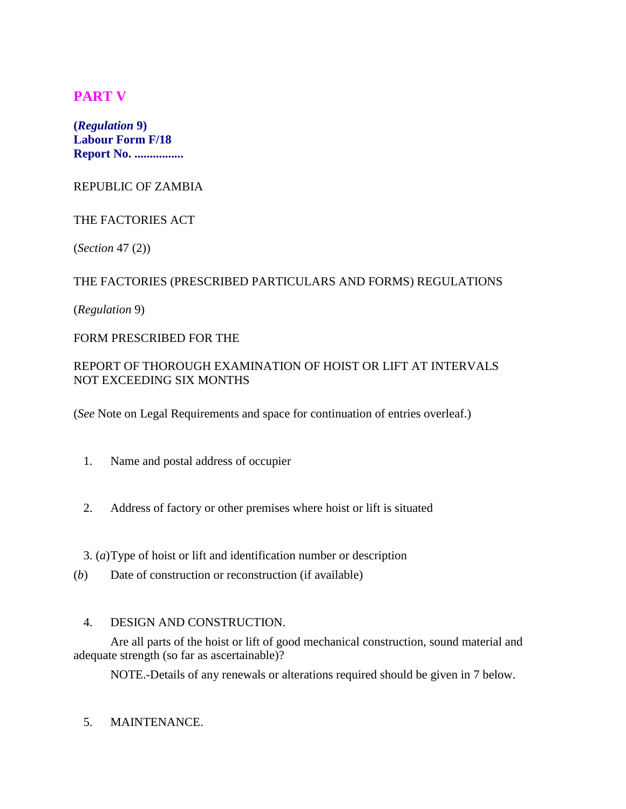# **PART V**

**(***Regulation* **9) Labour Form F/18 Report No. ................**

REPUBLIC OF ZAMBIA

## THE FACTORIES ACT

(*Section* 47 (2))

## THE FACTORIES (PRESCRIBED PARTICULARS AND FORMS) REGULATIONS

(*Regulation* 9)

#### FORM PRESCRIBED FOR THE

# REPORT OF THOROUGH EXAMINATION OF HOIST OR LIFT AT INTERVALS NOT EXCEEDING SIX MONTHS

(*See* Note on Legal Requirements and space for continuation of entries overleaf.)

- 1. Name and postal address of occupier
- 2. Address of factory or other premises where hoist or lift is situated

3. (*a*)Type of hoist or lift and identification number or description

(*b*) Date of construction or reconstruction (if available)

#### 4. DESIGN AND CONSTRUCTION.

Are all parts of the hoist or lift of good mechanical construction, sound material and adequate strength (so far as ascertainable)?

NOTE.-Details of any renewals or alterations required should be given in 7 below.

## 5. MAINTENANCE.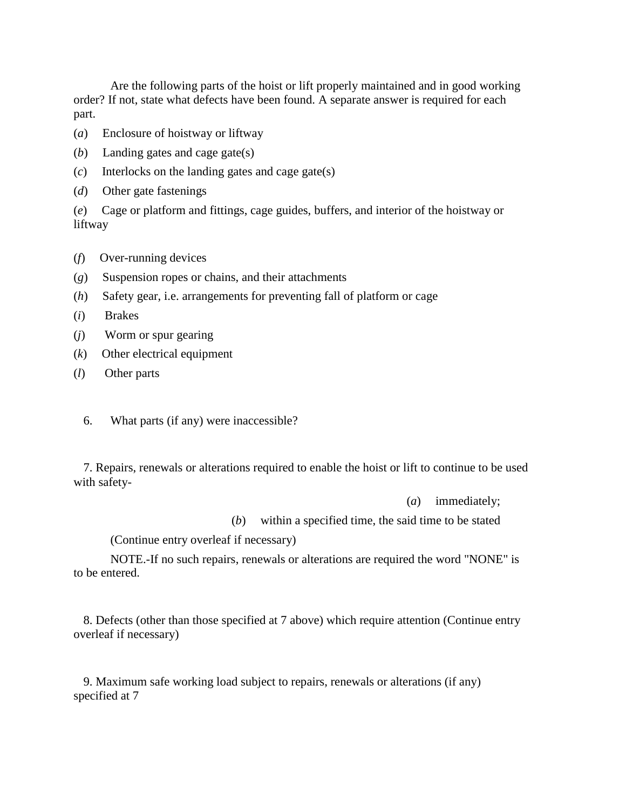Are the following parts of the hoist or lift properly maintained and in good working order? If not, state what defects have been found. A separate answer is required for each part.

- (*a*) Enclosure of hoistway or liftway
- (*b*) Landing gates and cage gate(s)
- (*c*) Interlocks on the landing gates and cage gate(s)
- (*d*) Other gate fastenings

(*e*) Cage or platform and fittings, cage guides, buffers, and interior of the hoistway or liftway

- (*f*) Over-running devices
- (*g*) Suspension ropes or chains, and their attachments
- (*h*) Safety gear, i.e. arrangements for preventing fall of platform or cage
- (*i*) Brakes
- (*j*) Worm or spur gearing
- (*k*) Other electrical equipment
- (*l*) Other parts
	- 6. What parts (if any) were inaccessible?

 7. Repairs, renewals or alterations required to enable the hoist or lift to continue to be used with safety-

(*a*) immediately;

(*b*) within a specified time, the said time to be stated

(Continue entry overleaf if necessary)

NOTE.-If no such repairs, renewals or alterations are required the word "NONE" is to be entered.

 8. Defects (other than those specified at 7 above) which require attention (Continue entry overleaf if necessary)

 9. Maximum safe working load subject to repairs, renewals or alterations (if any) specified at 7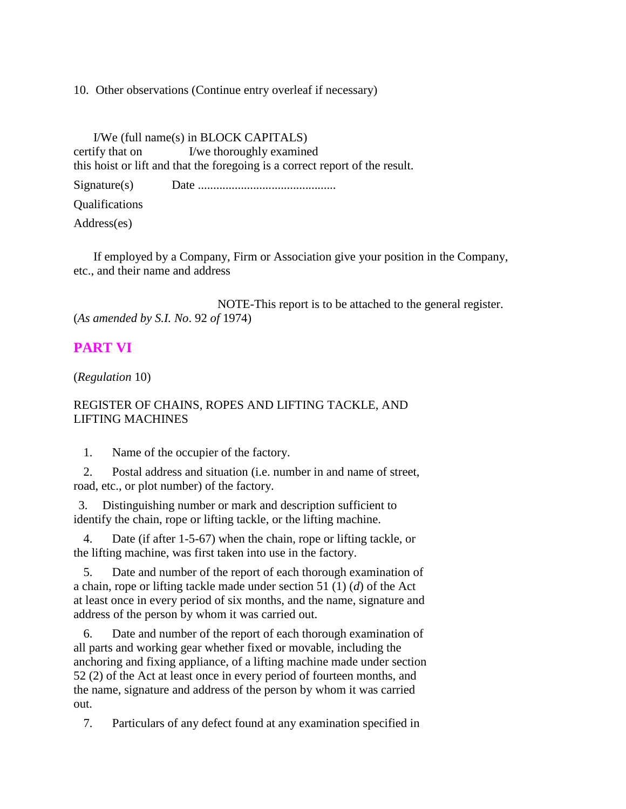10. Other observations (Continue entry overleaf if necessary)

 I/We (full name(s) in BLOCK CAPITALS) certify that on I/we thoroughly examined this hoist or lift and that the foregoing is a correct report of the result.

Signature(s) Date .............................................

Qualifications

Address(es)

 If employed by a Company, Firm or Association give your position in the Company, etc., and their name and address

NOTE-This report is to be attached to the general register. (*As amended by S.I. No*. 92 *of* 1974)

# **PART VI**

(*Regulation* 10)

## REGISTER OF CHAINS, ROPES AND LIFTING TACKLE, AND LIFTING MACHINES

1. Name of the occupier of the factory.

 2. Postal address and situation (i.e. number in and name of street, road, etc., or plot number) of the factory.

3. Distinguishing number or mark and description sufficient to identify the chain, rope or lifting tackle, or the lifting machine.

 4. Date (if after 1-5-67) when the chain, rope or lifting tackle, or the lifting machine, was first taken into use in the factory.

 5. Date and number of the report of each thorough examination of a chain, rope or lifting tackle made under section 51 (1) (*d*) of the Act at least once in every period of six months, and the name, signature and address of the person by whom it was carried out.

 6. Date and number of the report of each thorough examination of all parts and working gear whether fixed or movable, including the anchoring and fixing appliance, of a lifting machine made under section 52 (2) of the Act at least once in every period of fourteen months, and the name, signature and address of the person by whom it was carried out.

7. Particulars of any defect found at any examination specified in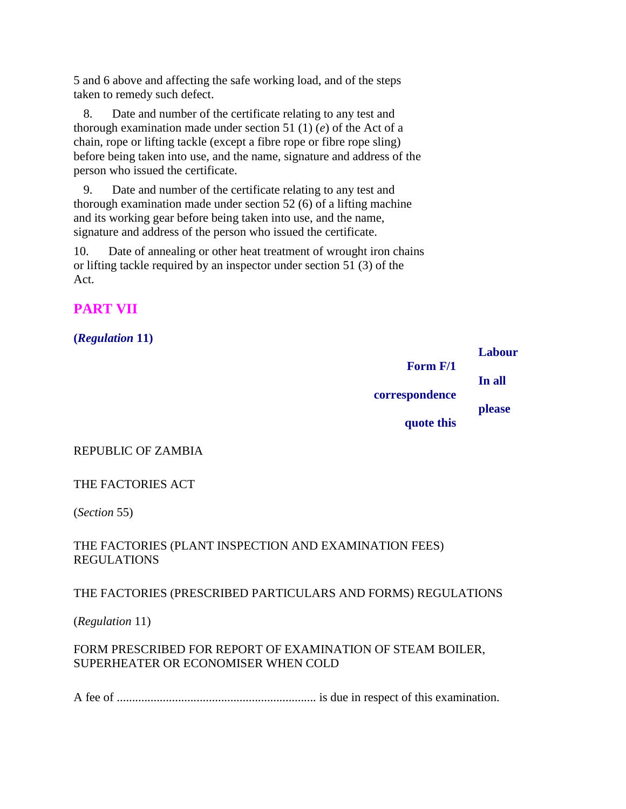5 and 6 above and affecting the safe working load, and of the steps taken to remedy such defect.

 8. Date and number of the certificate relating to any test and thorough examination made under section 51 (1) (*e*) of the Act of a chain, rope or lifting tackle (except a fibre rope or fibre rope sling) before being taken into use, and the name, signature and address of the person who issued the certificate.

 9. Date and number of the certificate relating to any test and thorough examination made under section 52 (6) of a lifting machine and its working gear before being taken into use, and the name, signature and address of the person who issued the certificate.

10. Date of annealing or other heat treatment of wrought iron chains or lifting tackle required by an inspector under section 51 (3) of the Act.

# **PART VII**

# **(***Regulation* **11)**

|                | Labour |
|----------------|--------|
| Form F/1       |        |
| correspondence | In all |
|                | please |
| quote this     |        |

## REPUBLIC OF ZAMBIA

## THE FACTORIES ACT

(*Section* 55)

## THE FACTORIES (PLANT INSPECTION AND EXAMINATION FEES) REGULATIONS

## THE FACTORIES (PRESCRIBED PARTICULARS AND FORMS) REGULATIONS

(*Regulation* 11)

# FORM PRESCRIBED FOR REPORT OF EXAMINATION OF STEAM BOILER, SUPERHEATER OR ECONOMISER WHEN COLD

A fee of ................................................................. is due in respect of this examination.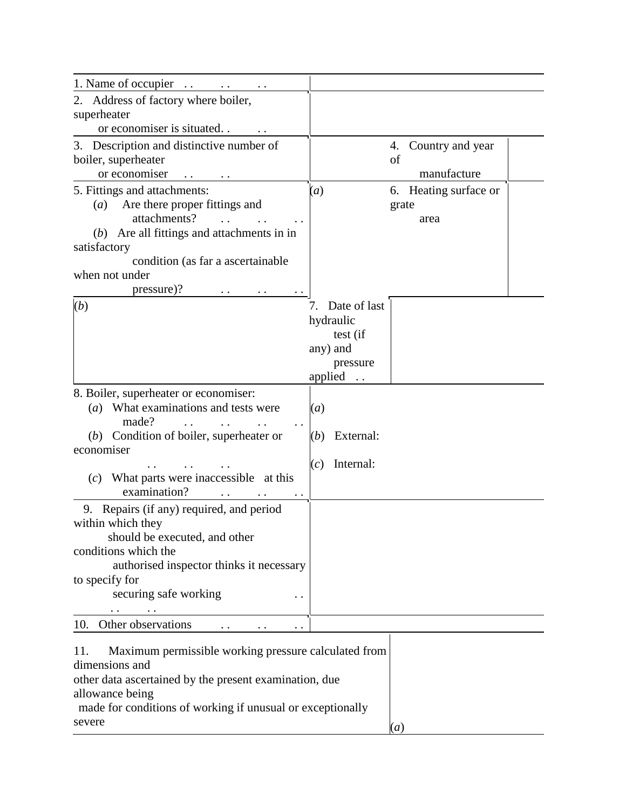| 1. Name of occupier                                          |                    |                        |
|--------------------------------------------------------------|--------------------|------------------------|
| 2. Address of factory where boiler,                          |                    |                        |
| superheater                                                  |                    |                        |
| or economiser is situated                                    |                    |                        |
| 3. Description and distinctive number of                     |                    | Country and year<br>4. |
| boiler, superheater                                          |                    | of                     |
| or economiser                                                |                    | manufacture            |
| 5. Fittings and attachments:                                 | (a)                | 6. Heating surface or  |
| Are there proper fittings and<br>(a)                         |                    | grate                  |
| attachments?                                                 |                    | area                   |
| (b) Are all fittings and attachments in in                   |                    |                        |
| satisfactory                                                 |                    |                        |
| condition (as far a ascertainable                            |                    |                        |
| when not under                                               |                    |                        |
| pressure)?                                                   |                    |                        |
| (b)                                                          | Date of last<br>7. |                        |
|                                                              | hydraulic          |                        |
|                                                              | test (if           |                        |
|                                                              | any) and           |                        |
|                                                              | pressure           |                        |
|                                                              | applied            |                        |
| 8. Boiler, superheater or economiser:                        |                    |                        |
| (a) What examinations and tests were                         | (a)                |                        |
| made?                                                        |                    |                        |
| $(b)$ Condition of boiler, superheater or                    | External:<br>(b)   |                        |
| economiser                                                   |                    |                        |
|                                                              | Internal:<br>(c)   |                        |
| $(c)$ What parts were inaccessible at this                   |                    |                        |
| examination?                                                 |                    |                        |
| 9. Repairs (if any) required, and period                     |                    |                        |
| within which they                                            |                    |                        |
| should be executed, and other                                |                    |                        |
| conditions which the                                         |                    |                        |
| authorised inspector thinks it necessary                     |                    |                        |
| to specify for                                               |                    |                        |
| securing safe working<br>. .                                 |                    |                        |
|                                                              |                    |                        |
| Other observations<br>10.<br>$\ddot{\phantom{0}}$ .          |                    |                        |
| Maximum permissible working pressure calculated from<br>-11. |                    |                        |

| 11.    | Maximum permissible working pressure calculated from       |  |
|--------|------------------------------------------------------------|--|
|        | dimensions and                                             |  |
|        | other data ascertained by the present examination, due     |  |
|        | allowance being                                            |  |
|        | made for conditions of working if unusual or exceptionally |  |
| severe |                                                            |  |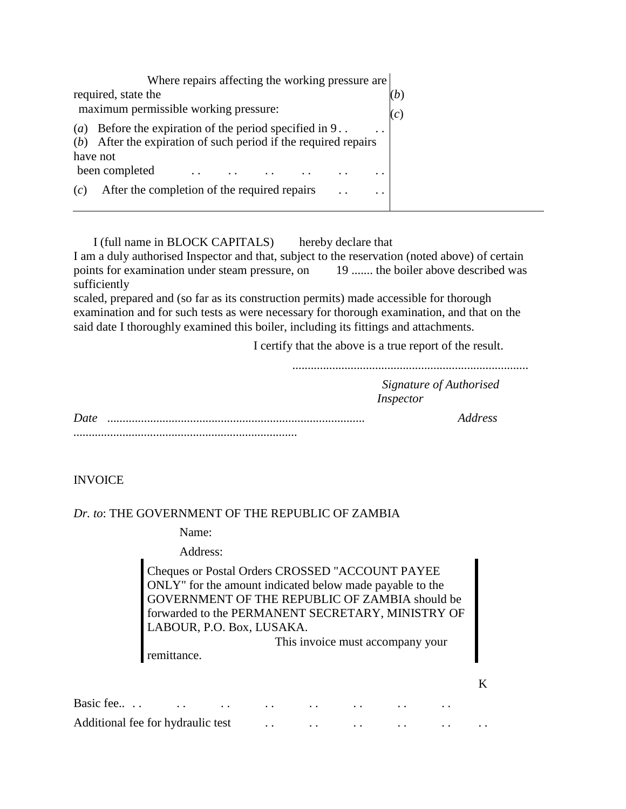| Where repairs affecting the working pressure are                            |     |
|-----------------------------------------------------------------------------|-----|
| required, state the                                                         | (b) |
| maximum permissible working pressure:                                       | (c) |
| Before the expiration of the period specified in 9<br>$\left(a\right)$      |     |
| $(b)$ After the expiration of such period if the required repairs           |     |
| have not                                                                    |     |
| been completed<br>$\cdot$ $\cdot$                                           |     |
| After the completion of the required repairs<br>(c)<br>$\ddot{\phantom{a}}$ |     |

I (full name in BLOCK CAPITALS) hereby declare that

I am a duly authorised Inspector and that, subject to the reservation (noted above) of certain points for examination under steam pressure, on 19 ....... the boiler above described was sufficiently

scaled, prepared and (so far as its construction permits) made accessible for thorough examination and for such tests as were necessary for thorough examination, and that on the said date I thoroughly examined this boiler, including its fittings and attachments.

I certify that the above is a true report of the result.

.............................................................................

*Signature of Authorised Inspector*

*Date* .................................................................................... *Address .........................................................................*

K

**INVOICE** 

#### *Dr. to*: THE GOVERNMENT OF THE REPUBLIC OF ZAMBIA

Name:

remittance.

Address:

Cheques or Postal Orders CROSSED "ACCOUNT PAYEE ONLY" for the amount indicated below made payable to the GOVERNMENT OF THE REPUBLIC OF ZAMBIA should be forwarded to the PERMANENT SECRETARY, MINISTRY OF LABOUR, P.O. Box, LUSAKA.

This invoice must accompany your

| Additional fee for hydraulic test |  | the contract of the contract of the contract of the contract of the contract of the contract of the contract of |  |  |
|-----------------------------------|--|-----------------------------------------------------------------------------------------------------------------|--|--|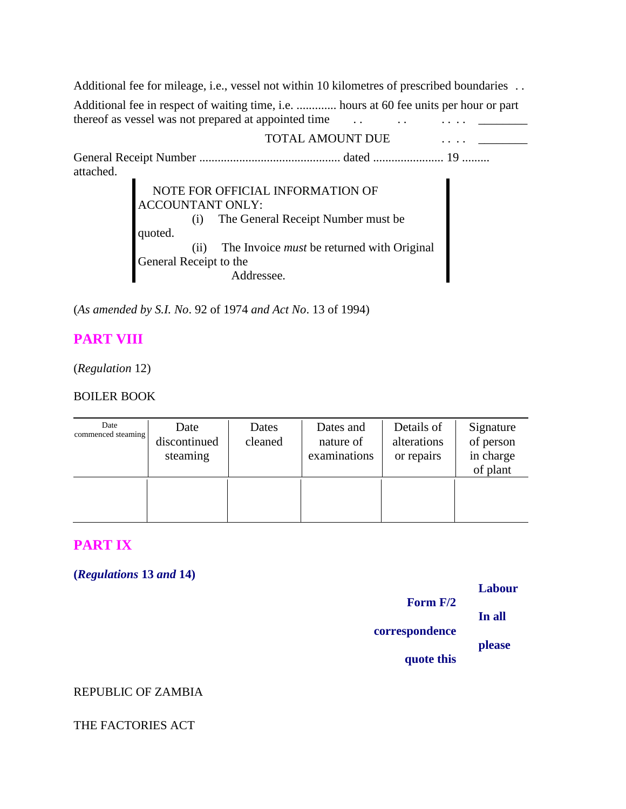Additional fee for mileage, i.e., vessel not within 10 kilometres of prescribed boundaries ... Additional fee in respect of waiting time, i.e. ............. hours at 60 fee units per hour or part thereof as vessel was not prepared at appointed time . . . . . . . . \_\_\_\_\_\_\_\_

#### TOTAL AMOUNT DUE  $\cdots$

General Receipt Number .............................................. dated ....................... 19 ......... attached.

> NOTE FOR OFFICIAL INFORMATION OF ACCOUNTANT ONLY: (i) The General Receipt Number must be quoted. (ii) The Invoice *must* be returned with Original General Receipt to the Addressee.

(*As amended by S.I. No*. 92 of 1974 *and Act No*. 13 of 1994)

# **PART VIII**

(*Regulation* 12)

## BOILER BOOK

| Date<br>commenced steaming | Date<br>discontinued<br>steaming | Dates<br>cleaned | Dates and<br>nature of<br>examinations | Details of<br>alterations<br>or repairs | Signature<br>of person<br>in charge<br>of plant |
|----------------------------|----------------------------------|------------------|----------------------------------------|-----------------------------------------|-------------------------------------------------|
|                            |                                  |                  |                                        |                                         |                                                 |

# **PART IX**

**(***Regulations* **13** *and* **14)**

|                | Labour |
|----------------|--------|
| Form $F/2$     |        |
|                | In all |
| correspondence |        |
|                | please |
|                |        |
| quote this     |        |

## REPUBLIC OF ZAMBIA

#### THE FACTORIES ACT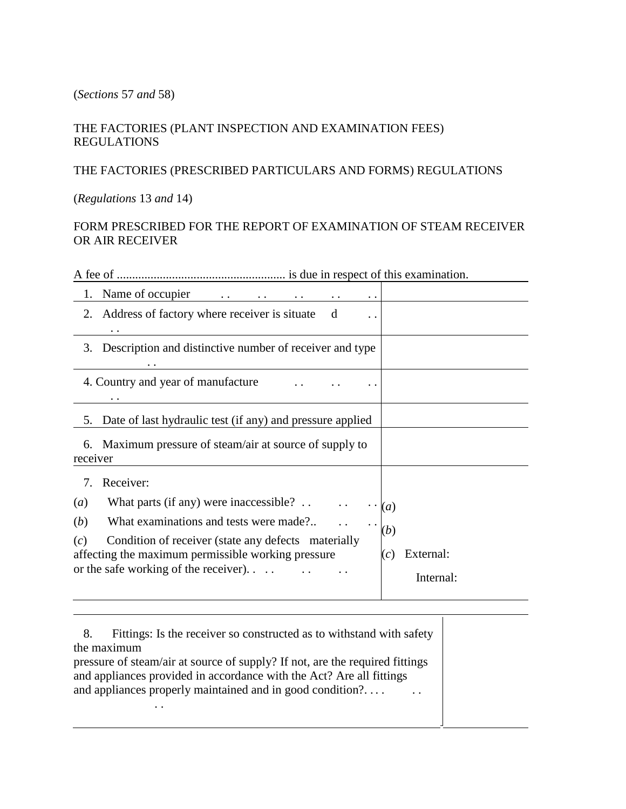#### (*Sections* 57 *and* 58)

## THE FACTORIES (PLANT INSPECTION AND EXAMINATION FEES) REGULATIONS

## THE FACTORIES (PRESCRIBED PARTICULARS AND FORMS) REGULATIONS

(*Regulations* 13 *and* 14)

# FORM PRESCRIBED FOR THE REPORT OF EXAMINATION OF STEAM RECEIVER OR AIR RECEIVER

A fee of ....................................................... is due in respect of this examination.

| Name of occupier                                               |                  |
|----------------------------------------------------------------|------------------|
| Address of factory where receiver is situate<br>2.<br>d<br>. . |                  |
| 3. Description and distinctive number of receiver and type     |                  |
| 4. Country and year of manufacture<br>. .                      |                  |
| 5. Date of last hydraulic test (if any) and pressure applied   |                  |
| 6. Maximum pressure of steam/air at source of supply to        |                  |
| receiver                                                       |                  |
| Receiver:<br>7                                                 |                  |
| What parts (if any) were inaccessible? $\ldots$<br>(a)         | $\left(a\right)$ |
| What examinations and tests were made?<br>( <i>b</i> )         |                  |
| Condition of receiver (state any defects materially<br>(c)     | (b)              |
| affecting the maximum permissible working pressure             | External:<br>(c) |
| or the safe working of the receiver). $\ldots$                 | Internal:        |

 8. Fittings: Is the receiver so constructed as to withstand with safety the maximum pressure of steam/air at source of supply? If not, are the required fittings and appliances provided in accordance with the Act? Are all fittings and appliances properly maintained and in good condition?. . . . . . . .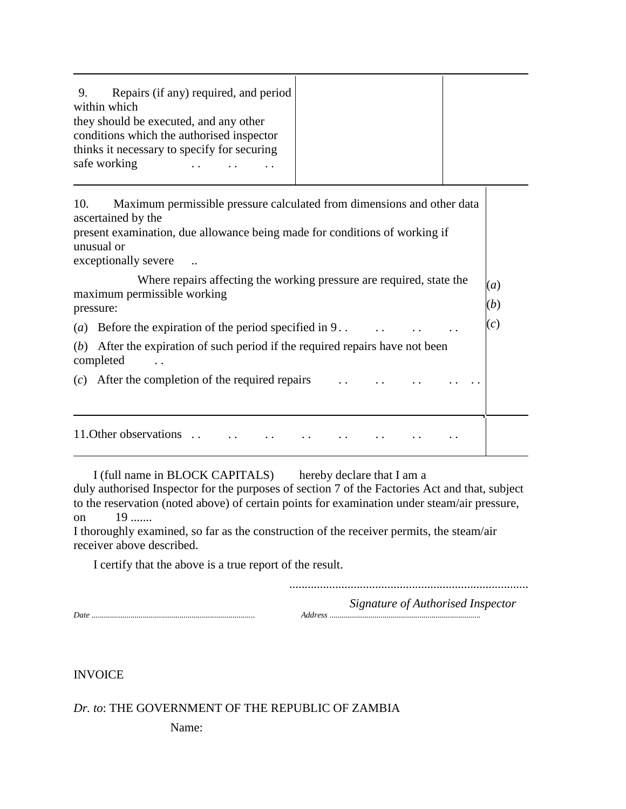| Repairs (if any) required, and period<br>9. |
|---------------------------------------------|
| within which                                |
| they should be executed, and any other      |
| conditions which the authorised inspector   |
| thinks it necessary to specify for securing |
| safe working                                |
|                                             |

| Maximum permissible pressure calculated from dimensions and other data<br>10.<br>ascertained by the<br>present examination, due allowance being made for conditions of working if<br>unusual or<br>exceptionally severe |            |
|-------------------------------------------------------------------------------------------------------------------------------------------------------------------------------------------------------------------------|------------|
| Where repairs affecting the working pressure are required, state the<br>maximum permissible working<br>pressure:                                                                                                        | (a)<br>(b) |
|                                                                                                                                                                                                                         | (c)        |
| After the expiration of such period if the required repairs have not been<br>(b)<br>completed                                                                                                                           |            |
| $(c)$ After the completion of the required repairs                                                                                                                                                                      |            |
| 11. Other observations                                                                                                                                                                                                  |            |

 I (full name in BLOCK CAPITALS) hereby declare that I am a duly authorised Inspector for the purposes of section 7 of the Factories Act and that, subject to the reservation (noted above) of certain points for examination under steam/air pressure, on 19 .......

I thoroughly examined, so far as the construction of the receiver permits, the steam/air receiver above described.

I certify that the above is a true report of the result.

..............................................................................

*Signature of Authorised Inspector*

 $\overline{\mathsf{I}}$ 

*Date* ................................................................................ *Address* ..........................................................................

INVOICE

*Dr. to*: THE GOVERNMENT OF THE REPUBLIC OF ZAMBIA

Name: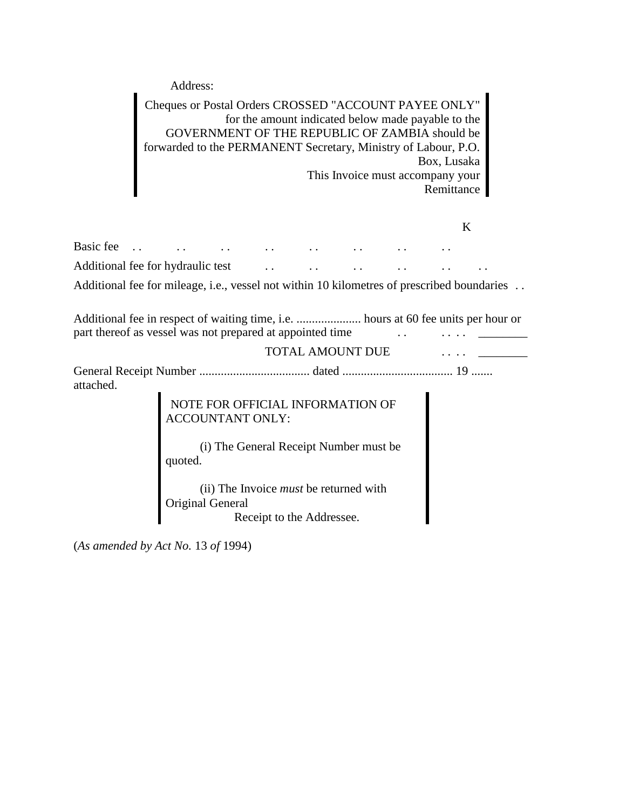Address:

Cheques or Postal Orders CROSSED "ACCOUNT PAYEE ONLY" for the amount indicated below made payable to the GOVERNMENT OF THE REPUBLIC OF ZAMBIA should be forwarded to the PERMANENT Secretary, Ministry of Labour, P.O. Box, Lusaka This Invoice must accompany your Remittance

Additional fee for mileage, i.e., vessel not within 10 kilometres of prescribed boundaries ...

Additional fee in respect of waiting time, i.e. ..................... hours at 60 fee units per hour or part thereof as vessel was not prepared at appointed time . . . . . . \_\_\_\_\_\_\_\_

TOTAL AMOUNT DUE  $\cdots$ 

General Receipt Number .................................... dated .................................... 19 ....... attached.

> NOTE FOR OFFICIAL INFORMATION OF ACCOUNTANT ONLY:

 (i) The General Receipt Number must be quoted.

 (ii) The Invoice *must* be returned with Original General Receipt to the Addressee.

(*As amended by Act No.* 13 *of* 1994)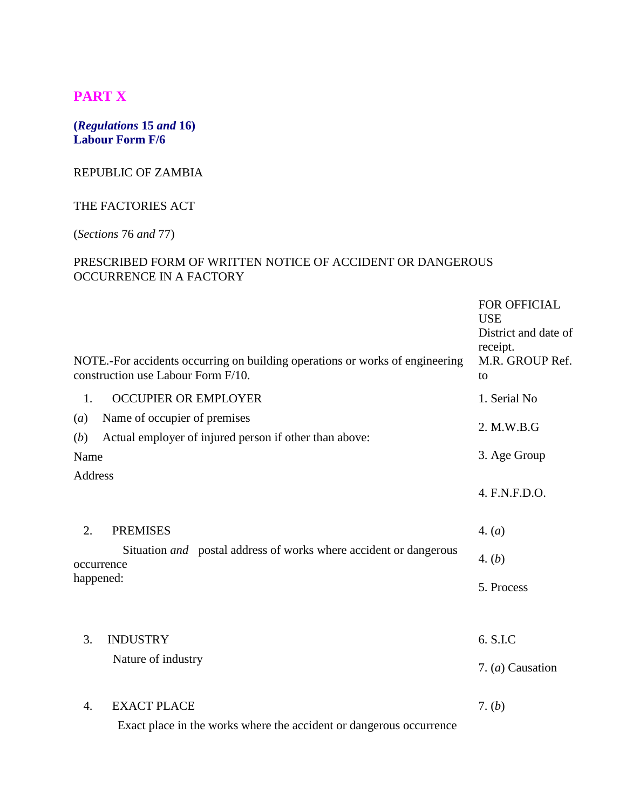# **PART X**

#### **(***Regulations* **15** *and* **16) Labour Form F/6**

#### REPUBLIC OF ZAMBIA

## THE FACTORIES ACT

# (*Sections* 76 *and* 77)

## PRESCRIBED FORM OF WRITTEN NOTICE OF ACCIDENT OR DANGEROUS OCCURRENCE IN A FACTORY

|            | NOTE.-For accidents occurring on building operations or works of engineering<br>construction use Labour Form F/10. | <b>FOR OFFICIAL</b><br><b>USE</b><br>District and date of<br>receipt.<br>M.R. GROUP Ref.<br>to |
|------------|--------------------------------------------------------------------------------------------------------------------|------------------------------------------------------------------------------------------------|
| 1.         | <b>OCCUPIER OR EMPLOYER</b>                                                                                        | 1. Serial No                                                                                   |
| (a)<br>(b) | Name of occupier of premises<br>Actual employer of injured person if other than above:                             | 2. M.W.B.G                                                                                     |
| Name       |                                                                                                                    | 3. Age Group                                                                                   |
| Address    |                                                                                                                    | 4. F.N.F.D.O.                                                                                  |
| 2.         | <b>PREMISES</b>                                                                                                    | 4. (a)                                                                                         |
|            | Situation and postal address of works where accident or dangerous<br>occurrence                                    | 4. (b)                                                                                         |
| happened:  |                                                                                                                    | 5. Process                                                                                     |
|            |                                                                                                                    |                                                                                                |
| 3.         | <b>INDUSTRY</b>                                                                                                    | 6. S.I.C                                                                                       |
|            | Nature of industry                                                                                                 | 7. $(a)$ Causation                                                                             |
| 4.         | <b>EXACT PLACE</b>                                                                                                 | 7. $(b)$                                                                                       |

Exact place in the works where the accident or dangerous occurrence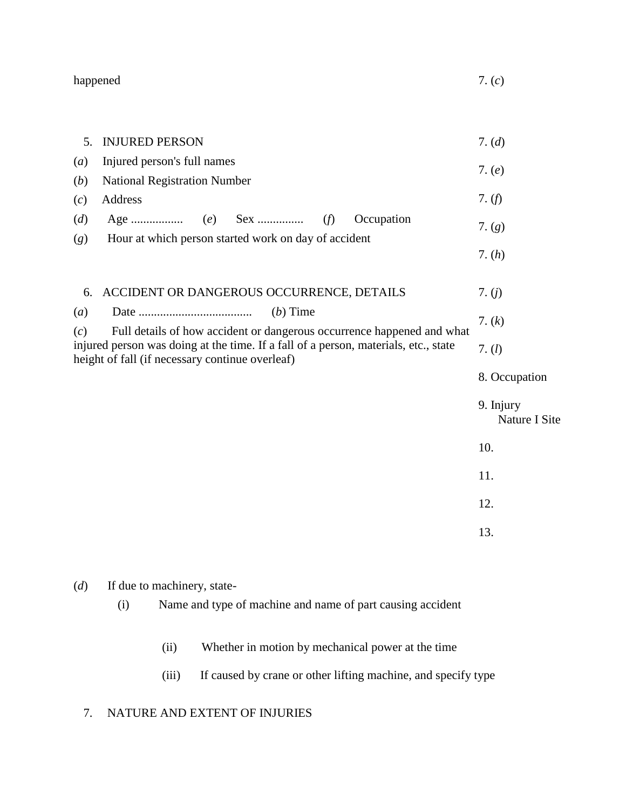happened 7. (*c*)

| 5.                                                                                                                                            | <b>INJURED PERSON</b>                                                                | 7. (d)                     |
|-----------------------------------------------------------------------------------------------------------------------------------------------|--------------------------------------------------------------------------------------|----------------------------|
| $\left(a\right)$                                                                                                                              | Injured person's full names                                                          | 7. $(e)$                   |
| (b)                                                                                                                                           | <b>National Registration Number</b>                                                  |                            |
| (c)                                                                                                                                           | Address                                                                              | 7. $(f)$                   |
| (d)<br>(g)                                                                                                                                    | Occupation<br>(f)<br>Hour at which person started work on day of accident            | 7. $(g)$                   |
|                                                                                                                                               |                                                                                      | 7. (h)                     |
| 6.                                                                                                                                            | ACCIDENT OR DANGEROUS OCCURRENCE, DETAILS                                            | 7. $(j)$                   |
| (a)                                                                                                                                           | $(b)$ Time<br>Full details of how accident or dangerous occurrence happened and what | 7. $(k)$                   |
| (c)<br>injured person was doing at the time. If a fall of a person, materials, etc., state<br>height of fall (if necessary continue overleaf) | 7. $(l)$                                                                             |                            |
|                                                                                                                                               |                                                                                      | 8. Occupation              |
|                                                                                                                                               |                                                                                      | 9. Injury<br>Nature I Site |
|                                                                                                                                               |                                                                                      | 10.                        |
|                                                                                                                                               |                                                                                      | 11.                        |
|                                                                                                                                               |                                                                                      | 12.                        |
|                                                                                                                                               |                                                                                      | 13.                        |
|                                                                                                                                               |                                                                                      |                            |

- (*d*) If due to machinery, state-
	- (i) Name and type of machine and name of part causing accident
		- (ii) Whether in motion by mechanical power at the time
		- (iii) If caused by crane or other lifting machine, and specify type

# 7. NATURE AND EXTENT OF INJURIES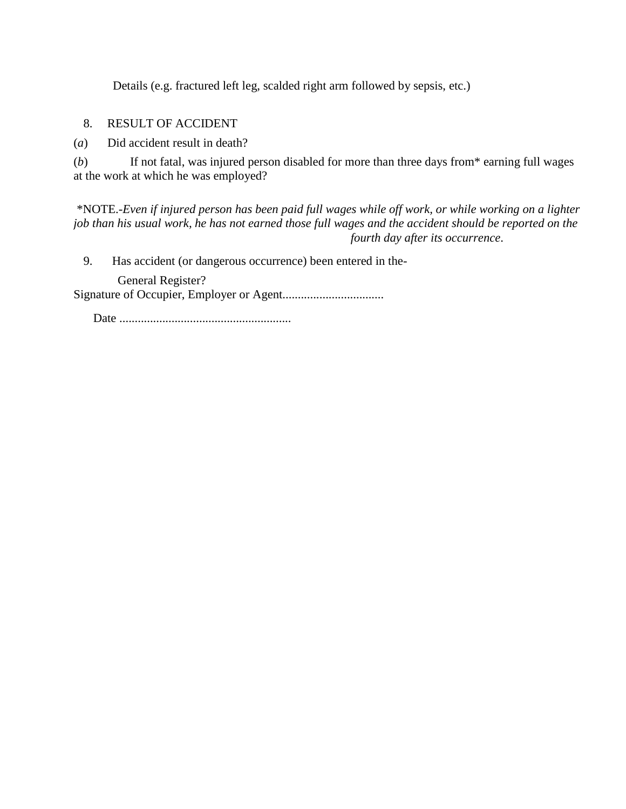Details (e.g. fractured left leg, scalded right arm followed by sepsis, etc.)

8. RESULT OF ACCIDENT

(*a*) Did accident result in death?

(*b*) If not fatal, was injured person disabled for more than three days from\* earning full wages at the work at which he was employed?

\*NOTE.-*Even if injured person has been paid full wages while off work, or while working on a lighter job than his usual work, he has not earned those full wages and the accident should be reported on the fourth day after its occurrence*.

9. Has accident (or dangerous occurrence) been entered in the-

 General Register? Signature of Occupier, Employer or Agent.................................

Date ........................................................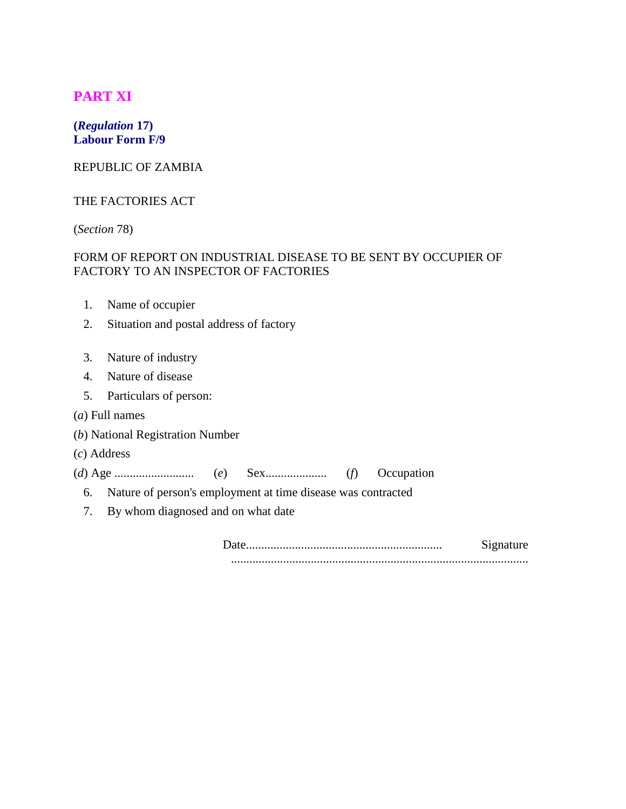# **PART XI**

## **(***Regulation* **17) Labour Form F/9**

## REPUBLIC OF ZAMBIA

#### THE FACTORIES ACT

(*Section* 78)

## FORM OF REPORT ON INDUSTRIAL DISEASE TO BE SENT BY OCCUPIER OF FACTORY TO AN INSPECTOR OF FACTORIES

- 1. Name of occupier
- 2. Situation and postal address of factory
- 3. Nature of industry
- 4. Nature of disease
- 5. Particulars of person:
- (*a*) Full names
- (*b*) National Registration Number
- (*c*) Address

(*d*) Age .......................... (*e*) Sex.................... (*f*) Occupation

- 6. Nature of person's employment at time disease was contracted
- 7. By whom diagnosed and on what date

Date................................................................ Signature .................................................................................................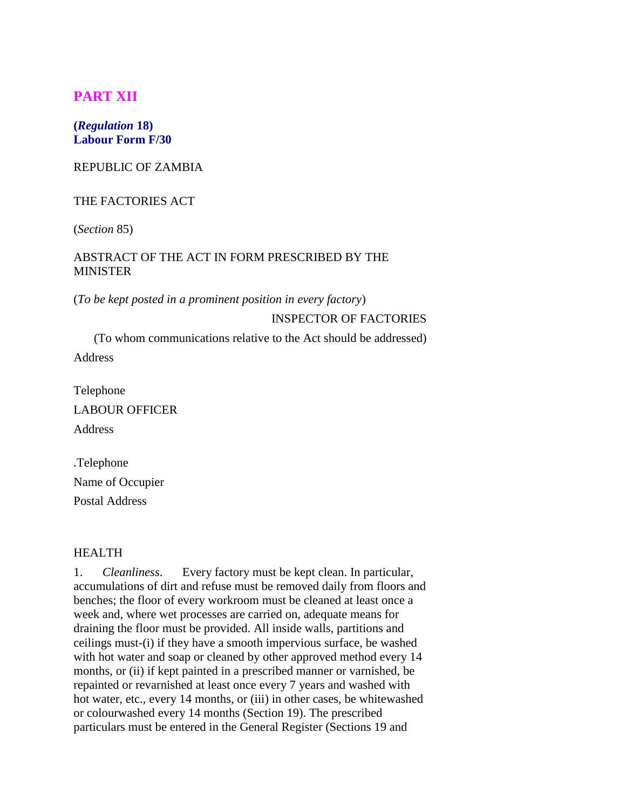# **PART XII**

#### **(***Regulation* **18) Labour Form F/30**

#### REPUBLIC OF ZAMBIA

#### THE FACTORIES ACT

(*Section* 85)

#### ABSTRACT OF THE ACT IN FORM PRESCRIBED BY THE MINISTER

(*To be kept posted in a prominent position in every factory*)

#### INSPECTOR OF FACTORIES

(To whom communications relative to the Act should be addressed) Address

Telephone LABOUR OFFICER Address

.Telephone Name of Occupier Postal Address

#### HEALTH

1. *Cleanliness*. Every factory must be kept clean. In particular, accumulations of dirt and refuse must be removed daily from floors and benches; the floor of every workroom must be cleaned at least once a week and, where wet processes are carried on, adequate means for draining the floor must be provided. All inside walls, partitions and ceilings must-(i) if they have a smooth impervious surface, be washed with hot water and soap or cleaned by other approved method every 14 months, or (ii) if kept painted in a prescribed manner or varnished, be repainted or revarnished at least once every 7 years and washed with hot water, etc., every 14 months, or (iii) in other cases, be whitewashed or colourwashed every 14 months (Section 19). The prescribed particulars must be entered in the General Register (Sections 19 and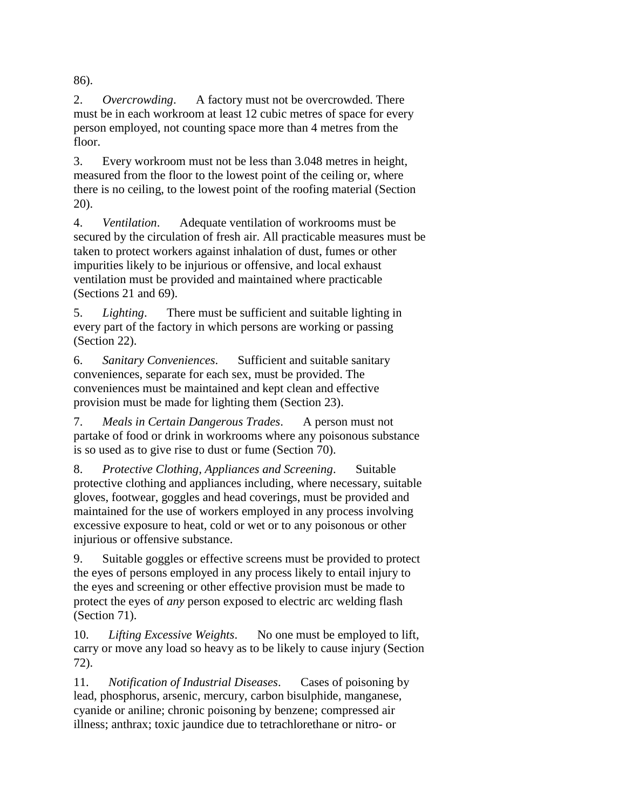86).

2. *Overcrowding*. A factory must not be overcrowded. There must be in each workroom at least 12 cubic metres of space for every person employed, not counting space more than 4 metres from the floor.

3. Every workroom must not be less than 3.048 metres in height, measured from the floor to the lowest point of the ceiling or, where there is no ceiling, to the lowest point of the roofing material (Section 20).

4. *Ventilation*. Adequate ventilation of workrooms must be secured by the circulation of fresh air. All practicable measures must be taken to protect workers against inhalation of dust, fumes or other impurities likely to be injurious or offensive, and local exhaust ventilation must be provided and maintained where practicable (Sections 21 and 69).

5. *Lighting*. There must be sufficient and suitable lighting in every part of the factory in which persons are working or passing (Section 22).

6. *Sanitary Conveniences*. Sufficient and suitable sanitary conveniences, separate for each sex, must be provided. The conveniences must be maintained and kept clean and effective provision must be made for lighting them (Section 23).

7. *Meals in Certain Dangerous Trades*. A person must not partake of food or drink in workrooms where any poisonous substance is so used as to give rise to dust or fume (Section 70).

8. *Protective Clothing, Appliances and Screening*. Suitable protective clothing and appliances including, where necessary, suitable gloves, footwear, goggles and head coverings, must be provided and maintained for the use of workers employed in any process involving excessive exposure to heat, cold or wet or to any poisonous or other injurious or offensive substance.

9. Suitable goggles or effective screens must be provided to protect the eyes of persons employed in any process likely to entail injury to the eyes and screening or other effective provision must be made to protect the eyes of *any* person exposed to electric arc welding flash (Section 71).

10. *Lifting Excessive Weights*. No one must be employed to lift, carry or move any load so heavy as to be likely to cause injury (Section 72).

11. *Notification of Industrial Diseases*. Cases of poisoning by lead, phosphorus, arsenic, mercury, carbon bisulphide, manganese, cyanide or aniline; chronic poisoning by benzene; compressed air illness; anthrax; toxic jaundice due to tetrachlorethane or nitro- or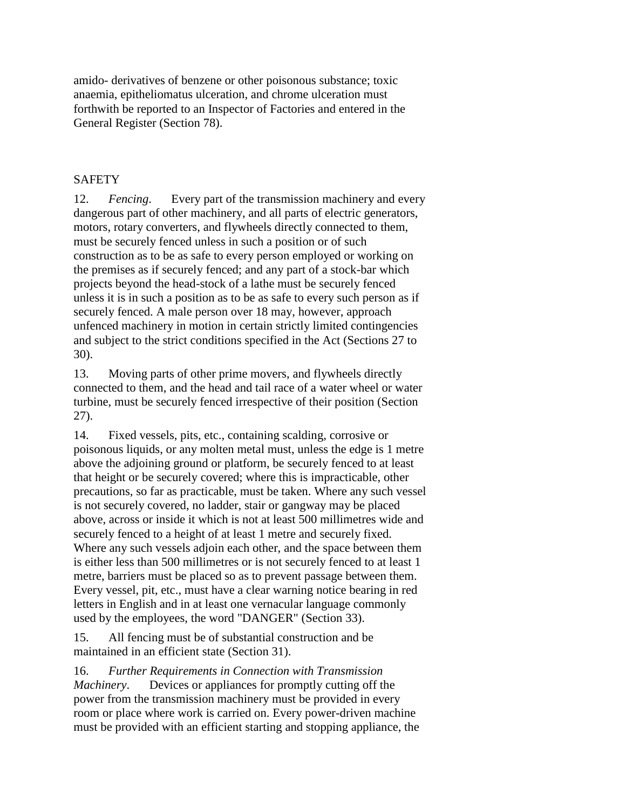amido- derivatives of benzene or other poisonous substance; toxic anaemia, epitheliomatus ulceration, and chrome ulceration must forthwith be reported to an Inspector of Factories and entered in the General Register (Section 78).

# **SAFETY**

12. *Fencing*. Every part of the transmission machinery and every dangerous part of other machinery, and all parts of electric generators, motors, rotary converters, and flywheels directly connected to them, must be securely fenced unless in such a position or of such construction as to be as safe to every person employed or working on the premises as if securely fenced; and any part of a stock-bar which projects beyond the head-stock of a lathe must be securely fenced unless it is in such a position as to be as safe to every such person as if securely fenced. A male person over 18 may, however, approach unfenced machinery in motion in certain strictly limited contingencies and subject to the strict conditions specified in the Act (Sections 27 to 30).

13. Moving parts of other prime movers, and flywheels directly connected to them, and the head and tail race of a water wheel or water turbine, must be securely fenced irrespective of their position (Section 27).

14. Fixed vessels, pits, etc., containing scalding, corrosive or poisonous liquids, or any molten metal must, unless the edge is 1 metre above the adjoining ground or platform, be securely fenced to at least that height or be securely covered; where this is impracticable, other precautions, so far as practicable, must be taken. Where any such vessel is not securely covered, no ladder, stair or gangway may be placed above, across or inside it which is not at least 500 millimetres wide and securely fenced to a height of at least 1 metre and securely fixed. Where any such vessels adjoin each other, and the space between them is either less than 500 millimetres or is not securely fenced to at least 1 metre, barriers must be placed so as to prevent passage between them. Every vessel, pit, etc., must have a clear warning notice bearing in red letters in English and in at least one vernacular language commonly used by the employees, the word "DANGER" (Section 33).

15. All fencing must be of substantial construction and be maintained in an efficient state (Section 31).

16. *Further Requirements in Connection with Transmission Machinery*. Devices or appliances for promptly cutting off the power from the transmission machinery must be provided in every room or place where work is carried on. Every power-driven machine must be provided with an efficient starting and stopping appliance, the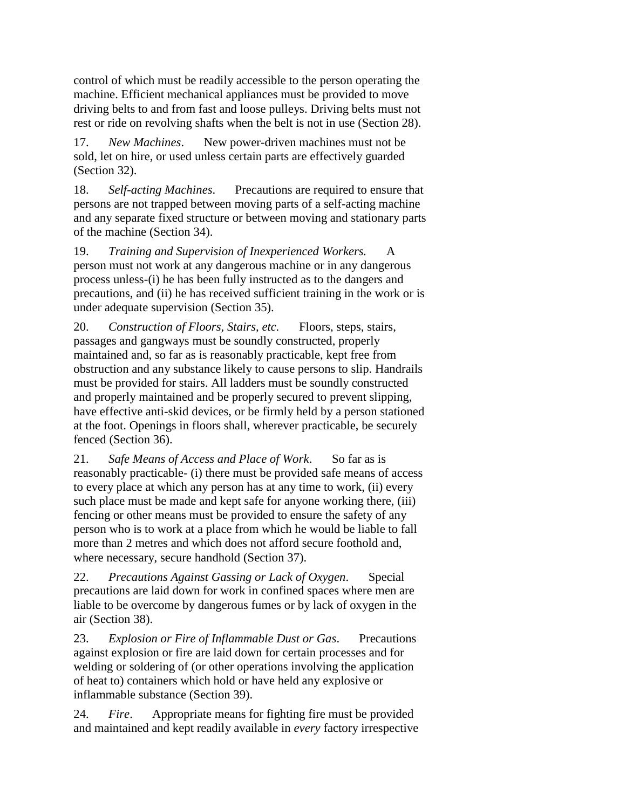control of which must be readily accessible to the person operating the machine. Efficient mechanical appliances must be provided to move driving belts to and from fast and loose pulleys. Driving belts must not rest or ride on revolving shafts when the belt is not in use (Section 28).

17. *New Machines*. New power-driven machines must not be sold, let on hire, or used unless certain parts are effectively guarded (Section 32).

18. *Self-acting Machines*. Precautions are required to ensure that persons are not trapped between moving parts of a self-acting machine and any separate fixed structure or between moving and stationary parts of the machine (Section 34).

19. *Training and Supervision of Inexperienced Workers.* A person must not work at any dangerous machine or in any dangerous process unless-(i) he has been fully instructed as to the dangers and precautions, and (ii) he has received sufficient training in the work or is under adequate supervision (Section 35).

20. *Construction of Floors, Stairs, etc.* Floors, steps, stairs, passages and gangways must be soundly constructed, properly maintained and, so far as is reasonably practicable, kept free from obstruction and any substance likely to cause persons to slip. Handrails must be provided for stairs. All ladders must be soundly constructed and properly maintained and be properly secured to prevent slipping, have effective anti-skid devices, or be firmly held by a person stationed at the foot. Openings in floors shall, wherever practicable, be securely fenced (Section 36).

21. *Safe Means of Access and Place of Work*. So far as is reasonably practicable- (i) there must be provided safe means of access to every place at which any person has at any time to work, (ii) every such place must be made and kept safe for anyone working there, (iii) fencing or other means must be provided to ensure the safety of any person who is to work at a place from which he would be liable to fall more than 2 metres and which does not afford secure foothold and, where necessary, secure handhold (Section 37).

22. *Precautions Against Gassing or Lack of Oxygen*. Special precautions are laid down for work in confined spaces where men are liable to be overcome by dangerous fumes or by lack of oxygen in the air (Section 38).

23. *Explosion or Fire of Inflammable Dust or Gas*. Precautions against explosion or fire are laid down for certain processes and for welding or soldering of (or other operations involving the application of heat to) containers which hold or have held any explosive or inflammable substance (Section 39).

24. *Fire*. Appropriate means for fighting fire must be provided and maintained and kept readily available in *every* factory irrespective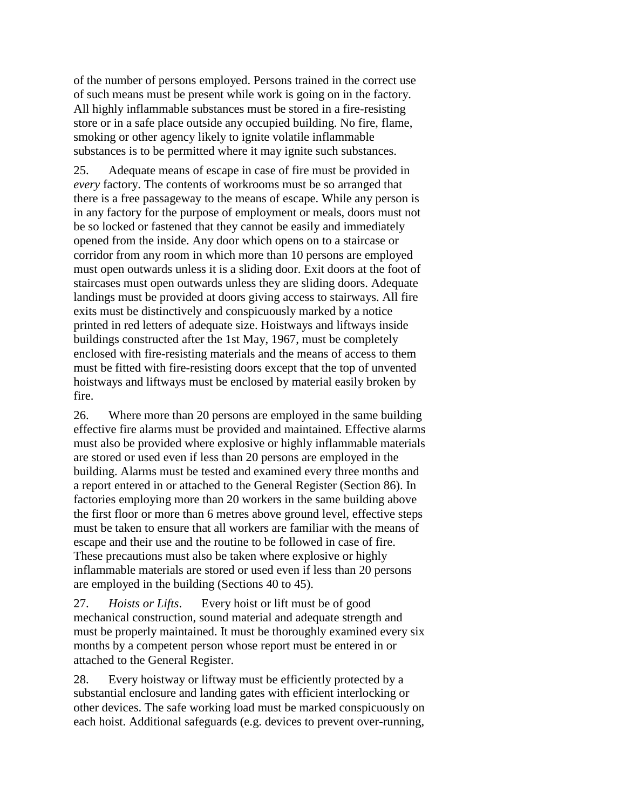of the number of persons employed. Persons trained in the correct use of such means must be present while work is going on in the factory. All highly inflammable substances must be stored in a fire-resisting store or in a safe place outside any occupied building. No fire, flame, smoking or other agency likely to ignite volatile inflammable substances is to be permitted where it may ignite such substances.

25. Adequate means of escape in case of fire must be provided in *every* factory. The contents of workrooms must be so arranged that there is a free passageway to the means of escape. While any person is in any factory for the purpose of employment or meals, doors must not be so locked or fastened that they cannot be easily and immediately opened from the inside. Any door which opens on to a staircase or corridor from any room in which more than 10 persons are employed must open outwards unless it is a sliding door. Exit doors at the foot of staircases must open outwards unless they are sliding doors. Adequate landings must be provided at doors giving access to stairways. All fire exits must be distinctively and conspicuously marked by a notice printed in red letters of adequate size. Hoistways and liftways inside buildings constructed after the 1st May, 1967, must be completely enclosed with fire-resisting materials and the means of access to them must be fitted with fire-resisting doors except that the top of unvented hoistways and liftways must be enclosed by material easily broken by fire.

26. Where more than 20 persons are employed in the same building effective fire alarms must be provided and maintained. Effective alarms must also be provided where explosive or highly inflammable materials are stored or used even if less than 20 persons are employed in the building. Alarms must be tested and examined every three months and a report entered in or attached to the General Register (Section 86). In factories employing more than 20 workers in the same building above the first floor or more than 6 metres above ground level, effective steps must be taken to ensure that all workers are familiar with the means of escape and their use and the routine to be followed in case of fire. These precautions must also be taken where explosive or highly inflammable materials are stored or used even if less than 20 persons are employed in the building (Sections 40 to 45).

27. *Hoists or Lifts*. Every hoist or lift must be of good mechanical construction, sound material and adequate strength and must be properly maintained. It must be thoroughly examined every six months by a competent person whose report must be entered in or attached to the General Register.

28. Every hoistway or liftway must be efficiently protected by a substantial enclosure and landing gates with efficient interlocking or other devices. The safe working load must be marked conspicuously on each hoist. Additional safeguards (e.g. devices to prevent over-running,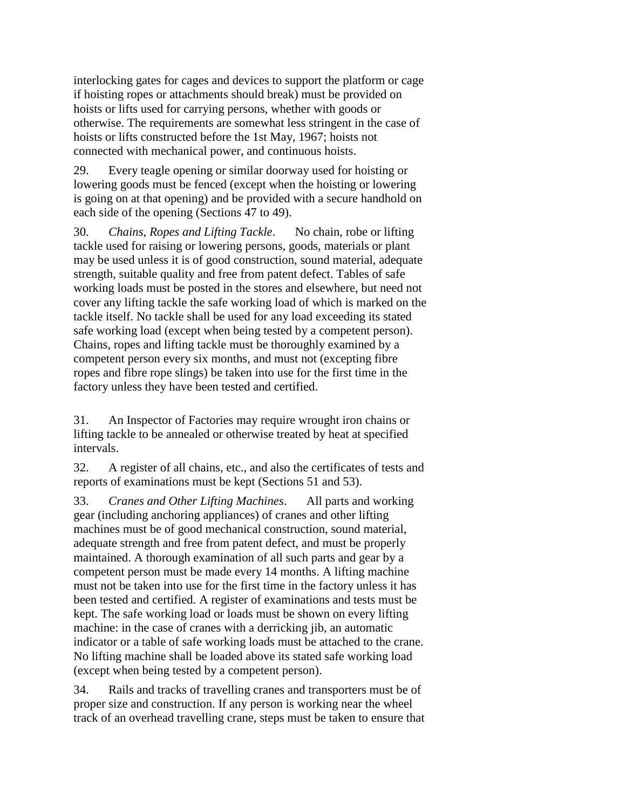interlocking gates for cages and devices to support the platform or cage if hoisting ropes or attachments should break) must be provided on hoists or lifts used for carrying persons, whether with goods or otherwise. The requirements are somewhat less stringent in the case of hoists or lifts constructed before the 1st May, 1967; hoists not connected with mechanical power, and continuous hoists.

29. Every teagle opening or similar doorway used for hoisting or lowering goods must be fenced (except when the hoisting or lowering is going on at that opening) and be provided with a secure handhold on each side of the opening (Sections 47 to 49).

30. *Chains, Ropes and Lifting Tackle*. No chain, robe or lifting tackle used for raising or lowering persons, goods, materials or plant may be used unless it is of good construction, sound material, adequate strength, suitable quality and free from patent defect. Tables of safe working loads must be posted in the stores and elsewhere, but need not cover any lifting tackle the safe working load of which is marked on the tackle itself. No tackle shall be used for any load exceeding its stated safe working load (except when being tested by a competent person). Chains, ropes and lifting tackle must be thoroughly examined by a competent person every six months, and must not (excepting fibre ropes and fibre rope slings) be taken into use for the first time in the factory unless they have been tested and certified.

31. An Inspector of Factories may require wrought iron chains or lifting tackle to be annealed or otherwise treated by heat at specified intervals.

32. A register of all chains, etc., and also the certificates of tests and reports of examinations must be kept (Sections 51 and 53).

33. *Cranes and Other Lifting Machines*. All parts and working gear (including anchoring appliances) of cranes and other lifting machines must be of good mechanical construction, sound material, adequate strength and free from patent defect, and must be properly maintained. A thorough examination of all such parts and gear by a competent person must be made every 14 months. A lifting machine must not be taken into use for the first time in the factory unless it has been tested and certified. A register of examinations and tests must be kept. The safe working load or loads must be shown on every lifting machine: in the case of cranes with a derricking jib, an automatic indicator or a table of safe working loads must be attached to the crane. No lifting machine shall be loaded above its stated safe working load (except when being tested by a competent person).

34. Rails and tracks of travelling cranes and transporters must be of proper size and construction. If any person is working near the wheel track of an overhead travelling crane, steps must be taken to ensure that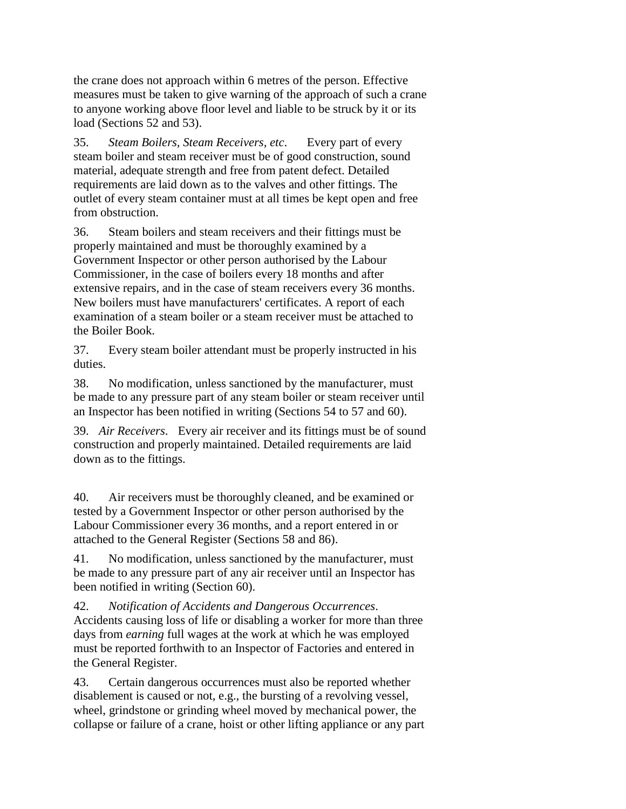the crane does not approach within 6 metres of the person. Effective measures must be taken to give warning of the approach of such a crane to anyone working above floor level and liable to be struck by it or its load (Sections 52 and 53).

35. *Steam Boilers, Steam Receivers, etc*. Every part of every steam boiler and steam receiver must be of good construction, sound material, adequate strength and free from patent defect. Detailed requirements are laid down as to the valves and other fittings. The outlet of every steam container must at all times be kept open and free from obstruction.

36. Steam boilers and steam receivers and their fittings must be properly maintained and must be thoroughly examined by a Government Inspector or other person authorised by the Labour Commissioner, in the case of boilers every 18 months and after extensive repairs, and in the case of steam receivers every 36 months. New boilers must have manufacturers' certificates. A report of each examination of a steam boiler or a steam receiver must be attached to the Boiler Book.

37. Every steam boiler attendant must be properly instructed in his duties.

38. No modification, unless sanctioned by the manufacturer, must be made to any pressure part of any steam boiler or steam receiver until an Inspector has been notified in writing (Sections 54 to 57 and 60).

39. *Air Receivers*. Every air receiver and its fittings must be of sound construction and properly maintained. Detailed requirements are laid down as to the fittings.

40. Air receivers must be thoroughly cleaned, and be examined or tested by a Government Inspector or other person authorised by the Labour Commissioner every 36 months, and a report entered in or attached to the General Register (Sections 58 and 86).

41. No modification, unless sanctioned by the manufacturer, must be made to any pressure part of any air receiver until an Inspector has been notified in writing (Section 60).

42. *Notification of Accidents and Dangerous Occurrences*. Accidents causing loss of life or disabling a worker for more than three days from *earning* full wages at the work at which he was employed must be reported forthwith to an Inspector of Factories and entered in the General Register.

43. Certain dangerous occurrences must also be reported whether disablement is caused or not, e.g., the bursting of a revolving vessel, wheel, grindstone or grinding wheel moved by mechanical power, the collapse or failure of a crane, hoist or other lifting appliance or any part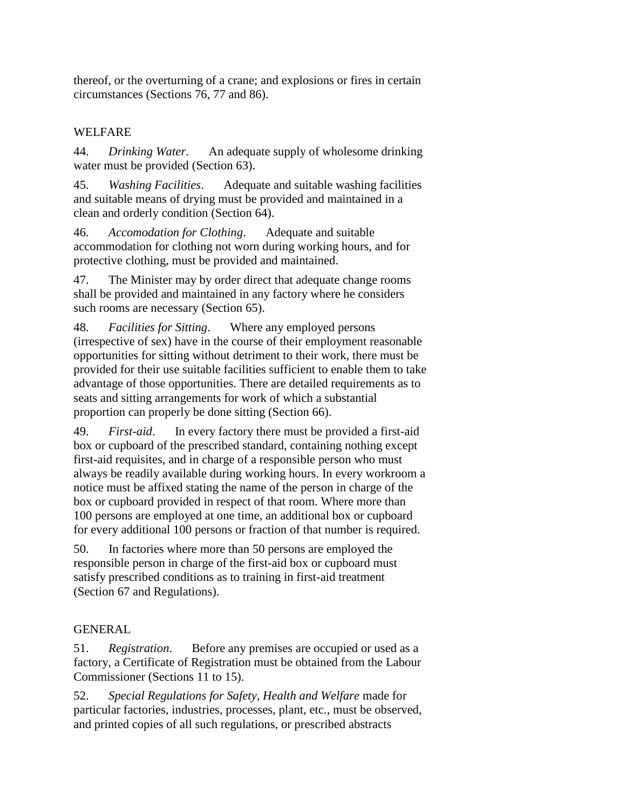thereof, or the overturning of a crane; and explosions or fires in certain circumstances (Sections 76, 77 and 86).

# WELFARE

44. *Drinking Water*. An adequate supply of wholesome drinking water must be provided (Section 63).

45. *Washing Facilities*. Adequate and suitable washing facilities and suitable means of drying must be provided and maintained in a clean and orderly condition (Section 64).

46. *Accomodation for Clothing*. Adequate and suitable accommodation for clothing not worn during working hours, and for protective clothing, must be provided and maintained.

47. The Minister may by order direct that adequate change rooms shall be provided and maintained in any factory where he considers such rooms are necessary (Section 65).

48. *Facilities for Sitting*. Where any employed persons (irrespective of sex) have in the course of their employment reasonable opportunities for sitting without detriment to their work, there must be provided for their use suitable facilities sufficient to enable them to take advantage of those opportunities. There are detailed requirements as to seats and sitting arrangements for work of which a substantial proportion can properly be done sitting (Section 66).

49. *First-aid*. In every factory there must be provided a first-aid box or cupboard of the prescribed standard, containing nothing except first-aid requisites, and in charge of a responsible person who must always be readily available during working hours. In every workroom a notice must be affixed stating the name of the person in charge of the box or cupboard provided in respect of that room. Where more than 100 persons are employed at one time, an additional box or cupboard for every additional 100 persons or fraction of that number is required.

50. In factories where more than 50 persons are employed the responsible person in charge of the first-aid box or cupboard must satisfy prescribed conditions as to training in first-aid treatment (Section 67 and Regulations).

# GENERAL

51. *Registration*. Before any premises are occupied or used as a factory, a Certificate of Registration must be obtained from the Labour Commissioner (Sections 11 to 15).

52. *Special Regulations for Safety, Health and Welfare* made for particular factories, industries, processes, plant, etc., must be observed, and printed copies of all such regulations, or prescribed abstracts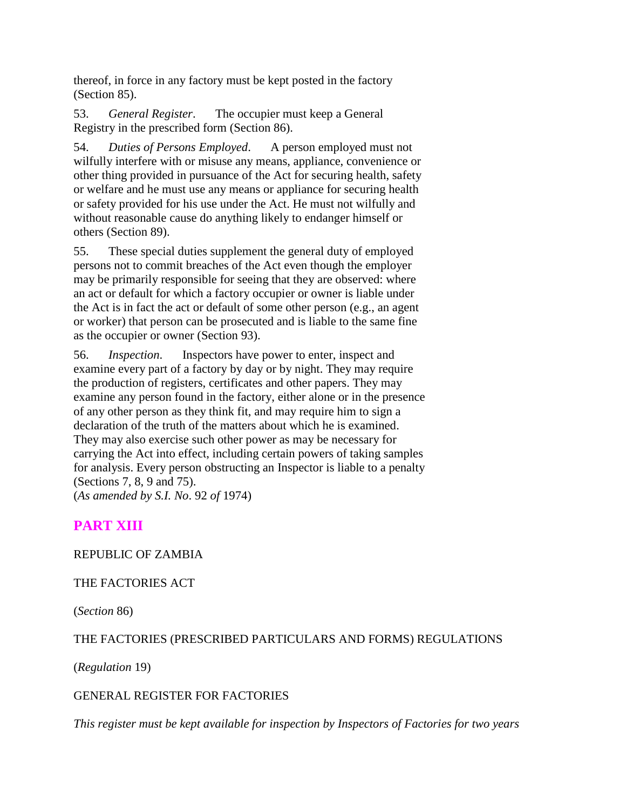thereof, in force in any factory must be kept posted in the factory (Section 85).

53. *General Register*. The occupier must keep a General Registry in the prescribed form (Section 86).

54. *Duties of Persons Employed*. A person employed must not wilfully interfere with or misuse any means, appliance, convenience or other thing provided in pursuance of the Act for securing health, safety or welfare and he must use any means or appliance for securing health or safety provided for his use under the Act. He must not wilfully and without reasonable cause do anything likely to endanger himself or others (Section 89).

55. These special duties supplement the general duty of employed persons not to commit breaches of the Act even though the employer may be primarily responsible for seeing that they are observed: where an act or default for which a factory occupier or owner is liable under the Act is in fact the act or default of some other person (e.g., an agent or worker) that person can be prosecuted and is liable to the same fine as the occupier or owner (Section 93).

56. *Inspection*. Inspectors have power to enter, inspect and examine every part of a factory by day or by night. They may require the production of registers, certificates and other papers. They may examine any person found in the factory, either alone or in the presence of any other person as they think fit, and may require him to sign a declaration of the truth of the matters about which he is examined. They may also exercise such other power as may be necessary for carrying the Act into effect, including certain powers of taking samples for analysis. Every person obstructing an Inspector is liable to a penalty (Sections 7, 8, 9 and 75).

(*As amended by S.I. No*. 92 *of* 1974)

# **PART XIII**

## REPUBLIC OF ZAMBIA

## THE FACTORIES ACT

(*Section* 86)

# THE FACTORIES (PRESCRIBED PARTICULARS AND FORMS) REGULATIONS

(*Regulation* 19)

## GENERAL REGISTER FOR FACTORIES

*This register must be kept available for inspection by Inspectors of Factories for two years*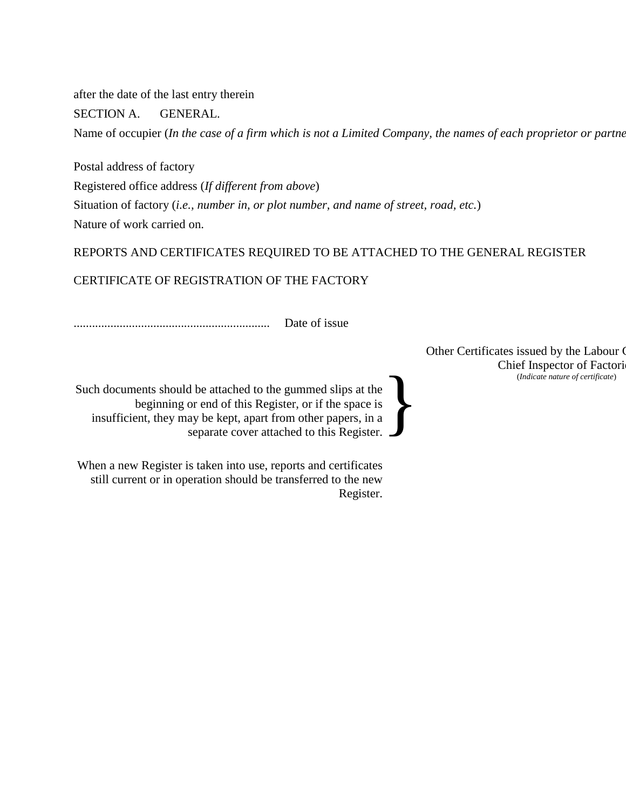after the date of the last entry therein

SECTION A. GENERAL.

Name of occupier (*In the case of a firm which is not a Limited Company, the names of each proprietor or partne* 

Postal address of factory Registered office address (*If different from above*) Situation of factory (*i.e., number in, or plot number, and name of street, road, etc.*) Nature of work carried on.

# REPORTS AND CERTIFICATES REQUIRED TO BE ATTACHED TO THE GENERAL REGISTER

# CERTIFICATE OF REGISTRATION OF THE FACTORY

................................................................ Date of issue

Such documents should be attached to the gummed slips at the beginning or end of this Register, or if the space is insufficient, they may be kept, apart from other papers, in a separate cover attached to this Register. }

When a new Register is taken into use, reports and certificates still current or in operation should be transferred to the new Register. Other Certificates issued by the Labour O Chief Inspector of Factori (*Indicate nature of certificate*)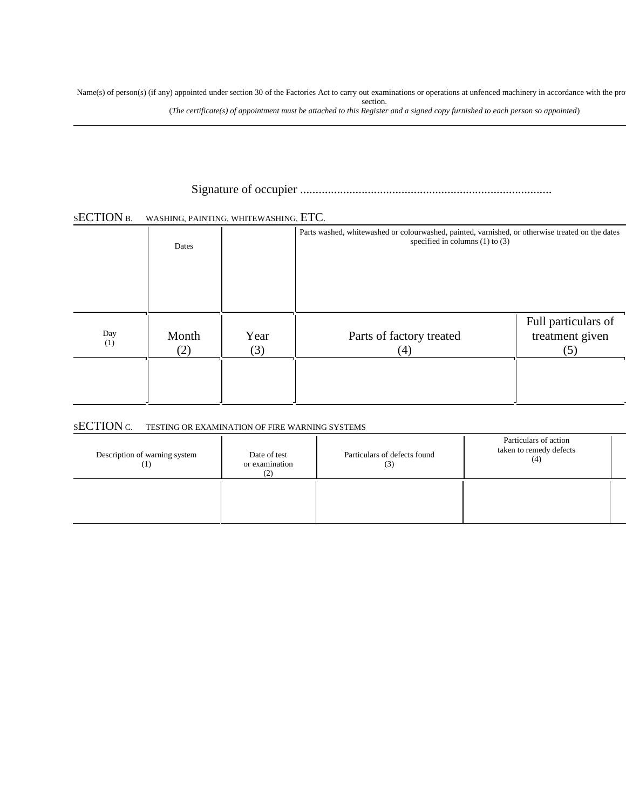Name(s) of person(s) (if any) appointed under section 30 of the Factories Act to carry out examinations or operations at unfenced machinery in accordance with the pro section.

(*The certificate(s) of appointment must be attached to this Register and a signed copy furnished to each person so appointed*)

# Signature of occupier .................................................................................. Date 19 ........

#### SECTION B. WASHING, PAINTING, WHITEWASHING, ETC.

|            | Dates        |             | Parts washed, whitewashed or colourwashed, painted, varnished, or otherwise treated on the dates<br>specified in columns $(1)$ to $(3)$ |                                               |
|------------|--------------|-------------|-----------------------------------------------------------------------------------------------------------------------------------------|-----------------------------------------------|
| Day<br>(1) | Month<br>(2) | Year<br>(3) | Parts of factory treated<br>(4)                                                                                                         | Full particulars of<br>treatment given<br>(5) |

#### <sup>S</sup>ECTION C. TESTING OR EXAMINATION OF FIRE WARNING SYSTEMS

| Description of warning system<br>(1) | Date of test<br>or examination<br>(2) | Particulars of defects found<br>(3) | Particulars of action<br>taken to remedy defects<br>(4) |  |
|--------------------------------------|---------------------------------------|-------------------------------------|---------------------------------------------------------|--|
|                                      |                                       |                                     |                                                         |  |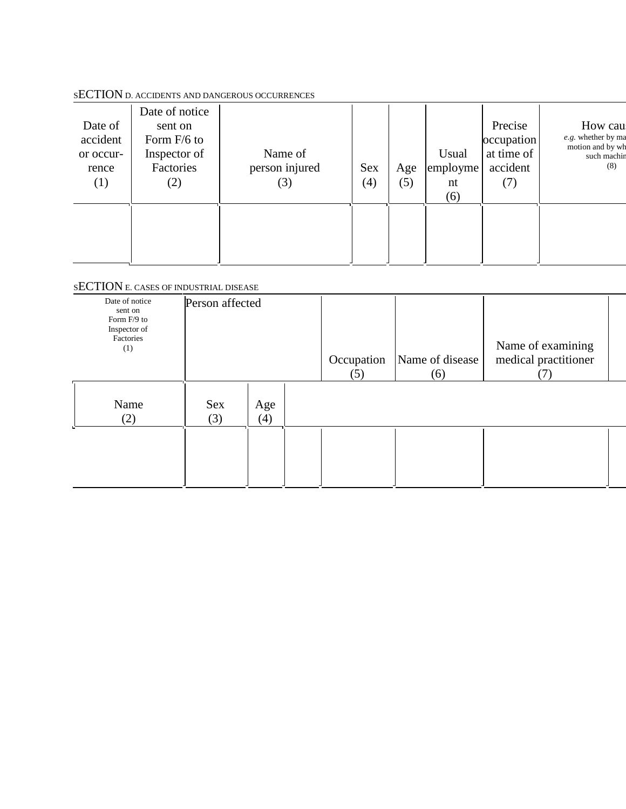## <sup>S</sup>ECTION D. ACCIDENTS AND DANGEROUS OCCURRENCES

| Date of<br>accident<br>or occur-<br>rence<br>$\left(1\right)$ | Date of notice<br>sent on<br>Form F/6 to<br>Inspector of<br>Factories<br>(2) | Name of<br>person injured<br>(3) | <b>Sex</b><br>(4) | Age<br>(5) | Usual<br>employme<br>nt<br>(6) | Precise<br>occupation<br>at time of<br>accident<br>(7) | How cau<br>e.g. whether by ma<br>motion and by wh<br>such machin<br>(8) |
|---------------------------------------------------------------|------------------------------------------------------------------------------|----------------------------------|-------------------|------------|--------------------------------|--------------------------------------------------------|-------------------------------------------------------------------------|
|---------------------------------------------------------------|------------------------------------------------------------------------------|----------------------------------|-------------------|------------|--------------------------------|--------------------------------------------------------|-------------------------------------------------------------------------|

## <sup>S</sup>ECTION E. CASES OF INDUSTRIAL DISEASE

| Date of notice<br>sent on<br>Form F/9 to<br>Inspector of<br>Factories<br>(1) | Person affected   |            | Occupation<br>(5) | Name of disease<br>(6) | Name of examining<br>medical practitioner<br>$\left( 1\right)$ |  |
|------------------------------------------------------------------------------|-------------------|------------|-------------------|------------------------|----------------------------------------------------------------|--|
| Name<br>(2)                                                                  | <b>Sex</b><br>(3) | Age<br>(4) |                   |                        |                                                                |  |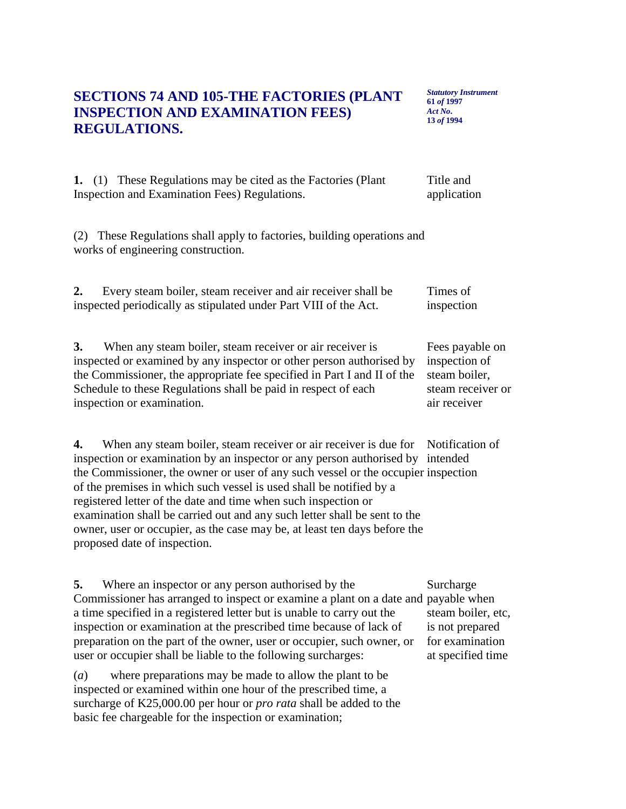## **SECTIONS 74 AND 105-THE FACTORIES (PLANT INSPECTION AND EXAMINATION FEES) REGULATIONS.**

*Statutory Instrument* **61** *of* **1997** *Act No***. 13** *of* **1994**

|  | 1. (1) These Regulations may be cited as the Factories (Plant | Title and   |
|--|---------------------------------------------------------------|-------------|
|  | Inspection and Examination Fees) Regulations.                 | application |

(2) These Regulations shall apply to factories, building operations and works of engineering construction.

| Every steam boiler, steam receiver and air receiver shall be     | Times of   |
|------------------------------------------------------------------|------------|
| inspected periodically as stipulated under Part VIII of the Act. | inspection |

**3.** When any steam boiler, steam receiver or air receiver is inspected or examined by any inspector or other person authorised by the Commissioner, the appropriate fee specified in Part I and II of the Schedule to these Regulations shall be paid in respect of each inspection or examination. Fees payable on inspection of steam boiler, steam receiver or air receiver

4. When any steam boiler, steam receiver or air receiver is due for Notification of inspection or examination by an inspector or any person authorised by intended the Commissioner, the owner or user of any such vessel or the occupier inspection of the premises in which such vessel is used shall be notified by a registered letter of the date and time when such inspection or examination shall be carried out and any such letter shall be sent to the owner, user or occupier, as the case may be, at least ten days before the proposed date of inspection.

**5.** Where an inspector or any person authorised by the Commissioner has arranged to inspect or examine a plant on a date and payable when a time specified in a registered letter but is unable to carry out the inspection or examination at the prescribed time because of lack of preparation on the part of the owner, user or occupier, such owner, or user or occupier shall be liable to the following surcharges: Surcharge

(*a*) where preparations may be made to allow the plant to be inspected or examined within one hour of the prescribed time, a surcharge of K25,000.00 per hour or *pro rata* shall be added to the basic fee chargeable for the inspection or examination;

steam boiler, etc, is not prepared for examination at specified time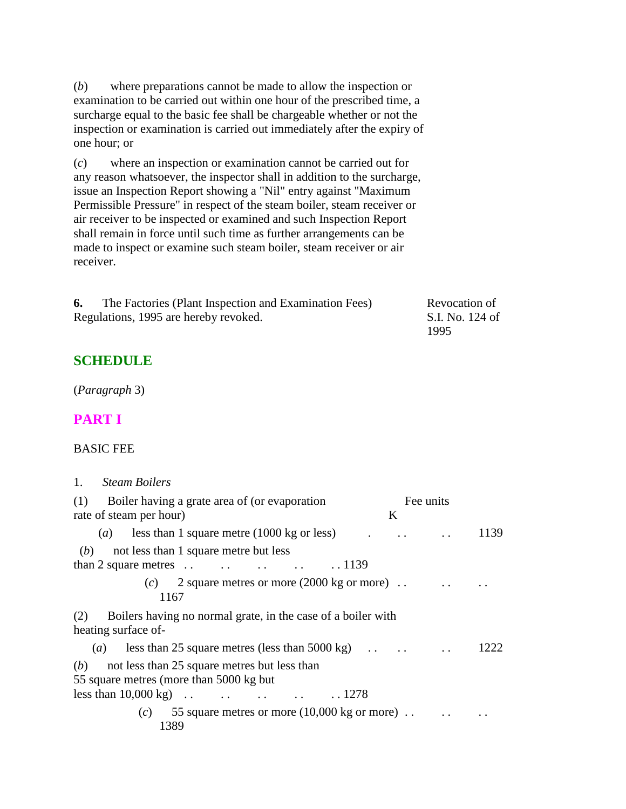(*b*) where preparations cannot be made to allow the inspection or examination to be carried out within one hour of the prescribed time, a surcharge equal to the basic fee shall be chargeable whether or not the inspection or examination is carried out immediately after the expiry of one hour; or

(*c*) where an inspection or examination cannot be carried out for any reason whatsoever, the inspector shall in addition to the surcharge, issue an Inspection Report showing a "Nil" entry against "Maximum Permissible Pressure" in respect of the steam boiler, steam receiver or air receiver to be inspected or examined and such Inspection Report shall remain in force until such time as further arrangements can be made to inspect or examine such steam boiler, steam receiver or air receiver.

**6.** The Factories (Plant Inspection and Examination Fees) Regulations, 1995 are hereby revoked. Revocation of S.I. No. 124 of 1995

## **SCHEDULE**

(*Paragraph* 3)

### **PART I**

#### BASIC FEE

#### 1. *Steam Boilers*

| (1) Boiler having a grate area of (or evaporation                                                                                     |   | Fee units |      |
|---------------------------------------------------------------------------------------------------------------------------------------|---|-----------|------|
| rate of steam per hour)                                                                                                               | K |           |      |
| ( <i>a</i> ) less than 1 square metre $(1000 \text{ kg or less})$                                                                     |   |           | 1139 |
| not less than 1 square metre but less<br>(b)<br>than 2 square metres $\ldots$ $\ldots$ $\ldots$ $\ldots$ $\ldots$ 1139                |   |           |      |
| (c) 2 square metres or more $(2000 \text{ kg or more})$ .<br>1167                                                                     |   |           |      |
| (2) Boilers having no normal grate, in the case of a boiler with<br>heating surface of-                                               |   |           |      |
| (a) less than 25 square metres (less than 5000 kg) $\ldots$ .                                                                         |   |           | 1222 |
| not less than 25 square metres but less than<br>(b)<br>55 square metres (more than 5000 kg but)<br>less than $10,000 \text{ kg}$ 1278 |   |           |      |
| (c) 55 square metres or more $(10,000 \text{ kg or more})$<br>1389                                                                    |   |           |      |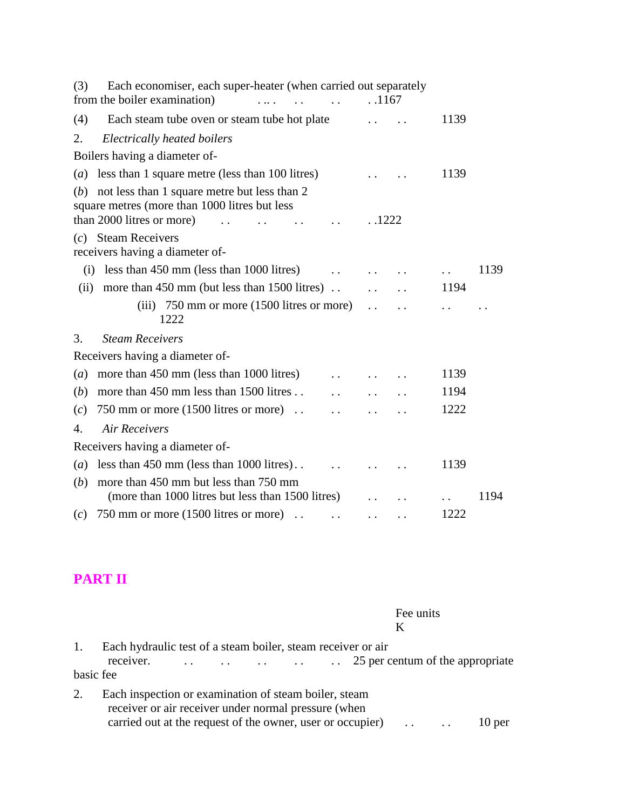| Each economiser, each super-heater (when carried out separately<br>(3)<br>from the boiler examination) | .1167                |      |
|--------------------------------------------------------------------------------------------------------|----------------------|------|
| (4)<br>Each steam tube oven or steam tube hot plate                                                    |                      | 1139 |
| 2.<br>Electrically heated boilers                                                                      |                      |      |
| Boilers having a diameter of-                                                                          |                      |      |
| less than 1 square metre (less than 100 litres)<br>(a)                                                 |                      | 1139 |
| not less than 1 square metre but less than 2<br>(b)<br>square metres (more than 1000 litres but less   |                      |      |
| than 2000 litres or more)                                                                              | .1222                |      |
| $(c)$ Steam Receivers<br>receivers having a diameter of-                                               |                      |      |
| less than 450 mm (less than 1000 litres)<br>(i)                                                        |                      | 1139 |
| more than $450 \text{ mm}$ (but less than $1500 \text{ litres}$ ).<br>(ii)                             |                      | 1194 |
| (iii) $750 \text{ mm}$ or more (1500 litres or more)<br>1222                                           | $\ddot{\phantom{a}}$ |      |
| <b>Steam Receivers</b><br>3.                                                                           |                      |      |
| Receivers having a diameter of-                                                                        |                      |      |
| more than 450 mm (less than 1000 litres)<br>(a)                                                        |                      | 1139 |
| more than 450 mm less than 1500 litres<br>(b)                                                          |                      | 1194 |
| 750 mm or more $(1500$ litres or more).<br>(c)                                                         |                      | 1222 |
| <b>Air Receivers</b><br>4.                                                                             |                      |      |
| Receivers having a diameter of-                                                                        |                      |      |
| less than $450$ mm (less than $1000$ litres)<br>(a)                                                    |                      | 1139 |
| more than 450 mm but less than 750 mm<br>(b)                                                           |                      |      |
| (more than 1000 litres but less than 1500 litres)                                                      |                      | 1194 |
| 750 mm or more $(1500$ litres or more).<br>(c)<br>$\ddot{\phantom{a}}$                                 |                      | 1222 |

# **PART II**

|           | Fee units                                                                                                                                                                             |
|-----------|---------------------------------------------------------------------------------------------------------------------------------------------------------------------------------------|
|           |                                                                                                                                                                                       |
| 1.        | Each hydraulic test of a steam boiler, steam receiver or air<br>receiver.                                                                                                             |
| basic fee |                                                                                                                                                                                       |
| 2.        | Each inspection or examination of steam boiler, steam<br>receiver or air receiver under normal pressure (when<br>carried out at the request of the owner, user or occupier)<br>10 per |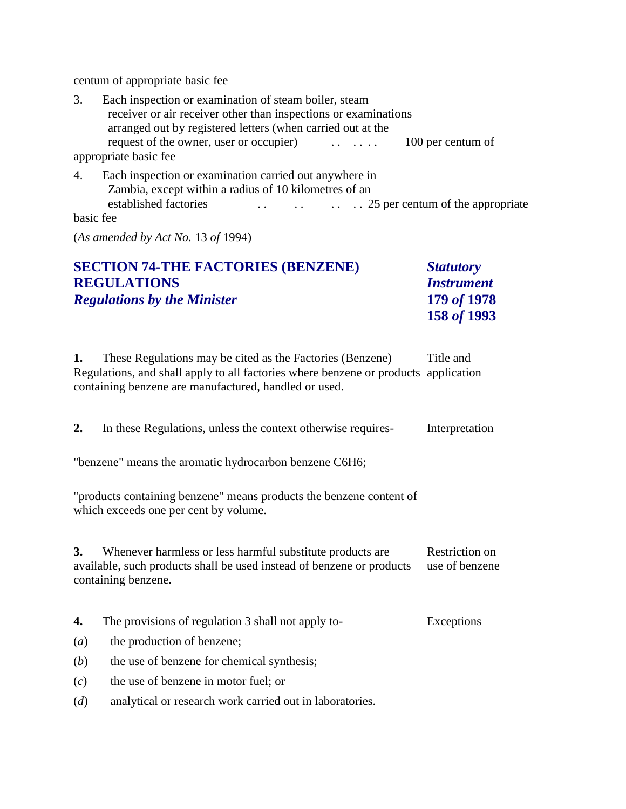centum of appropriate basic fee

| 3.              | Each inspection or examination of steam boiler, steam<br>receiver or air receiver other than inspections or examinations<br>arranged out by registered letters (when carried out at the |
|-----------------|-----------------------------------------------------------------------------------------------------------------------------------------------------------------------------------------|
|                 | request of the owner, user or occupier)<br>100 per centum of                                                                                                                            |
|                 | appropriate basic fee                                                                                                                                                                   |
| 4.<br>basic fee | Each inspection or examination carried out anywhere in<br>Zambia, except within a radius of 10 kilometres of an<br>established factories                                                |

(*As amended by Act No.* 13 *of* 1994)

| <b>SECTION 74-THE FACTORIES (BENZENE)</b> | <b>Statutory</b>         |
|-------------------------------------------|--------------------------|
| <b>REGULATIONS</b>                        | <i><b>Instrument</b></i> |
| <b>Regulations by the Minister</b>        | 179 of 1978              |
|                                           | 158 of 1993              |

**1.** These Regulations may be cited as the Factories (Benzene) Regulations, and shall apply to all factories where benzene or products application containing benzene are manufactured, handled or used. Title and

| 2.               | In these Regulations, unless the context otherwise requires-                                                                                              | Interpretation                   |
|------------------|-----------------------------------------------------------------------------------------------------------------------------------------------------------|----------------------------------|
|                  | "benzene" means the aromatic hydrocarbon benzene C6H6;                                                                                                    |                                  |
|                  | "products containing benzene" means products the benzene content of<br>which exceeds one per cent by volume.                                              |                                  |
| 3.               | Whenever harmless or less harmful substitute products are<br>available, such products shall be used instead of benzene or products<br>containing benzene. | Restriction on<br>use of benzene |
| 4.               | The provisions of regulation 3 shall not apply to-                                                                                                        | Exceptions                       |
| $\left(a\right)$ | the production of benzene;                                                                                                                                |                                  |

- (*b*) the use of benzene for chemical synthesis;
- (*c*) the use of benzene in motor fuel; or
- (*d*) analytical or research work carried out in laboratories.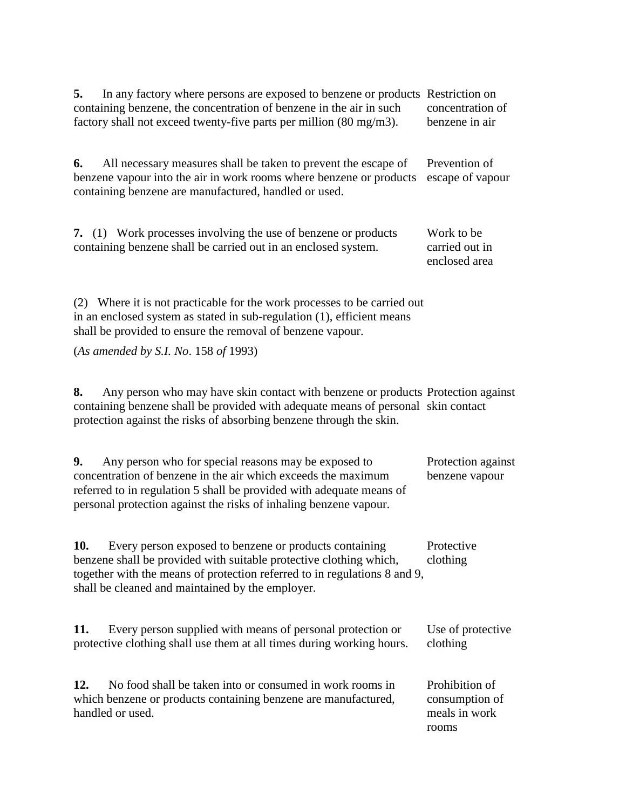| 5. In any factory where persons are exposed to benzene or products Restriction on |                  |
|-----------------------------------------------------------------------------------|------------------|
| containing benzene, the concentration of benzene in the air in such               | concentration of |
| factory shall not exceed twenty-five parts per million (80 mg/m3).                | benzene in air   |

**6.** All necessary measures shall be taken to prevent the escape of benzene vapour into the air in work rooms where benzene or products escape of vapour containing benzene are manufactured, handled or used. Prevention of

**7.** (1) Work processes involving the use of benzene or products containing benzene shall be carried out in an enclosed system. Work to be carried out in enclosed area

(2) Where it is not practicable for the work processes to be carried out in an enclosed system as stated in sub-regulation (1), efficient means shall be provided to ensure the removal of benzene vapour.

(*As amended by S.I. No*. 158 *of* 1993)

**8.** Any person who may have skin contact with benzene or products Protection against containing benzene shall be provided with adequate means of personal skin contact protection against the risks of absorbing benzene through the skin.

| 9.<br>Any person who for special reasons may be exposed to                | Protection against |
|---------------------------------------------------------------------------|--------------------|
| concentration of benzene in the air which exceeds the maximum             | benzene vapour     |
| referred to in regulation 5 shall be provided with a dequate means of     |                    |
| personal protection against the risks of inhaling benzene vapour.         |                    |
|                                                                           |                    |
|                                                                           |                    |
| Every person exposed to benzene or products containing<br><b>10.</b>      | Protective         |
| benzene shall be provided with suitable protective clothing which,        | clothing           |
| together with the means of protection referred to in regulations 8 and 9, |                    |
| shall be cleaned and maintained by the employer.                          |                    |

| 11. | Every person supplied with means of personal protection or            | Use of protective |
|-----|-----------------------------------------------------------------------|-------------------|
|     | protective clothing shall use them at all times during working hours. | clothing          |
|     |                                                                       |                   |

**12.** No food shall be taken into or consumed in work rooms in which benzene or products containing benzene are manufactured, handled or used. Prohibition of consumption of meals in work rooms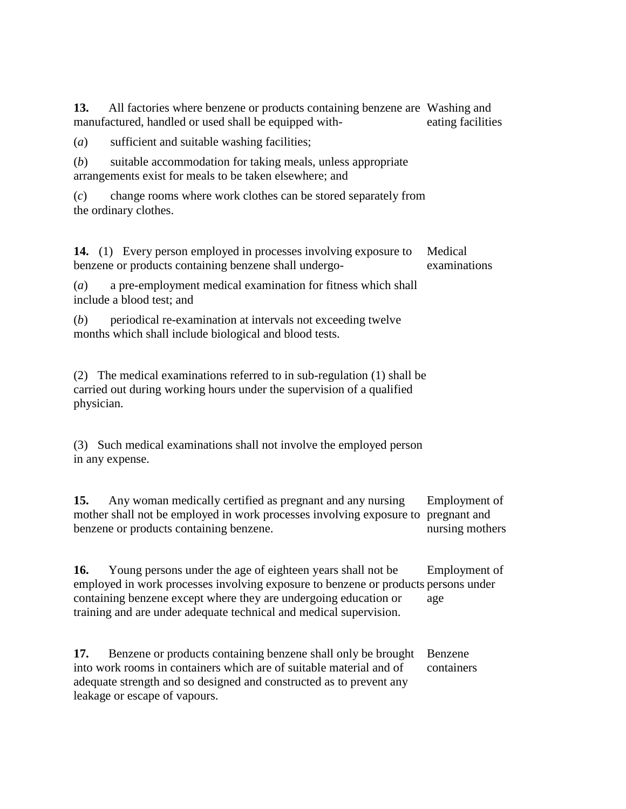**13.** All factories where benzene or products containing benzene are Washing and manufactured, handled or used shall be equipped with eating facilities

(*a*) sufficient and suitable washing facilities;

(*b*) suitable accommodation for taking meals, unless appropriate arrangements exist for meals to be taken elsewhere; and

(*c*) change rooms where work clothes can be stored separately from the ordinary clothes.

**14.** (1) Every person employed in processes involving exposure to benzene or products containing benzene shall undergo- Medical examinations

(*a*) a pre-employment medical examination for fitness which shall include a blood test; and

(*b*) periodical re-examination at intervals not exceeding twelve months which shall include biological and blood tests.

(2) The medical examinations referred to in sub-regulation (1) shall be carried out during working hours under the supervision of a qualified physician.

(3) Such medical examinations shall not involve the employed person in any expense.

**15.** Any woman medically certified as pregnant and any nursing mother shall not be employed in work processes involving exposure to pregnant and benzene or products containing benzene. Employment of nursing mothers

**16.** Young persons under the age of eighteen years shall not be employed in work processes involving exposure to benzene or products persons under containing benzene except where they are undergoing education or training and are under adequate technical and medical supervision. Employment of age

**17.** Benzene or products containing benzene shall only be brought into work rooms in containers which are of suitable material and of adequate strength and so designed and constructed as to prevent any leakage or escape of vapours. Benzene containers